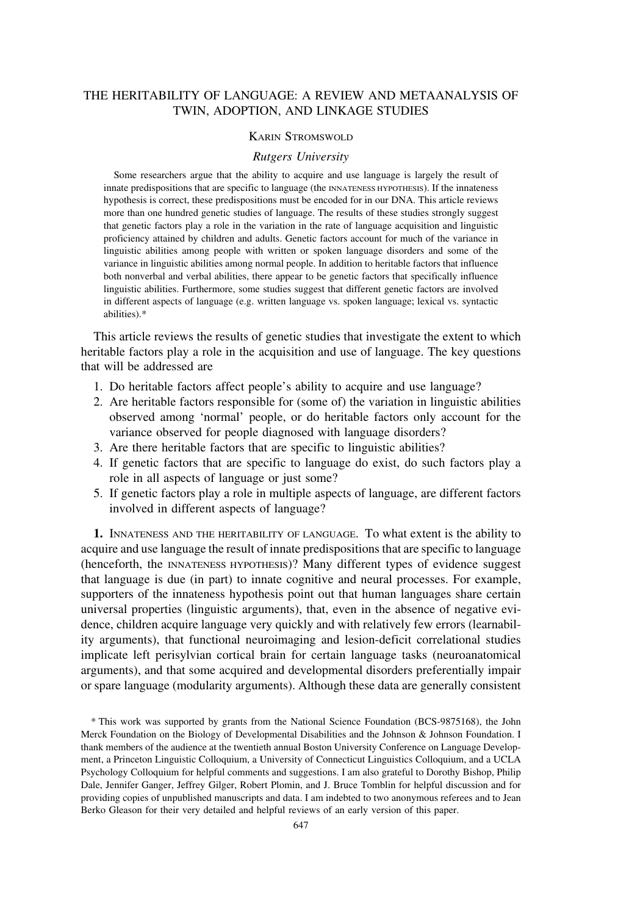## THE HERITABILITY OF LANGUAGE: A REVIEW AND METAANALYSIS OF TWIN, ADOPTION, AND LINKAGE STUDIES

### KARIN STROMSWOLD

### *Rutgers University*

Some researchers argue that the ability to acquire and use language is largely the result of innate predispositions that are specific to language (the INNATENESS HYPOTHESIS). If the innateness hypothesis is correct, these predispositions must be encoded for in our DNA. This article reviews more than one hundred genetic studies of language. The results of these studies strongly suggest that genetic factors play a role in the variation in the rate of language acquisition and linguistic proficiency attained by children and adults. Genetic factors account for much of the variance in linguistic abilities among people with written or spoken language disorders and some of the variance in linguistic abilities among normal people. In addition to heritable factors that influence both nonverbal and verbal abilities, there appear to be genetic factors that specifically influence linguistic abilities. Furthermore, some studies suggest that different genetic factors are involved in different aspects of language (e.g. written language vs. spoken language; lexical vs. syntactic abilities).\*

This article reviews the results of genetic studies that investigate the extent to which heritable factors play a role in the acquisition and use of language. The key questions that will be addressed are

- 1. Do heritable factors affect people's ability to acquire and use language?
- 2. Are heritable factors responsible for (some of) the variation in linguistic abilities observed among'normal' people, or do heritable factors only account for the variance observed for people diagnosed with language disorders?
- 3. Are there heritable factors that are specific to linguistic abilities?
- 4. If genetic factors that are specific to language do exist, do such factors play a role in all aspects of language or just some?
- 5. If genetic factors play a role in multiple aspects of language, are different factors involved in different aspects of language?

**1.** INNATENESS AND THE HERITABILITY OF LANGUAGE. To what extent is the ability to acquire and use language the result of innate predispositions that are specific to language (henceforth, the INNATENESS HYPOTHESIS)? Many different types of evidence suggest that language is due (in part) to innate cognitive and neural processes. For example, supporters of the innateness hypothesis point out that human languages share certain universal properties (linguistic arguments), that, even in the absence of negative evidence, children acquire language very quickly and with relatively few errors (learnability arguments), that functional neuroimaging and lesion-deficit correlational studies implicate left perisylvian cortical brain for certain language tasks (neuroanatomical arguments), and that some acquired and developmental disorders preferentially impair or spare language (modularity arguments). Although these data are generally consistent

<sup>\*</sup> This work was supported by grants from the National Science Foundation (BCS-9875168), the John Merck Foundation on the Biology of Developmental Disabilities and the Johnson & Johnson Foundation. I thank members of the audience at the twentieth annual Boston University Conference on Language Development, a Princeton Linguistic Colloquium, a University of Connecticut Linguistics Colloquium, and a UCLA Psychology Colloquium for helpful comments and suggestions. I am also grateful to Dorothy Bishop, Philip Dale, Jennifer Ganger, Jeffrey Gilger, Robert Plomin, and J. Bruce Tomblin for helpful discussion and for providing copies of unpublished manuscripts and data. I am indebted to two anonymous referees and to Jean Berko Gleason for their very detailed and helpful reviews of an early version of this paper.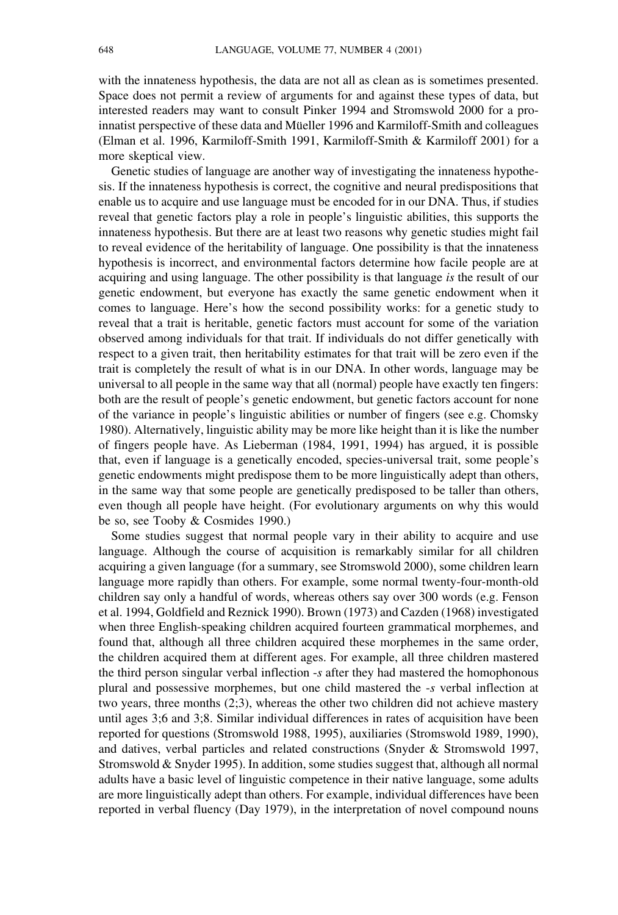with the innateness hypothesis, the data are not all as clean as is sometimes presented. Space does not permit a review of arguments for and against these types of data, but interested readers may want to consult Pinker 1994 and Stromswold 2000 for a proinnatist perspective of these data and Müeller 1996 and Karmiloff-Smith and colleagues (Elman et al. 1996, Karmiloff-Smith 1991, Karmiloff-Smith & Karmiloff 2001) for a more skeptical view.

Genetic studies of language are another way of investigating the innateness hypothesis. If the innateness hypothesis is correct, the cognitive and neural predispositions that enable us to acquire and use language must be encoded for in our DNA. Thus, if studies reveal that genetic factors play a role in people's linguistic abilities, this supports the innateness hypothesis. But there are at least two reasons why genetic studies might fail to reveal evidence of the heritability of language. One possibility is that the innateness hypothesis is incorrect, and environmental factors determine how facile people are at acquiring and using language. The other possibility is that language *is* the result of our genetic endowment, but everyone has exactly the same genetic endowment when it comes to language. Here's how the second possibility works: for a genetic study to reveal that a trait is heritable, genetic factors must account for some of the variation observed among individuals for that trait. If individuals do not differ genetically with respect to a given trait, then heritability estimates for that trait will be zero even if the trait is completely the result of what is in our DNA. In other words, language may be universal to all people in the same way that all (normal) people have exactly ten fingers: both are the result of people's genetic endowment, but genetic factors account for none of the variance in people's linguistic abilities or number of fingers (see e.g. Chomsky 1980). Alternatively, linguistic ability may be more like height than it is like the number of fingers people have. As Lieberman (1984, 1991, 1994) has argued, it is possible that, even if language is a genetically encoded, species-universal trait, some people's genetic endowments might predispose them to be more linguistically adept than others, in the same way that some people are genetically predisposed to be taller than others, even though all people have height. (For evolutionary arguments on why this would be so, see Tooby & Cosmides 1990.)

Some studies suggest that normal people vary in their ability to acquire and use language. Although the course of acquisition is remarkably similar for all children acquiring a given language (for a summary, see Stromswold 2000), some children learn language more rapidly than others. For example, some normal twenty-four-month-old children say only a handful of words, whereas others say over 300 words (e.g. Fenson et al. 1994, Goldfield and Reznick 1990). Brown (1973) and Cazden (1968) investigated when three English-speaking children acquired fourteen grammatical morphemes, and found that, although all three children acquired these morphemes in the same order, the children acquired them at different ages. For example, all three children mastered the third person singular verbal inflection -*s* after they had mastered the homophonous plural and possessive morphemes, but one child mastered the -*s* verbal inflection at two years, three months (2;3), whereas the other two children did not achieve mastery until ages 3;6 and 3;8. Similar individual differences in rates of acquisition have been reported for questions (Stromswold 1988, 1995), auxiliaries (Stromswold 1989, 1990), and datives, verbal particles and related constructions (Snyder & Stromswold 1997, Stromswold & Snyder 1995). In addition, some studies suggest that, although all normal adults have a basic level of linguistic competence in their native language, some adults are more linguistically adept than others. For example, individual differences have been reported in verbal fluency (Day 1979), in the interpretation of novel compound nouns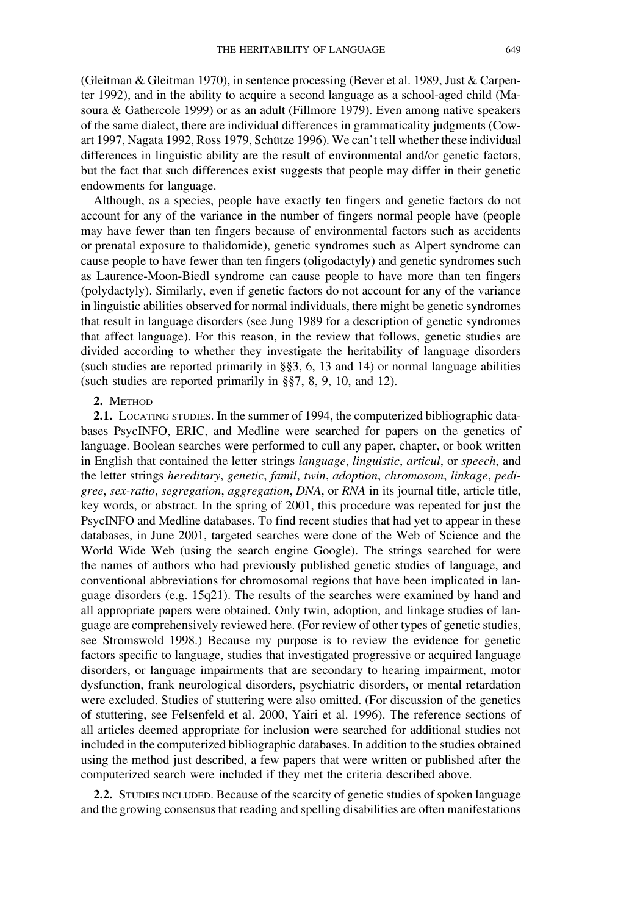(Gleitman & Gleitman 1970), in sentence processing(Bever et al. 1989, Just & Carpenter 1992), and in the ability to acquire a second language as a school-aged child (Masoura & Gathercole 1999) or as an adult (Fillmore 1979). Even among native speakers of the same dialect, there are individual differences in grammaticality judgments (Cowart 1997, Nagata 1992, Ross 1979, Schütze 1996). We can't tell whether these individual differences in linguistic ability are the result of environmental and/or genetic factors, but the fact that such differences exist suggests that people may differ in their genetic endowments for language.

Although, as a species, people have exactly ten fingers and genetic factors do not account for any of the variance in the number of fingers normal people have (people may have fewer than ten fingers because of environmental factors such as accidents or prenatal exposure to thalidomide), genetic syndromes such as Alpert syndrome can cause people to have fewer than ten fingers (oligodactyly) and genetic syndromes such as Laurence-Moon-Biedl syndrome can cause people to have more than ten fingers (polydactyly). Similarly, even if genetic factors do not account for any of the variance in linguistic abilities observed for normal individuals, there might be genetic syndromes that result in language disorders (see Jung 1989 for a description of genetic syndromes that affect language). For this reason, in the review that follows, genetic studies are divided according to whether they investigate the heritability of language disorders (such studies are reported primarily in §§3, 6, 13 and 14) or normal language abilities (such studies are reported primarily in §§7, 8, 9, 10, and 12).

# **2.** METHOD

**2.1.** LOCATING STUDIES. In the summer of 1994, the computerized bibliographic databases PsycINFO, ERIC, and Medline were searched for papers on the genetics of language. Boolean searches were performed to cull any paper, chapter, or book written in English that contained the letter strings *language*, *linguistic*, *articul*, or *speech*, and the letter strings *hereditary*, *genetic*, *famil*, *twin*, *adoption*, *chromosom*, *linkage*, *pedigree*, *sex-ratio*, *segregation*, *aggregation*, *DNA*, or *RNA* in its journal title, article title, key words, or abstract. In the spring of 2001, this procedure was repeated for just the PsycINFO and Medline databases. To find recent studies that had yet to appear in these databases, in June 2001, targeted searches were done of the Web of Science and the World Wide Web (using the search engine Google). The strings searched for were the names of authors who had previously published genetic studies of language, and conventional abbreviations for chromosomal regions that have been implicated in language disorders (e.g. 15q21). The results of the searches were examined by hand and all appropriate papers were obtained. Only twin, adoption, and linkage studies of language are comprehensively reviewed here. (For review of other types of genetic studies, see Stromswold 1998.) Because my purpose is to review the evidence for genetic factors specific to language, studies that investigated progressive or acquired language disorders, or language impairments that are secondary to hearing impairment, motor dysfunction, frank neurological disorders, psychiatric disorders, or mental retardation were excluded. Studies of stuttering were also omitted. (For discussion of the genetics of stuttering, see Felsenfeld et al. 2000, Yairi et al. 1996). The reference sections of all articles deemed appropriate for inclusion were searched for additional studies not included in the computerized bibliographic databases. In addition to the studies obtained using the method just described, a few papers that were written or published after the computerized search were included if they met the criteria described above.

**2.2.** STUDIES INCLUDED. Because of the scarcity of genetic studies of spoken language and the growing consensus that reading and spelling disabilities are often manifestations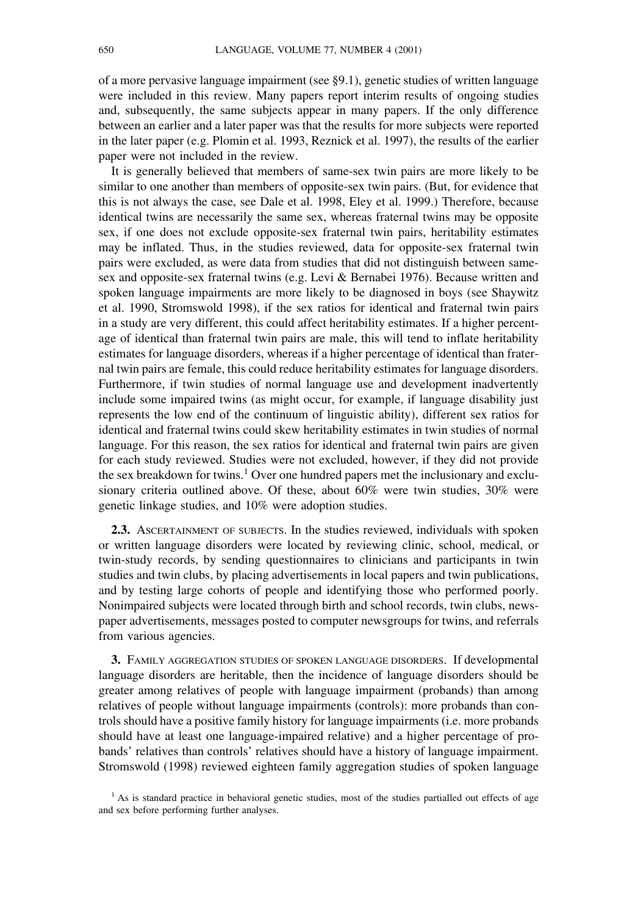of a more pervasive language impairment (see §9.1), genetic studies of written language were included in this review. Many papers report interim results of ongoing studies and, subsequently, the same subjects appear in many papers. If the only difference between an earlier and a later paper was that the results for more subjects were reported in the later paper (e.g. Plomin et al. 1993, Reznick et al. 1997), the results of the earlier paper were not included in the review.

It is generally believed that members of same-sex twin pairs are more likely to be similar to one another than members of opposite-sex twin pairs. (But, for evidence that this is not always the case, see Dale et al. 1998, Eley et al. 1999.) Therefore, because identical twins are necessarily the same sex, whereas fraternal twins may be opposite sex, if one does not exclude opposite-sex fraternal twin pairs, heritability estimates may be inflated. Thus, in the studies reviewed, data for opposite-sex fraternal twin pairs were excluded, as were data from studies that did not distinguish between samesex and opposite-sex fraternal twins (e.g. Levi & Bernabei 1976). Because written and spoken language impairments are more likely to be diagnosed in boys (see Shaywitz et al. 1990, Stromswold 1998), if the sex ratios for identical and fraternal twin pairs in a study are very different, this could affect heritability estimates. If a higher percentage of identical than fraternal twin pairs are male, this will tend to inflate heritability estimates for language disorders, whereas if a higher percentage of identical than fraternal twin pairs are female, this could reduce heritability estimates for language disorders. Furthermore, if twin studies of normal language use and development inadvertently include some impaired twins (as might occur, for example, if language disability just represents the low end of the continuum of linguistic ability), different sex ratios for identical and fraternal twins could skew heritability estimates in twin studies of normal language. For this reason, the sex ratios for identical and fraternal twin pairs are given for each study reviewed. Studies were not excluded, however, if they did not provide the sex breakdown for twins.<sup>1</sup> Over one hundred papers met the inclusionary and exclusionary criteria outlined above. Of these, about 60% were twin studies, 30% were genetic linkage studies, and 10% were adoption studies.

**2.3.** ASCERTAINMENT OF SUBJECTS. In the studies reviewed, individuals with spoken or written language disorders were located by reviewing clinic, school, medical, or twin-study records, by sending questionnaires to clinicians and participants in twin studies and twin clubs, by placing advertisements in local papers and twin publications, and by testing large cohorts of people and identifying those who performed poorly. Nonimpaired subjects were located through birth and school records, twin clubs, newspaper advertisements, messages posted to computer newsgroups for twins, and referrals from various agencies.

**3.** FAMILY AGGREGATION STUDIES OF SPOKEN LANGUAGE DISORDERS. If developmental language disorders are heritable, then the incidence of language disorders should be greater among relatives of people with language impairment (probands) than among relatives of people without language impairments (controls): more probands than controls should have a positive family history for language impairments (i.e. more probands should have at least one language-impaired relative) and a higher percentage of probands' relatives than controls' relatives should have a history of language impairment. Stromswold (1998) reviewed eighteen family aggregation studies of spoken language

<sup>&</sup>lt;sup>1</sup> As is standard practice in behavioral genetic studies, most of the studies partialled out effects of age and sex before performing further analyses.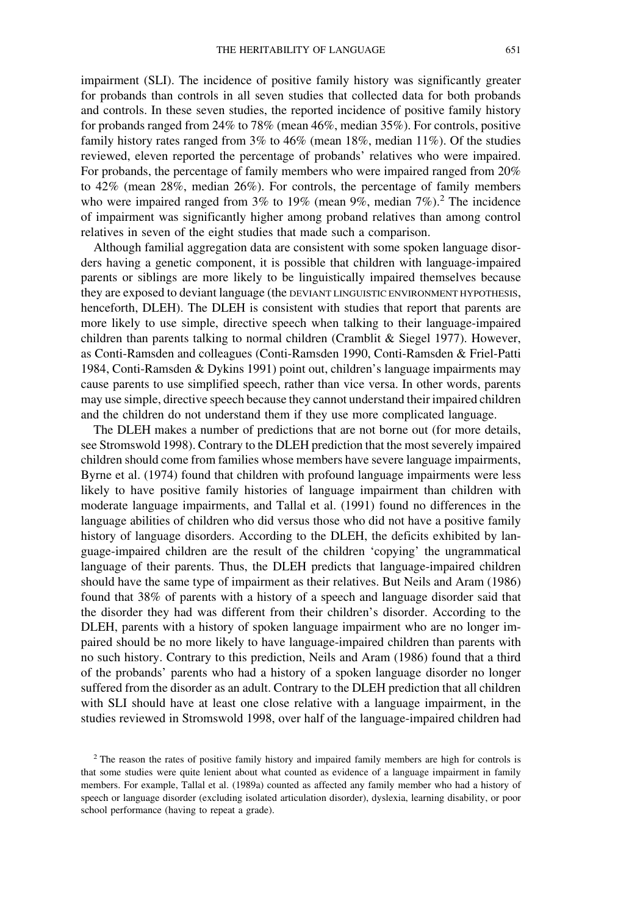impairment (SLI). The incidence of positive family history was significantly greater for probands than controls in all seven studies that collected data for both probands and controls. In these seven studies, the reported incidence of positive family history for probands ranged from 24% to 78% (mean 46%, median 35%). For controls, positive family history rates ranged from 3% to 46% (mean 18%, median 11%). Of the studies reviewed, eleven reported the percentage of probands' relatives who were impaired. For probands, the percentage of family members who were impaired ranged from 20% to 42% (mean 28%, median 26%). For controls, the percentage of family members who were impaired ranged from  $3\%$  to  $19\%$  (mean  $9\%$ , median  $7\%)$ <sup>2</sup>. The incidence of impairment was significantly higher among proband relatives than among control relatives in seven of the eight studies that made such a comparison.

Although familial aggregation data are consistent with some spoken language disorders having a genetic component, it is possible that children with language-impaired parents or siblings are more likely to be linguistically impaired themselves because they are exposed to deviant language (the DEVIANT LINGUISTIC ENVIRONMENT HYPOTHESIS, henceforth, DLEH). The DLEH is consistent with studies that report that parents are more likely to use simple, directive speech when talking to their language-impaired children than parents talking to normal children (Cramblit  $&$  Siegel 1977). However, as Conti-Ramsden and colleagues (Conti-Ramsden 1990, Conti-Ramsden & Friel-Patti 1984, Conti-Ramsden & Dykins 1991) point out, children's language impairments may cause parents to use simplified speech, rather than vice versa. In other words, parents may use simple, directive speech because they cannot understand their impaired children and the children do not understand them if they use more complicated language.

The DLEH makes a number of predictions that are not borne out (for more details, see Stromswold 1998). Contrary to the DLEH prediction that the most severely impaired children should come from families whose members have severe language impairments, Byrne et al. (1974) found that children with profound language impairments were less likely to have positive family histories of language impairment than children with moderate language impairments, and Tallal et al. (1991) found no differences in the language abilities of children who did versus those who did not have a positive family history of language disorders. According to the DLEH, the deficits exhibited by language-impaired children are the result of the children 'copying' the ungrammatical language of their parents. Thus, the DLEH predicts that language-impaired children should have the same type of impairment as their relatives. But Neils and Aram (1986) found that 38% of parents with a history of a speech and language disorder said that the disorder they had was different from their children's disorder. According to the DLEH, parents with a history of spoken language impairment who are no longer impaired should be no more likely to have language-impaired children than parents with no such history. Contrary to this prediction, Neils and Aram (1986) found that a third of the probands' parents who had a history of a spoken language disorder no longer suffered from the disorder as an adult. Contrary to the DLEH prediction that all children with SLI should have at least one close relative with a language impairment, in the studies reviewed in Stromswold 1998, over half of the language-impaired children had

<sup>2</sup> The reason the rates of positive family history and impaired family members are high for controls is that some studies were quite lenient about what counted as evidence of a language impairment in family members. For example, Tallal et al. (1989a) counted as affected any family member who had a history of speech or language disorder (excluding isolated articulation disorder), dyslexia, learning disability, or poor school performance (having to repeat a grade).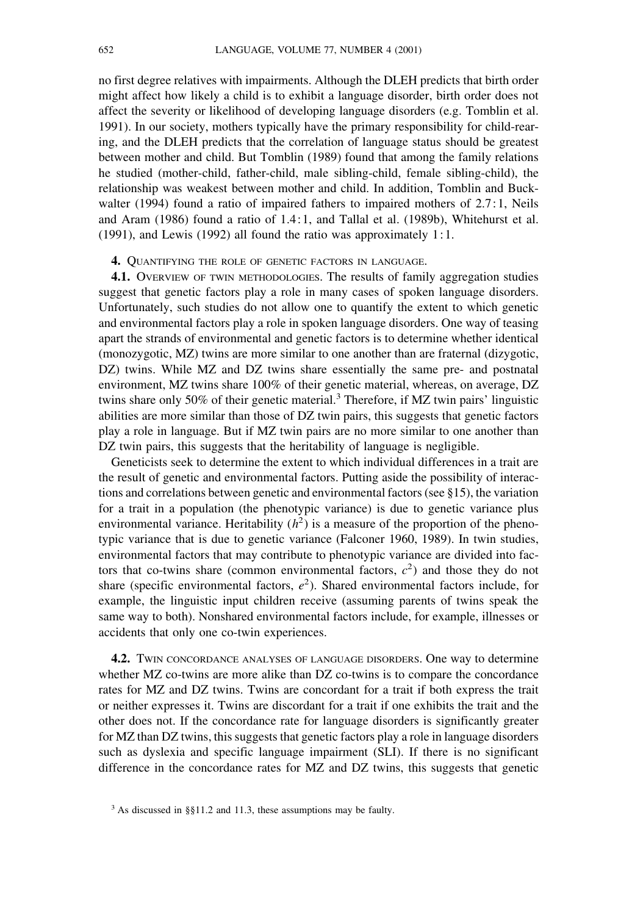no first degree relatives with impairments. Although the DLEH predicts that birth order might affect how likely a child is to exhibit a language disorder, birth order does not affect the severity or likelihood of developing language disorders (e.g. Tomblin et al. 1991). In our society, mothers typically have the primary responsibility for child-rearing, and the DLEH predicts that the correlation of language status should be greatest between mother and child. But Tomblin (1989) found that among the family relations he studied (mother-child, father-child, male sibling-child, female sibling-child), the relationship was weakest between mother and child. In addition, Tomblin and Buckwalter (1994) found a ratio of impaired fathers to impaired mothers of 2.7:1, Neils and Aram (1986) found a ratio of 1.4:1, and Tallal et al. (1989b), Whitehurst et al. (1991), and Lewis (1992) all found the ratio was approximately  $1:1$ .

### **4.** QUANTIFYING THE ROLE OF GENETIC FACTORS IN LANGUAGE.

**4.1.** OVERVIEW OF TWIN METHODOLOGIES. The results of family aggregation studies suggest that genetic factors play a role in many cases of spoken language disorders. Unfortunately, such studies do not allow one to quantify the extent to which genetic and environmental factors play a role in spoken language disorders. One way of teasing apart the strands of environmental and genetic factors is to determine whether identical (monozygotic, MZ) twins are more similar to one another than are fraternal (dizygotic, DZ) twins. While MZ and DZ twins share essentially the same pre- and postnatal environment, MZ twins share 100% of their genetic material, whereas, on average, DZ twins share only 50% of their genetic material.<sup>3</sup> Therefore, if MZ twin pairs' linguistic abilities are more similar than those of DZ twin pairs, this suggests that genetic factors play a role in language. But if MZ twin pairs are no more similar to one another than DZ twin pairs, this suggests that the heritability of language is negligible.

Geneticists seek to determine the extent to which individual differences in a trait are the result of genetic and environmental factors. Putting aside the possibility of interactions and correlations between genetic and environmental factors (see §15), the variation for a trait in a population (the phenotypic variance) is due to genetic variance plus environmental variance. Heritability  $(h^2)$  is a measure of the proportion of the phenotypic variance that is due to genetic variance (Falconer 1960, 1989). In twin studies, environmental factors that may contribute to phenotypic variance are divided into factors that co-twins share (common environmental factors,  $c<sup>2</sup>$ ) and those they do not share (specific environmental factors,  $e^2$ ). Shared environmental factors include, for example, the linguistic input children receive (assuming parents of twins speak the same way to both). Nonshared environmental factors include, for example, illnesses or accidents that only one co-twin experiences.

**4.2.** TWIN CONCORDANCE ANALYSES OF LANGUAGE DISORDERS. One way to determine whether MZ co-twins are more alike than DZ co-twins is to compare the concordance rates for MZ and DZ twins. Twins are concordant for a trait if both express the trait or neither expresses it. Twins are discordant for a trait if one exhibits the trait and the other does not. If the concordance rate for language disorders is significantly greater for MZ than DZ twins, this suggests that genetic factors play a role in language disorders such as dyslexia and specific language impairment (SLI). If there is no significant difference in the concordance rates for MZ and DZ twins, this suggests that genetic

<sup>3</sup> As discussed in §§11.2 and 11.3, these assumptions may be faulty.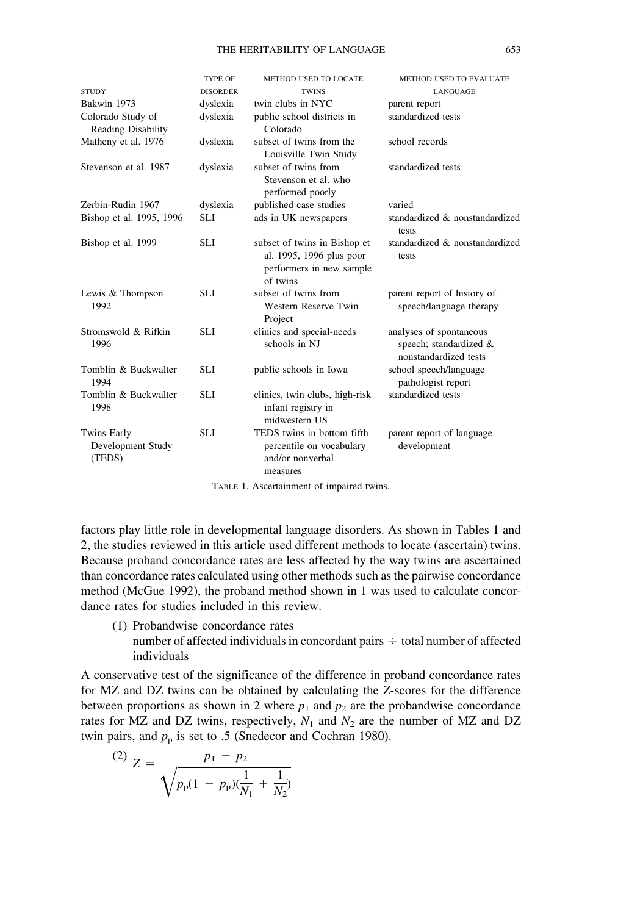### THE HERITABILITY OF LANGUAGE 653

|                                            | <b>TYPE OF</b>  | METHOD USED TO LOCATE                                                                            | METHOD USED TO EVALUATE                                                    |
|--------------------------------------------|-----------------|--------------------------------------------------------------------------------------------------|----------------------------------------------------------------------------|
| <b>STUDY</b>                               | <b>DISORDER</b> | <b>TWINS</b>                                                                                     | LANGUAGE                                                                   |
| Bakwin 1973                                | dyslexia        | twin clubs in NYC                                                                                | parent report                                                              |
| Colorado Study of<br>Reading Disability    | dyslexia        | public school districts in<br>Colorado                                                           | standardized tests                                                         |
| Matheny et al. 1976                        | dyslexia        | subset of twins from the<br>Louisville Twin Study                                                | school records                                                             |
| Stevenson et al. 1987                      | dyslexia        | subset of twins from<br>Stevenson et al. who<br>performed poorly                                 | standardized tests                                                         |
| Zerbin-Rudin 1967                          | dyslexia        | published case studies                                                                           | varied                                                                     |
| Bishop et al. 1995, 1996                   | <b>SLI</b>      | ads in UK newspapers                                                                             | standardized & nonstandardized<br>tests                                    |
| Bishop et al. 1999                         | <b>SLI</b>      | subset of twins in Bishop et<br>al. 1995, 1996 plus poor<br>performers in new sample<br>of twins | standardized & nonstandardized<br>tests                                    |
| Lewis & Thompson<br>1992                   | <b>SLI</b>      | subset of twins from<br>Western Reserve Twin<br>Project                                          | parent report of history of<br>speech/language therapy                     |
| Stromswold & Rifkin<br>1996                | <b>SLI</b>      | clinics and special-needs<br>schools in NJ                                                       | analyses of spontaneous<br>speech; standardized &<br>nonstandardized tests |
| Tomblin & Buckwalter<br>1994               | <b>SLI</b>      | public schools in Iowa                                                                           | school speech/language<br>pathologist report                               |
| Tomblin & Buckwalter<br>1998               | <b>SLI</b>      | clinics, twin clubs, high-risk<br>infant registry in<br>midwestern US                            | standardized tests                                                         |
| Twins Early<br>Development Study<br>(TEDS) | SLI.            | TEDS twins in bottom fifth<br>percentile on vocabulary<br>and/or nonverbal<br>measures           | parent report of language<br>development                                   |

TABLE 1. Ascertainment of impaired twins.

factors play little role in developmental language disorders. As shown in Tables 1 and 2, the studies reviewed in this article used different methods to locate (ascertain) twins. Because proband concordance rates are less affected by the way twins are ascertained than concordance rates calculated usingother methods such as the pairwise concordance method (McGue 1992), the proband method shown in 1 was used to calculate concordance rates for studies included in this review.

(1) Probandwise concordance rates number of affected individuals in concordant pairs  $\div$  total number of affected individuals

A conservative test of the significance of the difference in proband concordance rates for MZ and DZ twins can be obtained by calculating the *Z*-scores for the difference between proportions as shown in 2 where  $p_1$  and  $p_2$  are the probandwise concordance rates for MZ and DZ twins, respectively,  $N_1$  and  $N_2$  are the number of MZ and DZ twin pairs, and  $p_p$  is set to .5 (Snedecor and Cochran 1980).

$$
(2) Z = \frac{p_1 - p_2}{\sqrt{p_p(1 - p_p)(\frac{1}{N_1} + \frac{1}{N_2})}}
$$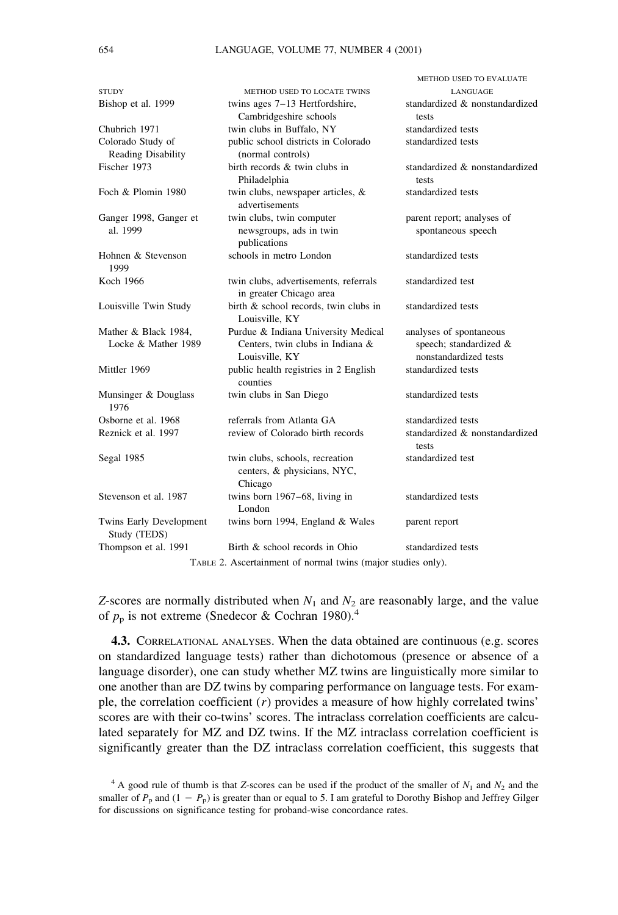METHOD USED TO EVALUATE

| <b>STUDY</b>                                | METHOD USED TO LOCATE TWINS                                                               | LANGUAGE                                                                   |
|---------------------------------------------|-------------------------------------------------------------------------------------------|----------------------------------------------------------------------------|
| Bishop et al. 1999                          | twins ages 7–13 Hertfordshire,<br>Cambridgeshire schools                                  | standardized & nonstandardized<br>tests                                    |
| Chubrich 1971                               | twin clubs in Buffalo, NY                                                                 | standardized tests                                                         |
| Colorado Study of                           | public school districts in Colorado                                                       | standardized tests                                                         |
| Reading Disability                          | (normal controls)                                                                         |                                                                            |
| Fischer 1973                                | birth records & twin clubs in<br>Philadelphia                                             | standardized & nonstandardized<br>tests                                    |
| Foch & Plomin 1980                          | twin clubs, newspaper articles, &<br>advertisements                                       | standardized tests                                                         |
| Ganger 1998, Ganger et<br>al. 1999          | twin clubs, twin computer<br>newsgroups, ads in twin<br>publications                      | parent report; analyses of<br>spontaneous speech                           |
| Hohnen & Stevenson<br>1999                  | schools in metro London                                                                   | standardized tests                                                         |
| Koch 1966                                   | twin clubs, advertisements, referrals<br>in greater Chicago area                          | standardized test                                                          |
| Louisville Twin Study                       | birth & school records, twin clubs in<br>Louisville, KY                                   | standardized tests                                                         |
| Mather & Black 1984,<br>Locke & Mather 1989 | Purdue & Indiana University Medical<br>Centers, twin clubs in Indiana &<br>Louisville, KY | analyses of spontaneous<br>speech; standardized &<br>nonstandardized tests |
| Mittler 1969                                | public health registries in 2 English<br>counties                                         | standardized tests                                                         |
| Munsinger & Douglass<br>1976                | twin clubs in San Diego                                                                   | standardized tests                                                         |
| Osborne et al. 1968                         | referrals from Atlanta GA                                                                 | standardized tests                                                         |
| Reznick et al. 1997                         | review of Colorado birth records                                                          | standardized & nonstandardized<br>tests                                    |
| Segal 1985                                  | twin clubs, schools, recreation<br>centers, & physicians, NYC,<br>Chicago                 | standardized test                                                          |
| Stevenson et al. 1987                       | twins born 1967-68, living in<br>London                                                   | standardized tests                                                         |
| Twins Early Development<br>Study (TEDS)     | twins born 1994, England & Wales                                                          | parent report                                                              |
| Thompson et al. 1991                        | Birth & school records in Ohio                                                            | standardized tests                                                         |
|                                             | TABLE 2. Ascertainment of normal twins (major studies only).                              |                                                                            |

*Z*-scores are normally distributed when  $N_1$  and  $N_2$  are reasonably large, and the value of  $p_p$  is not extreme (Snedecor & Cochran 1980).<sup>4</sup>

**4.3.** CORRELATIONAL ANALYSES. When the data obtained are continuous (e.g. scores on standardized language tests) rather than dichotomous (presence or absence of a language disorder), one can study whether MZ twins are linguistically more similar to one another than are DZ twins by comparing performance on language tests. For example, the correlation coefficient (*r*) provides a measure of how highly correlated twins' scores are with their co-twins' scores. The intraclass correlation coefficients are calculated separately for MZ and DZ twins. If the MZ intraclass correlation coefficient is significantly greater than the DZ intraclass correlation coefficient, this suggests that

<sup>&</sup>lt;sup>4</sup> A good rule of thumb is that *Z*-scores can be used if the product of the smaller of  $N_1$  and  $N_2$  and the smaller of  $P_p$  and  $(1 - P_p)$  is greater than or equal to 5. I am grateful to Dorothy Bishop and Jeffrey Gilger for discussions on significance testing for proband-wise concordance rates.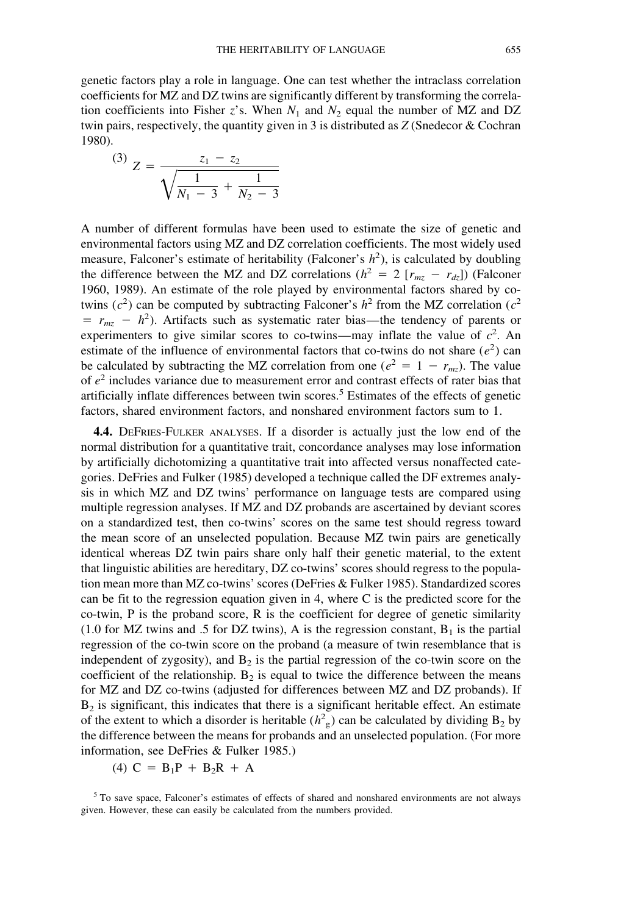genetic factors play a role in language. One can test whether the intraclass correlation coefficients for MZ and DZ twins are significantly different by transforming the correlation coefficients into Fisher  $z$ 's. When  $N_1$  and  $N_2$  equal the number of MZ and DZ twin pairs, respectively, the quantity given in 3 is distributed as *Z* (Snedecor & Cochran 1980).

$$
(3) Z = \frac{z_1 - z_2}{\sqrt{\frac{1}{N_1 - 3} + \frac{1}{N_2 - 3}}}
$$

A number of different formulas have been used to estimate the size of genetic and environmental factors usingMZ and DZ correlation coefficients. The most widely used measure, Falconer's estimate of heritability (Falconer's  $h^2$ ), is calculated by doubling the difference between the MZ and DZ correlations ( $h^2 = 2 [r_{mz} - r_{dz}]$ ) (Falconer 1960, 1989). An estimate of the role played by environmental factors shared by cotwins  $(c^2)$  can be computed by subtracting Falconer's  $h^2$  from the MZ correlation  $(c^2)$  $= r_{mz} - h^2$ ). Artifacts such as systematic rater bias—the tendency of parents or experimenters to give similar scores to co-twins—may inflate the value of  $c^2$ . An estimate of the influence of environmental factors that co-twins do not share  $(e^2)$  can be calculated by subtracting the MZ correlation from one ( $e^2 = 1 - r_{mz}$ ). The value of *e*<sup>2</sup> includes variance due to measurement error and contrast effects of rater bias that artificially inflate differences between twin scores.<sup>5</sup> Estimates of the effects of genetic factors, shared environment factors, and nonshared environment factors sum to 1.

**4.4.** DEFRIES-FULKER ANALYSES. If a disorder is actually just the low end of the normal distribution for a quantitative trait, concordance analyses may lose information by artificially dichotomizing a quantitative trait into affected versus nonaffected categories. DeFries and Fulker (1985) developed a technique called the DF extremes analysis in which MZ and DZ twins' performance on language tests are compared using multiple regression analyses. If MZ and DZ probands are ascertained by deviant scores on a standardized test, then co-twins' scores on the same test should regress toward the mean score of an unselected population. Because MZ twin pairs are genetically identical whereas DZ twin pairs share only half their genetic material, to the extent that linguistic abilities are hereditary, DZ co-twins' scores should regress to the population mean more than MZ co-twins' scores (DeFries & Fulker 1985). Standardized scores can be fit to the regression equation given in 4, where C is the predicted score for the co-twin, P is the proband score, R is the coefficient for degree of genetic similarity (1.0 for MZ twins and .5 for DZ twins), A is the regression constant,  $B_1$  is the partial regression of the co-twin score on the proband (a measure of twin resemblance that is independent of zygosity), and  $B_2$  is the partial regression of the co-twin score on the coefficient of the relationship.  $B_2$  is equal to twice the difference between the means for MZ and DZ co-twins (adjusted for differences between MZ and DZ probands). If  $B_2$  is significant, this indicates that there is a significant heritable effect. An estimate of the extent to which a disorder is heritable  $(h<sup>2</sup><sub>g</sub>)$  can be calculated by dividing B<sub>2</sub> by the difference between the means for probands and an unselected population. (For more information, see DeFries & Fulker 1985.)

$$
(4) C = B_1P + B_2R + A
$$

<sup>5</sup> To save space, Falconer's estimates of effects of shared and nonshared environments are not always given. However, these can easily be calculated from the numbers provided.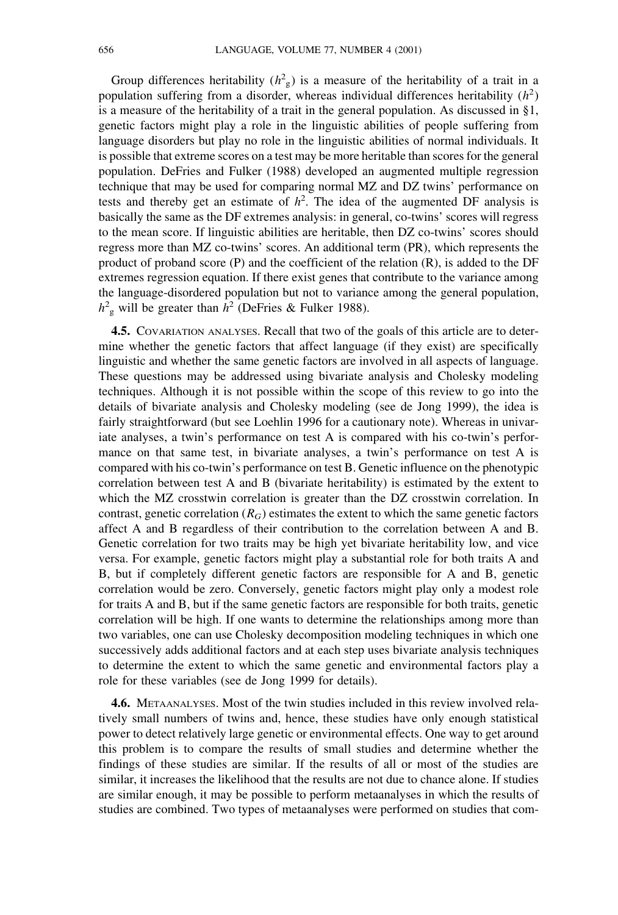Group differences heritability  $(h^2 g)$  is a measure of the heritability of a trait in a population suffering from a disorder, whereas individual differences heritability  $(h^2)$ is a measure of the heritability of a trait in the general population. As discussed in §1, genetic factors might play a role in the linguistic abilities of people suffering from language disorders but play no role in the linguistic abilities of normal individuals. It is possible that extreme scores on a test may be more heritable than scores for the general population. DeFries and Fulker (1988) developed an augmented multiple regression technique that may be used for comparing normal MZ and DZ twins' performance on tests and thereby get an estimate of  $h^2$ . The idea of the augmented DF analysis is basically the same as the DF extremes analysis: in general, co-twins' scores will regress to the mean score. If linguistic abilities are heritable, then DZ co-twins' scores should regress more than MZ co-twins' scores. An additional term (PR), which represents the product of proband score (P) and the coefficient of the relation (R), is added to the DF extremes regression equation. If there exist genes that contribute to the variance among the language-disordered population but not to variance among the general population,  $h^2$ <sub>g</sub> will be greater than  $h^2$  (DeFries & Fulker 1988).

**4.5.** COVARIATION ANALYSES. Recall that two of the goals of this article are to determine whether the genetic factors that affect language (if they exist) are specifically linguistic and whether the same genetic factors are involved in all aspects of language. These questions may be addressed using bivariate analysis and Cholesky modeling techniques. Although it is not possible within the scope of this review to go into the details of bivariate analysis and Cholesky modeling (see de Jong 1999), the idea is fairly straightforward (but see Loehlin 1996 for a cautionary note). Whereas in univariate analyses, a twin's performance on test A is compared with his co-twin's performance on that same test, in bivariate analyses, a twin's performance on test A is compared with his co-twin's performance on test B. Genetic influence on the phenotypic correlation between test A and B (bivariate heritability) is estimated by the extent to which the MZ crosstwin correlation is greater than the DZ crosstwin correlation. In contrast, genetic correlation  $(R_G)$  estimates the extent to which the same genetic factors affect A and B regardless of their contribution to the correlation between A and B. Genetic correlation for two traits may be high yet bivariate heritability low, and vice versa. For example, genetic factors might play a substantial role for both traits A and B, but if completely different genetic factors are responsible for A and B, genetic correlation would be zero. Conversely, genetic factors might play only a modest role for traits A and B, but if the same genetic factors are responsible for both traits, genetic correlation will be high. If one wants to determine the relationships among more than two variables, one can use Cholesky decomposition modeling techniques in which one successively adds additional factors and at each step uses bivariate analysis techniques to determine the extent to which the same genetic and environmental factors play a role for these variables (see de Jong 1999 for details).

**4.6.** METAANALYSES. Most of the twin studies included in this review involved relatively small numbers of twins and, hence, these studies have only enough statistical power to detect relatively large genetic or environmental effects. One way to get around this problem is to compare the results of small studies and determine whether the findings of these studies are similar. If the results of all or most of the studies are similar, it increases the likelihood that the results are not due to chance alone. If studies are similar enough, it may be possible to perform metaanalyses in which the results of studies are combined. Two types of metaanalyses were performed on studies that com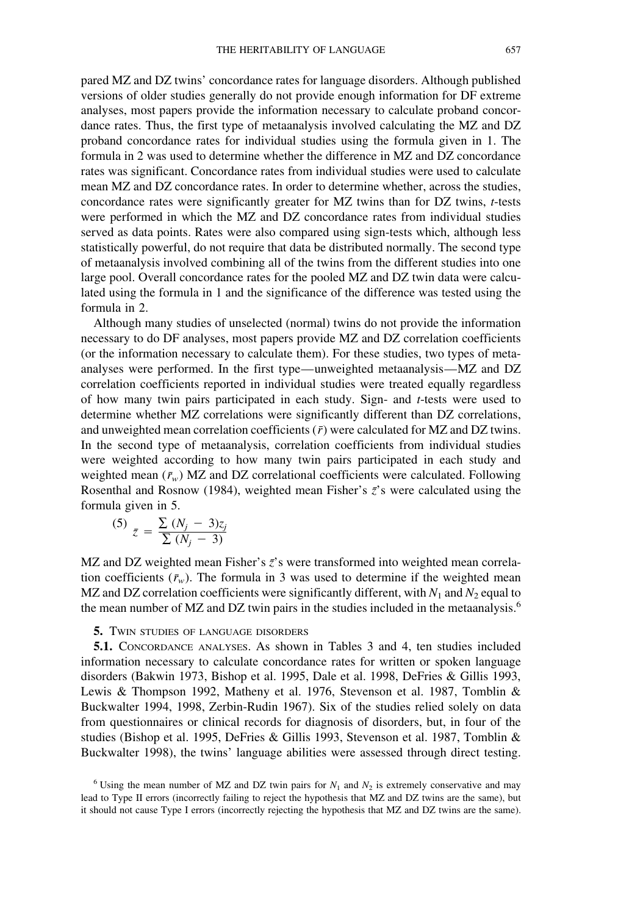pared MZ and DZ twins' concordance rates for language disorders. Although published versions of older studies generally do not provide enough information for DF extreme analyses, most papers provide the information necessary to calculate proband concordance rates. Thus, the first type of metaanalysis involved calculating the MZ and DZ proband concordance rates for individual studies using the formula given in 1. The formula in 2 was used to determine whether the difference in MZ and DZ concordance rates was significant. Concordance rates from individual studies were used to calculate mean MZ and DZ concordance rates. In order to determine whether, across the studies, concordance rates were significantly greater for MZ twins than for DZ twins, *t*-tests were performed in which the MZ and DZ concordance rates from individual studies served as data points. Rates were also compared using sign-tests which, although less statistically powerful, do not require that data be distributed normally. The second type of metaanalysis involved combiningall of the twins from the different studies into one large pool. Overall concordance rates for the pooled MZ and DZ twin data were calculated using the formula in 1 and the significance of the difference was tested using the formula in 2.

Although many studies of unselected (normal) twins do not provide the information necessary to do DF analyses, most papers provide MZ and DZ correlation coefficients (or the information necessary to calculate them). For these studies, two types of metaanalyses were performed. In the first type—unweighted metaanalysis—MZ and DZ correlation coefficients reported in individual studies were treated equally regardless of how many twin pairs participated in each study. Sign- and *t*-tests were used to determine whether MZ correlations were significantly different than DZ correlations, and unweighted mean correlation coefficients  $(\bar{r})$  were calculated for MZ and DZ twins. In the second type of metaanalysis, correlation coefficients from individual studies were weighted according to how many twin pairs participated in each study and weighted mean  $(\bar{r}_w)$  MZ and DZ correlational coefficients were calculated. Following Rosenthal and Rosnow (1984), weighted mean Fisher's  $\bar{z}$ 's were calculated using the formula given in 5.

$$
(5) \ \bar{z} = \frac{\sum (N_j - 3)z_j}{\sum (N_j - 3)}
$$

MZ and DZ weighted mean Fisher's *z*'s were transformed into weighted mean correlation coefficients  $(\bar{r}_w)$ . The formula in 3 was used to determine if the weighted mean MZ and DZ correlation coefficients were significantly different, with  $N_1$  and  $N_2$  equal to the mean number of MZ and DZ twin pairs in the studies included in the metaanalysis.<sup>6</sup>

**5.** TWIN STUDIES OF LANGUAGE DISORDERS

**5.1.** CONCORDANCE ANALYSES. As shown in Tables 3 and 4, ten studies included information necessary to calculate concordance rates for written or spoken language disorders (Bakwin 1973, Bishop et al. 1995, Dale et al. 1998, DeFries & Gillis 1993, Lewis & Thompson 1992, Matheny et al. 1976, Stevenson et al. 1987, Tomblin & Buckwalter 1994, 1998, Zerbin-Rudin 1967). Six of the studies relied solely on data from questionnaires or clinical records for diagnosis of disorders, but, in four of the studies (Bishop et al. 1995, DeFries & Gillis 1993, Stevenson et al. 1987, Tomblin & Buckwalter 1998), the twins' language abilities were assessed through direct testing.

<sup>&</sup>lt;sup>6</sup> Using the mean number of MZ and DZ twin pairs for  $N_1$  and  $N_2$  is extremely conservative and may lead to Type II errors (incorrectly failing to reject the hypothesis that MZ and DZ twins are the same), but it should not cause Type I errors (incorrectly rejecting the hypothesis that MZ and DZ twins are the same).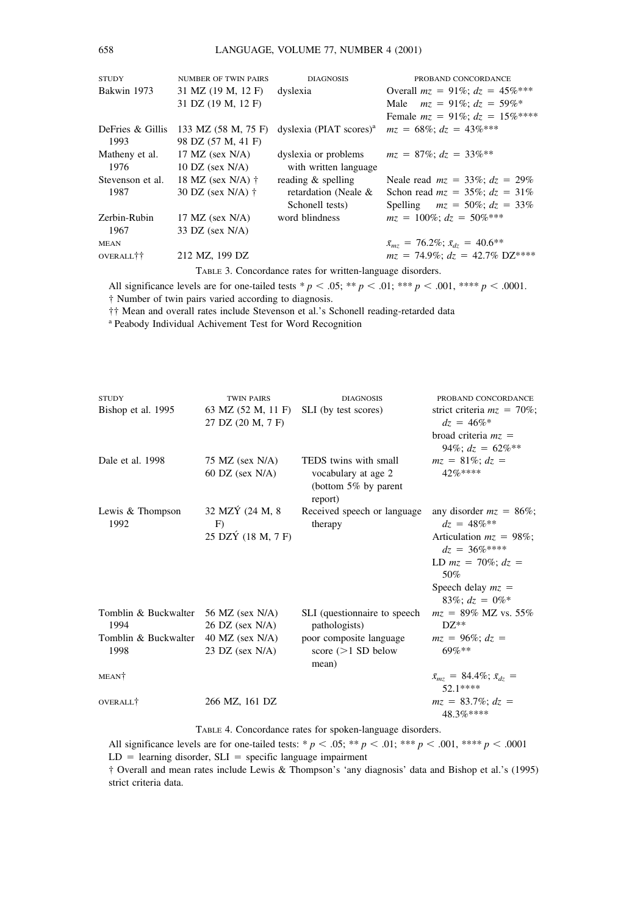| <b>STUDY</b>          | <b>NUMBER OF TWIN PAIRS</b> | <b>DIAGNOSIS</b>                    | PROBAND CONCORDANCE                           |
|-----------------------|-----------------------------|-------------------------------------|-----------------------------------------------|
| Bakwin 1973           | 31 MZ (19 M, 12 F)          | dyslexia                            | Overall $mz = 91\%$ ; $dz = 45\%$ ***         |
|                       | 31 DZ (19 M, 12 F)          |                                     | Male $mz = 91\%$ ; $dz = 59\%$ *              |
|                       |                             |                                     | Female $mz = 91\%$ ; $dz = 15\%$ ****         |
| DeFries & Gillis      | 133 MZ (58 M, 75 F)         | dyslexia (PIAT scores) <sup>a</sup> | $mz = 68\%$ ; $dz = 43\%$ ***                 |
| 1993                  | 98 DZ (57 M, 41 F)          |                                     |                                               |
| Matheny et al.        | 17 MZ (sex $N/A$ )          | dyslexia or problems                | $mz = 87\%$ ; $dz = 33\%$ **                  |
| 1976                  | 10 DZ (sex $N/A$ )          | with written language               |                                               |
| Stevenson et al.      | 18 MZ (sex $N/A$ ) †        | reading & spelling                  | Neale read $mz = 33\%$ ; $dz = 29\%$          |
| 1987                  | 30 DZ (sex $N/A$ ) †        | retardation (Neale &                | Schon read $mz = 35\%$ ; $dz = 31\%$          |
|                       |                             | Schonell tests)                     | Spelling $mz = 50\%$ ; $dz = 33\%$            |
| Zerbin-Rubin          | 17 MZ (sex $N/A$ )          | word blindness                      | $mz = 100\%$ ; $dz = 50\%$ ***                |
| 1967                  | 33 DZ $(sex N/A)$           |                                     |                                               |
| <b>MEAN</b>           |                             |                                     | $\bar{x}_{m}$ = 76.2%; $\bar{x}_{d}$ = 40.6** |
| OVERALL <sup>††</sup> | 212 MZ, 199 DZ              |                                     | $mz = 74.9\%$ ; $dz = 42.7\%$ DZ****          |
|                       |                             |                                     |                                               |

TABLE 3. Concordance rates for written-language disorders.

All significance levels are for one-tailed tests  $* p < .05; ** p < .01; *** p < .001, *** p < .0001$ .  $\dagger$  Number of twin pairs varied according to diagnosis.

†† Mean and overall rates include Stevenson et al.'s Schonell reading-retarded data

<sup>a</sup> Peabody Individual Achivement Test for Word Recognition

| <b>STUDY</b>                 | <b>TWIN PAIRS</b>                           | <b>DIAGNOSIS</b>                                                                | PROBAND CONCORDANCE                                                                         |
|------------------------------|---------------------------------------------|---------------------------------------------------------------------------------|---------------------------------------------------------------------------------------------|
| Bishop et al. 1995           | 63 MZ (52 M, 11 F)<br>27 DZ (20 M, 7 F)     | SLI (by test scores)                                                            | strict criteria $mz = 70\%$ ;<br>$dz = 46\%$ *<br>broad criteria $mz =$                     |
|                              |                                             |                                                                                 | 94%; $dz = 62\%$ **                                                                         |
| Dale et al. 1998             | 75 MZ (sex $N/A$ )<br>$60$ DZ (sex N/A)     | TEDS twins with small<br>vocabulary at age 2<br>(bottom 5% by parent<br>report) | $mz = 81\%$ ; $dz =$<br>42%****                                                             |
| Lewis & Thompson<br>1992     | 32 MZÝ (24 M, 8<br>F)<br>25 DZÝ (18 M, 7 F) | Received speech or language<br>therapy                                          | any disorder $mz = 86\%$ ;<br>$dz = 48\%**$<br>Articulation $mz = 98\%$ ;<br>$dz = 36\%***$ |
|                              |                                             |                                                                                 | LD $mz = 70\%$ ; $dz =$<br>50%<br>Speech delay $mz =$<br>83%; $dz = 0\%$ *                  |
| Tomblin & Buckwalter<br>1994 | 56 MZ (sex $N/A$ )<br>$26$ DZ (sex N/A)     | SLI (questionnaire to speech<br>pathologists)                                   | $mz = 89\%$ MZ vs. 55%<br>$DZ^{**}$                                                         |
| Tomblin & Buckwalter<br>1998 | 40 MZ (sex $N/A$ )<br>$23$ DZ (sex N/A)     | poor composite language<br>score $(>1$ SD below<br>mean)                        | $mz = 96\%$ ; $dz =$<br>$69\%**$                                                            |
| MEAN <sup>†</sup>            |                                             |                                                                                 | $\bar{x}_{m}$ = 84.4%; $\bar{x}_{d}$ =<br>52.1****                                          |
| OVERALL <sup>†</sup>         | 266 MZ, 161 DZ                              |                                                                                 | $mz = 83.7\%$ ; $dz =$<br>48.3%****                                                         |

TABLE 4. Concordance rates for spoken-language disorders.

All significance levels are for one-tailed tests: \*  $p < .05$ ; \*\*  $p < .01$ ; \*\*\*  $p < .001$ , \*\*\*\*  $p < .0001$  $LD = learning disorder, SLI = specific language impairment$ † Overall and mean rates include Lewis & Thompson's 'any diagnosis' data and Bishop et al.'s (1995) strict criteria data.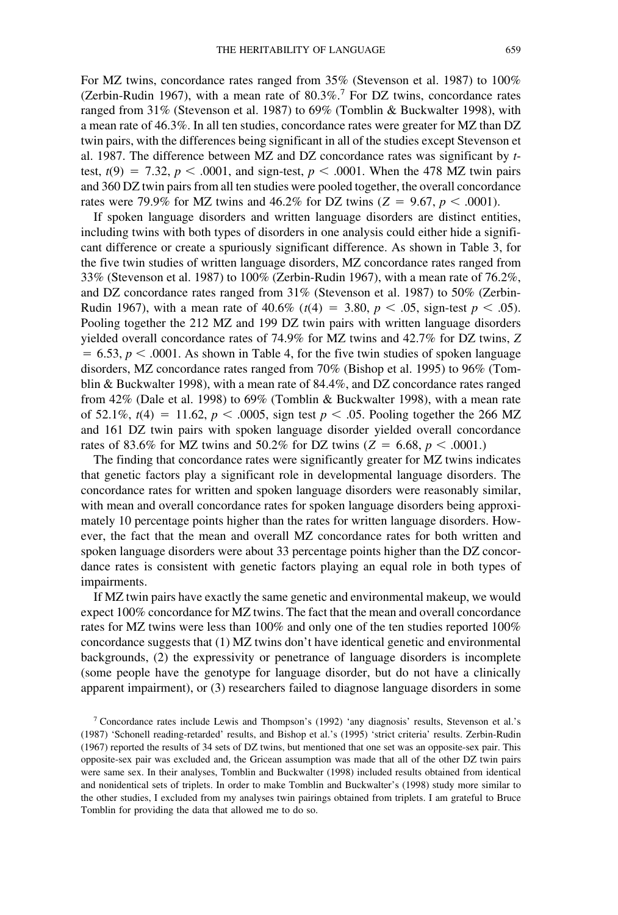For MZ twins, concordance rates ranged from 35% (Stevenson et al. 1987) to 100% (Zerbin-Rudin 1967), with a mean rate of  $80.3\%$ .<sup>7</sup> For DZ twins, concordance rates ranged from 31% (Stevenson et al. 1987) to 69% (Tomblin & Buckwalter 1998), with a mean rate of 46.3%. In all ten studies, concordance rates were greater for MZ than DZ twin pairs, with the differences being significant in all of the studies except Stevenson et al. 1987. The difference between MZ and DZ concordance rates was significant by *t*test,  $t(9) = 7.32, p < .0001$ , and sign-test,  $p < .0001$ . When the 478 MZ twin pairs and 360 DZ twin pairs from all ten studies were pooled together, the overall concordance rates were 79.9% for MZ twins and 46.2% for DZ twins  $(Z = 9.67, p < .0001)$ .

If spoken language disorders and written language disorders are distinct entities, including twins with both types of disorders in one analysis could either hide a significant difference or create a spuriously significant difference. As shown in Table 3, for the five twin studies of written language disorders, MZ concordance rates ranged from 33% (Stevenson et al. 1987) to 100% (Zerbin-Rudin 1967), with a mean rate of 76.2%, and DZ concordance rates ranged from 31% (Stevenson et al. 1987) to 50% (Zerbin-Rudin 1967), with a mean rate of  $40.6\%$  ( $t(4) = 3.80, p < .05$ , sign-test  $p < .05$ ). Pooling together the 212 MZ and 199 DZ twin pairs with written language disorders yielded overall concordance rates of 74.9% for MZ twins and 42.7% for DZ twins, *Z*  $= 6.53, p < .0001$ . As shown in Table 4, for the five twin studies of spoken language disorders, MZ concordance rates ranged from 70% (Bishop et al. 1995) to 96% (Tomblin & Buckwalter 1998), with a mean rate of 84.4%, and DZ concordance rates ranged from 42% (Dale et al. 1998) to 69% (Tomblin & Buckwalter 1998), with a mean rate of 52.1%,  $t(4) = 11.62$ ,  $p < .0005$ , sign test  $p < .05$ . Pooling together the 266 MZ and 161 DZ twin pairs with spoken language disorder yielded overall concordance rates of 83.6% for MZ twins and 50.2% for DZ twins  $(Z = 6.68, p < .0001)$ .

The finding that concordance rates were significantly greater for MZ twins indicates that genetic factors play a significant role in developmental language disorders. The concordance rates for written and spoken language disorders were reasonably similar, with mean and overall concordance rates for spoken language disorders being approximately 10 percentage points higher than the rates for written language disorders. However, the fact that the mean and overall MZ concordance rates for both written and spoken language disorders were about 33 percentage points higher than the DZ concordance rates is consistent with genetic factors playing an equal role in both types of impairments.

If MZ twin pairs have exactly the same genetic and environmental makeup, we would expect 100% concordance for MZ twins. The fact that the mean and overall concordance rates for MZ twins were less than 100% and only one of the ten studies reported 100% concordance suggests that (1) MZ twins don't have identical genetic and environmental backgrounds, (2) the expressivity or penetrance of language disorders is incomplete (some people have the genotype for language disorder, but do not have a clinically apparent impairment), or (3) researchers failed to diagnose language disorders in some

<sup>7</sup> Concordance rates include Lewis and Thompson's (1992) 'any diagnosis' results, Stevenson et al.'s (1987) 'Schonell reading-retarded' results, and Bishop et al.'s (1995) 'strict criteria' results. Zerbin-Rudin (1967) reported the results of 34 sets of DZ twins, but mentioned that one set was an opposite-sex pair. This opposite-sex pair was excluded and, the Gricean assumption was made that all of the other DZ twin pairs were same sex. In their analyses, Tomblin and Buckwalter (1998) included results obtained from identical and nonidentical sets of triplets. In order to make Tomblin and Buckwalter's (1998) study more similar to the other studies, I excluded from my analyses twin pairings obtained from triplets. I am grateful to Bruce Tomblin for providing the data that allowed me to do so.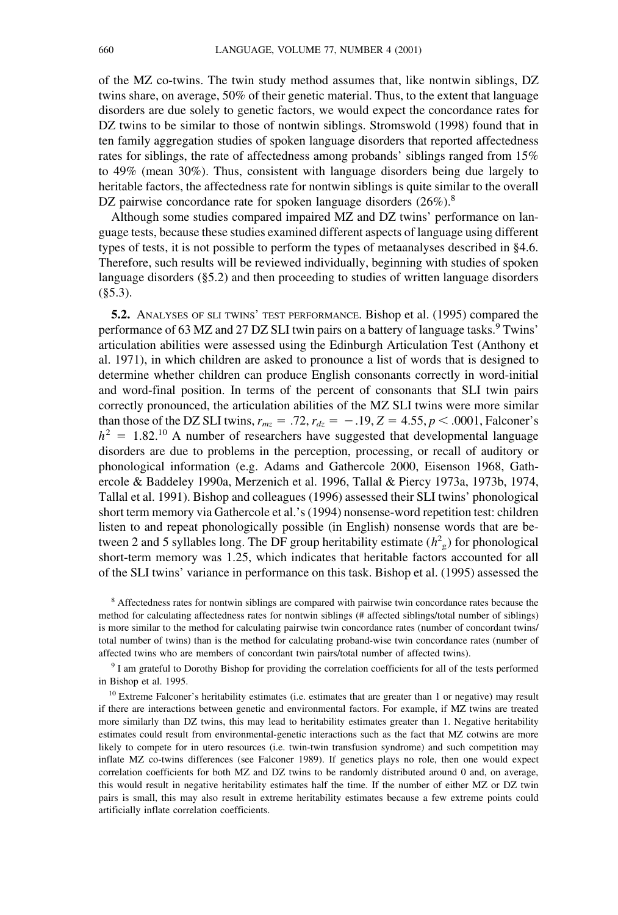of the MZ co-twins. The twin study method assumes that, like nontwin siblings, DZ twins share, on average, 50% of their genetic material. Thus, to the extent that language disorders are due solely to genetic factors, we would expect the concordance rates for DZ twins to be similar to those of nontwin siblings. Stromswold (1998) found that in ten family aggregation studies of spoken language disorders that reported affectedness rates for siblings, the rate of affectedness among probands' siblings ranged from 15% to 49% (mean 30%). Thus, consistent with language disorders being due largely to heritable factors, the affectedness rate for nontwin siblings is quite similar to the overall DZ pairwise concordance rate for spoken language disorders (26%).<sup>8</sup>

Although some studies compared impaired MZ and DZ twins' performance on language tests, because these studies examined different aspects of language using different types of tests, it is not possible to perform the types of metaanalyses described in §4.6. Therefore, such results will be reviewed individually, beginning with studies of spoken language disorders (§5.2) and then proceeding to studies of written language disorders  $(\$5.3).$ 

**5.2.** ANALYSES OF SLI TWINS' TEST PERFORMANCE. Bishop et al. (1995) compared the performance of 63 MZ and 27 DZ SLI twin pairs on a battery of language tasks.<sup>9</sup> Twins' articulation abilities were assessed using the Edinburgh Articulation Test (Anthony et al. 1971), in which children are asked to pronounce a list of words that is designed to determine whether children can produce English consonants correctly in word-initial and word-final position. In terms of the percent of consonants that SLI twin pairs correctly pronounced, the articulation abilities of the MZ SLI twins were more similar than those of the DZ SLI twins,  $r_{mz} = .72$ ,  $r_{dz} = -.19$ ,  $Z = 4.55$ ,  $p < .0001$ , Falconer's  $h^2 = 1.82$ <sup>10</sup> A number of researchers have suggested that developmental language disorders are due to problems in the perception, processing, or recall of auditory or phonological information (e.g. Adams and Gathercole 2000, Eisenson 1968, Gathercole & Baddeley 1990a, Merzenich et al. 1996, Tallal & Piercy 1973a, 1973b, 1974, Tallal et al. 1991). Bishop and colleagues (1996) assessed their SLI twins' phonological short term memory via Gathercole et al.'s (1994) nonsense-word repetition test: children listen to and repeat phonologically possible (in English) nonsense words that are between 2 and 5 syllables long. The DF group heritability estimate  $(h<sup>2</sup><sub>g</sub>)$  for phonological short-term memory was 1.25, which indicates that heritable factors accounted for all of the SLI twins' variance in performance on this task. Bishop et al. (1995) assessed the

<sup>8</sup> Affectedness rates for nontwin siblings are compared with pairwise twin concordance rates because the method for calculating affectedness rates for nontwin siblings (# affected siblings/total number of siblings) is more similar to the method for calculating pairwise twin concordance rates (number of concordant twins/ total number of twins) than is the method for calculating proband-wise twin concordance rates (number of affected twins who are members of concordant twin pairs/total number of affected twins).

<sup>9</sup> I am grateful to Dorothy Bishop for providing the correlation coefficients for all of the tests performed in Bishop et al. 1995.

<sup>10</sup> Extreme Falconer's heritability estimates (i.e. estimates that are greater than 1 or negative) may result if there are interactions between genetic and environmental factors. For example, if MZ twins are treated more similarly than DZ twins, this may lead to heritability estimates greater than 1. Negative heritability estimates could result from environmental-genetic interactions such as the fact that MZ cotwins are more likely to compete for in utero resources (i.e. twin-twin transfusion syndrome) and such competition may inflate MZ co-twins differences (see Falconer 1989). If genetics plays no role, then one would expect correlation coefficients for both MZ and DZ twins to be randomly distributed around 0 and, on average, this would result in negative heritability estimates half the time. If the number of either MZ or DZ twin pairs is small, this may also result in extreme heritability estimates because a few extreme points could artificially inflate correlation coefficients.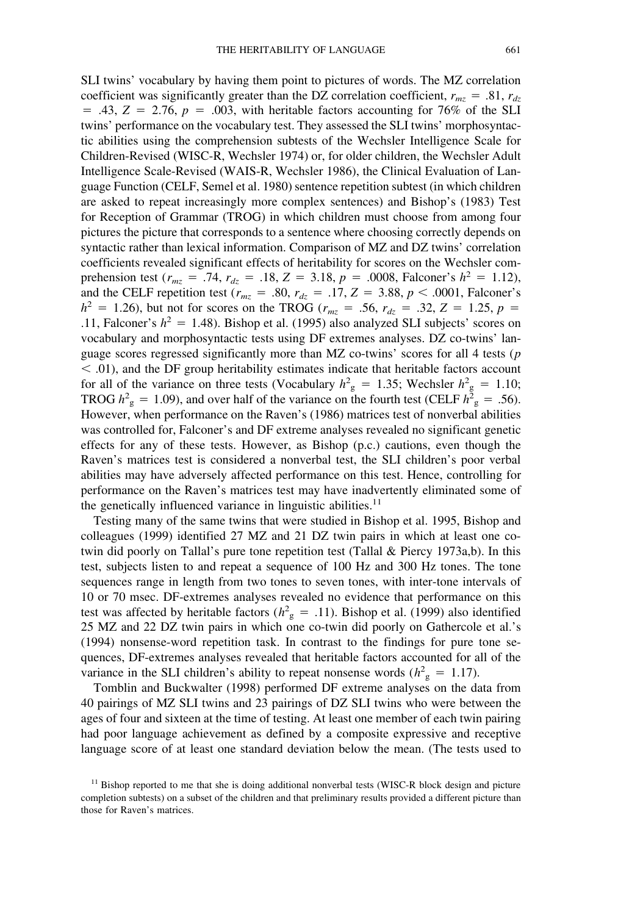SLI twins' vocabulary by having them point to pictures of words. The MZ correlation coefficient was significantly greater than the DZ correlation coefficient,  $r_{mz} = .81$ ,  $r_{dz}$  $=$  .43,  $Z = 2.76$ ,  $p = .003$ , with heritable factors accounting for 76% of the SLI twins' performance on the vocabulary test. They assessed the SLI twins' morphosyntactic abilities using the comprehension subtests of the Wechsler Intelligence Scale for Children-Revised (WISC-R, Wechsler 1974) or, for older children, the Wechsler Adult Intelligence Scale-Revised (WAIS-R, Wechsler 1986), the Clinical Evaluation of Language Function (CELF, Semel et al. 1980) sentence repetition subtest (in which children are asked to repeat increasingly more complex sentences) and Bishop's (1983) Test for Reception of Grammar (TROG) in which children must choose from among four pictures the picture that corresponds to a sentence where choosing correctly depends on syntactic rather than lexical information. Comparison of MZ and DZ twins' correlation coefficients revealed significant effects of heritability for scores on the Wechsler comprehension test ( $r_{mz}$  = .74,  $r_{dz}$  = .18, Z = 3.18, p = .0008, Falconer's  $h^2$  = 1.12), and the CELF repetition test ( $r_{mz} = .80$ ,  $r_{dz} = .17$ ,  $Z = 3.88$ ,  $p < .0001$ , Falconer's  $h^2 = 1.26$ ), but not for scores on the TROG ( $r_{mz} = .56$ ,  $r_{dz} = .32$ ,  $Z = 1.25$ ,  $p =$ .11, Falconer's  $h^2 = 1.48$ ). Bishop et al. (1995) also analyzed SLI subjects' scores on vocabulary and morphosyntactic tests usingDF extremes analyses. DZ co-twins' language scores regressed significantly more than MZ co-twins' scores for all 4 tests (*p*  $<$  .01), and the DF group heritability estimates indicate that heritable factors account for all of the variance on three tests (Vocabulary  $h<sup>2</sup><sub>g</sub> = 1.35$ ; Wechsler  $h<sup>2</sup><sub>g</sub> = 1.10$ ; TROG  $h^2_g = 1.09$ ), and over half of the variance on the fourth test (CELF  $h^2_g = .56$ ). However, when performance on the Raven's (1986) matrices test of nonverbal abilities was controlled for, Falconer's and DF extreme analyses revealed no significant genetic effects for any of these tests. However, as Bishop (p.c.) cautions, even though the Raven's matrices test is considered a nonverbal test, the SLI children's poor verbal abilities may have adversely affected performance on this test. Hence, controlling for performance on the Raven's matrices test may have inadvertently eliminated some of the genetically influenced variance in linguistic abilities. $11$ 

Testing many of the same twins that were studied in Bishop et al. 1995, Bishop and colleagues (1999) identified 27 MZ and 21 DZ twin pairs in which at least one cotwin did poorly on Tallal's pure tone repetition test (Tallal & Piercy 1973a,b). In this test, subjects listen to and repeat a sequence of 100 Hz and 300 Hz tones. The tone sequences range in length from two tones to seven tones, with inter-tone intervals of 10 or 70 msec. DF-extremes analyses revealed no evidence that performance on this test was affected by heritable factors ( $h^2$ <sub>g</sub> = .11). Bishop et al. (1999) also identified 25 MZ and 22 DZ twin pairs in which one co-twin did poorly on Gathercole et al.'s (1994) nonsense-word repetition task. In contrast to the findings for pure tone sequences, DF-extremes analyses revealed that heritable factors accounted for all of the variance in the SLI children's ability to repeat nonsense words ( $h<sup>2</sup><sub>g</sub> = 1.17$ ).

Tomblin and Buckwalter (1998) performed DF extreme analyses on the data from 40 pairings of MZ SLI twins and 23 pairings of DZ SLI twins who were between the ages of four and sixteen at the time of testing. At least one member of each twin pairing had poor language achievement as defined by a composite expressive and receptive language score of at least one standard deviation below the mean. (The tests used to

<sup>&</sup>lt;sup>11</sup> Bishop reported to me that she is doing additional nonverbal tests (WISC-R block design and picture completion subtests) on a subset of the children and that preliminary results provided a different picture than those for Raven's matrices.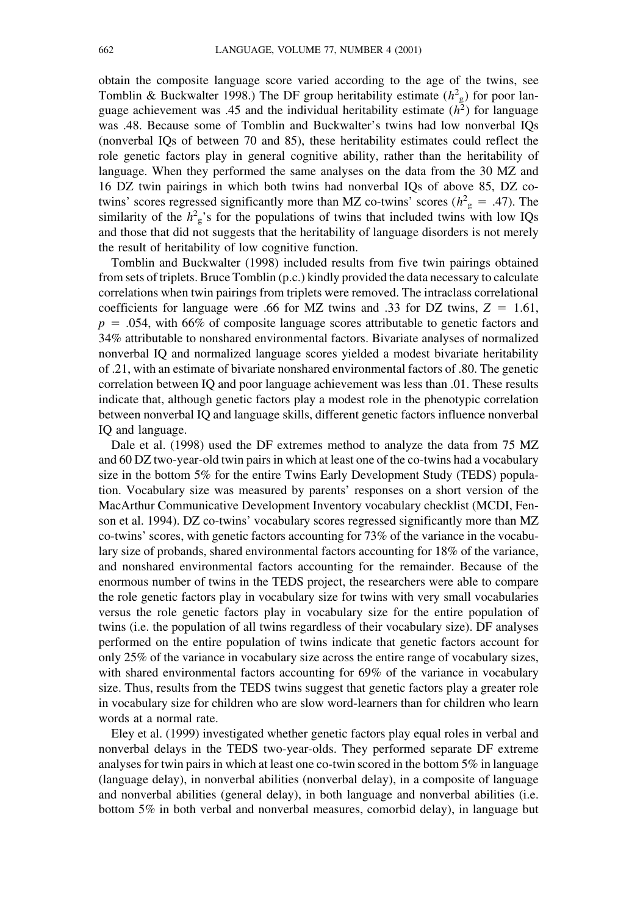obtain the composite language score varied according to the age of the twins, see Tomblin & Buckwalter 1998.) The DF group heritability estimate  $(h^2_g)$  for poor language achievement was .45 and the individual heritability estimate  $(h^2)$  for language was .48. Because some of Tomblin and Buckwalter's twins had low nonverbal IQs (nonverbal IQs of between 70 and 85), these heritability estimates could reflect the role genetic factors play in general cognitive ability, rather than the heritability of language. When they performed the same analyses on the data from the 30 MZ and 16 DZ twin pairings in which both twins had nonverbal IQs of above 85, DZ cotwins' scores regressed significantly more than MZ co-twins' scores ( $h<sup>2</sup><sub>g</sub> = .47$ ). The similarity of the  $h<sup>2</sup><sub>g</sub>$ 's for the populations of twins that included twins with low IQs and those that did not suggests that the heritability of language disorders is not merely the result of heritability of low cognitive function.

Tomblin and Buckwalter (1998) included results from five twin pairings obtained from sets of triplets. Bruce Tomblin (p.c.) kindly provided the data necessary to calculate correlations when twin pairings from triplets were removed. The intraclass correlational coefficients for language were .66 for MZ twins and .33 for DZ twins,  $Z = 1.61$ ,  $p = 0.054$ , with 66% of composite language scores attributable to genetic factors and 34% attributable to nonshared environmental factors. Bivariate analyses of normalized nonverbal IQ and normalized language scores yielded a modest bivariate heritability of .21, with an estimate of bivariate nonshared environmental factors of .80. The genetic correlation between IQ and poor language achievement was less than .01. These results indicate that, although genetic factors play a modest role in the phenotypic correlation between nonverbal IQ and language skills, different genetic factors influence nonverbal IQ and language.

Dale et al. (1998) used the DF extremes method to analyze the data from 75 MZ and 60 DZ two-year-old twin pairs in which at least one of the co-twins had a vocabulary size in the bottom 5% for the entire Twins Early Development Study (TEDS) population. Vocabulary size was measured by parents' responses on a short version of the MacArthur Communicative Development Inventory vocabulary checklist (MCDI, Fenson et al. 1994). DZ co-twins' vocabulary scores regressed significantly more than MZ co-twins' scores, with genetic factors accounting for 73% of the variance in the vocabulary size of probands, shared environmental factors accounting for 18% of the variance, and nonshared environmental factors accounting for the remainder. Because of the enormous number of twins in the TEDS project, the researchers were able to compare the role genetic factors play in vocabulary size for twins with very small vocabularies versus the role genetic factors play in vocabulary size for the entire population of twins (i.e. the population of all twins regardless of their vocabulary size). DF analyses performed on the entire population of twins indicate that genetic factors account for only 25% of the variance in vocabulary size across the entire range of vocabulary sizes, with shared environmental factors accounting for 69% of the variance in vocabulary size. Thus, results from the TEDS twins suggest that genetic factors play a greater role in vocabulary size for children who are slow word-learners than for children who learn words at a normal rate.

Eley et al. (1999) investigated whether genetic factors play equal roles in verbal and nonverbal delays in the TEDS two-year-olds. They performed separate DF extreme analyses for twin pairs in which at least one co-twin scored in the bottom 5% in language (language delay), in nonverbal abilities (nonverbal delay), in a composite of language and nonverbal abilities (general delay), in both language and nonverbal abilities (i.e. bottom 5% in both verbal and nonverbal measures, comorbid delay), in language but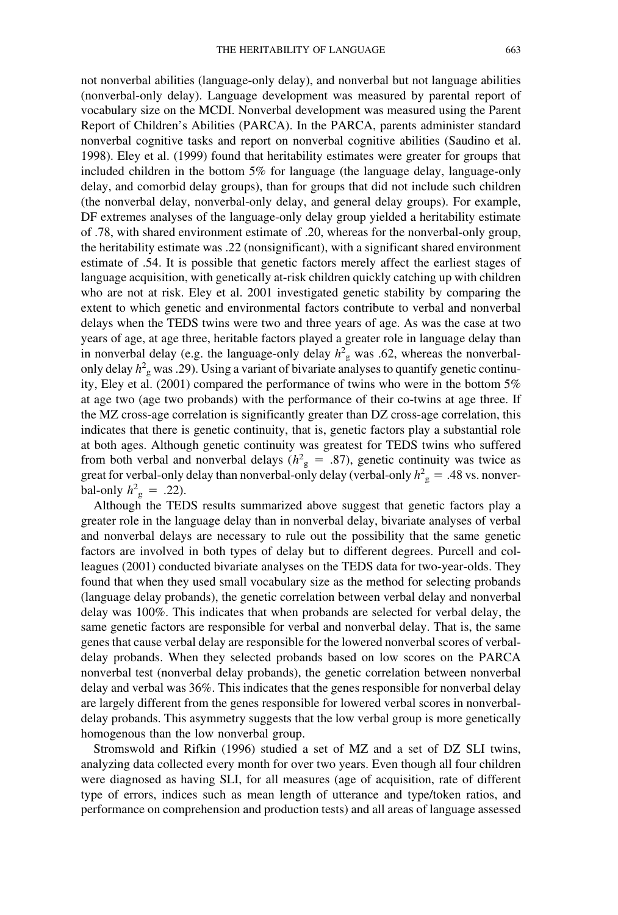not nonverbal abilities (language-only delay), and nonverbal but not language abilities (nonverbal-only delay). Language development was measured by parental report of vocabulary size on the MCDI. Nonverbal development was measured using the Parent Report of Children's Abilities (PARCA). In the PARCA, parents administer standard nonverbal cognitive tasks and report on nonverbal cognitive abilities (Saudino et al. 1998). Eley et al. (1999) found that heritability estimates were greater for groups that included children in the bottom 5% for language (the language delay, language-only delay, and comorbid delay groups), than for groups that did not include such children (the nonverbal delay, nonverbal-only delay, and general delay groups). For example, DF extremes analyses of the language-only delay group yielded a heritability estimate of .78, with shared environment estimate of .20, whereas for the nonverbal-only group, the heritability estimate was .22 (nonsignificant), with a significant shared environment estimate of .54. It is possible that genetic factors merely affect the earliest stages of language acquisition, with genetically at-risk children quickly catching up with children who are not at risk. Eley et al. 2001 investigated genetic stability by comparing the extent to which genetic and environmental factors contribute to verbal and nonverbal delays when the TEDS twins were two and three years of age. As was the case at two years of age, at age three, heritable factors played a greater role in language delay than in nonverbal delay (e.g. the language-only delay  $h<sup>2</sup><sub>g</sub>$  was .62, whereas the nonverbalonly delay  $h^2$ <sub>g</sub> was .29). Using a variant of bivariate analyses to quantify genetic continuity, Eley et al. (2001) compared the performance of twins who were in the bottom 5% at age two (age two probands) with the performance of their co-twins at age three. If the MZ cross-age correlation is significantly greater than DZ cross-age correlation, this indicates that there is genetic continuity, that is, genetic factors play a substantial role at both ages. Although genetic continuity was greatest for TEDS twins who suffered from both verbal and nonverbal delays ( $h<sup>2</sup><sub>g</sub> = .87$ ), genetic continuity was twice as great for verbal-only delay than nonverbal-only delay (verbal-only  $h_{\rm g}^2 = .48$  vs. nonverbal-only  $h^2$ <sub>g</sub> = .22).

Although the TEDS results summarized above suggest that genetic factors play a greater role in the language delay than in nonverbal delay, bivariate analyses of verbal and nonverbal delays are necessary to rule out the possibility that the same genetic factors are involved in both types of delay but to different degrees. Purcell and colleagues (2001) conducted bivariate analyses on the TEDS data for two-year-olds. They found that when they used small vocabulary size as the method for selecting probands (language delay probands), the genetic correlation between verbal delay and nonverbal delay was 100%. This indicates that when probands are selected for verbal delay, the same genetic factors are responsible for verbal and nonverbal delay. That is, the same genes that cause verbal delay are responsible for the lowered nonverbal scores of verbaldelay probands. When they selected probands based on low scores on the PARCA nonverbal test (nonverbal delay probands), the genetic correlation between nonverbal delay and verbal was 36%. This indicates that the genes responsible for nonverbal delay are largely different from the genes responsible for lowered verbal scores in nonverbaldelay probands. This asymmetry suggests that the low verbal group is more genetically homogenous than the low nonverbal group.

Stromswold and Rifkin (1996) studied a set of MZ and a set of DZ SLI twins, analyzing data collected every month for over two years. Even though all four children were diagnosed as having SLI, for all measures (age of acquisition, rate of different type of errors, indices such as mean length of utterance and type/token ratios, and performance on comprehension and production tests) and all areas of language assessed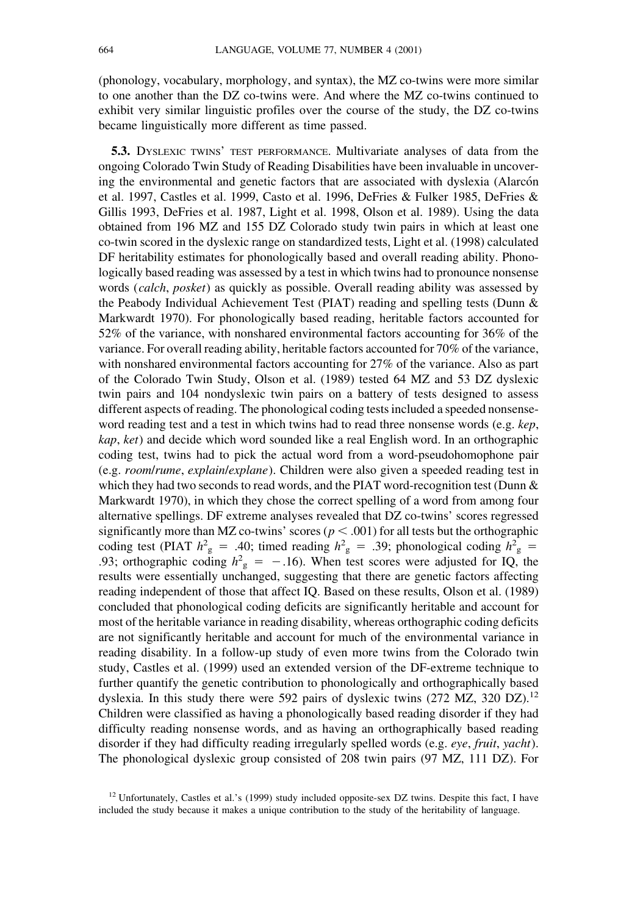(phonology, vocabulary, morphology, and syntax), the MZ co-twins were more similar to one another than the DZ co-twins were. And where the MZ co-twins continued to exhibit very similar linguistic profiles over the course of the study, the DZ co-twins became linguistically more different as time passed.

**5.3.** DYSLEXIC TWINS' TEST PERFORMANCE. Multivariate analyses of data from the ongoing Colorado Twin Study of Reading Disabilities have been invaluable in uncovering the environmental and genetic factors that are associated with dyslexia (Alarcón et al. 1997, Castles et al. 1999, Casto et al. 1996, DeFries & Fulker 1985, DeFries & Gillis 1993, DeFries et al. 1987, Light et al. 1998, Olson et al. 1989). Using the data obtained from 196 MZ and 155 DZ Colorado study twin pairs in which at least one co-twin scored in the dyslexic range on standardized tests, Light et al. (1998) calculated DF heritability estimates for phonologically based and overall reading ability. Phonologically based reading was assessed by a test in which twins had to pronounce nonsense words (*calch*, *posket*) as quickly as possible. Overall readingability was assessed by the Peabody Individual Achievement Test (PIAT) reading and spelling tests (Dunn  $&$ Markwardt 1970). For phonologically based reading, heritable factors accounted for 52% of the variance, with nonshared environmental factors accounting for 36% of the variance. For overall reading ability, heritable factors accounted for 70% of the variance, with nonshared environmental factors accounting for 27% of the variance. Also as part of the Colorado Twin Study, Olson et al. (1989) tested 64 MZ and 53 DZ dyslexic twin pairs and 104 nondyslexic twin pairs on a battery of tests designed to assess different aspects of reading. The phonological coding tests included a speeded nonsenseword reading test and a test in which twins had to read three nonsense words (e.g. *kep*, *kap*, *ket*) and decide which word sounded like a real English word. In an orthographic coding test, twins had to pick the actual word from a word-pseudohomophone pair (e.g. *room*/*rume*, *explain*/*explane*). Children were also given a speeded reading test in which they had two seconds to read words, and the PIAT word-recognition test (Dunn & Markwardt 1970), in which they chose the correct spelling of a word from among four alternative spellings. DF extreme analyses revealed that DZ co-twins' scores regressed significantly more than MZ co-twins' scores ( $p < .001$ ) for all tests but the orthographic coding test (PIAT  $h^2$ <sub>g</sub> = .40; timed reading  $h^2$ <sub>g</sub> = .39; phonological coding  $h^2$ <sub>g</sub> = .93; orthographic coding  $h<sup>2</sup><sub>g</sub> = -0.16$ ). When test scores were adjusted for IQ, the results were essentially unchanged, suggesting that there are genetic factors affecting reading independent of those that affect IQ. Based on these results, Olson et al. (1989) concluded that phonological coding deficits are significantly heritable and account for most of the heritable variance in reading disability, whereas orthographic coding deficits are not significantly heritable and account for much of the environmental variance in reading disability. In a follow-up study of even more twins from the Colorado twin study, Castles et al. (1999) used an extended version of the DF-extreme technique to further quantify the genetic contribution to phonologically and orthographically based dyslexia. In this study there were 592 pairs of dyslexic twins  $(272 \text{ MZ}, 320 \text{ DZ})$ .<sup>12</sup> Children were classified as having a phonologically based reading disorder if they had difficulty reading nonsense words, and as having an orthographically based reading disorder if they had difficulty reading irregularly spelled words (e.g. *eye*, *fruit*, *yacht*). The phonological dyslexic group consisted of 208 twin pairs (97 MZ, 111 DZ). For

 $12$  Unfortunately, Castles et al.'s (1999) study included opposite-sex DZ twins. Despite this fact, I have included the study because it makes a unique contribution to the study of the heritability of language.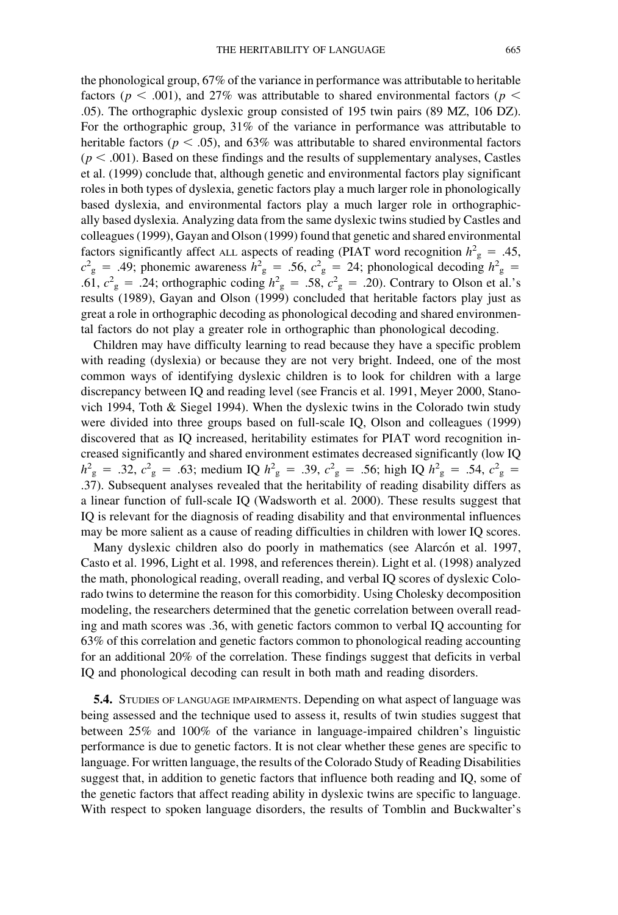the phonological group, 67% of the variance in performance was attributable to heritable factors ( $p < .001$ ), and 27% was attributable to shared environmental factors ( $p <$ .05). The orthographic dyslexic group consisted of 195 twin pairs (89 MZ, 106 DZ). For the orthographic group, 31% of the variance in performance was attributable to heritable factors ( $p < .05$ ), and 63% was attributable to shared environmental factors  $(p < .001)$ . Based on these findings and the results of supplementary analyses, Castles et al. (1999) conclude that, although genetic and environmental factors play significant roles in both types of dyslexia, genetic factors play a much larger role in phonologically based dyslexia, and environmental factors play a much larger role in orthographically based dyslexia. Analyzing data from the same dyslexic twins studied by Castles and colleagues (1999), Gayan and Olson (1999) found that genetic and shared environmental factors significantly affect ALL aspects of reading (PIAT word recognition  $h<sup>2</sup><sub>g</sub> = .45$ ,  $c_{\rm g}^2$  = .49; phonemic awareness  $h_{\rm g}^2$  = .56,  $c_{\rm g}^2$  = 24; phonological decoding  $h_{\rm g}^2$  = .61,  $c_{\rm g}^2$  = .24; orthographic coding  $h_{\rm g}^2$  = .58,  $c_{\rm g}^2$  = .20). Contrary to Olson et al.'s results (1989), Gayan and Olson (1999) concluded that heritable factors play just as great a role in orthographic decoding as phonological decoding and shared environmental factors do not play a greater role in orthographic than phonological decoding.

Children may have difficulty learning to read because they have a specific problem with reading (dyslexia) or because they are not very bright. Indeed, one of the most common ways of identifying dyslexic children is to look for children with a large discrepancy between IQ and reading level (see Francis et al. 1991, Meyer 2000, Stanovich 1994, Toth & Siegel 1994). When the dyslexic twins in the Colorado twin study were divided into three groups based on full-scale IQ, Olson and colleagues (1999) discovered that as IQ increased, heritability estimates for PIAT word recognition increased significantly and shared environment estimates decreased significantly (low IQ  $h^2$ <sub>g</sub> = .32,  $c^2$ <sub>g</sub> = .63; medium IQ  $h^2$ <sub>g</sub> = .39,  $c^2$ <sub>g</sub> = .56; high IQ  $h^2$ <sub>g</sub> = .54,  $c^2$ <sub>g</sub> = .37). Subsequent analyses revealed that the heritability of reading disability differs as a linear function of full-scale IQ (Wadsworth et al. 2000). These results suggest that IQ is relevant for the diagnosis of reading disability and that environmental influences may be more salient as a cause of reading difficulties in children with lower IQ scores.

Many dyslexic children also do poorly in mathematics (see Alarcón et al. 1997, Casto et al. 1996, Light et al. 1998, and references therein). Light et al. (1998) analyzed the math, phonological reading, overall reading, and verbal IQ scores of dyslexic Colorado twins to determine the reason for this comorbidity. Using Cholesky decomposition modeling, the researchers determined that the genetic correlation between overall reading and math scores was .36, with genetic factors common to verbal IQ accounting for 63% of this correlation and genetic factors common to phonological reading accounting for an additional 20% of the correlation. These findings suggest that deficits in verbal IQ and phonological decoding can result in both math and reading disorders.

**5.4.** STUDIES OF LANGUAGE IMPAIRMENTS. Depending on what aspect of language was being assessed and the technique used to assess it, results of twin studies suggest that between 25% and 100% of the variance in language-impaired children's linguistic performance is due to genetic factors. It is not clear whether these genes are specific to language. For written language, the results of the Colorado Study of Reading Disabilities suggest that, in addition to genetic factors that influence both reading and IQ, some of the genetic factors that affect reading ability in dyslexic twins are specific to language. With respect to spoken language disorders, the results of Tomblin and Buckwalter's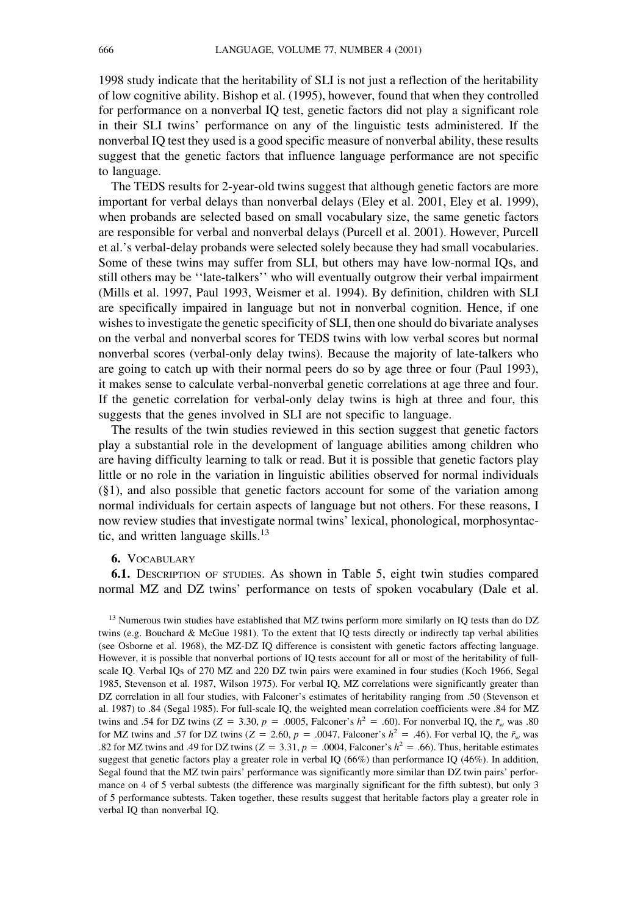1998 study indicate that the heritability of SLI is not just a reflection of the heritability of low cognitive ability. Bishop et al. (1995), however, found that when they controlled for performance on a nonverbal IQ test, genetic factors did not play a significant role in their SLI twins' performance on any of the linguistic tests administered. If the nonverbal IQ test they used is a good specific measure of nonverbal ability, these results suggest that the genetic factors that influence language performance are not specific to language.

The TEDS results for 2-year-old twins suggest that although genetic factors are more important for verbal delays than nonverbal delays (Eley et al. 2001, Eley et al. 1999), when probands are selected based on small vocabulary size, the same genetic factors are responsible for verbal and nonverbal delays (Purcell et al. 2001). However, Purcell et al.'s verbal-delay probands were selected solely because they had small vocabularies. Some of these twins may suffer from SLI, but others may have low-normal IQs, and still others may be ''late-talkers'' who will eventually outgrow their verbal impairment (Mills et al. 1997, Paul 1993, Weismer et al. 1994). By definition, children with SLI are specifically impaired in language but not in nonverbal cognition. Hence, if one wishes to investigate the genetic specificity of SLI, then one should do bivariate analyses on the verbal and nonverbal scores for TEDS twins with low verbal scores but normal nonverbal scores (verbal-only delay twins). Because the majority of late-talkers who are going to catch up with their normal peers do so by age three or four (Paul 1993), it makes sense to calculate verbal-nonverbal genetic correlations at age three and four. If the genetic correlation for verbal-only delay twins is high at three and four, this suggests that the genes involved in SLI are not specific to language.

The results of the twin studies reviewed in this section suggest that genetic factors play a substantial role in the development of language abilities among children who are having difficulty learning to talk or read. But it is possible that genetic factors play little or no role in the variation in linguistic abilities observed for normal individuals (§1), and also possible that genetic factors account for some of the variation among normal individuals for certain aspects of language but not others. For these reasons, I now review studies that investigate normal twins' lexical, phonological, morphosyntactic, and written language skills.<sup>13</sup>

### **6.** VOCABULARY

**6.1.** DESCRIPTION OF STUDIES. As shown in Table 5, eight twin studies compared normal MZ and DZ twins' performance on tests of spoken vocabulary (Dale et al.

<sup>13</sup> Numerous twin studies have established that MZ twins perform more similarly on IQ tests than do DZ twins (e.g. Bouchard & McGue 1981). To the extent that IQ tests directly or indirectly tap verbal abilities (see Osborne et al. 1968), the MZ-DZ IQ difference is consistent with genetic factors affecting language. However, it is possible that nonverbal portions of IQ tests account for all or most of the heritability of fullscale IQ. Verbal IQs of 270 MZ and 220 DZ twin pairs were examined in four studies (Koch 1966, Segal 1985, Stevenson et al. 1987, Wilson 1975). For verbal IQ, MZ correlations were significantly greater than DZ correlation in all four studies, with Falconer's estimates of heritability ranging from .50 (Stevenson et al. 1987) to .84 (Segal 1985). For full-scale IQ, the weighted mean correlation coefficients were .84 for MZ twins and .54 for DZ twins ( $Z = 3.30$ ,  $p = .0005$ , Falconer's  $h^2 = .60$ ). For nonverbal IQ, the  $\bar{r}_w$  was .80 for MZ twins and .57 for DZ twins ( $Z = 2.60$ ,  $p = .0047$ , Falconer's  $h^2 = .46$ ). For verbal IQ, the  $\bar{r}_w$  was .82 for MZ twins and .49 for DZ twins ( $Z = 3.31$ ,  $p = .0004$ , Falconer's  $h^2 = .66$ ). Thus, heritable estimates suggest that genetic factors play a greater role in verbal IQ (66%) than performance IQ (46%). In addition, Segal found that the MZ twin pairs' performance was significantly more similar than DZ twin pairs' performance on 4 of 5 verbal subtests (the difference was marginally significant for the fifth subtest), but only 3 of 5 performance subtests. Taken together, these results suggest that heritable factors play a greater role in verbal IQ than nonverbal IQ.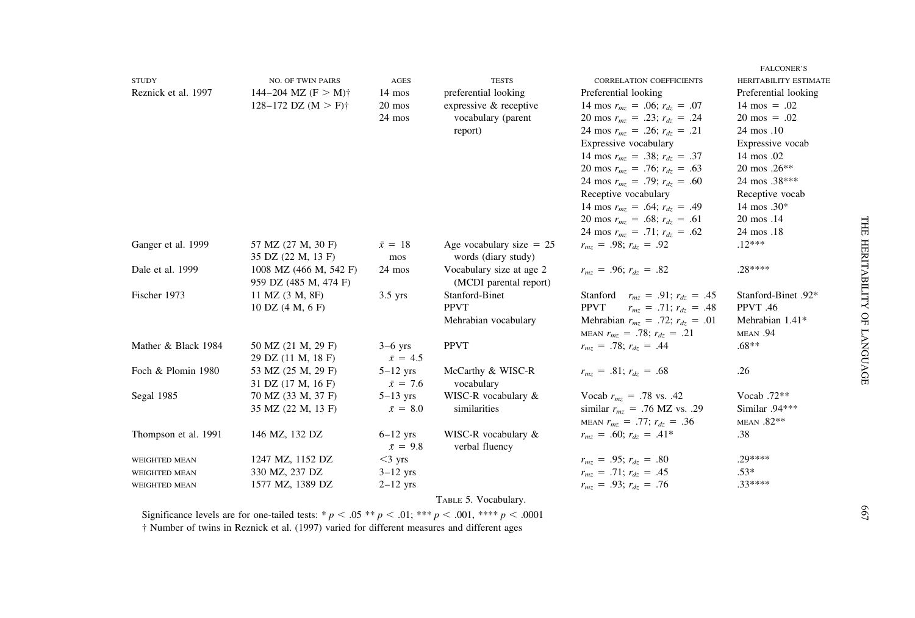|                      |                                   |                               |                                       |                                              | <b>FALCONER'S</b>       |
|----------------------|-----------------------------------|-------------------------------|---------------------------------------|----------------------------------------------|-------------------------|
| <b>STUDY</b>         | <b>NO. OF TWIN PAIRS</b>          | <b>AGES</b>                   | <b>TESTS</b>                          | <b>CORRELATION COEFFICIENTS</b>              | HERITABILITY ESTIMATE   |
| Reznick et al. 1997  | 144-204 MZ $(F > M)$ †            | 14 mos                        | preferential looking                  | Preferential looking                         | Preferential looking    |
|                      | 128-172 DZ (M $>$ F) <sup>†</sup> | 20 mos                        | expressive & receptive                | 14 mos $r_{mz} = .06$ ; $r_{dz} = .07$       | $14 \text{ mos} = .02$  |
|                      |                                   | 24 mos                        | vocabulary (parent                    | 20 mos $r_{mz} = .23$ ; $r_{dz} = .24$       | $20 \text{ mos} = .02$  |
|                      |                                   |                               | report)                               | 24 mos $r_{mz} = .26$ ; $r_{dz} = .21$       | 24 mos .10              |
|                      |                                   |                               |                                       | Expressive vocabulary                        | Expressive vocab        |
|                      |                                   |                               |                                       | 14 mos $r_{mz} = .38$ ; $r_{dz} = .37$       | 14 mos .02              |
|                      |                                   |                               |                                       | 20 mos $r_{mz} = .76$ ; $r_{dz} = .63$       | $20 \text{ mos } .26**$ |
|                      |                                   |                               |                                       | 24 mos $r_{mz} = .79$ ; $r_{dz} = .60$       | 24 mos .38***           |
|                      |                                   |                               |                                       | Receptive vocabulary                         | Receptive vocab         |
|                      |                                   |                               |                                       | 14 mos $r_{mz} = .64$ ; $r_{dz} = .49$       | $14 \text{ mos } .30*$  |
|                      |                                   |                               |                                       | 20 mos $r_{mz} = .68$ ; $r_{dz} = .61$       | 20 mos .14              |
|                      |                                   |                               |                                       | 24 mos $r_{mz} = .71$ ; $r_{dz} = .62$       | 24 mos .18              |
| Ganger et al. 1999   | 57 MZ (27 M, 30 F)                | $\bar{x} = 18$                | Age vocabulary size $= 25$            | $r_{\text{mv}} = .98; r_{\text{dz}} = .92$   | $.12***$                |
|                      | 35 DZ (22 M, 13 F)                | mos                           | words (diary study)                   |                                              |                         |
| Dale et al. 1999     | 1008 MZ (466 M, 542 F)            | 24 mos                        | Vocabulary size at age 2              | $r_{mz} = .96; r_{dz} = .82$                 | $.28***$                |
|                      | 959 DZ (485 M, 474 F)             |                               | (MCDI parental report)                |                                              |                         |
| Fischer 1973         | 11 MZ (3 M, 8F)                   | $3.5$ yrs                     | Stanford-Binet                        | Stanford $r_{mz} = .91; r_{dz} = .45$        | Stanford-Binet .92*     |
|                      | 10 DZ $(4 M, 6 F)$                |                               | <b>PPVT</b>                           | PPVT<br>$r_{mz} = .71; r_{dz} = .48$         | <b>PPVT .46</b>         |
|                      |                                   |                               | Mehrabian vocabulary                  | Mehrabian $r_{mz} = .72$ ; $r_{dz} = .01$    | Mehrabian 1.41*         |
|                      |                                   |                               |                                       | MEAN $r_{mz} = .78$ ; $r_{dz} = .21$         | MEAN .94                |
| Mather & Black 1984  | 50 MZ (21 M, 29 F)                | $3-6$ yrs                     | <b>PPVT</b>                           | $r_{mz}$ = .78; $r_{dz}$ = .44               | $.68**$                 |
|                      | 29 DZ (11 M, 18 F)                | $\bar{x} = 4.5$               |                                       |                                              |                         |
| Foch & Plomin 1980   | 53 MZ (25 M, 29 F)                | $5-12$ yrs                    | McCarthy & WISC-R                     | $r_{\text{m}z}$ = .81; $r_{\text{d}z}$ = .68 | .26                     |
|                      | 31 DZ (17 M, 16 F)                | $\bar{x} = 7.6$               | vocabulary                            |                                              |                         |
| Segal 1985           | 70 MZ (33 M, 37 F)                | $5-13$ yrs                    | WISC-R vocabulary &                   | Vocab $r_{\text{mv}} = .78$ vs. .42          | Vocab $.72**$           |
|                      | 35 MZ (22 M, 13 F)                | $\bar{x} = 8.0$               | similarities                          | similar $r_{\text{mv}} = .76$ MZ vs. .29     | Similar .94***          |
|                      |                                   |                               |                                       | MEAN $r_{mz}$ = .77; $r_{dz}$ = .36          | MEAN $.82**$            |
| Thompson et al. 1991 | 146 MZ, 132 DZ                    | $6-12$ yrs<br>$\bar{x} = 9.8$ | WISC-R vocabulary &<br>verbal fluency | $r_{mz} = .60; r_{dz} = .41*$                | .38                     |
| WEIGHTED MEAN        | 1247 MZ, 1152 DZ                  | $<$ 3 yrs                     |                                       | $r_{\text{m}z} = .95; r_{dz} = .80$          | $.29***$                |
| WEIGHTED MEAN        | 330 MZ, 237 DZ                    | $3-12$ yrs                    |                                       | $r_{\text{m}z}$ = .71; $r_{dz}$ = .45        | $.53*$                  |
| <b>WEIGHTED MEAN</b> | 1577 MZ, 1389 DZ                  | $2-12$ yrs                    |                                       | $r_{mz} = .93; r_{dz} = .76$                 | $.33***$                |

TABLE 5. Vocabulary.

Significance levels are for one-tailed tests:  $* p < 0.05 ** p < 0.01; **p < 0.001; *** p < 0.0001$ 

† Number of twins in Reznick et al. (1997) varied for different measures and different ages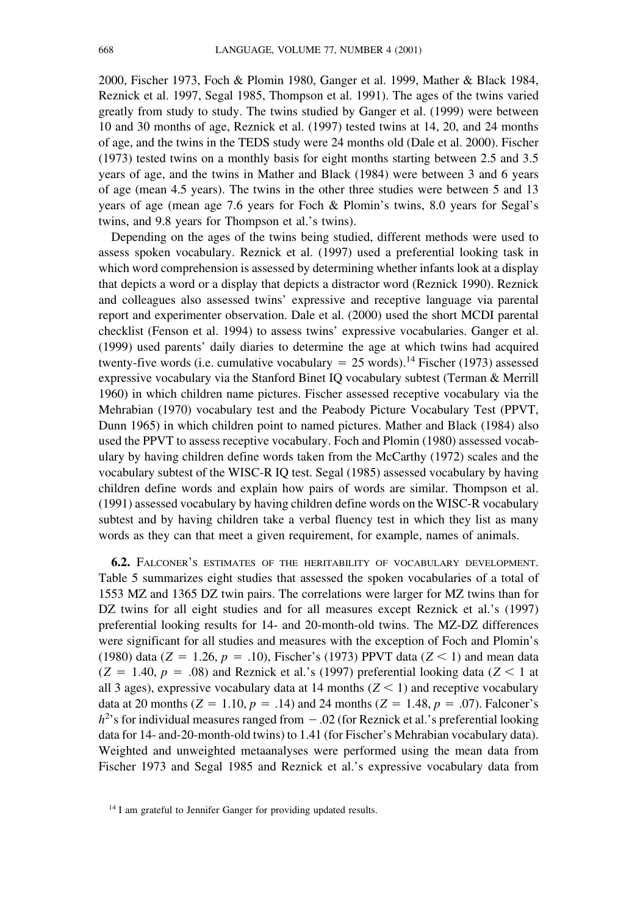2000, Fischer 1973, Foch & Plomin 1980, Ganger et al. 1999, Mather & Black 1984, Reznick et al. 1997, Segal 1985, Thompson et al. 1991). The ages of the twins varied greatly from study to study. The twins studied by Ganger et al. (1999) were between 10 and 30 months of age, Reznick et al. (1997) tested twins at 14, 20, and 24 months of age, and the twins in the TEDS study were 24 months old (Dale et al. 2000). Fischer (1973) tested twins on a monthly basis for eight months starting between 2.5 and 3.5 years of age, and the twins in Mather and Black (1984) were between 3 and 6 years of age (mean 4.5 years). The twins in the other three studies were between 5 and 13 years of age (mean age 7.6 years for Foch & Plomin's twins, 8.0 years for Segal's twins, and 9.8 years for Thompson et al.'s twins).

Depending on the ages of the twins being studied, different methods were used to assess spoken vocabulary. Reznick et al. (1997) used a preferential looking task in which word comprehension is assessed by determining whether infants look at a display that depicts a word or a display that depicts a distractor word (Reznick 1990). Reznick and colleagues also assessed twins' expressive and receptive language via parental report and experimenter observation. Dale et al. (2000) used the short MCDI parental checklist (Fenson et al. 1994) to assess twins' expressive vocabularies. Ganger et al. (1999) used parents' daily diaries to determine the age at which twins had acquired twenty-five words (i.e. cumulative vocabulary  $= 25$  words).<sup>14</sup> Fischer (1973) assessed expressive vocabulary via the Stanford Binet IQ vocabulary subtest (Terman & Merrill 1960) in which children name pictures. Fischer assessed receptive vocabulary via the Mehrabian (1970) vocabulary test and the Peabody Picture Vocabulary Test (PPVT, Dunn 1965) in which children point to named pictures. Mather and Black (1984) also used the PPVT to assess receptive vocabulary. Foch and Plomin (1980) assessed vocabulary by having children define words taken from the McCarthy (1972) scales and the vocabulary subtest of the WISC-R IQ test. Segal (1985) assessed vocabulary by having children define words and explain how pairs of words are similar. Thompson et al. (1991) assessed vocabulary by having children define words on the WISC-R vocabulary subtest and by having children take a verbal fluency test in which they list as many words as they can that meet a given requirement, for example, names of animals.

**6.2.** FALCONER'S ESTIMATES OF THE HERITABILITY OF VOCABULARY DEVELOPMENT. Table 5 summarizes eight studies that assessed the spoken vocabularies of a total of 1553 MZ and 1365 DZ twin pairs. The correlations were larger for MZ twins than for DZ twins for all eight studies and for all measures except Reznick et al.'s (1997) preferential looking results for 14- and 20-month-old twins. The MZ-DZ differences were significant for all studies and measures with the exception of Foch and Plomin's (1980) data (*Z* = 1.26, *p* = .10), Fischer's (1973) PPVT data (*Z* < 1) and mean data  $(Z = 1.40, p = .08)$  and Reznick et al.'s (1997) preferential looking data ( $Z < 1$  at all 3 ages), expressive vocabulary data at 14 months  $(Z \le 1)$  and receptive vocabulary data at 20 months ( $Z = 1.10, p = .14$ ) and 24 months ( $Z = 1.48, p = .07$ ). Falconer's  $h^{2}$ 's for individual measures ranged from  $-.02$  (for Reznick et al.'s preferential looking data for 14- and-20-month-old twins) to 1.41 (for Fischer's Mehrabian vocabulary data). Weighted and unweighted metaanalyses were performed using the mean data from Fischer 1973 and Segal 1985 and Reznick et al.'s expressive vocabulary data from

<sup>&</sup>lt;sup>14</sup> I am grateful to Jennifer Ganger for providing updated results.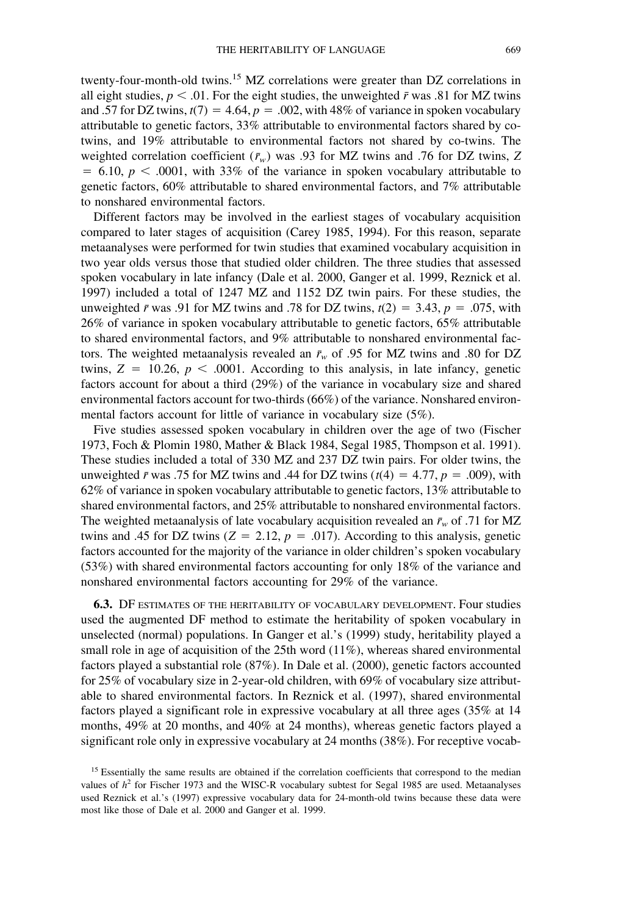twenty-four-month-old twins.<sup>15</sup> MZ correlations were greater than DZ correlations in all eight studies,  $p < .01$ . For the eight studies, the unweighted  $\bar{r}$  was .81 for MZ twins and .57 for DZ twins,  $t(7) = 4.64$ ,  $p = .002$ , with 48% of variance in spoken vocabulary attributable to genetic factors, 33% attributable to environmental factors shared by cotwins, and 19% attributable to environmental factors not shared by co-twins. The weighted correlation coefficient ( $\bar{r}_w$ ) was .93 for MZ twins and .76 for DZ twins, *Z*  $= 6.10, p < .0001$ , with 33% of the variance in spoken vocabulary attributable to genetic factors, 60% attributable to shared environmental factors, and 7% attributable to nonshared environmental factors.

Different factors may be involved in the earliest stages of vocabulary acquisition compared to later stages of acquisition (Carey 1985, 1994). For this reason, separate metaanalyses were performed for twin studies that examined vocabulary acquisition in two year olds versus those that studied older children. The three studies that assessed spoken vocabulary in late infancy (Dale et al. 2000, Ganger et al. 1999, Reznick et al. 1997) included a total of 1247 MZ and 1152 DZ twin pairs. For these studies, the unweighted  $\bar{r}$  was .91 for MZ twins and .78 for DZ twins,  $t(2) = 3.43$ ,  $p = .075$ , with 26% of variance in spoken vocabulary attributable to genetic factors, 65% attributable to shared environmental factors, and 9% attributable to nonshared environmental factors. The weighted metaanalysis revealed an  $\bar{r}_w$  of .95 for MZ twins and .80 for DZ twins,  $Z = 10.26$ ,  $p < .0001$ . According to this analysis, in late infancy, genetic factors account for about a third (29%) of the variance in vocabulary size and shared environmental factors account for two-thirds (66%) of the variance. Nonshared environmental factors account for little of variance in vocabulary size (5%).

Five studies assessed spoken vocabulary in children over the age of two (Fischer 1973, Foch & Plomin 1980, Mather & Black 1984, Segal 1985, Thompson et al. 1991). These studies included a total of 330 MZ and 237 DZ twin pairs. For older twins, the unweighted  $\bar{r}$  was .75 for MZ twins and .44 for DZ twins ( $t(4) = 4.77$ ,  $p = .009$ ), with 62% of variance in spoken vocabulary attributable to genetic factors, 13% attributable to shared environmental factors, and 25% attributable to nonshared environmental factors. The weighted metaanalysis of late vocabulary acquisition revealed an  $\bar{r}_w$  of .71 for MZ twins and .45 for DZ twins ( $Z = 2.12$ ,  $p = .017$ ). According to this analysis, genetic factors accounted for the majority of the variance in older children's spoken vocabulary  $(53\%)$  with shared environmental factors accounting for only 18% of the variance and nonshared environmental factors accounting for 29% of the variance.

**6.3.** DF ESTIMATES OF THE HERITABILITY OF VOCABULARY DEVELOPMENT. Four studies used the augmented DF method to estimate the heritability of spoken vocabulary in unselected (normal) populations. In Ganger et al.'s (1999) study, heritability played a small role in age of acquisition of the 25th word (11%), whereas shared environmental factors played a substantial role (87%). In Dale et al. (2000), genetic factors accounted for 25% of vocabulary size in 2-year-old children, with 69% of vocabulary size attributable to shared environmental factors. In Reznick et al. (1997), shared environmental factors played a significant role in expressive vocabulary at all three ages (35% at 14 months, 49% at 20 months, and 40% at 24 months), whereas genetic factors played a significant role only in expressive vocabulary at 24 months (38%). For receptive vocab-

<sup>&</sup>lt;sup>15</sup> Essentially the same results are obtained if the correlation coefficients that correspond to the median values of *h*<sup>2</sup> for Fischer 1973 and the WISC-R vocabulary subtest for Segal 1985 are used. Metaanalyses used Reznick et al.'s (1997) expressive vocabulary data for 24-month-old twins because these data were most like those of Dale et al. 2000 and Ganger et al. 1999.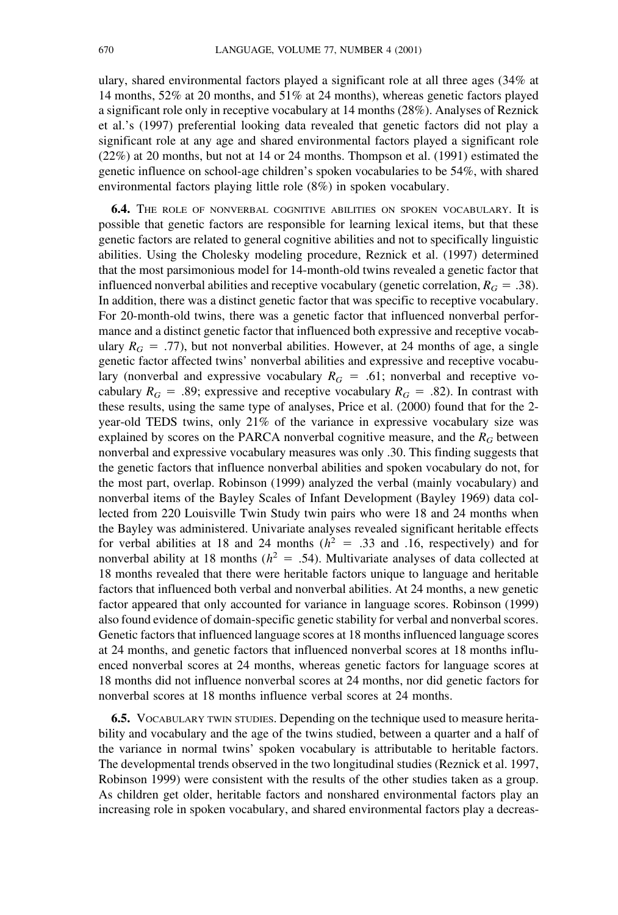ulary, shared environmental factors played a significant role at all three ages (34% at 14 months, 52% at 20 months, and 51% at 24 months), whereas genetic factors played a significant role only in receptive vocabulary at 14 months (28%). Analyses of Reznick et al.'s (1997) preferential looking data revealed that genetic factors did not play a significant role at any age and shared environmental factors played a significant role (22%) at 20 months, but not at 14 or 24 months. Thompson et al. (1991) estimated the genetic influence on school-age children's spoken vocabularies to be 54%, with shared environmental factors playing little role (8%) in spoken vocabulary.

**6.4.** THE ROLE OF NONVERBAL COGNITIVE ABILITIES ON SPOKEN VOCABULARY. It is possible that genetic factors are responsible for learning lexical items, but that these genetic factors are related to general cognitive abilities and not to specifically linguistic abilities. Using the Cholesky modeling procedure, Reznick et al. (1997) determined that the most parsimonious model for 14-month-old twins revealed a genetic factor that influenced nonverbal abilities and receptive vocabulary (genetic correlation,  $R_G = .38$ ). In addition, there was a distinct genetic factor that was specific to receptive vocabulary. For 20-month-old twins, there was a genetic factor that influenced nonverbal performance and a distinct genetic factor that influenced both expressive and receptive vocabulary  $R_G = .77$ ), but not nonverbal abilities. However, at 24 months of age, a single genetic factor affected twins' nonverbal abilities and expressive and receptive vocabulary (nonverbal and expressive vocabulary  $R_G = .61$ ; nonverbal and receptive vocabulary  $R_G = .89$ ; expressive and receptive vocabulary  $R_G = .82$ ). In contrast with these results, using the same type of analyses, Price et al. (2000) found that for the 2year-old TEDS twins, only 21% of the variance in expressive vocabulary size was explained by scores on the PARCA nonverbal cognitive measure, and the  $R_G$  between nonverbal and expressive vocabulary measures was only .30. This finding suggests that the genetic factors that influence nonverbal abilities and spoken vocabulary do not, for the most part, overlap. Robinson (1999) analyzed the verbal (mainly vocabulary) and nonverbal items of the Bayley Scales of Infant Development (Bayley 1969) data collected from 220 Louisville Twin Study twin pairs who were 18 and 24 months when the Bayley was administered. Univariate analyses revealed significant heritable effects for verbal abilities at 18 and 24 months  $(h^2 = .33$  and .16, respectively) and for nonverbal ability at 18 months  $(h^2 = .54)$ . Multivariate analyses of data collected at 18 months revealed that there were heritable factors unique to language and heritable factors that influenced both verbal and nonverbal abilities. At 24 months, a new genetic factor appeared that only accounted for variance in language scores. Robinson (1999) also found evidence of domain-specific genetic stability for verbal and nonverbal scores. Genetic factors that influenced language scores at 18 months influenced language scores at 24 months, and genetic factors that influenced nonverbal scores at 18 months influenced nonverbal scores at 24 months, whereas genetic factors for language scores at 18 months did not influence nonverbal scores at 24 months, nor did genetic factors for nonverbal scores at 18 months influence verbal scores at 24 months.

**6.5.** VOCABULARY TWIN STUDIES. Depending on the technique used to measure heritability and vocabulary and the age of the twins studied, between a quarter and a half of the variance in normal twins' spoken vocabulary is attributable to heritable factors. The developmental trends observed in the two longitudinal studies (Reznick et al. 1997, Robinson 1999) were consistent with the results of the other studies taken as a group. As children get older, heritable factors and nonshared environmental factors play an increasing role in spoken vocabulary, and shared environmental factors play a decreas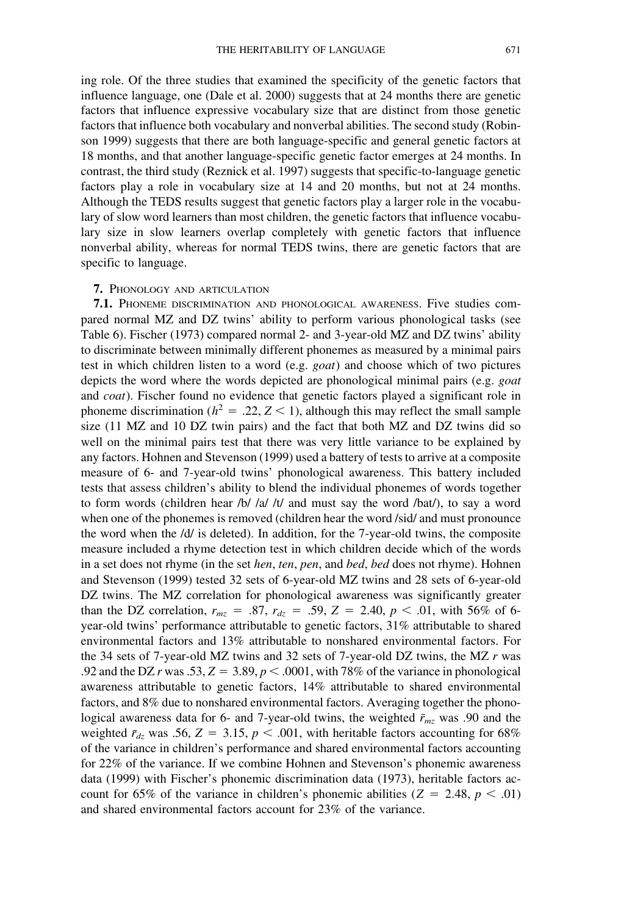ing role. Of the three studies that examined the specificity of the genetic factors that influence language, one (Dale et al. 2000) suggests that at 24 months there are genetic factors that influence expressive vocabulary size that are distinct from those genetic factors that influence both vocabulary and nonverbal abilities. The second study (Robinson 1999) suggests that there are both language-specific and general genetic factors at 18 months, and that another language-specific genetic factor emerges at 24 months. In contrast, the third study (Reznick et al. 1997) suggests that specific-to-language genetic factors play a role in vocabulary size at 14 and 20 months, but not at 24 months. Although the TEDS results suggest that genetic factors play a larger role in the vocabulary of slow word learners than most children, the genetic factors that influence vocabulary size in slow learners overlap completely with genetic factors that influence nonverbal ability, whereas for normal TEDS twins, there are genetic factors that are specific to language.

### **7.** PHONOLOGY AND ARTICULATION

**7.1.** PHONEME DISCRIMINATION AND PHONOLOGICAL AWARENESS. Five studies compared normal MZ and DZ twins' ability to perform various phonological tasks (see Table 6). Fischer (1973) compared normal 2- and 3-year-old MZ and DZ twins' ability to discriminate between minimally different phonemes as measured by a minimal pairs test in which children listen to a word (e.g. *goat*) and choose which of two pictures depicts the word where the words depicted are phonological minimal pairs (e.g. *goat* and *coat*). Fischer found no evidence that genetic factors played a significant role in phoneme discrimination ( $h^2 = .22, Z < 1$ ), although this may reflect the small sample size (11 MZ and 10 DZ twin pairs) and the fact that both MZ and DZ twins did so well on the minimal pairs test that there was very little variance to be explained by any factors. Hohnen and Stevenson (1999) used a battery of tests to arrive at a composite measure of 6- and 7-year-old twins' phonological awareness. This battery included tests that assess children's ability to blend the individual phonemes of words together to form words (children hear /b/ /a/ /t/ and must say the word /bat/), to say a word when one of the phonemes is removed (children hear the word /sid/ and must pronounce the word when the /d/ is deleted). In addition, for the 7-year-old twins, the composite measure included a rhyme detection test in which children decide which of the words in a set does not rhyme (in the set *hen*, *ten*, *pen*, and *bed*, *bed* does not rhyme). Hohnen and Stevenson (1999) tested 32 sets of 6-year-old MZ twins and 28 sets of 6-year-old DZ twins. The MZ correlation for phonological awareness was significantly greater than the DZ correlation,  $r_{mz} = .87$ ,  $r_{dz} = .59$ ,  $Z = 2.40$ ,  $p < .01$ , with 56% of 6year-old twins' performance attributable to genetic factors, 31% attributable to shared environmental factors and 13% attributable to nonshared environmental factors. For the 34 sets of 7-year-old MZ twins and 32 sets of 7-year-old DZ twins, the MZ *r* was .92 and the DZ *r* was .53,  $Z = 3.89$ ,  $p < .0001$ , with 78% of the variance in phonological awareness attributable to genetic factors, 14% attributable to shared environmental factors, and 8% due to nonshared environmental factors. Averaging together the phonological awareness data for 6- and 7-year-old twins, the weighted  $\bar{r}_{mz}$  was .90 and the weighted  $\bar{r}_{dz}$  was .56,  $Z = 3.15$ ,  $p < .001$ , with heritable factors accounting for 68% of the variance in children's performance and shared environmental factors accounting for 22% of the variance. If we combine Hohnen and Stevenson's phonemic awareness data (1999) with Fischer's phonemic discrimination data (1973), heritable factors account for 65% of the variance in children's phonemic abilities ( $Z = 2.48$ ,  $p < .01$ ) and shared environmental factors account for 23% of the variance.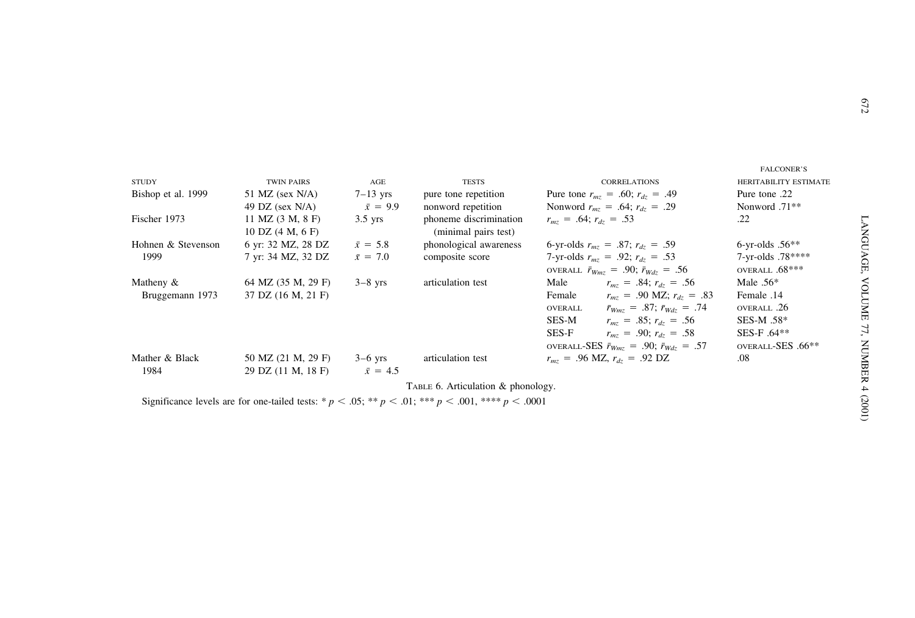|                                    |                                                              |                                      |                                                            |                                                                                                                                                                                                                                                                                            | <b>FALCONER'S</b>                                                                          |
|------------------------------------|--------------------------------------------------------------|--------------------------------------|------------------------------------------------------------|--------------------------------------------------------------------------------------------------------------------------------------------------------------------------------------------------------------------------------------------------------------------------------------------|--------------------------------------------------------------------------------------------|
| <b>STUDY</b><br>Bishop et al. 1999 | <b>TWIN PAIRS</b><br>51 MZ (sex $N/A$ )<br>49 DZ $(sex N/A)$ | AGE<br>$7-13$ yrs<br>$\bar{x} = 9.9$ | <b>TESTS</b><br>pure tone repetition<br>nonword repetition | <b>CORRELATIONS</b><br>Pure tone $r_{mz} = .60$ ; $r_{dz} = .49$<br>Nonword $r_{mz} = .64$ ; $r_{dz} = .29$                                                                                                                                                                                | <b>HERITABILITY ESTIMATE</b><br>22. Pure tone<br>Nonword .71**                             |
| Fischer 1973                       | 11 MZ $(3 M, 8 F)$<br>10 DZ $(4 M, 6 F)$                     | $3.5$ yrs                            | phoneme discrimination<br>(minimal pairs test)             | $r_{mz} = .64; r_{dz} = .53$                                                                                                                                                                                                                                                               | .22                                                                                        |
| Hohnen & Stevenson<br>1999         | 6 yr: 32 MZ, 28 DZ<br>7 yr: 34 MZ, 32 DZ                     | $\bar{x} = 5.8$<br>$\bar{x} = 7.0$   | phonological awareness<br>composite score                  | 6-yr-olds $r_{mz} = .87$ ; $r_{dz} = .59$<br>7-yr-olds $r_{mz} = .92$ ; $r_{dz} = .53$<br>OVERALL $\bar{r}_{Wmz} = .90; \bar{r}_{Wdz} = .56$                                                                                                                                               | 6-yr-olds $.56**$<br>7-yr-olds .78****<br>OVERALL .68***                                   |
| Matheny &<br>Bruggemann 1973       | 64 MZ (35 M, 29 F)<br>37 DZ (16 M, 21 F)                     | $3-8$ yrs                            | articulation test                                          | $r_{mz} = .84; r_{dz} = .56$<br>Male<br>$r_{mz}$ = .90 MZ; $r_{dz}$ = .83<br>Female<br>$\bar{r}_{Wmz} = .87; \ \bar{r}_{Wdz} = .74$<br>OVERALL<br>SES-M<br>$r_{mz} = .85; r_{dz} = .56$<br>SES-F<br>$r_{mz} = .90; r_{dz} = .58$<br>OVERALL-SES $\bar{r}_{Wmz} = .90; \bar{r}_{Wdz} = .57$ | Male $.56*$<br>Female .14<br>OVERALL .26<br>SES-M .58*<br>SES-F .64**<br>OVERALL-SES .66** |
| Mather & Black<br>1984             | 50 MZ (21 M, 29 F)<br>29 DZ (11 M, 18 F)                     | $3-6$ yrs<br>$\bar{x} = 4.5$         | articulation test                                          | $r_{mz}$ = .96 MZ, $r_{dz}$ = .92 DZ                                                                                                                                                                                                                                                       | .08                                                                                        |
|                                    |                                                              |                                      | TABLE 6. Articulation & phonology.                         |                                                                                                                                                                                                                                                                                            |                                                                                            |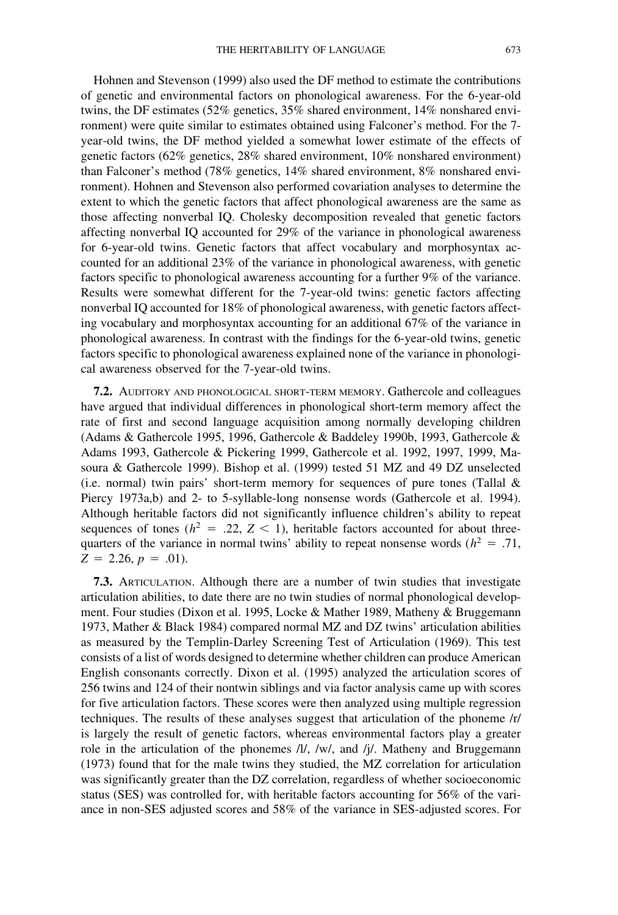Hohnen and Stevenson (1999) also used the DF method to estimate the contributions of genetic and environmental factors on phonological awareness. For the 6-year-old twins, the DF estimates (52% genetics, 35% shared environment, 14% nonshared environment) were quite similar to estimates obtained using Falconer's method. For the 7year-old twins, the DF method yielded a somewhat lower estimate of the effects of genetic factors (62% genetics, 28% shared environment, 10% nonshared environment) than Falconer's method (78% genetics, 14% shared environment, 8% nonshared environment). Hohnen and Stevenson also performed covariation analyses to determine the extent to which the genetic factors that affect phonological awareness are the same as those affecting nonverbal IQ. Cholesky decomposition revealed that genetic factors affecting nonverbal IQ accounted for  $29\%$  of the variance in phonological awareness for 6-year-old twins. Genetic factors that affect vocabulary and morphosyntax accounted for an additional 23% of the variance in phonological awareness, with genetic factors specific to phonological awareness accounting for a further 9% of the variance. Results were somewhat different for the 7-year-old twins: genetic factors affecting nonverbal IQ accounted for 18% of phonological awareness, with genetic factors affecting vocabulary and morphosyntax accounting for an additional  $67\%$  of the variance in phonological awareness. In contrast with the findings for the 6-year-old twins, genetic factors specific to phonological awareness explained none of the variance in phonological awareness observed for the 7-year-old twins.

**7.2.** AUDITORY AND PHONOLOGICAL SHORT-TERM MEMORY. Gathercole and colleagues have argued that individual differences in phonological short-term memory affect the rate of first and second language acquisition among normally developing children (Adams & Gathercole 1995, 1996, Gathercole & Baddeley 1990b, 1993, Gathercole & Adams 1993, Gathercole & Pickering 1999, Gathercole et al. 1992, 1997, 1999, Masoura & Gathercole 1999). Bishop et al. (1999) tested 51 MZ and 49 DZ unselected (i.e. normal) twin pairs' short-term memory for sequences of pure tones (Tallal  $\&$ Piercy 1973a,b) and 2- to 5-syllable-long nonsense words (Gathercole et al. 1994). Although heritable factors did not significantly influence children's ability to repeat sequences of tones ( $h^2 = .22, Z < 1$ ), heritable factors accounted for about threequarters of the variance in normal twins' ability to repeat nonsense words  $(h^2 = .71,$  $Z = 2.26, p = .01$ .

**7.3.** ARTICULATION. Although there are a number of twin studies that investigate articulation abilities, to date there are no twin studies of normal phonological development. Four studies (Dixon et al. 1995, Locke & Mather 1989, Matheny & Bruggemann 1973, Mather & Black 1984) compared normal MZ and DZ twins' articulation abilities as measured by the Templin-Darley Screening Test of Articulation (1969). This test consists of a list of words designed to determine whether children can produce American English consonants correctly. Dixon et al. (1995) analyzed the articulation scores of 256 twins and 124 of their nontwin siblings and via factor analysis came up with scores for five articulation factors. These scores were then analyzed using multiple regression techniques. The results of these analyses suggest that articulation of the phoneme /r/ is largely the result of genetic factors, whereas environmental factors play a greater role in the articulation of the phonemes /l/, /w/, and /j/. Matheny and Bruggemann (1973) found that for the male twins they studied, the MZ correlation for articulation was significantly greater than the DZ correlation, regardless of whether socioeconomic status (SES) was controlled for, with heritable factors accounting for 56% of the variance in non-SES adjusted scores and 58% of the variance in SES-adjusted scores. For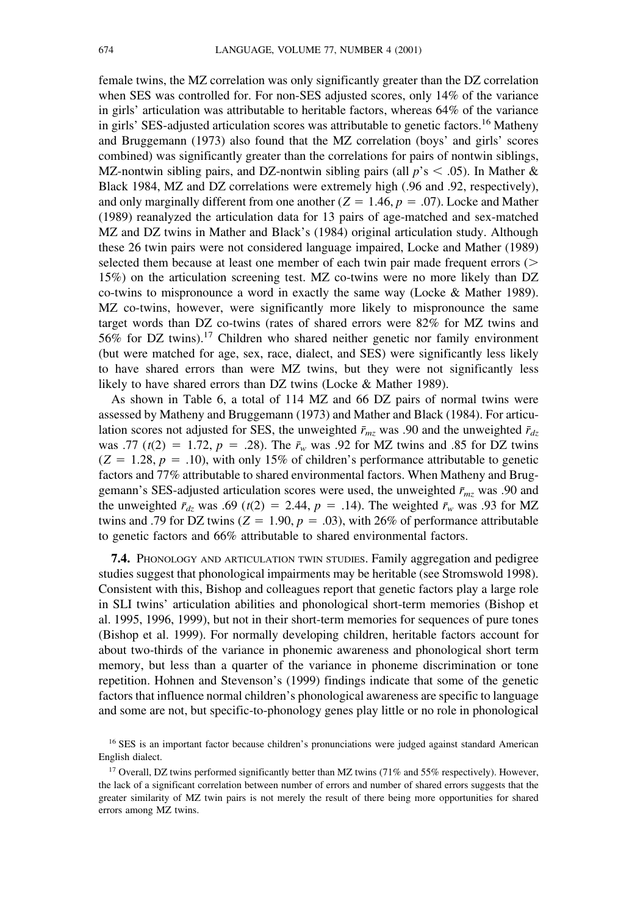female twins, the MZ correlation was only significantly greater than the DZ correlation when SES was controlled for. For non-SES adjusted scores, only 14% of the variance in girls' articulation was attributable to heritable factors, whereas 64% of the variance in girls' SES-adjusted articulation scores was attributable to genetic factors.<sup>16</sup> Matheny and Bruggemann (1973) also found that the MZ correlation (boys' and girls' scores combined) was significantly greater than the correlations for pairs of nontwin siblings, MZ-nontwin sibling pairs, and DZ-nontwin sibling pairs (all  $p$ 's  $\lt$  .05). In Mather & Black 1984, MZ and DZ correlations were extremely high (.96 and .92, respectively), and only marginally different from one another  $(Z = 1.46, p = .07)$ . Locke and Mather (1989) reanalyzed the articulation data for 13 pairs of age-matched and sex-matched MZ and DZ twins in Mather and Black's (1984) original articulation study. Although these 26 twin pairs were not considered language impaired, Locke and Mather (1989) selected them because at least one member of each twin pair made frequent errors  $($ 15%) on the articulation screening test. MZ co-twins were no more likely than  $DZ$ co-twins to mispronounce a word in exactly the same way (Locke & Mather 1989). MZ co-twins, however, were significantly more likely to mispronounce the same target words than DZ co-twins (rates of shared errors were 82% for MZ twins and 56% for DZ twins).<sup>17</sup> Children who shared neither genetic nor family environment (but were matched for age, sex, race, dialect, and SES) were significantly less likely to have shared errors than were MZ twins, but they were not significantly less likely to have shared errors than DZ twins (Locke & Mather 1989).

As shown in Table 6, a total of 114 MZ and 66 DZ pairs of normal twins were assessed by Matheny and Bruggemann (1973) and Mather and Black (1984). For articulation scores not adjusted for SES, the unweighted  $\bar{r}_{mz}$  was .90 and the unweighted  $\bar{r}_{dz}$ was .77 ( $t(2) = 1.72$ ,  $p = .28$ ). The  $\bar{r}_w$  was .92 for MZ twins and .85 for DZ twins  $(Z = 1.28, p = .10)$ , with only 15% of children's performance attributable to genetic factors and 77% attributable to shared environmental factors. When Matheny and Bruggemann's SES-adjusted articulation scores were used, the unweighted  $\bar{r}_{mz}$  was .90 and the unweighted  $\bar{r}_{dz}$  was .69 ( $t(2) = 2.44$ ,  $p = .14$ ). The weighted  $\bar{r}_w$  was .93 for MZ twins and .79 for DZ twins  $(Z = 1.90, p = .03)$ , with 26% of performance attributable to genetic factors and 66% attributable to shared environmental factors.

**7.4.** PHONOLOGY AND ARTICULATION TWIN STUDIES. Family aggregation and pedigree studies suggest that phonological impairments may be heritable (see Stromswold 1998). Consistent with this, Bishop and colleagues report that genetic factors play a large role in SLI twins' articulation abilities and phonological short-term memories (Bishop et al. 1995, 1996, 1999), but not in their short-term memories for sequences of pure tones (Bishop et al. 1999). For normally developing children, heritable factors account for about two-thirds of the variance in phonemic awareness and phonological short term memory, but less than a quarter of the variance in phoneme discrimination or tone repetition. Hohnen and Stevenson's (1999) findings indicate that some of the genetic factors that influence normal children's phonological awareness are specific to language and some are not, but specific-to-phonology genes play little or no role in phonological

<sup>&</sup>lt;sup>16</sup> SES is an important factor because children's pronunciations were judged against standard American English dialect.

<sup>&</sup>lt;sup>17</sup> Overall, DZ twins performed significantly better than MZ twins (71% and 55% respectively). However, the lack of a significant correlation between number of errors and number of shared errors suggests that the greater similarity of MZ twin pairs is not merely the result of there being more opportunities for shared errors among MZ twins.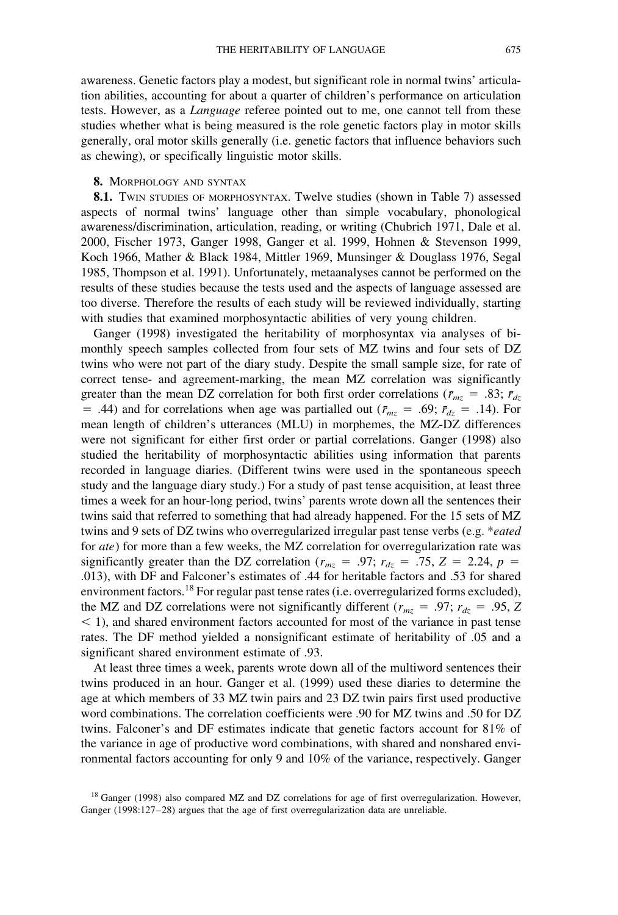awareness. Genetic factors play a modest, but significant role in normal twins' articulation abilities, accounting for about a quarter of children's performance on articulation tests. However, as a *Language* referee pointed out to me, one cannot tell from these studies whether what is being measured is the role genetic factors play in motor skills generally, oral motor skills generally (i.e. genetic factors that influence behaviors such as chewing), or specifically linguistic motor skills.

### **8.** MORPHOLOGY AND SYNTAX

**8.1.** TWIN STUDIES OF MORPHOSYNTAX. Twelve studies (shown in Table 7) assessed aspects of normal twins' language other than simple vocabulary, phonological awareness/discrimination, articulation, reading, or writing (Chubrich 1971, Dale et al. 2000, Fischer 1973, Ganger 1998, Ganger et al. 1999, Hohnen & Stevenson 1999, Koch 1966, Mather & Black 1984, Mittler 1969, Munsinger & Douglass 1976, Segal 1985, Thompson et al. 1991). Unfortunately, metaanalyses cannot be performed on the results of these studies because the tests used and the aspects of language assessed are too diverse. Therefore the results of each study will be reviewed individually, starting with studies that examined morphosyntactic abilities of very young children.

Ganger (1998) investigated the heritability of morphosyntax via analyses of bimonthly speech samples collected from four sets of MZ twins and four sets of DZ twins who were not part of the diary study. Despite the small sample size, for rate of correct tense- and agreement-marking, the mean MZ correlation was significantly greater than the mean DZ correlation for both first order correlations ( $\bar{r}_{mz}$  = .83;  $\bar{r}_{dz}$  $=$  .44) and for correlations when age was partialled out ( $\bar{r}_{mz} = .69$ ;  $\bar{r}_{dz} = .14$ ). For mean length of children's utterances (MLU) in morphemes, the MZ-DZ differences were not significant for either first order or partial correlations. Ganger (1998) also studied the heritability of morphosyntactic abilities using information that parents recorded in language diaries. (Different twins were used in the spontaneous speech study and the language diary study.) For a study of past tense acquisition, at least three times a week for an hour-long period, twins' parents wrote down all the sentences their twins said that referred to something that had already happened. For the 15 sets of MZ twins and 9 sets of DZ twins who overregularized irregular past tense verbs (e.g. \**eated* for *ate*) for more than a few weeks, the MZ correlation for overregularization rate was significantly greater than the DZ correlation ( $r_{mz}$  = .97;  $r_{dz}$  = .75, Z = 2.24, p = .013), with DF and Falconer's estimates of .44 for heritable factors and .53 for shared environment factors.<sup>18</sup> For regular past tense rates (i.e. overregularized forms excluded), the MZ and DZ correlations were not significantly different ( $r_{mz} = .97$ ;  $r_{dz} = .95$ , Z  $1$ , and shared environment factors accounted for most of the variance in past tense rates. The DF method yielded a nonsignificant estimate of heritability of .05 and a significant shared environment estimate of .93.

At least three times a week, parents wrote down all of the multiword sentences their twins produced in an hour. Ganger et al. (1999) used these diaries to determine the age at which members of 33 MZ twin pairs and 23 DZ twin pairs first used productive word combinations. The correlation coefficients were .90 for MZ twins and .50 for DZ twins. Falconer's and DF estimates indicate that genetic factors account for 81% of the variance in age of productive word combinations, with shared and nonshared environmental factors accounting for only 9 and 10% of the variance, respectively. Ganger

<sup>&</sup>lt;sup>18</sup> Ganger (1998) also compared MZ and DZ correlations for age of first overregularization. However, Ganger (1998:127–28) argues that the age of first overregularization data are unreliable.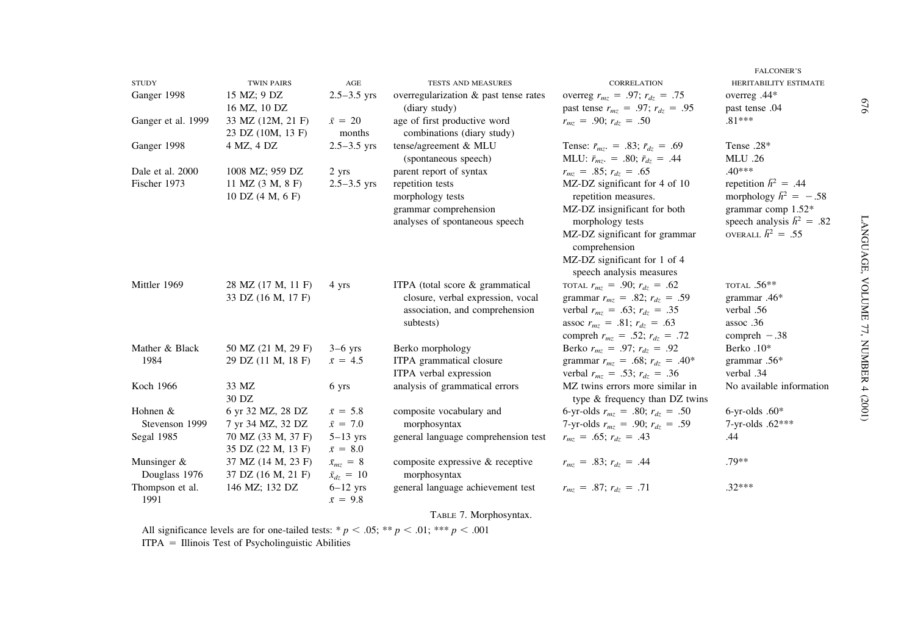|                    |                    |                     |                                       |                                                     | <b>FALCONER'S</b>                 |
|--------------------|--------------------|---------------------|---------------------------------------|-----------------------------------------------------|-----------------------------------|
| <b>STUDY</b>       | <b>TWIN PAIRS</b>  | $\rm{AGE}$          | TESTS AND MEASURES                    | CORRELATION                                         | HERITABILITY ESTIMATE             |
| Ganger 1998        | 15 MZ; 9 DZ        | $2.5 - 3.5$ yrs     | overregularization & past tense rates | overreg $r_{mz} = .97$ ; $r_{dz} = .75$             | overreg $.44*$                    |
|                    | 16 MZ, 10 DZ       |                     | (diary study)                         | past tense $r_{mz} = .97$ ; $r_{dz} = .95$          | past tense .04                    |
| Ganger et al. 1999 | 33 MZ (12M, 21 F)  | $\bar{x} = 20$      | age of first productive word          | $r_{mz} = .90; r_{dz} = .50$                        | $.81***$                          |
|                    | 23 DZ (10M, 13 F)  | months              | combinations (diary study)            |                                                     |                                   |
| Ganger 1998        | 4 MZ, 4 DZ         | $2.5 - 3.5$ yrs     | tense/agreement & MLU                 | Tense: $\bar{r}_{mz}$ . = .83; $\bar{r}_{dz}$ = .69 | Tense .28*                        |
|                    |                    |                     | (spontaneous speech)                  | MLU: $\bar{r}_{mz}$ . = .80; $\bar{r}_{dz}$ = .44   | <b>MLU</b> .26                    |
| Dale et al. 2000   | 1008 MZ; 959 DZ    | 2 yrs               | parent report of syntax               | $r_{mz} = .85; r_{dz} = .65$                        | $.40***$                          |
| Fischer 1973       | 11 MZ (3 M, 8 F)   | $2.5 - 3.5$ yrs     | repetition tests                      | MZ-DZ significant for 4 of 10                       | repetition $\bar{h}^2 = .44$      |
|                    | 10 DZ (4 M, 6 F)   |                     | morphology tests                      | repetition measures.                                | morphology $\bar{h}^2 = -.58$     |
|                    |                    |                     | grammar comprehension                 | MZ-DZ insignificant for both                        | grammar comp $1.52*$              |
|                    |                    |                     | analyses of spontaneous speech        | morphology tests                                    | speech analysis $\bar{h}^2 = .82$ |
|                    |                    |                     |                                       | MZ-DZ significant for grammar                       | OVERALL $\bar{h}^2 = .55$         |
|                    |                    |                     |                                       | comprehension                                       |                                   |
|                    |                    |                     |                                       | MZ-DZ significant for 1 of 4                        |                                   |
|                    |                    |                     |                                       | speech analysis measures                            |                                   |
| Mittler 1969       | 28 MZ (17 M, 11 F) | 4 yrs               | ITPA (total score & grammatical       | TOTAL $r_{mz} = .90$ ; $r_{dz} = .62$               | TOTAL .56**                       |
|                    | 33 DZ (16 M, 17 F) |                     | closure, verbal expression, vocal     | grammar $r_{mz}$ = .82; $r_{dz}$ = .59              | grammar $.46*$                    |
|                    |                    |                     | association, and comprehension        | verbal $r_{mz} = .63$ ; $r_{dz} = .35$              | verbal .56                        |
|                    |                    |                     | subtests)                             | assoc $r_{mz} = .81$ ; $r_{dz} = .63$               | assoc .36                         |
|                    |                    |                     |                                       | compreh $r_{mz} = .52$ ; $r_{dz} = .72$             | compreh $-.38$                    |
| Mather & Black     | 50 MZ (21 M, 29 F) | $3-6$ yrs           | Berko morphology                      | Berko $r_{mz} = .97$ ; $r_{dz} = .92$               | Berko .10*                        |
| 1984               | 29 DZ (11 M, 18 F) | $\bar{x} = 4.5$     | ITPA grammatical closure              | grammar $r_{mz} = .68$ ; $r_{dz} = .40*$            | grammar $.56*$                    |
|                    |                    |                     | ITPA verbal expression                | verbal $r_{mz} = .53$ ; $r_{dz} = .36$              | verbal .34                        |
| Koch 1966          | 33 MZ              | 6 yrs               | analysis of grammatical errors        | MZ twins errors more similar in                     | No available information          |
|                    | 30 DZ              |                     |                                       | type & frequency than DZ twins                      |                                   |
| Hohnen &           | 6 yr 32 MZ, 28 DZ  | $\bar{x} = 5.8$     | composite vocabulary and              | 6-yr-olds $r_{mz} = .80$ ; $r_{dz} = .50$           | $6$ -yr-olds $.60*$               |
| Stevenson 1999     | 7 yr 34 MZ, 32 DZ  | $\bar{x} = 7.0$     | morphosyntax                          | 7-yr-olds $r_{mz} = .90$ ; $r_{dz} = .59$           | 7-yr-olds .62***                  |
| Segal 1985         | 70 MZ (33 M, 37 F) | $5-13$ yrs          | general language comprehension test   | $r_{mz} = .65; r_{dz} = .43$                        | .44                               |
|                    | 35 DZ (22 M, 13 F) | $\bar{x} = 8.0$     |                                       |                                                     |                                   |
| Munsinger &        | 37 MZ (14 M, 23 F) | $\bar{x}_{m} = 8$   | composite expressive & receptive      | $r_{\rm mz} = .83; r_{\rm dz} = .44$                | $.79**$                           |
| Douglass 1976      | 37 DZ (16 M, 21 F) | $\bar{x}_{dz} = 10$ | morphosyntax                          |                                                     |                                   |
| Thompson et al.    | 146 MZ; 132 DZ     | $6-12$ yrs          | general language achievement test     | $r_{mz} = .87; r_{dz} = .71$                        | $.32***$                          |
| 1991               |                    | $\bar{x} = 9.8$     |                                       |                                                     |                                   |

#### TABLE 7. Morphosyntax.

All significance levels are for one-tailed tests:  $* p < .05; ** p < .01; ** p < .001$ ITPA - Illinois Test of Psycholinguistic Abilities

LANGUAGE, VOLUME 77, NUMBER 4 (2001) 676 LANGUAGE, VOLUME 77, NUMBER 4 (2001)

 $676$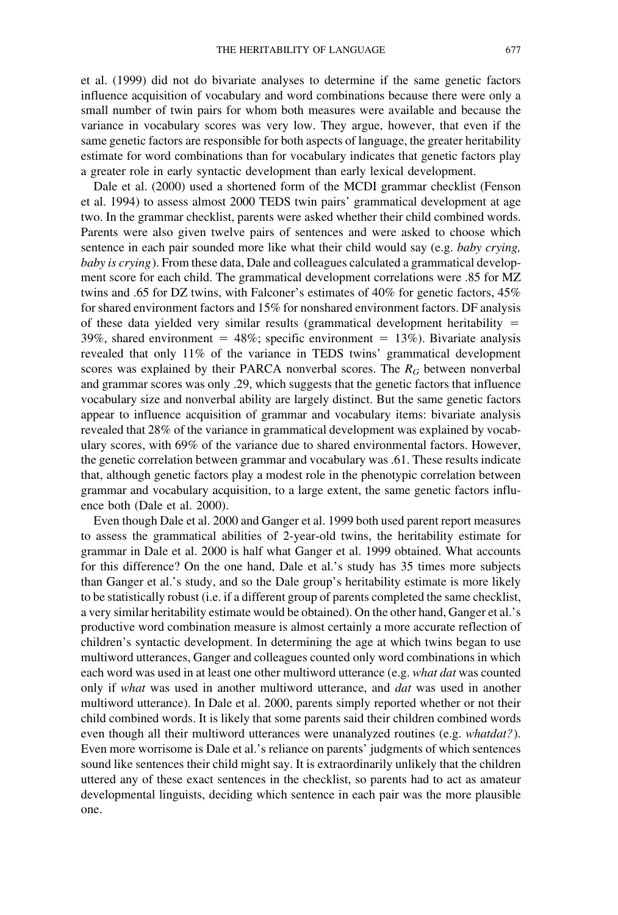et al. (1999) did not do bivariate analyses to determine if the same genetic factors influence acquisition of vocabulary and word combinations because there were only a small number of twin pairs for whom both measures were available and because the variance in vocabulary scores was very low. They argue, however, that even if the same genetic factors are responsible for both aspects of language, the greater heritability estimate for word combinations than for vocabulary indicates that genetic factors play a greater role in early syntactic development than early lexical development.

Dale et al. (2000) used a shortened form of the MCDI grammar checklist (Fenson et al. 1994) to assess almost 2000 TEDS twin pairs' grammatical development at age two. In the grammar checklist, parents were asked whether their child combined words. Parents were also given twelve pairs of sentences and were asked to choose which sentence in each pair sounded more like what their child would say (e.g. *baby crying, baby is crying*). From these data, Dale and colleagues calculated a grammatical development score for each child. The grammatical development correlations were .85 for MZ twins and .65 for DZ twins, with Falconer's estimates of 40% for genetic factors, 45% for shared environment factors and 15% for nonshared environment factors. DF analysis of these data yielded very similar results (grammatical development heritability  $=$ 39%, shared environment = 48%; specific environment = 13%). Bivariate analysis revealed that only 11% of the variance in TEDS twins' grammatical development scores was explained by their PARCA nonverbal scores. The  $R_G$  between nonverbal and grammar scores was only .29, which suggests that the genetic factors that influence vocabulary size and nonverbal ability are largely distinct. But the same genetic factors appear to influence acquisition of grammar and vocabulary items: bivariate analysis revealed that 28% of the variance in grammatical development was explained by vocabulary scores, with 69% of the variance due to shared environmental factors. However, the genetic correlation between grammar and vocabulary was .61. These results indicate that, although genetic factors play a modest role in the phenotypic correlation between grammar and vocabulary acquisition, to a large extent, the same genetic factors influence both (Dale et al. 2000).

Even though Dale et al. 2000 and Ganger et al. 1999 both used parent report measures to assess the grammatical abilities of 2-year-old twins, the heritability estimate for grammar in Dale et al. 2000 is half what Ganger et al. 1999 obtained. What accounts for this difference? On the one hand, Dale et al.'s study has 35 times more subjects than Ganger et al.'s study, and so the Dale group's heritability estimate is more likely to be statistically robust (i.e. if a different group of parents completed the same checklist, a very similar heritability estimate would be obtained). On the other hand, Ganger et al.'s productive word combination measure is almost certainly a more accurate reflection of children's syntactic development. In determining the age at which twins began to use multiword utterances, Ganger and colleagues counted only word combinations in which each word was used in at least one other multiword utterance (e.g. *what dat* was counted only if *what* was used in another multiword utterance, and *dat* was used in another multiword utterance). In Dale et al. 2000, parents simply reported whether or not their child combined words. It is likely that some parents said their children combined words even though all their multiword utterances were unanalyzed routines (e.g. *whatdat?*). Even more worrisome is Dale et al.'s reliance on parents' judgments of which sentences sound like sentences their child might say. It is extraordinarily unlikely that the children uttered any of these exact sentences in the checklist, so parents had to act as amateur developmental linguists, deciding which sentence in each pair was the more plausible one.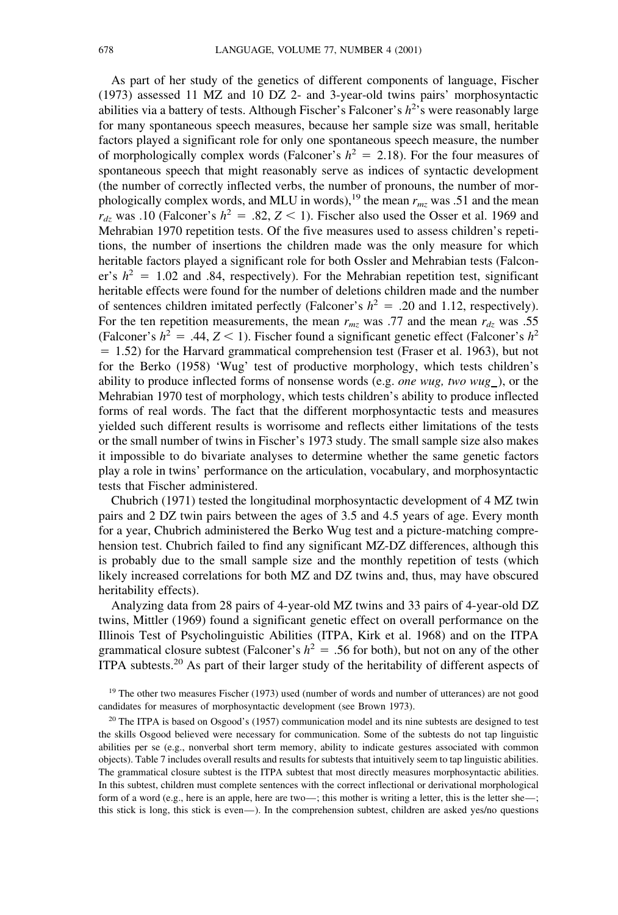As part of her study of the genetics of different components of language, Fischer (1973) assessed 11 MZ and 10 DZ 2- and 3-year-old twins pairs' morphosyntactic abilities via a battery of tests. Although Fischer's Falconer's  $h^{2}$ 's were reasonably large for many spontaneous speech measures, because her sample size was small, heritable factors played a significant role for only one spontaneous speech measure, the number of morphologically complex words (Falconer's  $h^2 = 2.18$ ). For the four measures of spontaneous speech that might reasonably serve as indices of syntactic development (the number of correctly inflected verbs, the number of pronouns, the number of morphologically complex words, and MLU in words),<sup>19</sup> the mean  $r_{mz}$  was .51 and the mean  $r_{dz}$  was .10 (Falconer's  $h^2 = .82, Z < 1$ ). Fischer also used the Osser et al. 1969 and Mehrabian 1970 repetition tests. Of the five measures used to assess children's repetitions, the number of insertions the children made was the only measure for which heritable factors played a significant role for both Ossler and Mehrabian tests (Falconer's  $h^2 = 1.02$  and .84, respectively). For the Mehrabian repetition test, significant heritable effects were found for the number of deletions children made and the number of sentences children imitated perfectly (Falconer's  $h^2 = 0.20$  and 1.12, respectively). For the ten repetition measurements, the mean  $r_{mz}$  was .77 and the mean  $r_{dz}$  was .55 (Falconer's  $h^2 = .44, Z < 1$ ). Fischer found a significant genetic effect (Falconer's  $h^2$  $= 1.52$ ) for the Harvard grammatical comprehension test (Fraser et al. 1963), but not for the Berko (1958) 'Wug' test of productive morphology, which tests children's ability to produce inflected forms of nonsense words (e.g. *one wug, two wug* ), or the Mehrabian 1970 test of morphology, which tests children's ability to produce inflected forms of real words. The fact that the different morphosyntactic tests and measures yielded such different results is worrisome and reflects either limitations of the tests or the small number of twins in Fischer's 1973 study. The small sample size also makes it impossible to do bivariate analyses to determine whether the same genetic factors play a role in twins' performance on the articulation, vocabulary, and morphosyntactic tests that Fischer administered.

Chubrich (1971) tested the longitudinal morphosyntactic development of 4 MZ twin pairs and 2 DZ twin pairs between the ages of 3.5 and 4.5 years of age. Every month for a year, Chubrich administered the Berko Wug test and a picture-matching comprehension test. Chubrich failed to find any significant MZ-DZ differences, although this is probably due to the small sample size and the monthly repetition of tests (which likely increased correlations for both MZ and DZ twins and, thus, may have obscured heritability effects).

Analyzing data from 28 pairs of 4-year-old MZ twins and 33 pairs of 4-year-old DZ twins, Mittler (1969) found a significant genetic effect on overall performance on the Illinois Test of Psycholinguistic Abilities (ITPA, Kirk et al. 1968) and on the ITPA grammatical closure subtest (Falconer's  $h^2 = .56$  for both), but not on any of the other ITPA subtests.<sup>20</sup> As part of their larger study of the heritability of different aspects of

<sup>&</sup>lt;sup>19</sup> The other two measures Fischer (1973) used (number of words and number of utterances) are not good candidates for measures of morphosyntactic development (see Brown 1973).

 $20$  The ITPA is based on Osgood's (1957) communication model and its nine subtests are designed to test the skills Osgood believed were necessary for communication. Some of the subtests do not tap linguistic abilities per se (e.g., nonverbal short term memory, ability to indicate gestures associated with common objects). Table 7 includes overall results and results for subtests that intuitively seem to tap linguistic abilities. The grammatical closure subtest is the ITPA subtest that most directly measures morphosyntactic abilities. In this subtest, children must complete sentences with the correct inflectional or derivational morphological form of a word (e.g., here is an apple, here are two—; this mother is writing a letter, this is the letter she—; this stick is long, this stick is even—). In the comprehension subtest, children are asked yes/no questions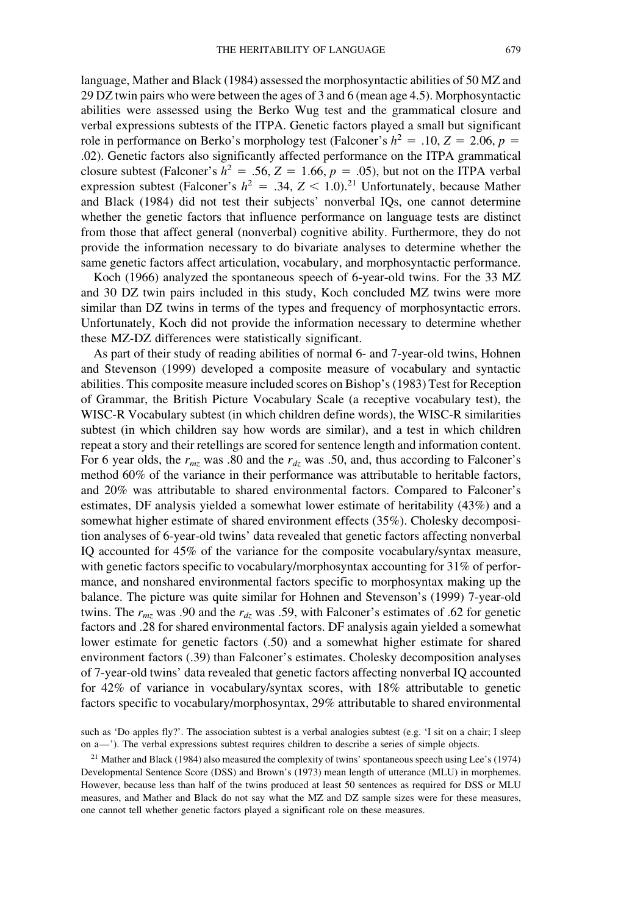language, Mather and Black (1984) assessed the morphosyntactic abilities of 50 MZ and 29 DZ twin pairs who were between the ages of 3 and 6 (mean age 4.5). Morphosyntactic abilities were assessed using the Berko Wug test and the grammatical closure and verbal expressions subtests of the ITPA. Genetic factors played a small but significant role in performance on Berko's morphology test (Falconer's  $h^2 = .10, Z = 2.06, p = 1$ .02). Genetic factors also significantly affected performance on the ITPA grammatical closure subtest (Falconer's  $h^2 = .56$ ,  $Z = 1.66$ ,  $p = .05$ ), but not on the ITPA verbal expression subtest (Falconer's  $h^2 = 0.34$ ,  $Z < 1.0$ ).<sup>21</sup> Unfortunately, because Mather and Black (1984) did not test their subjects' nonverbal IQs, one cannot determine whether the genetic factors that influence performance on language tests are distinct from those that affect general (nonverbal) cognitive ability. Furthermore, they do not provide the information necessary to do bivariate analyses to determine whether the same genetic factors affect articulation, vocabulary, and morphosyntactic performance.

Koch (1966) analyzed the spontaneous speech of 6-year-old twins. For the 33 MZ and 30 DZ twin pairs included in this study, Koch concluded MZ twins were more similar than DZ twins in terms of the types and frequency of morphosyntactic errors. Unfortunately, Koch did not provide the information necessary to determine whether these MZ-DZ differences were statistically significant.

As part of their study of reading abilities of normal 6- and 7-year-old twins, Hohnen and Stevenson (1999) developed a composite measure of vocabulary and syntactic abilities. This composite measure included scores on Bishop's (1983) Test for Reception of Grammar, the British Picture Vocabulary Scale (a receptive vocabulary test), the WISC-R Vocabulary subtest (in which children define words), the WISC-R similarities subtest (in which children say how words are similar), and a test in which children repeat a story and their retellings are scored for sentence length and information content. For 6 year olds, the  $r_{mz}$  was .80 and the  $r_{dz}$  was .50, and, thus according to Falconer's method 60% of the variance in their performance was attributable to heritable factors, and 20% was attributable to shared environmental factors. Compared to Falconer's estimates, DF analysis yielded a somewhat lower estimate of heritability (43%) and a somewhat higher estimate of shared environment effects (35%). Cholesky decomposition analyses of 6-year-old twins' data revealed that genetic factors affecting nonverbal IQ accounted for 45% of the variance for the composite vocabulary/syntax measure, with genetic factors specific to vocabulary/morphosyntax accounting for 31% of performance, and nonshared environmental factors specific to morphosyntax making up the balance. The picture was quite similar for Hohnen and Stevenson's (1999) 7-year-old twins. The  $r_{mz}$  was .90 and the  $r_{dz}$  was .59, with Falconer's estimates of .62 for genetic factors and .28 for shared environmental factors. DF analysis again yielded a somewhat lower estimate for genetic factors (.50) and a somewhat higher estimate for shared environment factors (.39) than Falconer's estimates. Cholesky decomposition analyses of 7-year-old twins' data revealed that genetic factors affecting nonverbal IQ accounted for 42% of variance in vocabulary/syntax scores, with 18% attributable to genetic factors specific to vocabulary/morphosyntax, 29% attributable to shared environmental

such as 'Do apples fly?'. The association subtest is a verbal analogies subtest (e.g. 'I sit on a chair; I sleep on a—'). The verbal expressions subtest requires children to describe a series of simple objects.

<sup>&</sup>lt;sup>21</sup> Mather and Black (1984) also measured the complexity of twins' spontaneous speech using Lee's (1974) Developmental Sentence Score (DSS) and Brown's (1973) mean length of utterance (MLU) in morphemes. However, because less than half of the twins produced at least 50 sentences as required for DSS or MLU measures, and Mather and Black do not say what the MZ and DZ sample sizes were for these measures, one cannot tell whether genetic factors played a significant role on these measures.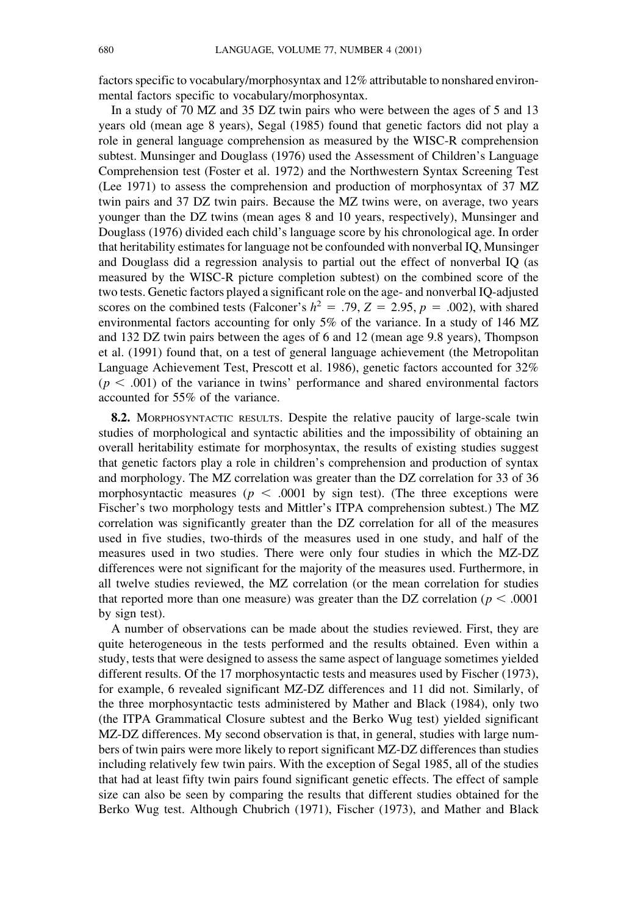factors specific to vocabulary/morphosyntax and 12% attributable to nonshared environmental factors specific to vocabulary/morphosyntax.

In a study of 70 MZ and 35 DZ twin pairs who were between the ages of 5 and 13 years old (mean age 8 years), Segal (1985) found that genetic factors did not play a role in general language comprehension as measured by the WISC-R comprehension subtest. Munsinger and Douglass (1976) used the Assessment of Children's Language Comprehension test (Foster et al. 1972) and the Northwestern Syntax Screening Test (Lee 1971) to assess the comprehension and production of morphosyntax of 37 MZ twin pairs and 37 DZ twin pairs. Because the MZ twins were, on average, two years younger than the DZ twins (mean ages 8 and 10 years, respectively), Munsinger and Douglass (1976) divided each child's language score by his chronological age. In order that heritability estimates for language not be confounded with nonverbal IQ, Munsinger and Douglass did a regression analysis to partial out the effect of nonverbal IQ (as measured by the WISC-R picture completion subtest) on the combined score of the two tests. Genetic factors played a significant role on the age- and nonverbal IQ-adjusted scores on the combined tests (Falconer's  $h^2 = .79$ ,  $Z = 2.95$ ,  $p = .002$ ), with shared environmental factors accounting for only 5% of the variance. In a study of 146 MZ and 132 DZ twin pairs between the ages of 6 and 12 (mean age 9.8 years), Thompson et al. (1991) found that, on a test of general language achievement (the Metropolitan Language Achievement Test, Prescott et al. 1986), genetic factors accounted for 32%  $(p < .001)$  of the variance in twins' performance and shared environmental factors accounted for 55% of the variance.

**8.2.** MORPHOSYNTACTIC RESULTS. Despite the relative paucity of large-scale twin studies of morphological and syntactic abilities and the impossibility of obtaining an overall heritability estimate for morphosyntax, the results of existing studies suggest that genetic factors play a role in children's comprehension and production of syntax and morphology. The MZ correlation was greater than the DZ correlation for 33 of 36 morphosyntactic measures ( $p < .0001$  by sign test). (The three exceptions were Fischer's two morphology tests and Mittler's ITPA comprehension subtest.) The MZ correlation was significantly greater than the DZ correlation for all of the measures used in five studies, two-thirds of the measures used in one study, and half of the measures used in two studies. There were only four studies in which the MZ-DZ differences were not significant for the majority of the measures used. Furthermore, in all twelve studies reviewed, the MZ correlation (or the mean correlation for studies that reported more than one measure) was greater than the DZ correlation ( $p < .0001$ ) by sign test).

A number of observations can be made about the studies reviewed. First, they are quite heterogeneous in the tests performed and the results obtained. Even within a study, tests that were designed to assess the same aspect of language sometimes yielded different results. Of the 17 morphosyntactic tests and measures used by Fischer (1973), for example, 6 revealed significant MZ-DZ differences and 11 did not. Similarly, of the three morphosyntactic tests administered by Mather and Black (1984), only two (the ITPA Grammatical Closure subtest and the Berko Wug test) yielded significant MZ-DZ differences. My second observation is that, in general, studies with large numbers of twin pairs were more likely to report significant MZ-DZ differences than studies including relatively few twin pairs. With the exception of Segal 1985, all of the studies that had at least fifty twin pairs found significant genetic effects. The effect of sample size can also be seen by comparing the results that different studies obtained for the Berko Wug test. Although Chubrich (1971), Fischer (1973), and Mather and Black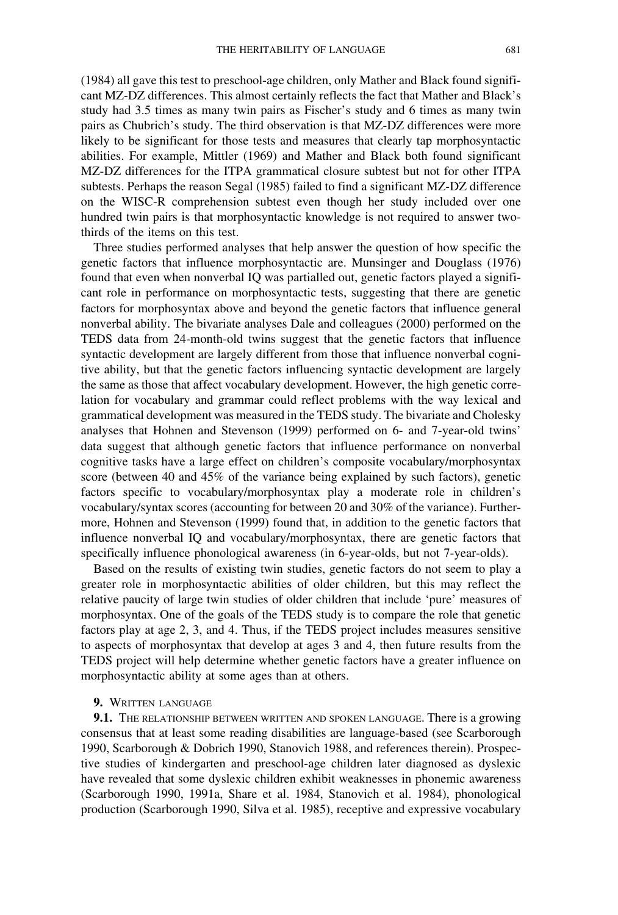(1984) all gave this test to preschool-age children, only Mather and Black found significant MZ-DZ differences. This almost certainly reflects the fact that Mather and Black's study had 3.5 times as many twin pairs as Fischer's study and 6 times as many twin pairs as Chubrich's study. The third observation is that MZ-DZ differences were more likely to be significant for those tests and measures that clearly tap morphosyntactic abilities. For example, Mittler (1969) and Mather and Black both found significant MZ-DZ differences for the ITPA grammatical closure subtest but not for other ITPA subtests. Perhaps the reason Segal (1985) failed to find a significant MZ-DZ difference on the WISC-R comprehension subtest even though her study included over one hundred twin pairs is that morphosyntactic knowledge is not required to answer twothirds of the items on this test.

Three studies performed analyses that help answer the question of how specific the genetic factors that influence morphosyntactic are. Munsinger and Douglass (1976) found that even when nonverbal IQ was partialled out, genetic factors played a significant role in performance on morphosyntactic tests, suggesting that there are genetic factors for morphosyntax above and beyond the genetic factors that influence general nonverbal ability. The bivariate analyses Dale and colleagues (2000) performed on the TEDS data from 24-month-old twins suggest that the genetic factors that influence syntactic development are largely different from those that influence nonverbal cognitive ability, but that the genetic factors influencing syntactic development are largely the same as those that affect vocabulary development. However, the high genetic correlation for vocabulary and grammar could reflect problems with the way lexical and grammatical development was measured in the TEDS study. The bivariate and Cholesky analyses that Hohnen and Stevenson (1999) performed on 6- and 7-year-old twins' data suggest that although genetic factors that influence performance on nonverbal cognitive tasks have a large effect on children's composite vocabulary/morphosyntax score (between 40 and  $45\%$  of the variance being explained by such factors), genetic factors specific to vocabulary/morphosyntax play a moderate role in children's vocabulary/syntax scores (accounting for between 20 and 30% of the variance). Furthermore, Hohnen and Stevenson (1999) found that, in addition to the genetic factors that influence nonverbal IQ and vocabulary/morphosyntax, there are genetic factors that specifically influence phonological awareness (in 6-year-olds, but not 7-year-olds).

Based on the results of existing twin studies, genetic factors do not seem to play a greater role in morphosyntactic abilities of older children, but this may reflect the relative paucity of large twin studies of older children that include 'pure' measures of morphosyntax. One of the goals of the TEDS study is to compare the role that genetic factors play at age 2, 3, and 4. Thus, if the TEDS project includes measures sensitive to aspects of morphosyntax that develop at ages 3 and 4, then future results from the TEDS project will help determine whether genetic factors have a greater influence on morphosyntactic ability at some ages than at others.

### **9.** WRITTEN LANGUAGE

**9.1.** THE RELATIONSHIP BETWEEN WRITTEN AND SPOKEN LANGUAGE. There is a growing consensus that at least some reading disabilities are language-based (see Scarborough 1990, Scarborough & Dobrich 1990, Stanovich 1988, and references therein). Prospective studies of kindergarten and preschool-age children later diagnosed as dyslexic have revealed that some dyslexic children exhibit weaknesses in phonemic awareness (Scarborough 1990, 1991a, Share et al. 1984, Stanovich et al. 1984), phonological production (Scarborough 1990, Silva et al. 1985), receptive and expressive vocabulary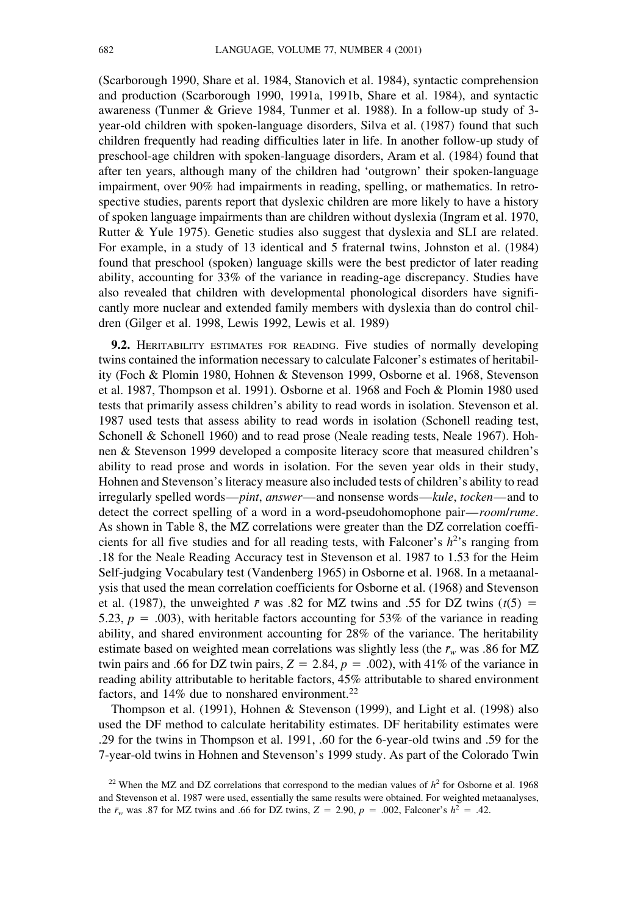(Scarborough 1990, Share et al. 1984, Stanovich et al. 1984), syntactic comprehension and production (Scarborough 1990, 1991a, 1991b, Share et al. 1984), and syntactic awareness (Tunmer & Grieve 1984, Tunmer et al. 1988). In a follow-up study of 3 year-old children with spoken-language disorders, Silva et al. (1987) found that such children frequently had reading difficulties later in life. In another follow-up study of preschool-age children with spoken-language disorders, Aram et al. (1984) found that after ten years, although many of the children had 'outgrown' their spoken-language impairment, over 90% had impairments in reading, spelling, or mathematics. In retrospective studies, parents report that dyslexic children are more likely to have a history of spoken language impairments than are children without dyslexia (Ingram et al. 1970, Rutter & Yule 1975). Genetic studies also suggest that dyslexia and SLI are related. For example, in a study of 13 identical and 5 fraternal twins, Johnston et al. (1984) found that preschool (spoken) language skills were the best predictor of later reading ability, accounting for 33% of the variance in reading-age discrepancy. Studies have also revealed that children with developmental phonological disorders have significantly more nuclear and extended family members with dyslexia than do control children (Gilger et al. 1998, Lewis 1992, Lewis et al. 1989)

**9.2.** HERITABILITY ESTIMATES FOR READING. Five studies of normally developing twins contained the information necessary to calculate Falconer's estimates of heritability (Foch & Plomin 1980, Hohnen & Stevenson 1999, Osborne et al. 1968, Stevenson et al. 1987, Thompson et al. 1991). Osborne et al. 1968 and Foch & Plomin 1980 used tests that primarily assess children's ability to read words in isolation. Stevenson et al. 1987 used tests that assess ability to read words in isolation (Schonell reading test, Schonell & Schonell 1960) and to read prose (Neale reading tests, Neale 1967). Hohnen & Stevenson 1999 developed a composite literacy score that measured children's ability to read prose and words in isolation. For the seven year olds in their study, Hohnen and Stevenson's literacy measure also included tests of children's ability to read irregularly spelled words—*pint*, *answer*—and nonsense words—*kule*, *tocken*—and to detect the correct spelling of a word in a word-pseudohomophone pair—*room/rume*. As shown in Table 8, the MZ correlations were greater than the DZ correlation coefficients for all five studies and for all reading tests, with Falconer's  $h^{2}$ 's ranging from .18 for the Neale Reading Accuracy test in Stevenson et al. 1987 to 1.53 for the Heim Self-judging Vocabulary test (Vandenberg 1965) in Osborne et al. 1968. In a metaanalysis that used the mean correlation coefficients for Osborne et al. (1968) and Stevenson et al. (1987), the unweighted  $\bar{r}$  was .82 for MZ twins and .55 for DZ twins ( $t(5)$  = 5.23,  $p = .003$ ), with heritable factors accounting for 53% of the variance in reading ability, and shared environment accounting for 28% of the variance. The heritability estimate based on weighted mean correlations was slightly less (the  $\bar{r}_w$  was .86 for MZ twin pairs and .66 for DZ twin pairs,  $Z = 2.84$ ,  $p = .002$ ), with 41% of the variance in reading ability attributable to heritable factors, 45% attributable to shared environment factors, and  $14\%$  due to nonshared environment.<sup>22</sup>

Thompson et al. (1991), Hohnen & Stevenson (1999), and Light et al. (1998) also used the DF method to calculate heritability estimates. DF heritability estimates were .29 for the twins in Thompson et al. 1991, .60 for the 6-year-old twins and .59 for the 7-year-old twins in Hohnen and Stevenson's 1999 study. As part of the Colorado Twin

<sup>&</sup>lt;sup>22</sup> When the MZ and DZ correlations that correspond to the median values of  $h<sup>2</sup>$  for Osborne et al. 1968 and Stevenson et al. 1987 were used, essentially the same results were obtained. For weighted metaanalyses, the  $\bar{r}_w$  was .87 for MZ twins and .66 for DZ twins,  $Z = 2.90$ ,  $p = .002$ , Falconer's  $h^2 = .42$ .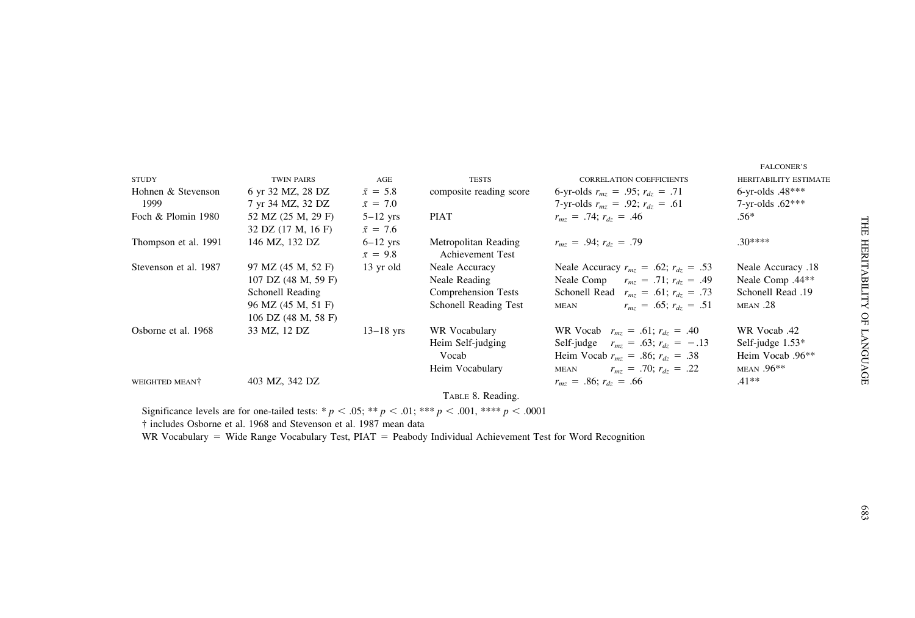|                            |                     |                               |                                                 |                                                | <b>FALCONER'S</b>     |
|----------------------------|---------------------|-------------------------------|-------------------------------------------------|------------------------------------------------|-----------------------|
| <b>STUDY</b>               | <b>TWIN PAIRS</b>   | AGE                           | <b>TESTS</b>                                    | <b>CORRELATION COEFFICIENTS</b>                | HERITABILITY ESTIMATE |
| Hohnen & Stevenson         | 6 yr 32 MZ, 28 DZ   | $\bar{x} = 5.8$               | composite reading score                         | 6-yr-olds $r_{mz} = .95$ ; $r_{dz} = .71$      | 6-yr-olds $.48***$    |
| 1999                       | 7 yr 34 MZ, 32 DZ   | $\bar{x} = 7.0$               |                                                 | 7-yr-olds $r_{mz} = .92$ ; $r_{dz} = .61$      | 7-yr-olds $.62***$    |
| Foch & Plomin 1980         | 52 MZ (25 M, 29 F)  | $5-12$ yrs                    | <b>PIAT</b>                                     | $r_{mz} = .74$ ; $r_{dz} = .46$                | .56*                  |
|                            | 32 DZ (17 M, 16 F)  | $\bar{x} = 7.6$               |                                                 |                                                |                       |
| Thompson et al. 1991       | 146 MZ, 132 DZ      | $6-12$ yrs<br>$\bar{x} = 9.8$ | Metropolitan Reading<br><b>Achievement Test</b> | $r_{mz} = .94$ ; $r_{dz} = .79$                | $.30***$              |
| Stevenson et al. 1987      | 97 MZ (45 M, 52 F)  | 13 yr old                     | Neale Accuracy                                  | Neale Accuracy $r_{mz} = .62$ ; $r_{dz} = .53$ | 18. Neale Accuracy    |
|                            | 107 DZ (48 M, 59 F) |                               | Neale Reading                                   | Neale Comp $r_{mz} = .71$ ; $r_{dz} = .49$     | Neale Comp. 44**      |
|                            | Schonell Reading    |                               | Comprehension Tests                             | Schonell Read $r_{mz} = .61; r_{dz} = .73$     | Schonell Read .19     |
|                            | 96 MZ (45 M, 51 F)  |                               | Schonell Reading Test                           | $r_{mz} = .65; r_{dz} = .51$<br><b>MEAN</b>    | MEAN .28              |
|                            | 106 DZ (48 M, 58 F) |                               |                                                 |                                                |                       |
| Osborne et al. 1968        | 33 MZ, 12 DZ        | $13-18$ yrs                   | WR Vocabulary                                   | WR Vocab $r_{mz} = .61$ ; $r_{dz} = .40$       | WR Vocab .42          |
|                            |                     |                               | Heim Self-judging                               | Self-judge $r_{mz} = .63$ ; $r_{dz} = -.13$    | Self-judge $1.53*$    |
|                            |                     |                               | Vocab                                           | Heim Vocab $r_{mz} = .86$ ; $r_{dz} = .38$     | Heim Vocab .96**      |
|                            |                     |                               | Heim Vocabulary                                 | $r_{mz} = .70; r_{dz} = .22$<br><b>MEAN</b>    | MEAN $.96**$          |
| WEIGHTED MEAN <sup>†</sup> | 403 MZ, 342 DZ      |                               |                                                 | $r_{mz} = .86; r_{dz} = .66$                   | $.41**$               |

TABLE 8. Reading.

Significance levels are for one-tailed tests: \*  $p < .05$ ; \*\*  $p < .01$ ; \*\*\*  $p < .001$ , \*\*\*\*  $p < .0001$ 

† includes Osborne et al. 1968 and Stevenson et al. 1987 mean data

WR Vocabulary = Wide Range Vocabulary Test, PIAT = Peabody Individual Achievement Test for Word Recognition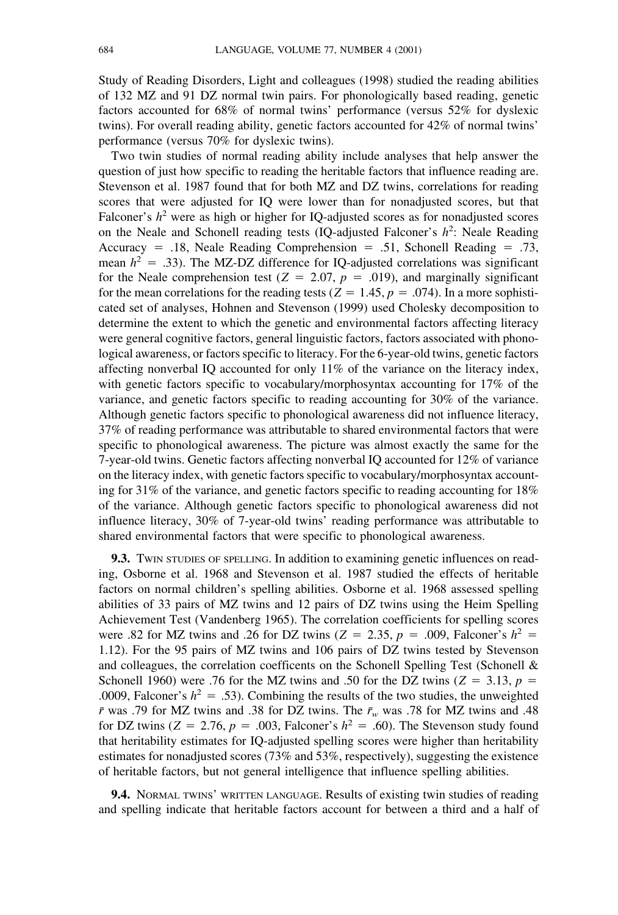Study of Reading Disorders, Light and colleagues (1998) studied the reading abilities of 132 MZ and 91 DZ normal twin pairs. For phonologically based reading, genetic factors accounted for 68% of normal twins' performance (versus 52% for dyslexic twins). For overall reading ability, genetic factors accounted for 42% of normal twins' performance (versus 70% for dyslexic twins).

Two twin studies of normal reading ability include analyses that help answer the question of just how specific to reading the heritable factors that influence reading are. Stevenson et al. 1987 found that for both MZ and DZ twins, correlations for reading scores that were adjusted for IQ were lower than for nonadjusted scores, but that Falconer's  $h^2$  were as high or higher for IQ-adjusted scores as for nonadjusted scores on the Neale and Schonell reading tests (IQ-adjusted Falconer's  $h^2$ : Neale Reading Accuracy = .18, Neale Reading Comprehension = .51, Schonell Reading = .73, mean  $h^2$  = .33). The MZ-DZ difference for IQ-adjusted correlations was significant for the Neale comprehension test  $(Z = 2.07, p = .019)$ , and marginally significant for the mean correlations for the reading tests ( $Z = 1.45$ ,  $p = .074$ ). In a more sophisticated set of analyses, Hohnen and Stevenson (1999) used Cholesky decomposition to determine the extent to which the genetic and environmental factors affecting literacy were general cognitive factors, general linguistic factors, factors associated with phonological awareness, or factors specific to literacy. For the 6-year-old twins, genetic factors affecting nonverbal IQ accounted for only  $11\%$  of the variance on the literacy index, with genetic factors specific to vocabulary/morphosyntax accounting for 17% of the variance, and genetic factors specific to reading accounting for 30% of the variance. Although genetic factors specific to phonological awareness did not influence literacy, 37% of reading performance was attributable to shared environmental factors that were specific to phonological awareness. The picture was almost exactly the same for the 7-year-old twins. Genetic factors affecting nonverbal IQ accounted for 12% of variance on the literacy index, with genetic factors specific to vocabulary/morphosyntax accounting for 31% of the variance, and genetic factors specific to reading accounting for  $18\%$ of the variance. Although genetic factors specific to phonological awareness did not influence literacy, 30% of 7-year-old twins' reading performance was attributable to shared environmental factors that were specific to phonological awareness.

**9.3.** TWIN STUDIES OF SPELLING. In addition to examining genetic influences on reading, Osborne et al. 1968 and Stevenson et al. 1987 studied the effects of heritable factors on normal children's spelling abilities. Osborne et al. 1968 assessed spelling abilities of 33 pairs of MZ twins and 12 pairs of DZ twins using the Heim Spelling Achievement Test (Vandenberg 1965). The correlation coefficients for spelling scores were .82 for MZ twins and .26 for DZ twins ( $Z = 2.35$ ,  $p = .009$ , Falconer's  $h^2 =$ 1.12). For the 95 pairs of MZ twins and 106 pairs of DZ twins tested by Stevenson and colleagues, the correlation coefficents on the Schonell Spelling Test (Schonell & Schonell 1960) were .76 for the MZ twins and .50 for the DZ twins ( $Z = 3.13$ ,  $p =$ .0009, Falconer's  $h^2 = .53$ ). Combining the results of the two studies, the unweighted  $\bar{r}$  was .79 for MZ twins and .38 for DZ twins. The  $\bar{r}_w$  was .78 for MZ twins and .48 for DZ twins ( $Z = 2.76$ ,  $p = .003$ , Falconer's  $h^2 = .60$ ). The Stevenson study found that heritability estimates for IQ-adjusted spelling scores were higher than heritability estimates for nonadjusted scores (73% and 53%, respectively), suggesting the existence of heritable factors, but not general intelligence that influence spelling abilities.

**9.4.** NORMAL TWINS' WRITTEN LANGUAGE. Results of existing twin studies of reading and spelling indicate that heritable factors account for between a third and a half of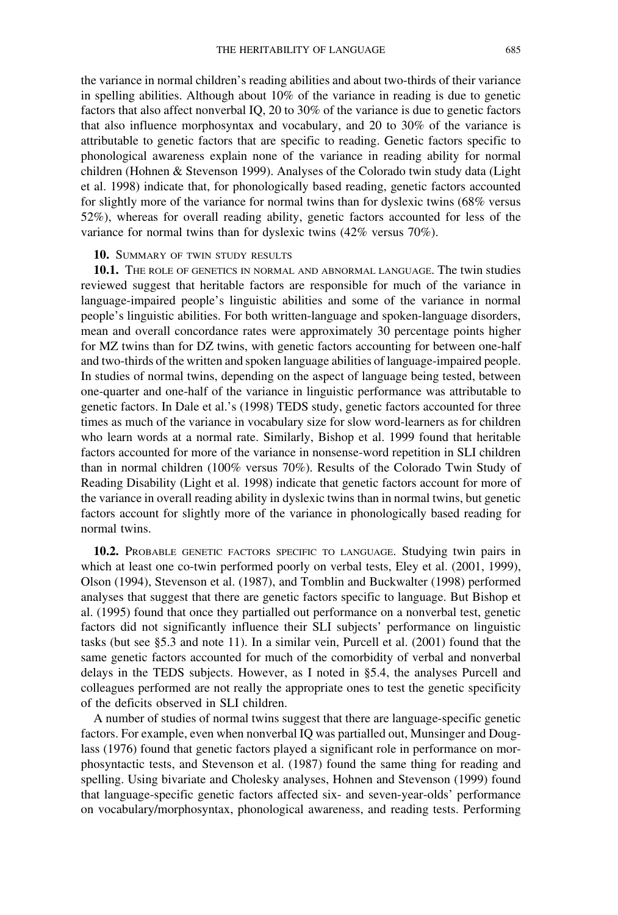the variance in normal children's readingabilities and about two-thirds of their variance in spelling abilities. Although about  $10\%$  of the variance in reading is due to genetic factors that also affect nonverbal IQ, 20 to 30% of the variance is due to genetic factors that also influence morphosyntax and vocabulary, and 20 to 30% of the variance is attributable to genetic factors that are specific to reading. Genetic factors specific to phonological awareness explain none of the variance in reading ability for normal children (Hohnen & Stevenson 1999). Analyses of the Colorado twin study data (Light et al. 1998) indicate that, for phonologically based reading, genetic factors accounted for slightly more of the variance for normal twins than for dyslexic twins (68% versus 52%), whereas for overall reading ability, genetic factors accounted for less of the variance for normal twins than for dyslexic twins (42% versus 70%).

## **10.** SUMMARY OF TWIN STUDY RESULTS

**10.1.** THE ROLE OF GENETICS IN NORMAL AND ABNORMAL LANGUAGE. The twin studies reviewed suggest that heritable factors are responsible for much of the variance in language-impaired people's linguistic abilities and some of the variance in normal people's linguistic abilities. For both written-language and spoken-language disorders, mean and overall concordance rates were approximately 30 percentage points higher for MZ twins than for DZ twins, with genetic factors accounting for between one-half and two-thirds of the written and spoken language abilities of language-impaired people. In studies of normal twins, depending on the aspect of language being tested, between one-quarter and one-half of the variance in linguistic performance was attributable to genetic factors. In Dale et al.'s (1998) TEDS study, genetic factors accounted for three times as much of the variance in vocabulary size for slow word-learners as for children who learn words at a normal rate. Similarly, Bishop et al. 1999 found that heritable factors accounted for more of the variance in nonsense-word repetition in SLI children than in normal children (100% versus 70%). Results of the Colorado Twin Study of Reading Disability (Light et al. 1998) indicate that genetic factors account for more of the variance in overall reading ability in dyslexic twins than in normal twins, but genetic factors account for slightly more of the variance in phonologically based reading for normal twins.

10.2. PROBABLE GENETIC FACTORS SPECIFIC TO LANGUAGE. Studying twin pairs in which at least one co-twin performed poorly on verbal tests, Eley et al. (2001, 1999), Olson (1994), Stevenson et al. (1987), and Tomblin and Buckwalter (1998) performed analyses that suggest that there are genetic factors specific to language. But Bishop et al. (1995) found that once they partialled out performance on a nonverbal test, genetic factors did not significantly influence their SLI subjects' performance on linguistic tasks (but see §5.3 and note 11). In a similar vein, Purcell et al. (2001) found that the same genetic factors accounted for much of the comorbidity of verbal and nonverbal delays in the TEDS subjects. However, as I noted in §5.4, the analyses Purcell and colleagues performed are not really the appropriate ones to test the genetic specificity of the deficits observed in SLI children.

A number of studies of normal twins suggest that there are language-specific genetic factors. For example, even when nonverbal IQ was partialled out, Munsinger and Douglass (1976) found that genetic factors played a significant role in performance on morphosyntactic tests, and Stevenson et al. (1987) found the same thing for reading and spelling. Using bivariate and Cholesky analyses, Hohnen and Stevenson (1999) found that language-specific genetic factors affected six- and seven-year-olds' performance on vocabulary/morphosyntax, phonological awareness, and reading tests. Performing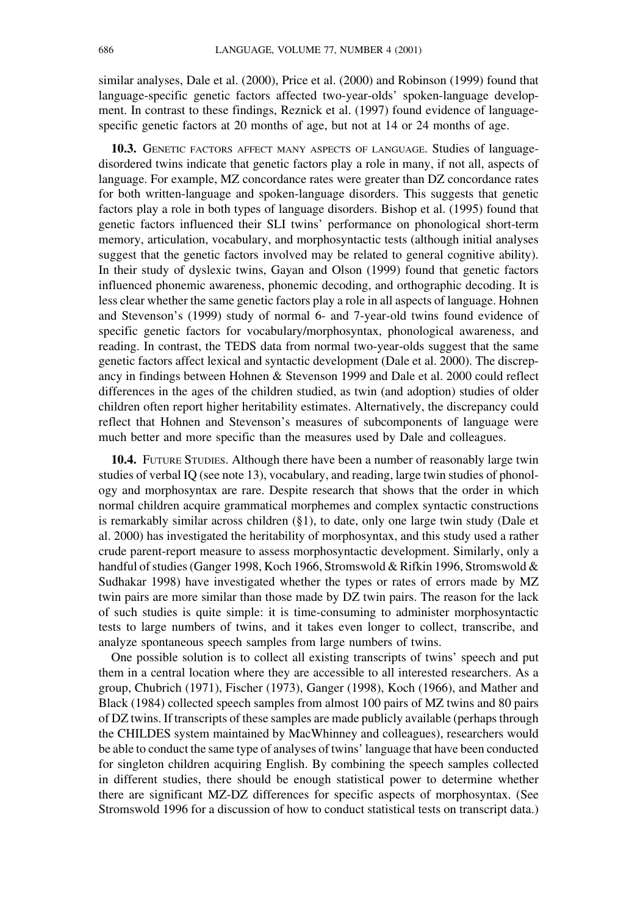similar analyses, Dale et al. (2000), Price et al. (2000) and Robinson (1999) found that language-specific genetic factors affected two-year-olds' spoken-language development. In contrast to these findings, Reznick et al. (1997) found evidence of languagespecific genetic factors at 20 months of age, but not at 14 or 24 months of age.

**10.3.** GENETIC FACTORS AFFECT MANY ASPECTS OF LANGUAGE. Studies of languagedisordered twins indicate that genetic factors play a role in many, if not all, aspects of language. For example, MZ concordance rates were greater than DZ concordance rates for both written-language and spoken-language disorders. This suggests that genetic factors play a role in both types of language disorders. Bishop et al. (1995) found that genetic factors influenced their SLI twins' performance on phonological short-term memory, articulation, vocabulary, and morphosyntactic tests (although initial analyses suggest that the genetic factors involved may be related to general cognitive ability). In their study of dyslexic twins, Gayan and Olson (1999) found that genetic factors influenced phonemic awareness, phonemic decoding, and orthographic decoding. It is less clear whether the same genetic factors play a role in all aspects of language. Hohnen and Stevenson's (1999) study of normal 6- and 7-year-old twins found evidence of specific genetic factors for vocabulary/morphosyntax, phonological awareness, and reading. In contrast, the TEDS data from normal two-year-olds suggest that the same genetic factors affect lexical and syntactic development (Dale et al. 2000). The discrepancy in findings between Hohnen & Stevenson 1999 and Dale et al. 2000 could reflect differences in the ages of the children studied, as twin (and adoption) studies of older children often report higher heritability estimates. Alternatively, the discrepancy could reflect that Hohnen and Stevenson's measures of subcomponents of language were much better and more specific than the measures used by Dale and colleagues.

**10.4.** FUTURE STUDIES. Although there have been a number of reasonably large twin studies of verbal IQ (see note 13), vocabulary, and reading, large twin studies of phonology and morphosyntax are rare. Despite research that shows that the order in which normal children acquire grammatical morphemes and complex syntactic constructions is remarkably similar across children (§1), to date, only one large twin study (Dale et al. 2000) has investigated the heritability of morphosyntax, and this study used a rather crude parent-report measure to assess morphosyntactic development. Similarly, only a handful of studies (Ganger 1998, Koch 1966, Stromswold & Rifkin 1996, Stromswold & Sudhakar 1998) have investigated whether the types or rates of errors made by MZ twin pairs are more similar than those made by DZ twin pairs. The reason for the lack of such studies is quite simple: it is time-consuming to administer morphosyntactic tests to large numbers of twins, and it takes even longer to collect, transcribe, and analyze spontaneous speech samples from large numbers of twins.

One possible solution is to collect all existing transcripts of twins' speech and put them in a central location where they are accessible to all interested researchers. As a group, Chubrich (1971), Fischer (1973), Ganger (1998), Koch (1966), and Mather and Black (1984) collected speech samples from almost 100 pairs of MZ twins and 80 pairs of DZ twins. If transcripts of these samples are made publicly available (perhaps through the CHILDES system maintained by MacWhinney and colleagues), researchers would be able to conduct the same type of analyses of twins' language that have been conducted for singleton children acquiring English. By combining the speech samples collected in different studies, there should be enough statistical power to determine whether there are significant MZ-DZ differences for specific aspects of morphosyntax. (See Stromswold 1996 for a discussion of how to conduct statistical tests on transcript data.)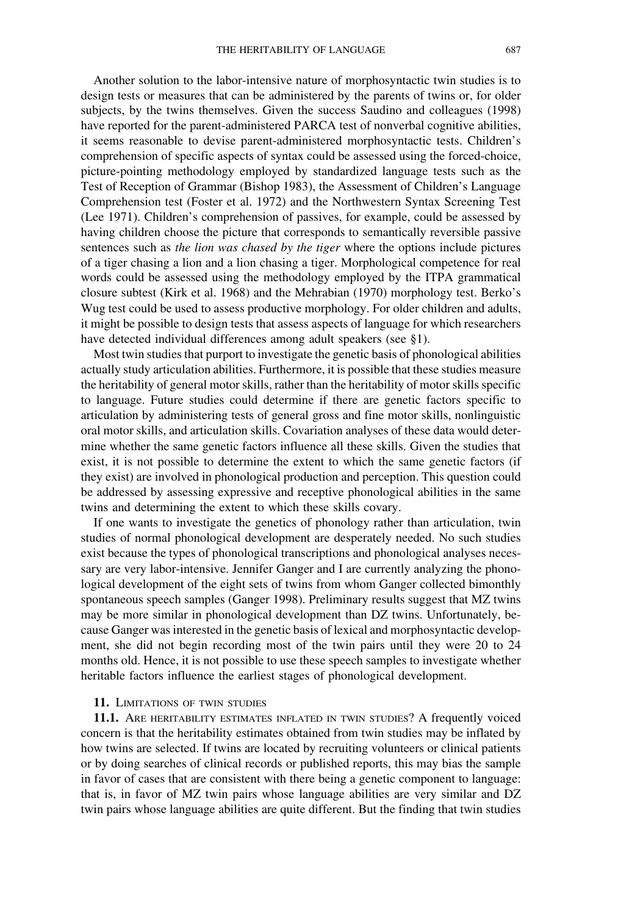Another solution to the labor-intensive nature of morphosyntactic twin studies is to design tests or measures that can be administered by the parents of twins or, for older subjects, by the twins themselves. Given the success Saudino and colleagues (1998) have reported for the parent-administered PARCA test of nonverbal cognitive abilities, it seems reasonable to devise parent-administered morphosyntactic tests. Children's comprehension of specific aspects of syntax could be assessed using the forced-choice, picture-pointing methodology employed by standardized language tests such as the Test of Reception of Grammar (Bishop 1983), the Assessment of Children's Language Comprehension test (Foster et al. 1972) and the Northwestern Syntax Screening Test (Lee 1971). Children's comprehension of passives, for example, could be assessed by having children choose the picture that corresponds to semantically reversible passive sentences such as *the lion was chased by the tiger* where the options include pictures of a tiger chasing a lion and a lion chasing a tiger. Morphological competence for real words could be assessed using the methodology employed by the ITPA grammatical closure subtest (Kirk et al. 1968) and the Mehrabian (1970) morphology test. Berko's Wug test could be used to assess productive morphology. For older children and adults, it might be possible to design tests that assess aspects of language for which researchers have detected individual differences among adult speakers (see §1).

Most twin studies that purport to investigate the genetic basis of phonological abilities actually study articulation abilities. Furthermore, it is possible that these studies measure the heritability of general motor skills, rather than the heritability of motor skills specific to language. Future studies could determine if there are genetic factors specific to articulation by administering tests of general gross and fine motor skills, nonlinguistic oral motor skills, and articulation skills. Covariation analyses of these data would determine whether the same genetic factors influence all these skills. Given the studies that exist, it is not possible to determine the extent to which the same genetic factors (if they exist) are involved in phonological production and perception. This question could be addressed by assessing expressive and receptive phonological abilities in the same twins and determining the extent to which these skills covary.

If one wants to investigate the genetics of phonology rather than articulation, twin studies of normal phonological development are desperately needed. No such studies exist because the types of phonological transcriptions and phonological analyses necessary are very labor-intensive. Jennifer Ganger and I are currently analyzing the phonological development of the eight sets of twins from whom Ganger collected bimonthly spontaneous speech samples (Ganger 1998). Preliminary results suggest that MZ twins may be more similar in phonological development than DZ twins. Unfortunately, because Ganger was interested in the genetic basis of lexical and morphosyntactic development, she did not begin recording most of the twin pairs until they were 20 to 24 months old. Hence, it is not possible to use these speech samples to investigate whether heritable factors influence the earliest stages of phonological development.

## **11.** LIMITATIONS OF TWIN STUDIES

**11.1.** ARE HERITABILITY ESTIMATES INFLATED IN TWIN STUDIES? A frequently voiced concern is that the heritability estimates obtained from twin studies may be inflated by how twins are selected. If twins are located by recruiting volunteers or clinical patients or by doing searches of clinical records or published reports, this may bias the sample in favor of cases that are consistent with there being a genetic component to language: that is, in favor of MZ twin pairs whose language abilities are very similar and DZ twin pairs whose language abilities are quite different. But the finding that twin studies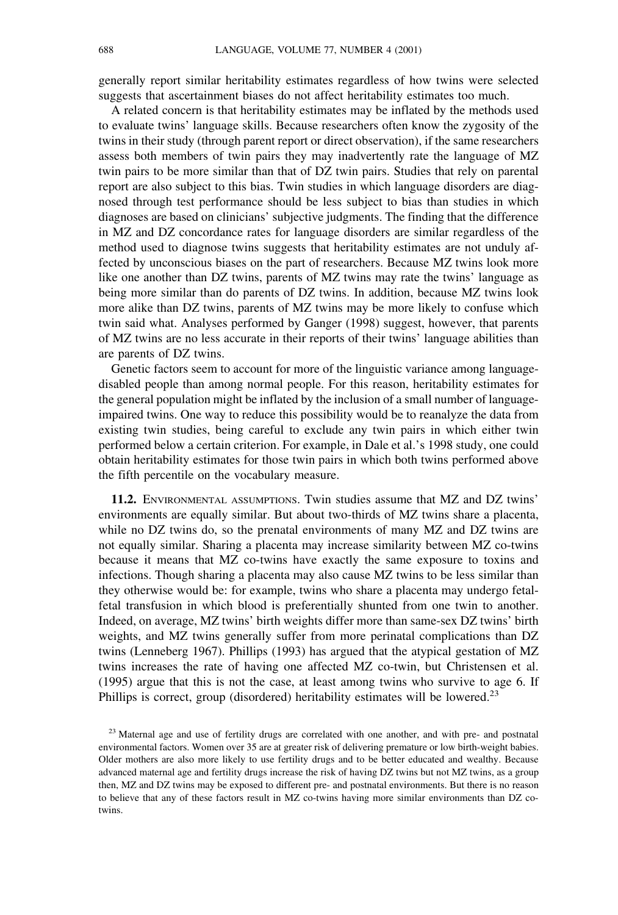generally report similar heritability estimates regardless of how twins were selected suggests that ascertainment biases do not affect heritability estimates too much.

A related concern is that heritability estimates may be inflated by the methods used to evaluate twins' language skills. Because researchers often know the zygosity of the twins in their study (through parent report or direct observation), if the same researchers assess both members of twin pairs they may inadvertently rate the language of MZ twin pairs to be more similar than that of DZ twin pairs. Studies that rely on parental report are also subject to this bias. Twin studies in which language disorders are diagnosed through test performance should be less subject to bias than studies in which diagnoses are based on clinicians' subjective judgments. The finding that the difference in MZ and DZ concordance rates for language disorders are similar regardless of the method used to diagnose twins suggests that heritability estimates are not unduly affected by unconscious biases on the part of researchers. Because MZ twins look more like one another than DZ twins, parents of MZ twins may rate the twins' language as being more similar than do parents of DZ twins. In addition, because MZ twins look more alike than DZ twins, parents of MZ twins may be more likely to confuse which twin said what. Analyses performed by Ganger (1998) suggest, however, that parents of MZ twins are no less accurate in their reports of their twins' language abilities than are parents of DZ twins.

Genetic factors seem to account for more of the linguistic variance among languagedisabled people than among normal people. For this reason, heritability estimates for the general population might be inflated by the inclusion of a small number of languageimpaired twins. One way to reduce this possibility would be to reanalyze the data from existing twin studies, being careful to exclude any twin pairs in which either twin performed below a certain criterion. For example, in Dale et al.'s 1998 study, one could obtain heritability estimates for those twin pairs in which both twins performed above the fifth percentile on the vocabulary measure.

**11.2.** ENVIRONMENTAL ASSUMPTIONS. Twin studies assume that MZ and DZ twins' environments are equally similar. But about two-thirds of MZ twins share a placenta, while no DZ twins do, so the prenatal environments of many MZ and DZ twins are not equally similar. Sharing a placenta may increase similarity between MZ co-twins because it means that MZ co-twins have exactly the same exposure to toxins and infections. Though sharing a placenta may also cause MZ twins to be less similar than they otherwise would be: for example, twins who share a placenta may undergo fetalfetal transfusion in which blood is preferentially shunted from one twin to another. Indeed, on average, MZ twins' birth weights differ more than same-sex DZ twins' birth weights, and MZ twins generally suffer from more perinatal complications than DZ twins (Lenneberg 1967). Phillips (1993) has argued that the atypical gestation of MZ twins increases the rate of having one affected MZ co-twin, but Christensen et al. (1995) argue that this is not the case, at least among twins who survive to age 6. If Phillips is correct, group (disordered) heritability estimates will be lowered.<sup>23</sup>

<sup>&</sup>lt;sup>23</sup> Maternal age and use of fertility drugs are correlated with one another, and with pre- and postnatal environmental factors. Women over 35 are at greater risk of delivering premature or low birth-weight babies. Older mothers are also more likely to use fertility drugs and to be better educated and wealthy. Because advanced maternal age and fertility drugs increase the risk of having DZ twins but not MZ twins, as a group then, MZ and DZ twins may be exposed to different pre- and postnatal environments. But there is no reason to believe that any of these factors result in MZ co-twins having more similar environments than DZ cotwins.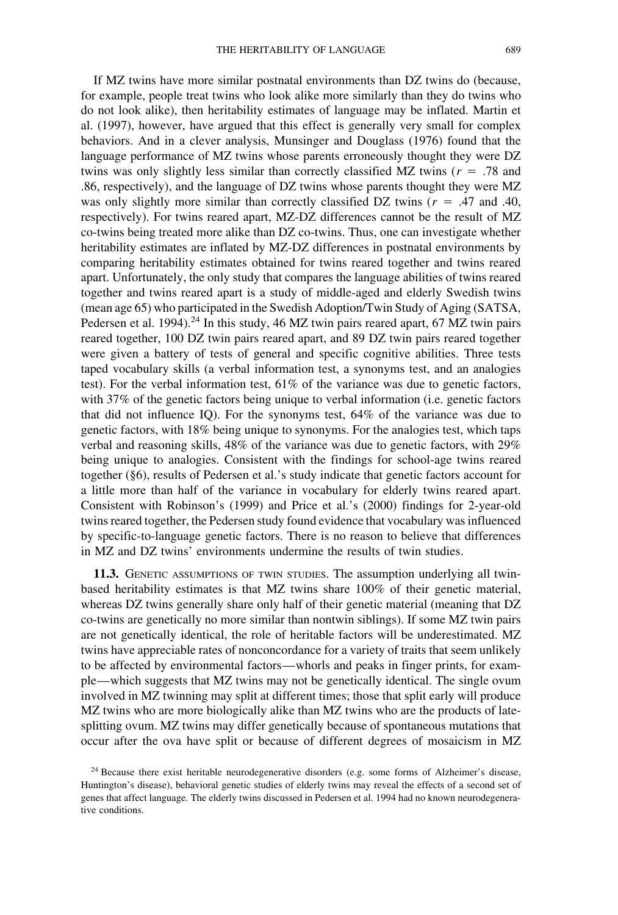If MZ twins have more similar postnatal environments than DZ twins do (because, for example, people treat twins who look alike more similarly than they do twins who do not look alike), then heritability estimates of language may be inflated. Martin et al. (1997), however, have argued that this effect is generally very small for complex behaviors. And in a clever analysis, Munsinger and Douglass (1976) found that the language performance of MZ twins whose parents erroneously thought they were DZ twins was only slightly less similar than correctly classified MZ twins ( $r = .78$  and .86, respectively), and the language of DZ twins whose parents thought they were MZ was only slightly more similar than correctly classified DZ twins ( $r = .47$  and .40, respectively). For twins reared apart, MZ-DZ differences cannot be the result of MZ co-twins being treated more alike than DZ co-twins. Thus, one can investigate whether heritability estimates are inflated by MZ-DZ differences in postnatal environments by comparing heritability estimates obtained for twins reared together and twins reared apart. Unfortunately, the only study that compares the language abilities of twins reared together and twins reared apart is a study of middle-aged and elderly Swedish twins (mean age 65) who participated in the Swedish Adoption/Twin Study of Aging (SATSA, Pedersen et al. 1994).<sup>24</sup> In this study, 46 MZ twin pairs reared apart, 67 MZ twin pairs reared together, 100 DZ twin pairs reared apart, and 89 DZ twin pairs reared together were given a battery of tests of general and specific cognitive abilities. Three tests taped vocabulary skills (a verbal information test, a synonyms test, and an analogies test). For the verbal information test, 61% of the variance was due to genetic factors, with 37% of the genetic factors being unique to verbal information (i.e. genetic factors that did not influence IQ). For the synonyms test, 64% of the variance was due to genetic factors, with 18% being unique to synonyms. For the analogies test, which taps verbal and reasoning skills, 48% of the variance was due to genetic factors, with 29% being unique to analogies. Consistent with the findings for school-age twins reared together (§6), results of Pedersen et al.'s study indicate that genetic factors account for a little more than half of the variance in vocabulary for elderly twins reared apart. Consistent with Robinson's (1999) and Price et al.'s (2000) findings for 2-year-old twins reared together, the Pedersen study found evidence that vocabulary was influenced by specific-to-language genetic factors. There is no reason to believe that differences in MZ and DZ twins' environments undermine the results of twin studies.

**11.3.** GENETIC ASSUMPTIONS OF TWIN STUDIES. The assumption underlying all twinbased heritability estimates is that MZ twins share 100% of their genetic material, whereas DZ twins generally share only half of their genetic material (meaning that DZ co-twins are genetically no more similar than nontwin siblings). If some MZ twin pairs are not genetically identical, the role of heritable factors will be underestimated. MZ twins have appreciable rates of nonconcordance for a variety of traits that seem unlikely to be affected by environmental factors—whorls and peaks in finger prints, for example—which suggests that MZ twins may not be genetically identical. The single ovum involved in MZ twinning may split at different times; those that split early will produce MZ twins who are more biologically alike than MZ twins who are the products of latesplitting ovum. MZ twins may differ genetically because of spontaneous mutations that occur after the ova have split or because of different degrees of mosaicism in MZ

<sup>&</sup>lt;sup>24</sup> Because there exist heritable neurodegenerative disorders (e.g. some forms of Alzheimer's disease, Huntington's disease), behavioral genetic studies of elderly twins may reveal the effects of a second set of genes that affect language. The elderly twins discussed in Pedersen et al. 1994 had no known neurodegenerative conditions.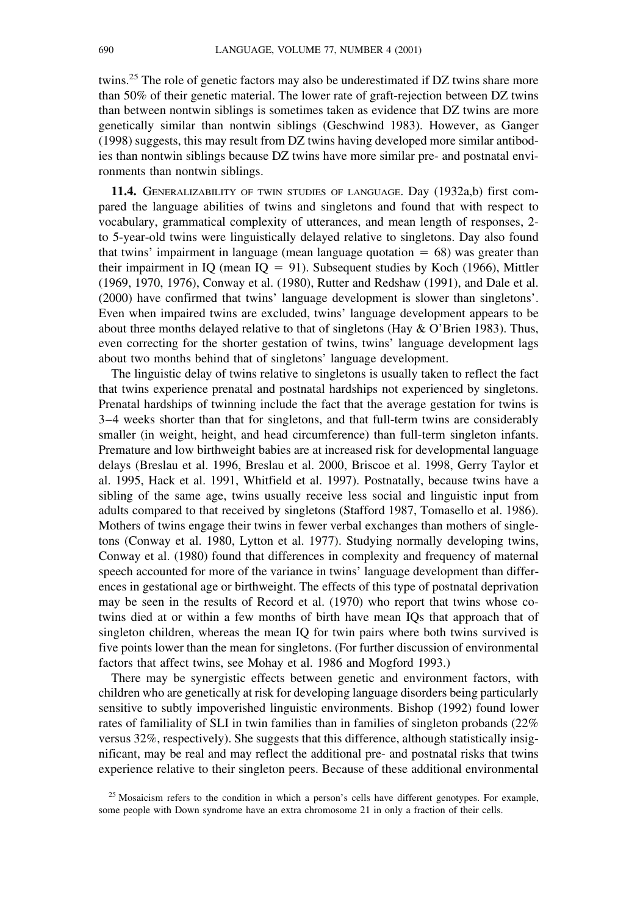twins.<sup>25</sup> The role of genetic factors may also be underestimated if DZ twins share more than 50% of their genetic material. The lower rate of graft-rejection between DZ twins than between nontwin siblings is sometimes taken as evidence that DZ twins are more genetically similar than nontwin siblings (Geschwind 1983). However, as Ganger (1998) suggests, this may result from DZ twins having developed more similar antibodies than nontwin siblings because DZ twins have more similar pre- and postnatal environments than nontwin siblings.

**11.4.** GENERALIZABILITY OF TWIN STUDIES OF LANGUAGE. Day (1932a,b) first compared the language abilities of twins and singletons and found that with respect to vocabulary, grammatical complexity of utterances, and mean length of responses, 2 to 5-year-old twins were linguistically delayed relative to singletons. Day also found that twins' impairment in language (mean language quotation  $= 68$ ) was greater than their impairment in IQ (mean  $IQ = 91$ ). Subsequent studies by Koch (1966), Mittler (1969, 1970, 1976), Conway et al. (1980), Rutter and Redshaw (1991), and Dale et al. (2000) have confirmed that twins' language development is slower than singletons'. Even when impaired twins are excluded, twins' language development appears to be about three months delayed relative to that of singletons (Hay & O'Brien 1983). Thus, even correcting for the shorter gestation of twins, twins' language development lags about two months behind that of singletons' language development.

The linguistic delay of twins relative to singletons is usually taken to reflect the fact that twins experience prenatal and postnatal hardships not experienced by singletons. Prenatal hardships of twinning include the fact that the average gestation for twins is 3–4 weeks shorter than that for singletons, and that full-term twins are considerably smaller (in weight, height, and head circumference) than full-term singleton infants. Premature and low birthweight babies are at increased risk for developmental language delays (Breslau et al. 1996, Breslau et al. 2000, Briscoe et al. 1998, Gerry Taylor et al. 1995, Hack et al. 1991, Whitfield et al. 1997). Postnatally, because twins have a sibling of the same age, twins usually receive less social and linguistic input from adults compared to that received by singletons (Stafford 1987, Tomasello et al. 1986). Mothers of twins engage their twins in fewer verbal exchanges than mothers of singletons (Conway et al. 1980, Lytton et al. 1977). Studying normally developing twins, Conway et al. (1980) found that differences in complexity and frequency of maternal speech accounted for more of the variance in twins' language development than differences in gestational age or birthweight. The effects of this type of postnatal deprivation may be seen in the results of Record et al. (1970) who report that twins whose cotwins died at or within a few months of birth have mean IQs that approach that of singleton children, whereas the mean IQ for twin pairs where both twins survived is five points lower than the mean for singletons. (For further discussion of environmental factors that affect twins, see Mohay et al. 1986 and Mogford 1993.)

There may be synergistic effects between genetic and environment factors, with children who are genetically at risk for developing language disorders being particularly sensitive to subtly impoverished linguistic environments. Bishop (1992) found lower rates of familiality of SLI in twin families than in families of singleton probands (22% versus 32%, respectively). She suggests that this difference, although statistically insignificant, may be real and may reflect the additional pre- and postnatal risks that twins experience relative to their singleton peers. Because of these additional environmental

<sup>25</sup> Mosaicism refers to the condition in which a person's cells have different genotypes. For example, some people with Down syndrome have an extra chromosome 21 in only a fraction of their cells.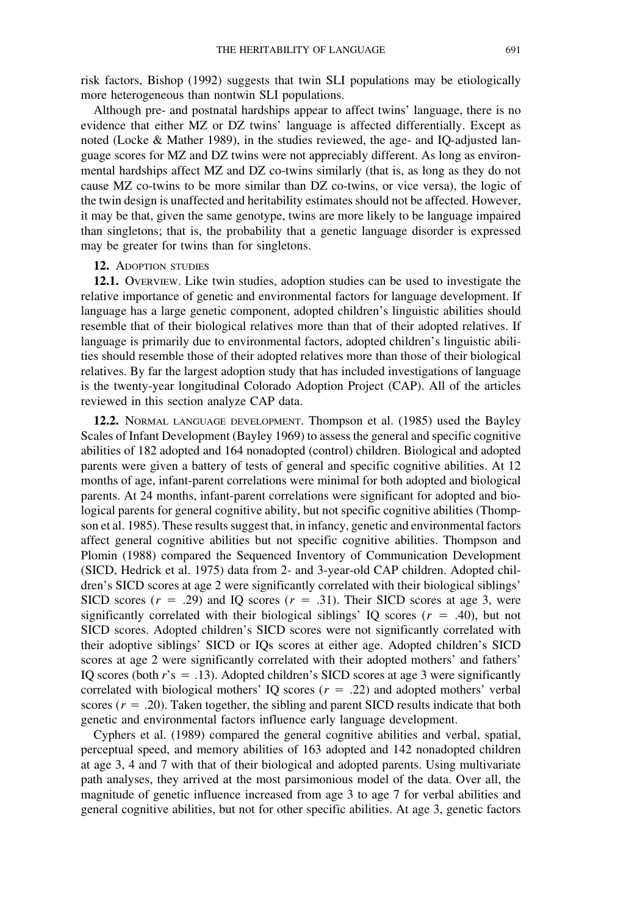risk factors, Bishop (1992) suggests that twin SLI populations may be etiologically more heterogeneous than nontwin SLI populations.

Although pre- and postnatal hardships appear to affect twins' language, there is no evidence that either MZ or DZ twins' language is affected differentially. Except as noted (Locke & Mather 1989), in the studies reviewed, the age- and IQ-adjusted language scores for MZ and DZ twins were not appreciably different. As long as environmental hardships affect MZ and DZ co-twins similarly (that is, as longas they do not cause MZ co-twins to be more similar than DZ co-twins, or vice versa), the logic of the twin design is unaffected and heritability estimates should not be affected. However, it may be that, given the same genotype, twins are more likely to be language impaired than singletons; that is, the probability that a genetic language disorder is expressed may be greater for twins than for singletons.

## **12.** ADOPTION STUDIES

**12.1.** OVERVIEW. Like twin studies, adoption studies can be used to investigate the relative importance of genetic and environmental factors for language development. If language has a large genetic component, adopted children's linguistic abilities should resemble that of their biological relatives more than that of their adopted relatives. If language is primarily due to environmental factors, adopted children's linguistic abilities should resemble those of their adopted relatives more than those of their biological relatives. By far the largest adoption study that has included investigations of language is the twenty-year longitudinal Colorado Adoption Project (CAP). All of the articles reviewed in this section analyze CAP data.

**12.2.** NORMAL LANGUAGE DEVELOPMENT. Thompson et al. (1985) used the Bayley Scales of Infant Development (Bayley 1969) to assess the general and specific cognitive abilities of 182 adopted and 164 nonadopted (control) children. Biological and adopted parents were given a battery of tests of general and specific cognitive abilities. At 12 months of age, infant-parent correlations were minimal for both adopted and biological parents. At 24 months, infant-parent correlations were significant for adopted and biological parents for general cognitive ability, but not specific cognitive abilities (Thompson et al. 1985). These results suggest that, in infancy, genetic and environmental factors affect general cognitive abilities but not specific cognitive abilities. Thompson and Plomin (1988) compared the Sequenced Inventory of Communication Development (SICD, Hedrick et al. 1975) data from 2- and 3-year-old CAP children. Adopted children's SICD scores at age 2 were significantly correlated with their biological siblings' SICD scores  $(r = .29)$  and IQ scores  $(r = .31)$ . Their SICD scores at age 3, were significantly correlated with their biological siblings' IQ scores ( $r = .40$ ), but not SICD scores. Adopted children's SICD scores were not significantly correlated with their adoptive siblings' SICD or IQs scores at either age. Adopted children's SICD scores at age 2 were significantly correlated with their adopted mothers' and fathers' IQ scores (both *r*'s = .13). Adopted children's SICD scores at age 3 were significantly correlated with biological mothers' IQ scores  $(r = .22)$  and adopted mothers' verbal scores  $(r = .20)$ . Taken together, the sibling and parent SICD results indicate that both genetic and environmental factors influence early language development.

Cyphers et al. (1989) compared the general cognitive abilities and verbal, spatial, perceptual speed, and memory abilities of 163 adopted and 142 nonadopted children at age 3, 4 and 7 with that of their biological and adopted parents. Using multivariate path analyses, they arrived at the most parsimonious model of the data. Over all, the magnitude of genetic influence increased from age 3 to age 7 for verbal abilities and general cognitive abilities, but not for other specific abilities. At age 3, genetic factors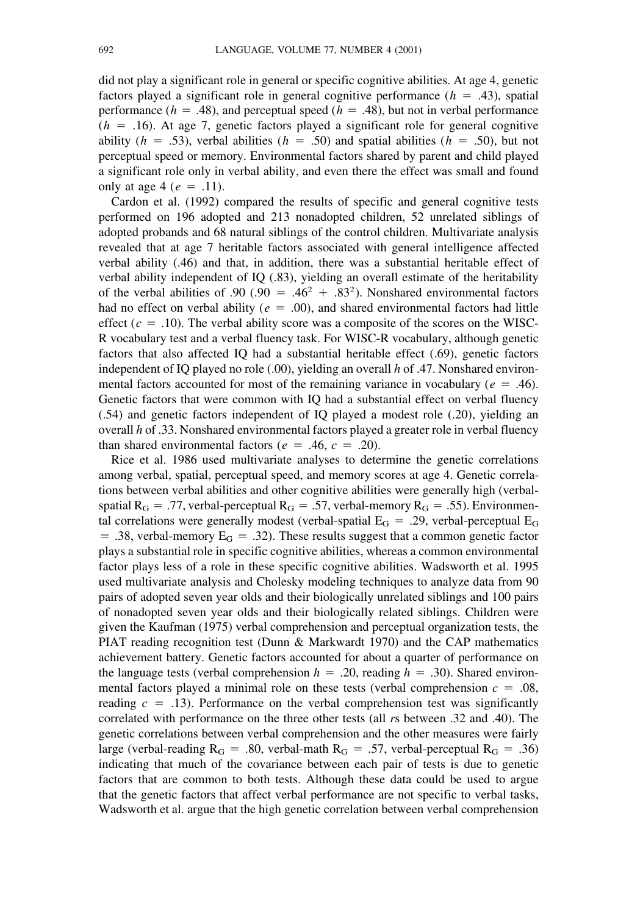did not play a significant role in general or specific cognitive abilities. At age 4, genetic factors played a significant role in general cognitive performance  $(h = .43)$ , spatial performance ( $h = .48$ ), and perceptual speed ( $h = .48$ ), but not in verbal performance  $(h = .16)$ . At age 7, genetic factors played a significant role for general cognitive ability  $(h = .53)$ , verbal abilities  $(h = .50)$  and spatial abilities  $(h = .50)$ , but not perceptual speed or memory. Environmental factors shared by parent and child played a significant role only in verbal ability, and even there the effect was small and found only at age  $4 (e = .11)$ .

Cardon et al. (1992) compared the results of specific and general cognitive tests performed on 196 adopted and 213 nonadopted children, 52 unrelated siblings of adopted probands and 68 natural siblings of the control children. Multivariate analysis revealed that at age 7 heritable factors associated with general intelligence affected verbal ability (.46) and that, in addition, there was a substantial heritable effect of verbal ability independent of  $IQ$   $(.83)$ , yielding an overall estimate of the heritability of the verbal abilities of .90 (.90 = .46<sup>2</sup> + .83<sup>2</sup>). Nonshared environmental factors had no effect on verbal ability ( $e = .00$ ), and shared environmental factors had little effect  $(c = .10)$ . The verbal ability score was a composite of the scores on the WISC-R vocabulary test and a verbal fluency task. For WISC-R vocabulary, although genetic factors that also affected IQ had a substantial heritable effect (.69), genetic factors independent of IQ played no role (.00), yielding an overall *h* of .47. Nonshared environmental factors accounted for most of the remaining variance in vocabulary ( $e = .46$ ). Genetic factors that were common with IQ had a substantial effect on verbal fluency (.54) and genetic factors independent of IQ played a modest role (.20), yielding an overall *h* of .33. Nonshared environmental factors played a greater role in verbal fluency than shared environmental factors ( $e = .46$ ,  $c = .20$ ).

Rice et al. 1986 used multivariate analyses to determine the genetic correlations among verbal, spatial, perceptual speed, and memory scores at age 4. Genetic correlations between verbal abilities and other cognitive abilities were generally high (verbalspatial  $R_G = .77$ , verbal-perceptual  $R_G = .57$ , verbal-memory  $R_G = .55$ ). Environmental correlations were generally modest (verbal-spatial  $E_G = .29$ , verbal-perceptual  $E_G$  $=$  .38, verbal-memory  $E_G = .32$ ). These results suggest that a common genetic factor plays a substantial role in specific cognitive abilities, whereas a common environmental factor plays less of a role in these specific cognitive abilities. Wadsworth et al. 1995 used multivariate analysis and Cholesky modeling techniques to analyze data from 90 pairs of adopted seven year olds and their biologically unrelated siblings and 100 pairs of nonadopted seven year olds and their biologically related siblings. Children were given the Kaufman (1975) verbal comprehension and perceptual organization tests, the PIAT reading recognition test (Dunn  $&$  Markwardt 1970) and the CAP mathematics achievement battery. Genetic factors accounted for about a quarter of performance on the language tests (verbal comprehension  $h = .20$ , reading  $h = .30$ ). Shared environmental factors played a minimal role on these tests (verbal comprehension  $c = .08$ , reading  $c = .13$ ). Performance on the verbal comprehension test was significantly correlated with performance on the three other tests (all *r*s between .32 and .40). The genetic correlations between verbal comprehension and the other measures were fairly large (verbal-reading  $R_G = .80$ , verbal-math  $R_G = .57$ , verbal-perceptual  $R_G = .36$ ) indicating that much of the covariance between each pair of tests is due to genetic factors that are common to both tests. Although these data could be used to argue that the genetic factors that affect verbal performance are not specific to verbal tasks, Wadsworth et al. argue that the high genetic correlation between verbal comprehension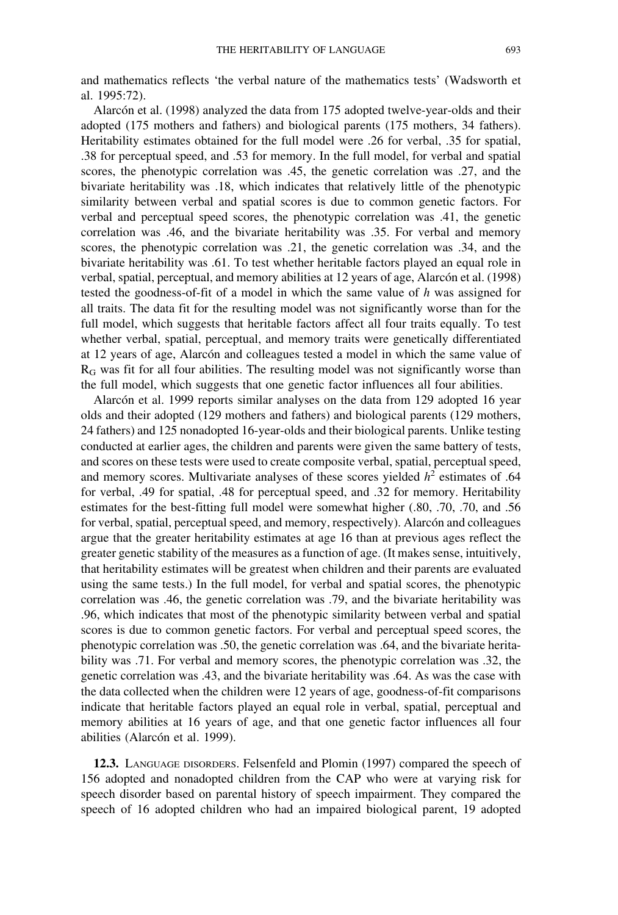and mathematics reflects 'the verbal nature of the mathematics tests' (Wadsworth et al. 1995:72).

Alarcón et al. (1998) analyzed the data from 175 adopted twelve-year-olds and their adopted (175 mothers and fathers) and biological parents (175 mothers, 34 fathers). Heritability estimates obtained for the full model were .26 for verbal, .35 for spatial, .38 for perceptual speed, and .53 for memory. In the full model, for verbal and spatial scores, the phenotypic correlation was .45, the genetic correlation was .27, and the bivariate heritability was .18, which indicates that relatively little of the phenotypic similarity between verbal and spatial scores is due to common genetic factors. For verbal and perceptual speed scores, the phenotypic correlation was .41, the genetic correlation was .46, and the bivariate heritability was .35. For verbal and memory scores, the phenotypic correlation was .21, the genetic correlation was .34, and the bivariate heritability was .61. To test whether heritable factors played an equal role in verbal, spatial, perceptual, and memory abilities at 12 years of age, Alarcón et al. (1998) tested the goodness-of-fit of a model in which the same value of *h* was assigned for all traits. The data fit for the resulting model was not significantly worse than for the full model, which suggests that heritable factors affect all four traits equally. To test whether verbal, spatial, perceptual, and memory traits were genetically differentiated at 12 years of age, Alarcón and colleagues tested a model in which the same value of  $R<sub>G</sub>$  was fit for all four abilities. The resulting model was not significantly worse than the full model, which suggests that one genetic factor influences all four abilities.

Alarcón et al. 1999 reports similar analyses on the data from 129 adopted 16 year olds and their adopted (129 mothers and fathers) and biological parents (129 mothers, 24 fathers) and 125 nonadopted 16-year-olds and their biological parents. Unlike testing conducted at earlier ages, the children and parents were given the same battery of tests, and scores on these tests were used to create composite verbal, spatial, perceptual speed, and memory scores. Multivariate analyses of these scores yielded  $h<sup>2</sup>$  estimates of .64 for verbal, .49 for spatial, .48 for perceptual speed, and .32 for memory. Heritability estimates for the best-fitting full model were somewhat higher  $(.80, .70, .70,$  and  $.56$ for verbal, spatial, perceptual speed, and memory, respectively). Alarcón and colleagues argue that the greater heritability estimates at age 16 than at previous ages reflect the greater genetic stability of the measures as a function of age. (It makes sense, intuitively, that heritability estimates will be greatest when children and their parents are evaluated using the same tests.) In the full model, for verbal and spatial scores, the phenotypic correlation was .46, the genetic correlation was .79, and the bivariate heritability was .96, which indicates that most of the phenotypic similarity between verbal and spatial scores is due to common genetic factors. For verbal and perceptual speed scores, the phenotypic correlation was .50, the genetic correlation was .64, and the bivariate heritability was .71. For verbal and memory scores, the phenotypic correlation was .32, the genetic correlation was .43, and the bivariate heritability was .64. As was the case with the data collected when the children were 12 years of age, goodness-of-fit comparisons indicate that heritable factors played an equal role in verbal, spatial, perceptual and memory abilities at 16 years of age, and that one genetic factor influences all four abilities (Alarcón et al. 1999).

**12.3.** LANGUAGE DISORDERS. Felsenfeld and Plomin (1997) compared the speech of 156 adopted and nonadopted children from the CAP who were at varying risk for speech disorder based on parental history of speech impairment. They compared the speech of 16 adopted children who had an impaired biological parent, 19 adopted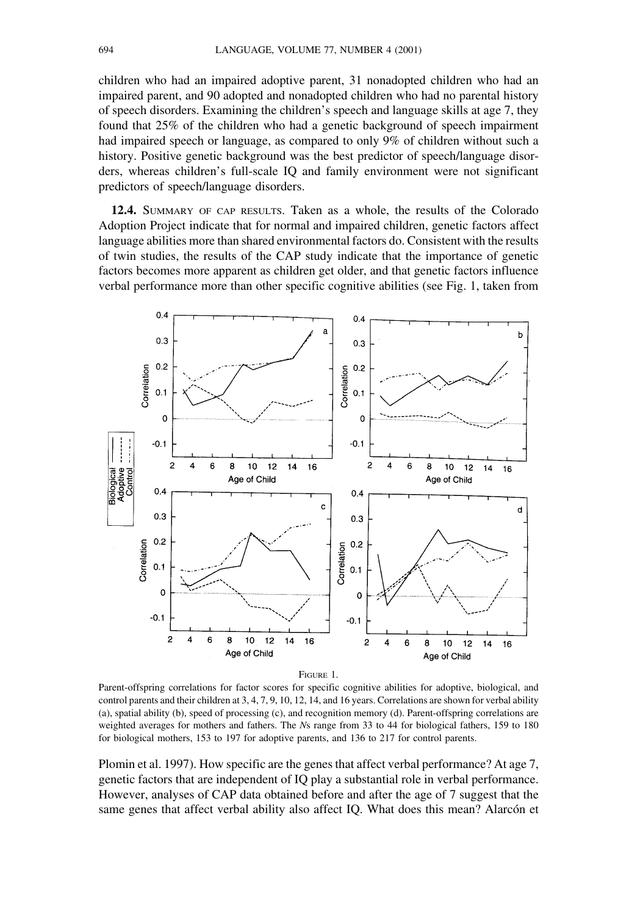children who had an impaired adoptive parent, 31 nonadopted children who had an impaired parent, and 90 adopted and nonadopted children who had no parental history of speech disorders. Examining the children's speech and language skills at age 7, they found that 25% of the children who had a genetic background of speech impairment had impaired speech or language, as compared to only 9% of children without such a history. Positive genetic background was the best predictor of speech/language disorders, whereas children's full-scale IQ and family environment were not significant predictors of speech/language disorders.

**12.4.** SUMMARY OF CAP RESULTS. Taken as a whole, the results of the Colorado Adoption Project indicate that for normal and impaired children, genetic factors affect language abilities more than shared environmental factors do. Consistent with the results of twin studies, the results of the CAP study indicate that the importance of genetic factors becomes more apparent as children get older, and that genetic factors influence verbal performance more than other specific cognitive abilities (see Fig. 1, taken from



FIGURE 1.

Parent-offspring correlations for factor scores for specific cognitive abilities for adoptive, biological, and control parents and their children at 3, 4, 7, 9, 10, 12, 14, and 16 years. Correlations are shown for verbal ability (a), spatial ability (b), speed of processing (c), and recognition memory (d). Parent-offspring correlations are weighted averages for mothers and fathers. The *N*s range from 33 to 44 for biological fathers, 159 to 180 for biological mothers, 153 to 197 for adoptive parents, and 136 to 217 for control parents.

Plomin et al. 1997). How specific are the genes that affect verbal performance? At age 7, genetic factors that are independent of IQ play a substantial role in verbal performance. However, analyses of CAP data obtained before and after the age of 7 suggest that the same genes that affect verbal ability also affect IQ. What does this mean? Alarcón et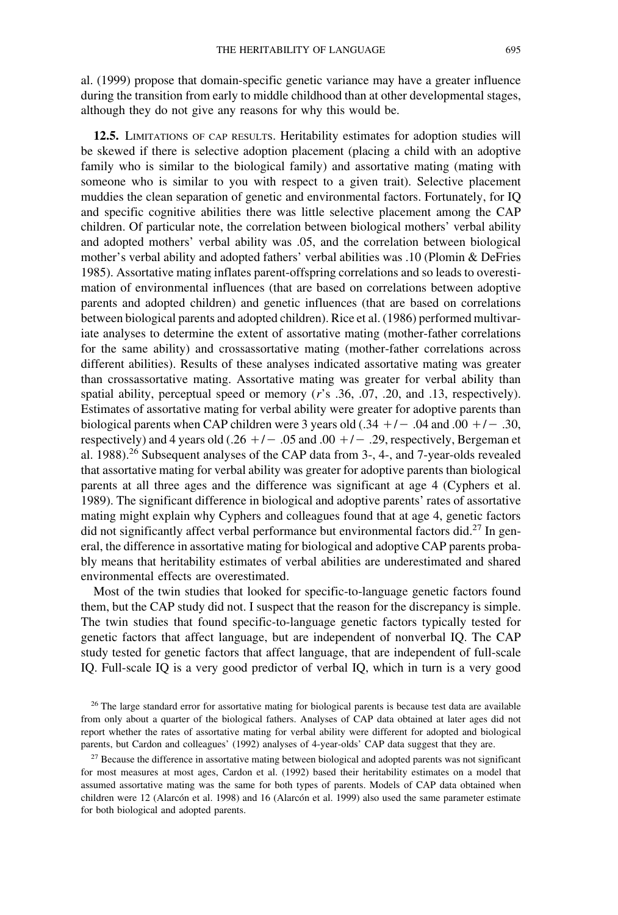al. (1999) propose that domain-specific genetic variance may have a greater influence during the transition from early to middle childhood than at other developmental stages, although they do not give any reasons for why this would be.

**12.5.** LIMITATIONS OF CAP RESULTS. Heritability estimates for adoption studies will be skewed if there is selective adoption placement (placinga child with an adoptive family who is similar to the biological family) and assortative mating (mating with someone who is similar to you with respect to a given trait). Selective placement muddies the clean separation of genetic and environmental factors. Fortunately, for IQ and specific cognitive abilities there was little selective placement among the CAP children. Of particular note, the correlation between biological mothers' verbal ability and adopted mothers' verbal ability was .05, and the correlation between biological mother's verbal ability and adopted fathers' verbal abilities was .10 (Plomin & DeFries 1985). Assortative mating inflates parent-offspring correlations and so leads to overestimation of environmental influences (that are based on correlations between adoptive parents and adopted children) and genetic influences (that are based on correlations between biological parents and adopted children). Rice et al. (1986) performed multivariate analyses to determine the extent of assortative mating(mother-father correlations for the same ability) and crossassortative mating(mother-father correlations across different abilities). Results of these analyses indicated assortative mating was greater than crossassortative mating. Assortative mating was greater for verbal ability than spatial ability, perceptual speed or memory (*r*'s .36, .07, .20, and .13, respectively). Estimates of assortative mating for verbal ability were greater for adoptive parents than biological parents when CAP children were 3 years old  $(.34 +/- .04$  and  $.00 +/- .30$ , respectively) and 4 years old (.26 +/- .05 and .00 +/- .29, respectively, Bergeman et al. 1988).<sup>26</sup> Subsequent analyses of the CAP data from 3-, 4-, and 7-year-olds revealed that assortative mating for verbal ability was greater for adoptive parents than biological parents at all three ages and the difference was significant at age 4 (Cyphers et al. 1989). The significant difference in biological and adoptive parents' rates of assortative mating might explain why Cyphers and colleagues found that at age 4, genetic factors did not significantly affect verbal performance but environmental factors did.<sup>27</sup> In general, the difference in assortative mating for biological and adoptive CAP parents probably means that heritability estimates of verbal abilities are underestimated and shared environmental effects are overestimated.

Most of the twin studies that looked for specific-to-language genetic factors found them, but the CAP study did not. I suspect that the reason for the discrepancy is simple. The twin studies that found specific-to-language genetic factors typically tested for genetic factors that affect language, but are independent of nonverbal IQ. The CAP study tested for genetic factors that affect language, that are independent of full-scale IQ. Full-scale IQ is a very good predictor of verbal IQ, which in turn is a very good

<sup>26</sup> The large standard error for assortative mating for biological parents is because test data are available from only about a quarter of the biological fathers. Analyses of CAP data obtained at later ages did not report whether the rates of assortative mating for verbal ability were different for adopted and biological parents, but Cardon and colleagues' (1992) analyses of 4-year-olds' CAP data suggest that they are.

<sup>27</sup> Because the difference in assortative mating between biological and adopted parents was not significant for most measures at most ages, Cardon et al. (1992) based their heritability estimates on a model that assumed assortative mating was the same for both types of parents. Models of CAP data obtained when children were 12 (Alarcón et al. 1998) and 16 (Alarcón et al. 1999) also used the same parameter estimate for both biological and adopted parents.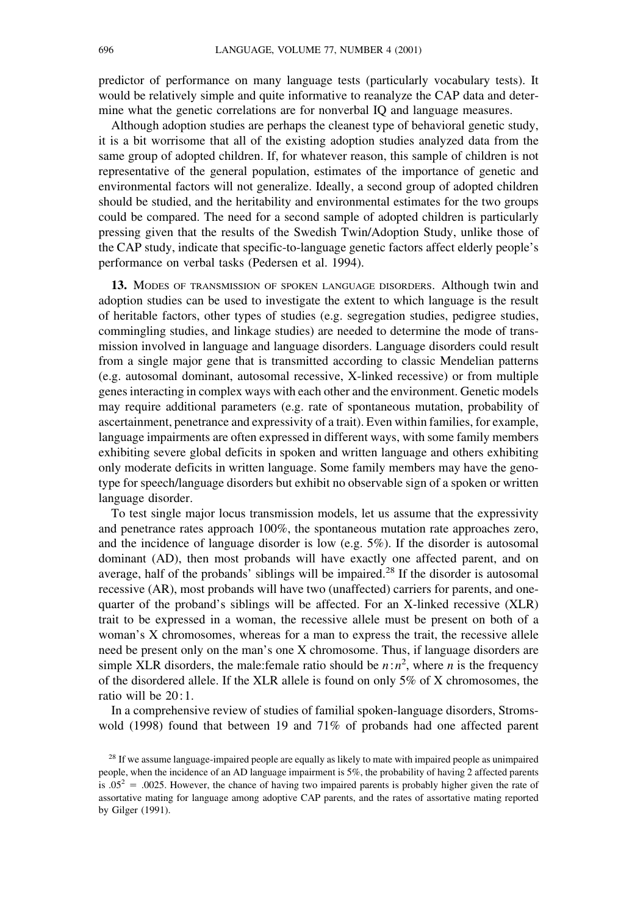predictor of performance on many language tests (particularly vocabulary tests). It would be relatively simple and quite informative to reanalyze the CAP data and determine what the genetic correlations are for nonverbal IQ and language measures.

Although adoption studies are perhaps the cleanest type of behavioral genetic study, it is a bit worrisome that all of the existing adoption studies analyzed data from the same group of adopted children. If, for whatever reason, this sample of children is not representative of the general population, estimates of the importance of genetic and environmental factors will not generalize. Ideally, a second group of adopted children should be studied, and the heritability and environmental estimates for the two groups could be compared. The need for a second sample of adopted children is particularly pressing given that the results of the Swedish Twin/Adoption Study, unlike those of the CAP study, indicate that specific-to-language genetic factors affect elderly people's performance on verbal tasks (Pedersen et al. 1994).

**13.** MODES OF TRANSMISSION OF SPOKEN LANGUAGE DISORDERS. Although twin and adoption studies can be used to investigate the extent to which language is the result of heritable factors, other types of studies (e.g. segregation studies, pedigree studies, commingling studies, and linkage studies) are needed to determine the mode of transmission involved in language and language disorders. Language disorders could result from a single major gene that is transmitted according to classic Mendelian patterns (e.g. autosomal dominant, autosomal recessive, X-linked recessive) or from multiple genes interacting in complex ways with each other and the environment. Genetic models may require additional parameters (e.g. rate of spontaneous mutation, probability of ascertainment, penetrance and expressivity of a trait). Even within families, for example, language impairments are often expressed in different ways, with some family members exhibiting severe global deficits in spoken and written language and others exhibiting only moderate deficits in written language. Some family members may have the genotype for speech/language disorders but exhibit no observable sign of a spoken or written language disorder.

To test single major locus transmission models, let us assume that the expressivity and penetrance rates approach 100%, the spontaneous mutation rate approaches zero, and the incidence of language disorder is low (e.g. 5%). If the disorder is autosomal dominant (AD), then most probands will have exactly one affected parent, and on average, half of the probands' siblings will be impaired.<sup>28</sup> If the disorder is autosomal recessive (AR), most probands will have two (unaffected) carriers for parents, and onequarter of the proband's siblings will be affected. For an X-linked recessive (XLR) trait to be expressed in a woman, the recessive allele must be present on both of a woman's X chromosomes, whereas for a man to express the trait, the recessive allele need be present only on the man's one X chromosome. Thus, if language disorders are simple XLR disorders, the male:female ratio should be  $n : n^2$ , where *n* is the frequency of the disordered allele. If the XLR allele is found on only 5% of X chromosomes, the ratio will be  $20:1$ .

In a comprehensive review of studies of familial spoken-language disorders, Stromswold (1998) found that between 19 and 71% of probands had one affected parent

<sup>&</sup>lt;sup>28</sup> If we assume language-impaired people are equally as likely to mate with impaired people as unimpaired people, when the incidence of an AD language impairment is 5%, the probability of having 2 affected parents is .05<sup>2</sup> = .0025. However, the chance of having two impaired parents is probably higher given the rate of assortative mating for language among adoptive CAP parents, and the rates of assortative mating reported by Gilger (1991).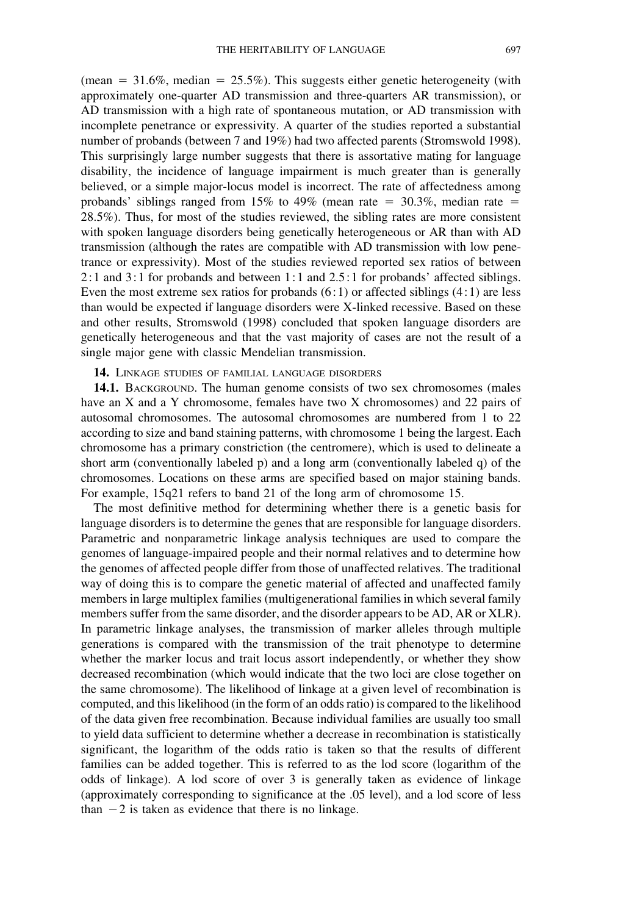(mean =  $31.6\%$ , median =  $25.5\%$ ). This suggests either genetic heterogeneity (with approximately one-quarter AD transmission and three-quarters AR transmission), or AD transmission with a high rate of spontaneous mutation, or AD transmission with incomplete penetrance or expressivity. A quarter of the studies reported a substantial number of probands (between 7 and 19%) had two affected parents (Stromswold 1998). This surprisingly large number suggests that there is assortative mating for language disability, the incidence of language impairment is much greater than is generally believed, or a simple major-locus model is incorrect. The rate of affectedness among probands' siblings ranged from 15% to 49% (mean rate  $= 30.3\%$ , median rate  $=$ 28.5%). Thus, for most of the studies reviewed, the sibling rates are more consistent with spoken language disorders being genetically heterogeneous or AR than with AD transmission (although the rates are compatible with AD transmission with low penetrance or expressivity). Most of the studies reviewed reported sex ratios of between 2:1 and 3:1 for probands and between 1:1 and 2.5:1 for probands' affected siblings. Even the most extreme sex ratios for probands  $(6:1)$  or affected siblings  $(4:1)$  are less than would be expected if language disorders were X-linked recessive. Based on these and other results, Stromswold (1998) concluded that spoken language disorders are genetically heterogeneous and that the vast majority of cases are not the result of a single major gene with classic Mendelian transmission.

**14.** LINKAGE STUDIES OF FAMILIAL LANGUAGE DISORDERS

**14.1.** BACKGROUND. The human genome consists of two sex chromosomes (males have an X and a Y chromosome, females have two X chromosomes) and 22 pairs of autosomal chromosomes. The autosomal chromosomes are numbered from 1 to 22 according to size and band staining patterns, with chromosome 1 being the largest. Each chromosome has a primary constriction (the centromere), which is used to delineate a short arm (conventionally labeled p) and a long arm (conventionally labeled q) of the chromosomes. Locations on these arms are specified based on major staining bands. For example, 15q21 refers to band 21 of the longarm of chromosome 15.

The most definitive method for determining whether there is a genetic basis for language disorders is to determine the genes that are responsible for language disorders. Parametric and nonparametric linkage analysis techniques are used to compare the genomes of language-impaired people and their normal relatives and to determine how the genomes of affected people differ from those of unaffected relatives. The traditional way of doing this is to compare the genetic material of affected and unaffected family members in large multiplex families (multigenerational families in which several family members suffer from the same disorder, and the disorder appears to be AD, AR or XLR). In parametric linkage analyses, the transmission of marker alleles through multiple generations is compared with the transmission of the trait phenotype to determine whether the marker locus and trait locus assort independently, or whether they show decreased recombination (which would indicate that the two loci are close together on the same chromosome). The likelihood of linkage at a given level of recombination is computed, and this likelihood (in the form of an odds ratio) is compared to the likelihood of the data given free recombination. Because individual families are usually too small to yield data sufficient to determine whether a decrease in recombination is statistically significant, the logarithm of the odds ratio is taken so that the results of different families can be added together. This is referred to as the lod score (logarithm of the odds of linkage). A lod score of over 3 is generally taken as evidence of linkage (approximately corresponding to significance at the  $.05$  level), and a lod score of less than  $-2$  is taken as evidence that there is no linkage.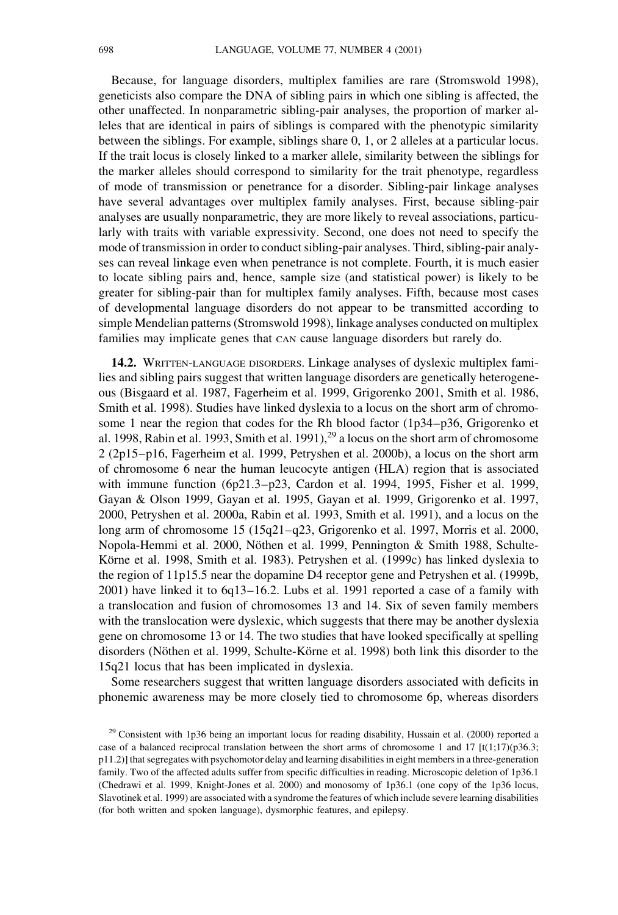Because, for language disorders, multiplex families are rare (Stromswold 1998), geneticists also compare the DNA of sibling pairs in which one sibling is affected, the other unaffected. In nonparametric sibling-pair analyses, the proportion of marker alleles that are identical in pairs of siblings is compared with the phenotypic similarity between the siblings. For example, siblings share 0, 1, or 2 alleles at a particular locus. If the trait locus is closely linked to a marker allele, similarity between the siblings for the marker alleles should correspond to similarity for the trait phenotype, regardless of mode of transmission or penetrance for a disorder. Sibling-pair linkage analyses have several advantages over multiplex family analyses. First, because sibling-pair analyses are usually nonparametric, they are more likely to reveal associations, particularly with traits with variable expressivity. Second, one does not need to specify the mode of transmission in order to conduct sibling-pair analyses. Third, sibling-pair analyses can reveal linkage even when penetrance is not complete. Fourth, it is much easier to locate sibling pairs and, hence, sample size (and statistical power) is likely to be greater for sibling-pair than for multiplex family analyses. Fifth, because most cases of developmental language disorders do not appear to be transmitted according to simple Mendelian patterns (Stromswold 1998), linkage analyses conducted on multiplex families may implicate genes that CAN cause language disorders but rarely do.

**14.2.** WRITTEN-LANGUAGE DISORDERS. Linkage analyses of dyslexic multiplex families and sibling pairs suggest that written language disorders are genetically heterogeneous (Bisgaard et al. 1987, Fagerheim et al. 1999, Grigorenko 2001, Smith et al. 1986, Smith et al. 1998). Studies have linked dyslexia to a locus on the short arm of chromosome 1 near the region that codes for the Rh blood factor (1p34–p36, Grigorenko et al. 1998, Rabin et al. 1993, Smith et al. 1991), $^{29}$  a locus on the short arm of chromosome 2 (2p15–p16, Fagerheim et al. 1999, Petryshen et al. 2000b), a locus on the short arm of chromosome 6 near the human leucocyte antigen (HLA) region that is associated with immune function (6p21.3–p23, Cardon et al. 1994, 1995, Fisher et al. 1999, Gayan & Olson 1999, Gayan et al. 1995, Gayan et al. 1999, Grigorenko et al. 1997, 2000, Petryshen et al. 2000a, Rabin et al. 1993, Smith et al. 1991), and a locus on the long arm of chromosome 15 (15q21–q23, Grigorenko et al. 1997, Morris et al. 2000, Nopola-Hemmi et al. 2000, Nöthen et al. 1999, Pennington & Smith 1988, Schulte-Körne et al. 1998, Smith et al. 1983). Petryshen et al. (1999c) has linked dyslexia to the region of 11p15.5 near the dopamine D4 receptor gene and Petryshen et al. (1999b, 2001) have linked it to 6q13–16.2. Lubs et al. 1991 reported a case of a family with a translocation and fusion of chromosomes 13 and 14. Six of seven family members with the translocation were dyslexic, which suggests that there may be another dyslexia gene on chromosome 13 or 14. The two studies that have looked specifically at spelling disorders (Nöthen et al. 1999, Schulte-Körne et al. 1998) both link this disorder to the 15q21 locus that has been implicated in dyslexia.

Some researchers suggest that written language disorders associated with deficits in phonemic awareness may be more closely tied to chromosome 6p, whereas disorders

 $29$  Consistent with 1p36 being an important locus for reading disability, Hussain et al. (2000) reported a case of a balanced reciprocal translation between the short arms of chromosome 1 and 17  $[t(1;17)(p36.3;$ p11.2)] that segregates with psychomotor delay and learning disabilities in eight members in a three-generation family. Two of the affected adults suffer from specific difficulties in reading. Microscopic deletion of 1p36.1 (Chedrawi et al. 1999, Knight-Jones et al. 2000) and monosomy of 1p36.1 (one copy of the 1p36 locus, Slavotinek et al. 1999) are associated with a syndrome the features of which include severe learningdisabilities (for both written and spoken language), dysmorphic features, and epilepsy.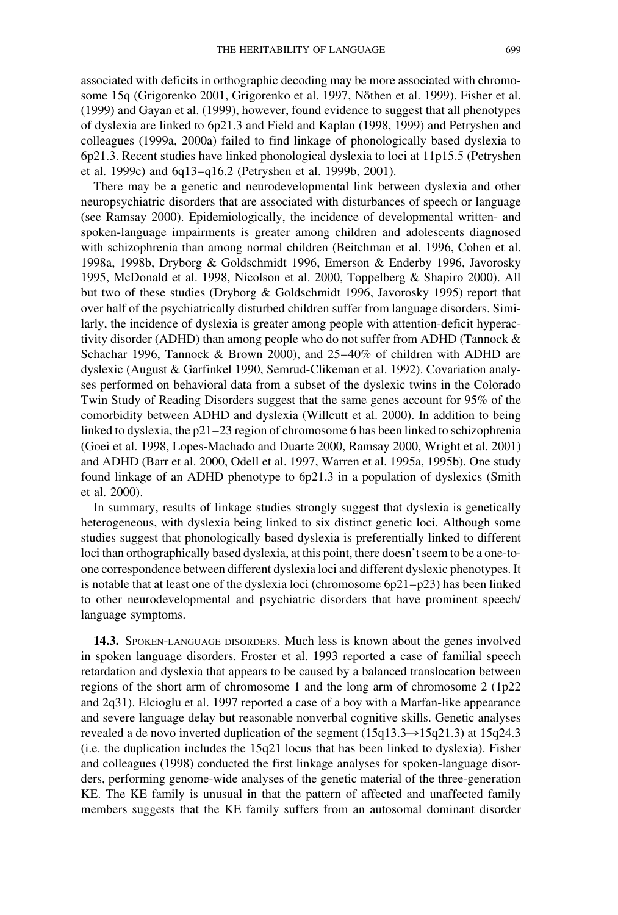associated with deficits in orthographic decoding may be more associated with chromosome 15q (Grigorenko 2001, Grigorenko et al. 1997, Nöthen et al. 1999). Fisher et al. (1999) and Gayan et al. (1999), however, found evidence to suggest that all phenotypes of dyslexia are linked to 6p21.3 and Field and Kaplan (1998, 1999) and Petryshen and colleagues (1999a, 2000a) failed to find linkage of phonologically based dyslexia to 6p21.3. Recent studies have linked phonological dyslexia to loci at 11p15.5 (Petryshen et al. 1999c) and 6q13–q16.2 (Petryshen et al. 1999b, 2001).

There may be a genetic and neurodevelopmental link between dyslexia and other neuropsychiatric disorders that are associated with disturbances of speech or language (see Ramsay 2000). Epidemiologically, the incidence of developmental written- and spoken-language impairments is greater among children and adolescents diagnosed with schizophrenia than among normal children (Beitchman et al. 1996, Cohen et al. 1998a, 1998b, Dryborg& Goldschmidt 1996, Emerson & Enderby 1996, Javorosky 1995, McDonald et al. 1998, Nicolson et al. 2000, Toppelberg& Shapiro 2000). All but two of these studies (Dryborg& Goldschmidt 1996, Javorosky 1995) report that over half of the psychiatrically disturbed children suffer from language disorders. Similarly, the incidence of dyslexia is greater among people with attention-deficit hyperactivity disorder (ADHD) than among people who do not suffer from ADHD (Tannock  $\&$ Schachar 1996, Tannock & Brown 2000), and 25-40% of children with ADHD are dyslexic (August & Garfinkel 1990, Semrud-Clikeman et al. 1992). Covariation analyses performed on behavioral data from a subset of the dyslexic twins in the Colorado Twin Study of Reading Disorders suggest that the same genes account for 95% of the comorbidity between ADHD and dyslexia (Willcutt et al. 2000). In addition to being linked to dyslexia, the p21–23 region of chromosome 6 has been linked to schizophrenia (Goei et al. 1998, Lopes-Machado and Duarte 2000, Ramsay 2000, Wright et al. 2001) and ADHD (Barr et al. 2000, Odell et al. 1997, Warren et al. 1995a, 1995b). One study found linkage of an ADHD phenotype to 6p21.3 in a population of dyslexics (Smith et al. 2000).

In summary, results of linkage studies strongly suggest that dyslexia is genetically heterogeneous, with dyslexia being linked to six distinct genetic loci. Although some studies suggest that phonologically based dyslexia is preferentially linked to different loci than orthographically based dyslexia, at this point, there doesn't seem to be a one-toone correspondence between different dyslexia loci and different dyslexic phenotypes. It is notable that at least one of the dyslexia loci (chromosome 6p21–p23) has been linked to other neurodevelopmental and psychiatric disorders that have prominent speech/ language symptoms.

**14.3.** SPOKEN-LANGUAGE DISORDERS. Much less is known about the genes involved in spoken language disorders. Froster et al. 1993 reported a case of familial speech retardation and dyslexia that appears to be caused by a balanced translocation between regions of the short arm of chromosome 1 and the long arm of chromosome 2 (1p22 and 2q31). Elcioglu et al. 1997 reported a case of a boy with a Marfan-like appearance and severe language delay but reasonable nonverbal cognitive skills. Genetic analyses revealed a de novo inverted duplication of the segment ( $15q13.3 \rightarrow 15q21.3$ ) at  $15q24.3$ (i.e. the duplication includes the 15q21 locus that has been linked to dyslexia). Fisher and colleagues (1998) conducted the first linkage analyses for spoken-language disorders, performing genome-wide analyses of the genetic material of the three-generation KE. The KE family is unusual in that the pattern of affected and unaffected family members suggests that the KE family suffers from an autosomal dominant disorder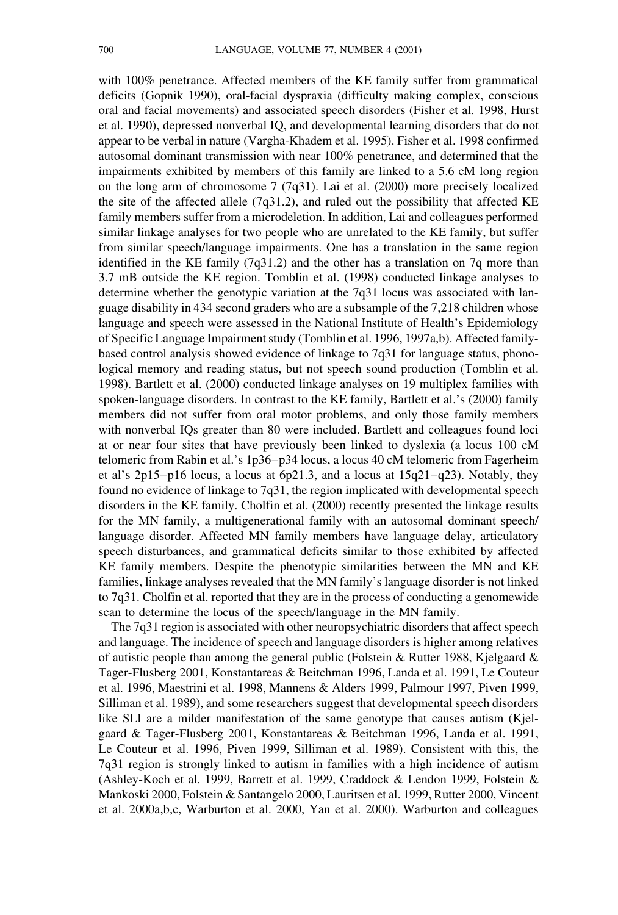with 100% penetrance. Affected members of the KE family suffer from grammatical deficits (Gopnik 1990), oral-facial dyspraxia (difficulty making complex, conscious oral and facial movements) and associated speech disorders (Fisher et al. 1998, Hurst et al. 1990), depressed nonverbal IQ, and developmental learning disorders that do not appear to be verbal in nature (Vargha-Khadem et al. 1995). Fisher et al. 1998 confirmed autosomal dominant transmission with near 100% penetrance, and determined that the impairments exhibited by members of this family are linked to a 5.6 cM long region on the longarm of chromosome 7 (7q31). Lai et al. (2000) more precisely localized the site of the affected allele (7q31.2), and ruled out the possibility that affected KE family members suffer from a microdeletion. In addition, Lai and colleagues performed similar linkage analyses for two people who are unrelated to the KE family, but suffer from similar speech/language impairments. One has a translation in the same region identified in the KE family (7q31.2) and the other has a translation on 7q more than 3.7 mB outside the KE region. Tomblin et al. (1998) conducted linkage analyses to determine whether the genotypic variation at the 7q31 locus was associated with language disability in 434 second graders who are a subsample of the 7,218 children whose language and speech were assessed in the National Institute of Health's Epidemiology of Specific Language Impairment study (Tomblin et al. 1996, 1997a,b). Affected familybased control analysis showed evidence of linkage to 7q31 for language status, phonological memory and reading status, but not speech sound production (Tomblin et al. 1998). Bartlett et al. (2000) conducted linkage analyses on 19 multiplex families with spoken-language disorders. In contrast to the KE family, Bartlett et al.'s (2000) family members did not suffer from oral motor problems, and only those family members with nonverbal IQs greater than 80 were included. Bartlett and colleagues found loci at or near four sites that have previously been linked to dyslexia (a locus 100 cM telomeric from Rabin et al.'s 1p36–p34 locus, a locus 40 cM telomeric from Fagerheim et al's 2p15–p16 locus, a locus at 6p21.3, and a locus at 15q21–q23). Notably, they found no evidence of linkage to 7q31, the region implicated with developmental speech disorders in the KE family. Cholfin et al. (2000) recently presented the linkage results for the MN family, a multigenerational family with an autosomal dominant speech/ language disorder. Affected MN family members have language delay, articulatory speech disturbances, and grammatical deficits similar to those exhibited by affected KE family members. Despite the phenotypic similarities between the MN and KE families, linkage analyses revealed that the MN family's language disorder is not linked to 7q31. Cholfin et al. reported that they are in the process of conducting a genomewide scan to determine the locus of the speech/language in the MN family.

The 7q31 region is associated with other neuropsychiatric disorders that affect speech and language. The incidence of speech and language disorders is higher among relatives of autistic people than among the general public (Folstein & Rutter 1988, Kjelgaard & Tager-Flusberg 2001, Konstantareas & Beitchman 1996, Landa et al. 1991, Le Couteur et al. 1996, Maestrini et al. 1998, Mannens & Alders 1999, Palmour 1997, Piven 1999, Silliman et al. 1989), and some researchers suggest that developmental speech disorders like SLI are a milder manifestation of the same genotype that causes autism (Kjelgaard & Tager-Flusberg 2001, Konstantareas & Beitchman 1996, Landa et al. 1991, Le Couteur et al. 1996, Piven 1999, Silliman et al. 1989). Consistent with this, the 7q31 region is strongly linked to autism in families with a high incidence of autism (Ashley-Koch et al. 1999, Barrett et al. 1999, Craddock & Lendon 1999, Folstein & Mankoski 2000, Folstein & Santangelo 2000, Lauritsen et al. 1999, Rutter 2000, Vincent et al. 2000a,b,c, Warburton et al. 2000, Yan et al. 2000). Warburton and colleagues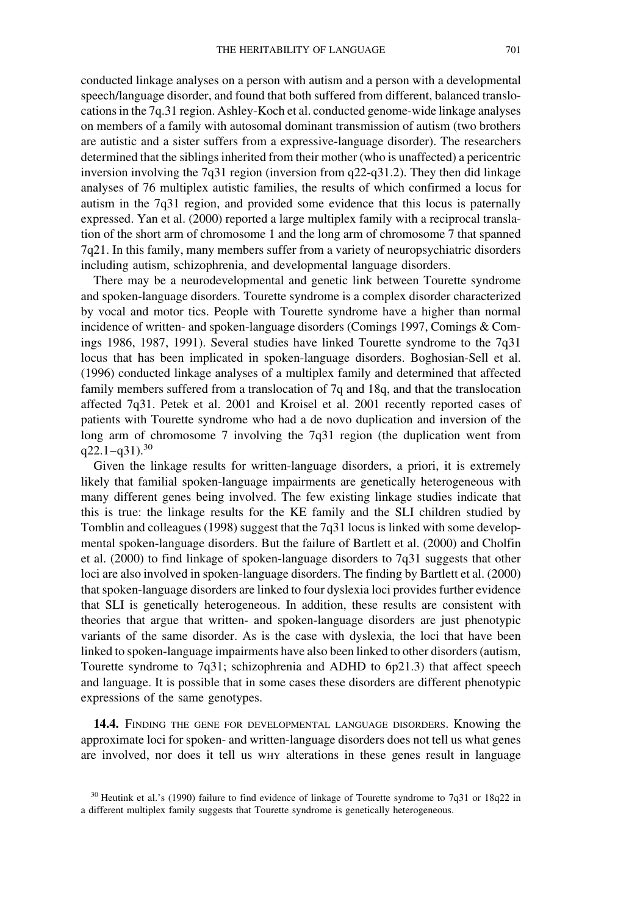conducted linkage analyses on a person with autism and a person with a developmental speech/language disorder, and found that both suffered from different, balanced translocations in the 7q.31 region. Ashley-Koch et al. conducted genome-wide linkage analyses on members of a family with autosomal dominant transmission of autism (two brothers are autistic and a sister suffers from a expressive-language disorder). The researchers determined that the siblings inherited from their mother (who is unaffected) a pericentric inversion involving the 7q31 region (inversion from q22-q31.2). They then did linkage analyses of 76 multiplex autistic families, the results of which confirmed a locus for autism in the 7q31 region, and provided some evidence that this locus is paternally expressed. Yan et al. (2000) reported a large multiplex family with a reciprocal translation of the short arm of chromosome 1 and the long arm of chromosome 7 that spanned 7q21. In this family, many members suffer from a variety of neuropsychiatric disorders including autism, schizophrenia, and developmental language disorders.

There may be a neurodevelopmental and genetic link between Tourette syndrome and spoken-language disorders. Tourette syndrome is a complex disorder characterized by vocal and motor tics. People with Tourette syndrome have a higher than normal incidence of written- and spoken-language disorders (Comings 1997, Comings & Comings 1986, 1987, 1991). Several studies have linked Tourette syndrome to the 7q31 locus that has been implicated in spoken-language disorders. Boghosian-Sell et al. (1996) conducted linkage analyses of a multiplex family and determined that affected family members suffered from a translocation of 7q and 18q, and that the translocation affected 7q31. Petek et al. 2001 and Kroisel et al. 2001 recently reported cases of patients with Tourette syndrome who had a de novo duplication and inversion of the long arm of chromosome  $7$  involving the  $7q31$  region (the duplication went from  $q22.1-q31$ ).<sup>30</sup>

Given the linkage results for written-language disorders, a priori, it is extremely likely that familial spoken-language impairments are genetically heterogeneous with many different genes being involved. The few existing linkage studies indicate that this is true: the linkage results for the KE family and the SLI children studied by Tomblin and colleagues (1998) suggest that the 7q31 locus is linked with some developmental spoken-language disorders. But the failure of Bartlett et al. (2000) and Cholfin et al. (2000) to find linkage of spoken-language disorders to 7q31 suggests that other loci are also involved in spoken-language disorders. The finding by Bartlett et al. (2000) that spoken-language disorders are linked to four dyslexia loci provides further evidence that SLI is genetically heterogeneous. In addition, these results are consistent with theories that argue that written- and spoken-language disorders are just phenotypic variants of the same disorder. As is the case with dyslexia, the loci that have been linked to spoken-language impairments have also been linked to other disorders (autism, Tourette syndrome to 7q31; schizophrenia and ADHD to 6p21.3) that affect speech and language. It is possible that in some cases these disorders are different phenotypic expressions of the same genotypes.

14.4. FINDING THE GENE FOR DEVELOPMENTAL LANGUAGE DISORDERS. Knowing the approximate loci for spoken- and written-language disorders does not tell us what genes are involved, nor does it tell us WHY alterations in these genes result in language

<sup>&</sup>lt;sup>30</sup> Heutink et al.'s (1990) failure to find evidence of linkage of Tourette syndrome to 7q31 or 18q22 in a different multiplex family suggests that Tourette syndrome is genetically heterogeneous.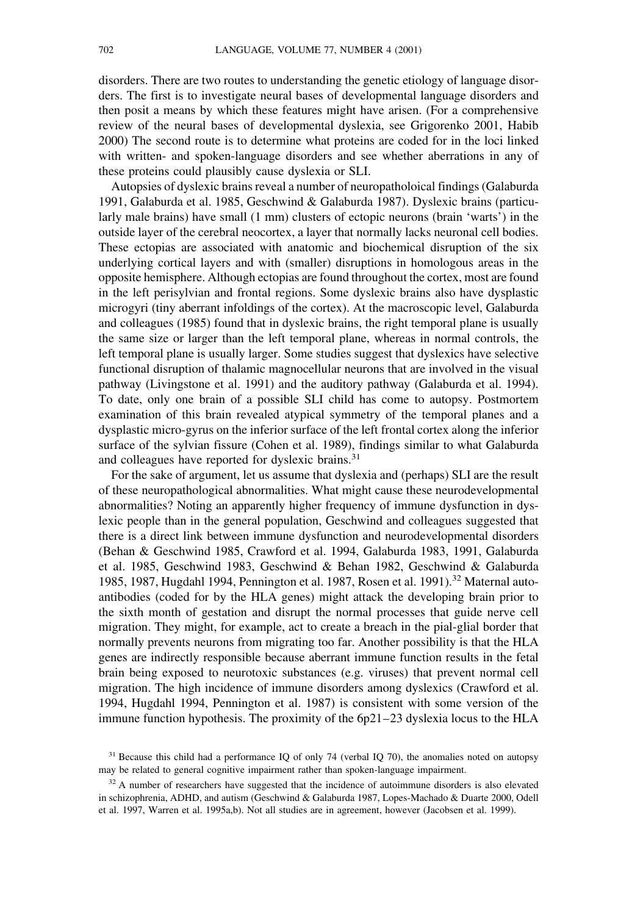disorders. There are two routes to understanding the genetic etiology of language disorders. The first is to investigate neural bases of developmental language disorders and then posit a means by which these features might have arisen. (For a comprehensive review of the neural bases of developmental dyslexia, see Grigorenko 2001, Habib 2000) The second route is to determine what proteins are coded for in the loci linked with written- and spoken-language disorders and see whether aberrations in any of these proteins could plausibly cause dyslexia or SLI.

Autopsies of dyslexic brains reveal a number of neuropatholoical findings (Galaburda 1991, Galaburda et al. 1985, Geschwind & Galaburda 1987). Dyslexic brains (particularly male brains) have small (1 mm) clusters of ectopic neurons (brain 'warts') in the outside layer of the cerebral neocortex, a layer that normally lacks neuronal cell bodies. These ectopias are associated with anatomic and biochemical disruption of the six underlying cortical layers and with (smaller) disruptions in homologous areas in the opposite hemisphere. Although ectopias are found throughout the cortex, most are found in the left perisylvian and frontal regions. Some dyslexic brains also have dysplastic microgyri (tiny aberrant infoldings of the cortex). At the macroscopic level, Galaburda and colleagues (1985) found that in dyslexic brains, the right temporal plane is usually the same size or larger than the left temporal plane, whereas in normal controls, the left temporal plane is usually larger. Some studies suggest that dyslexics have selective functional disruption of thalamic magnocellular neurons that are involved in the visual pathway (Livingstone et al. 1991) and the auditory pathway (Galaburda et al. 1994). To date, only one brain of a possible SLI child has come to autopsy. Postmortem examination of this brain revealed atypical symmetry of the temporal planes and a dysplastic micro-gyrus on the inferior surface of the left frontal cortex along the inferior surface of the sylvian fissure (Cohen et al. 1989), findings similar to what Galaburda and colleagues have reported for dyslexic brains.<sup>31</sup>

For the sake of argument, let us assume that dyslexia and (perhaps) SLI are the result of these neuropathological abnormalities. What might cause these neurodevelopmental abnormalities? Noting an apparently higher frequency of immune dysfunction in dyslexic people than in the general population, Geschwind and colleagues suggested that there is a direct link between immune dysfunction and neurodevelopmental disorders (Behan & Geschwind 1985, Crawford et al. 1994, Galaburda 1983, 1991, Galaburda et al. 1985, Geschwind 1983, Geschwind & Behan 1982, Geschwind & Galaburda 1985, 1987, Hugdahl 1994, Pennington et al. 1987, Rosen et al. 1991).<sup>32</sup> Maternal autoantibodies (coded for by the HLA genes) might attack the developing brain prior to the sixth month of gestation and disrupt the normal processes that guide nerve cell migration. They might, for example, act to create a breach in the pial-glial border that normally prevents neurons from migrating too far. Another possibility is that the HLA genes are indirectly responsible because aberrant immune function results in the fetal brain being exposed to neurotoxic substances (e.g. viruses) that prevent normal cell migration. The high incidence of immune disorders among dyslexics (Crawford et al. 1994, Hugdahl 1994, Pennington et al. 1987) is consistent with some version of the immune function hypothesis. The proximity of the 6p21–23 dyslexia locus to the HLA

<sup>&</sup>lt;sup>31</sup> Because this child had a performance IQ of only 74 (verbal IQ 70), the anomalies noted on autopsy may be related to general cognitive impairment rather than spoken-language impairment.

<sup>&</sup>lt;sup>32</sup> A number of researchers have suggested that the incidence of autoimmune disorders is also elevated in schizophrenia, ADHD, and autism (Geschwind & Galaburda 1987, Lopes-Machado & Duarte 2000, Odell et al. 1997, Warren et al. 1995a,b). Not all studies are in agreement, however (Jacobsen et al. 1999).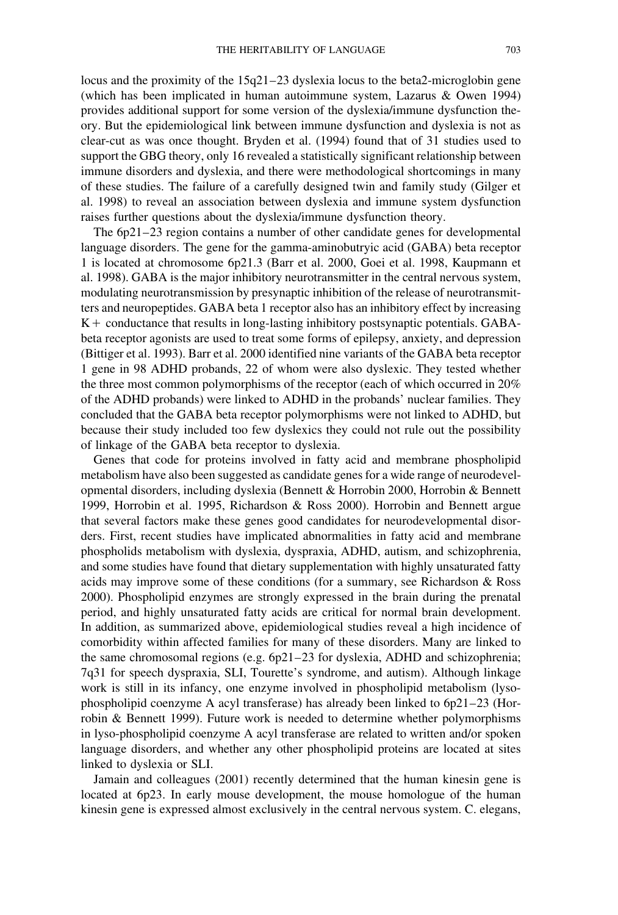locus and the proximity of the 15q21–23 dyslexia locus to the beta2-microglobin gene (which has been implicated in human autoimmune system, Lazarus & Owen 1994) provides additional support for some version of the dyslexia/immune dysfunction theory. But the epidemiological link between immune dysfunction and dyslexia is not as clear-cut as was once thought. Bryden et al. (1994) found that of 31 studies used to support the GBG theory, only 16 revealed a statistically significant relationship between immune disorders and dyslexia, and there were methodological shortcomings in many of these studies. The failure of a carefully designed twin and family study (Gilger et al. 1998) to reveal an association between dyslexia and immune system dysfunction raises further questions about the dyslexia/immune dysfunction theory.

The 6p21–23 region contains a number of other candidate genes for developmental language disorders. The gene for the gamma-aminobutryic acid (GABA) beta receptor 1 is located at chromosome 6p21.3 (Barr et al. 2000, Goei et al. 1998, Kaupmann et al. 1998). GABA is the major inhibitory neurotransmitter in the central nervous system, modulating neurotransmission by presynaptic inhibition of the release of neurotransmitters and neuropeptides. GABA beta 1 receptor also has an inhibitory effect by increasing  $K +$  conductance that results in long-lasting inhibitory postsynaptic potentials. GABAbeta receptor agonists are used to treat some forms of epilepsy, anxiety, and depression (Bittiger et al. 1993). Barr et al. 2000 identified nine variants of the GABA beta receptor 1 gene in 98 ADHD probands, 22 of whom were also dyslexic. They tested whether the three most common polymorphisms of the receptor (each of which occurred in 20% of the ADHD probands) were linked to ADHD in the probands' nuclear families. They concluded that the GABA beta receptor polymorphisms were not linked to ADHD, but because their study included too few dyslexics they could not rule out the possibility of linkage of the GABA beta receptor to dyslexia.

Genes that code for proteins involved in fatty acid and membrane phospholipid metabolism have also been suggested as candidate genes for a wide range of neurodevelopmental disorders, including dyslexia (Bennett & Horrobin 2000, Horrobin & Bennett 1999, Horrobin et al. 1995, Richardson & Ross 2000). Horrobin and Bennett argue that several factors make these genes good candidates for neurodevelopmental disorders. First, recent studies have implicated abnormalities in fatty acid and membrane phospholids metabolism with dyslexia, dyspraxia, ADHD, autism, and schizophrenia, and some studies have found that dietary supplementation with highly unsaturated fatty acids may improve some of these conditions (for a summary, see Richardson & Ross 2000). Phospholipid enzymes are strongly expressed in the brain during the prenatal period, and highly unsaturated fatty acids are critical for normal brain development. In addition, as summarized above, epidemiological studies reveal a high incidence of comorbidity within affected families for many of these disorders. Many are linked to the same chromosomal regions (e.g. 6p21–23 for dyslexia, ADHD and schizophrenia; 7q31 for speech dyspraxia, SLI, Tourette's syndrome, and autism). Although linkage work is still in its infancy, one enzyme involved in phospholipid metabolism (lysophospholipid coenzyme A acyl transferase) has already been linked to 6p21–23 (Horrobin & Bennett 1999). Future work is needed to determine whether polymorphisms in lyso-phospholipid coenzyme A acyl transferase are related to written and/or spoken language disorders, and whether any other phospholipid proteins are located at sites linked to dyslexia or SLI.

Jamain and colleagues (2001) recently determined that the human kinesin gene is located at 6p23. In early mouse development, the mouse homologue of the human kinesin gene is expressed almost exclusively in the central nervous system. C. elegans,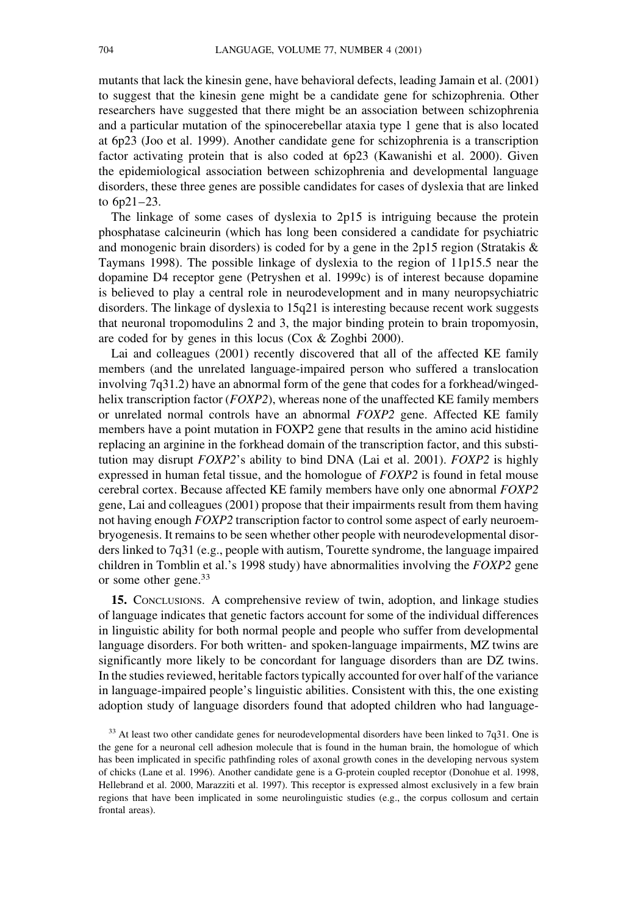mutants that lack the kinesin gene, have behavioral defects, leading Jamain et al. (2001) to suggest that the kinesin gene might be a candidate gene for schizophrenia. Other researchers have suggested that there might be an association between schizophrenia and a particular mutation of the spinocerebellar ataxia type 1 gene that is also located at 6p23 (Joo et al. 1999). Another candidate gene for schizophrenia is a transcription factor activating protein that is also coded at 6p23 (Kawanishi et al. 2000). Given the epidemiological association between schizophrenia and developmental language disorders, these three genes are possible candidates for cases of dyslexia that are linked to 6p21–23.

The linkage of some cases of dyslexia to 2p15 is intriguing because the protein phosphatase calcineurin (which has long been considered a candidate for psychiatric and monogenic brain disorders) is coded for by a gene in the 2p15 region (Stratakis & Taymans 1998). The possible linkage of dyslexia to the region of 11p15.5 near the dopamine D4 receptor gene (Petryshen et al. 1999c) is of interest because dopamine is believed to play a central role in neurodevelopment and in many neuropsychiatric disorders. The linkage of dyslexia to 15q21 is interesting because recent work suggests that neuronal tropomodulins 2 and 3, the major binding protein to brain tropomyosin, are coded for by genes in this locus (Cox & Zoghbi 2000).

Lai and colleagues (2001) recently discovered that all of the affected KE family members (and the unrelated language-impaired person who suffered a translocation involving 7q31.2) have an abnormal form of the gene that codes for a forkhead/wingedhelix transcription factor (*FOXP2*), whereas none of the unaffected KE family members or unrelated normal controls have an abnormal *FOXP2* gene. Affected KE family members have a point mutation in FOXP2 gene that results in the amino acid histidine replacing an arginine in the forkhead domain of the transcription factor, and this substitution may disrupt *FOXP2*'s ability to bind DNA (Lai et al. 2001). *FOXP2* is highly expressed in human fetal tissue, and the homologue of *FOXP2* is found in fetal mouse cerebral cortex. Because affected KE family members have only one abnormal *FOXP2* gene, Lai and colleagues (2001) propose that their impairments result from them having not having enough *FOXP2* transcription factor to control some aspect of early neuroembryogenesis. It remains to be seen whether other people with neurodevelopmental disorders linked to 7q31 (e.g., people with autism, Tourette syndrome, the language impaired children in Tomblin et al.'s 1998 study) have abnormalities involving the *FOXP2* gene or some other gene.<sup>33</sup>

**15.** CONCLUSIONS. A comprehensive review of twin, adoption, and linkage studies of language indicates that genetic factors account for some of the individual differences in linguistic ability for both normal people and people who suffer from developmental language disorders. For both written- and spoken-language impairments, MZ twins are significantly more likely to be concordant for language disorders than are DZ twins. In the studies reviewed, heritable factors typically accounted for over half of the variance in language-impaired people's linguistic abilities. Consistent with this, the one existing adoption study of language disorders found that adopted children who had language-

<sup>&</sup>lt;sup>33</sup> At least two other candidate genes for neurodevelopmental disorders have been linked to 7q31. One is the gene for a neuronal cell adhesion molecule that is found in the human brain, the homologue of which has been implicated in specific pathfinding roles of axonal growth cones in the developing nervous system of chicks (Lane et al. 1996). Another candidate gene is a G-protein coupled receptor (Donohue et al. 1998, Hellebrand et al. 2000, Marazziti et al. 1997). This receptor is expressed almost exclusively in a few brain regions that have been implicated in some neurolinguistic studies (e.g., the corpus collosum and certain frontal areas).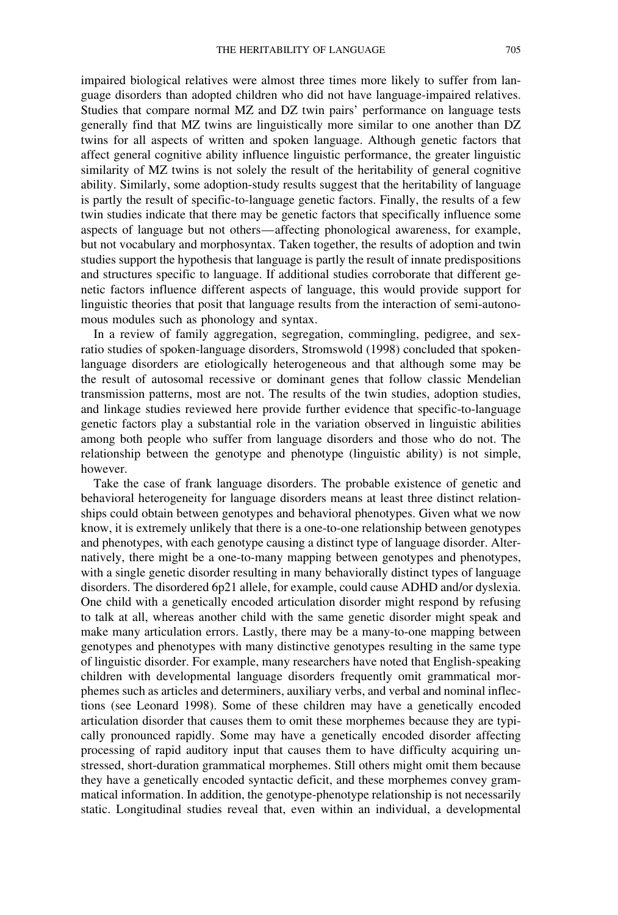impaired biological relatives were almost three times more likely to suffer from language disorders than adopted children who did not have language-impaired relatives. Studies that compare normal MZ and DZ twin pairs' performance on language tests generally find that MZ twins are linguistically more similar to one another than DZ twins for all aspects of written and spoken language. Although genetic factors that affect general cognitive ability influence linguistic performance, the greater linguistic similarity of MZ twins is not solely the result of the heritability of general cognitive ability. Similarly, some adoption-study results suggest that the heritability of language is partly the result of specific-to-language genetic factors. Finally, the results of a few twin studies indicate that there may be genetic factors that specifically influence some aspects of language but not others—affecting phonological awareness, for example, but not vocabulary and morphosyntax. Taken together, the results of adoption and twin studies support the hypothesis that language is partly the result of innate predispositions and structures specific to language. If additional studies corroborate that different genetic factors influence different aspects of language, this would provide support for linguistic theories that posit that language results from the interaction of semi-autonomous modules such as phonology and syntax.

In a review of family aggregation, segregation, commingling, pedigree, and sexratio studies of spoken-language disorders, Stromswold (1998) concluded that spokenlanguage disorders are etiologically heterogeneous and that although some may be the result of autosomal recessive or dominant genes that follow classic Mendelian transmission patterns, most are not. The results of the twin studies, adoption studies, and linkage studies reviewed here provide further evidence that specific-to-language genetic factors play a substantial role in the variation observed in linguistic abilities among both people who suffer from language disorders and those who do not. The relationship between the genotype and phenotype (linguistic ability) is not simple, however.

Take the case of frank language disorders. The probable existence of genetic and behavioral heterogeneity for language disorders means at least three distinct relationships could obtain between genotypes and behavioral phenotypes. Given what we now know, it is extremely unlikely that there is a one-to-one relationship between genotypes and phenotypes, with each genotype causing a distinct type of language disorder. Alternatively, there might be a one-to-many mapping between genotypes and phenotypes, with a single genetic disorder resulting in many behaviorally distinct types of language disorders. The disordered 6p21 allele, for example, could cause ADHD and/or dyslexia. One child with a genetically encoded articulation disorder might respond by refusing to talk at all, whereas another child with the same genetic disorder might speak and make many articulation errors. Lastly, there may be a many-to-one mapping between genotypes and phenotypes with many distinctive genotypes resulting in the same type of linguistic disorder. For example, many researchers have noted that English-speaking children with developmental language disorders frequently omit grammatical morphemes such as articles and determiners, auxiliary verbs, and verbal and nominal inflections (see Leonard 1998). Some of these children may have a genetically encoded articulation disorder that causes them to omit these morphemes because they are typically pronounced rapidly. Some may have a genetically encoded disorder affecting processing of rapid auditory input that causes them to have difficulty acquiring unstressed, short-duration grammatical morphemes. Still others might omit them because they have a genetically encoded syntactic deficit, and these morphemes convey grammatical information. In addition, the genotype-phenotype relationship is not necessarily static. Longitudinal studies reveal that, even within an individual, a developmental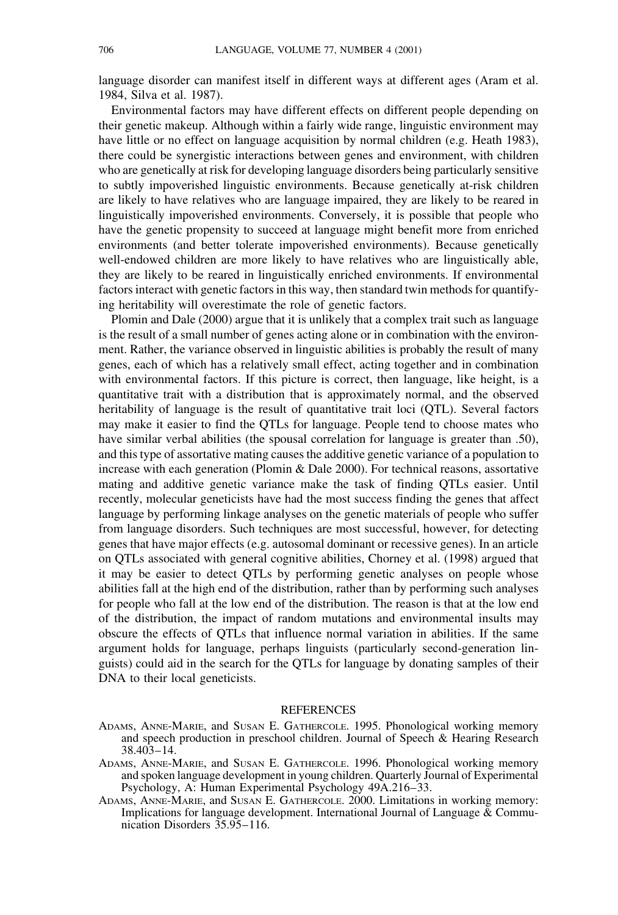language disorder can manifest itself in different ways at different ages (Aram et al. 1984, Silva et al. 1987).

Environmental factors may have different effects on different people depending on their genetic makeup. Although within a fairly wide range, linguistic environment may have little or no effect on language acquisition by normal children (e.g. Heath 1983), there could be synergistic interactions between genes and environment, with children who are genetically at risk for developing language disorders being particularly sensitive to subtly impoverished linguistic environments. Because genetically at-risk children are likely to have relatives who are language impaired, they are likely to be reared in linguistically impoverished environments. Conversely, it is possible that people who have the genetic propensity to succeed at language might benefit more from enriched environments (and better tolerate impoverished environments). Because genetically well-endowed children are more likely to have relatives who are linguistically able, they are likely to be reared in linguistically enriched environments. If environmental factors interact with genetic factors in this way, then standard twin methods for quantifying heritability will overestimate the role of genetic factors.

Plomin and Dale (2000) argue that it is unlikely that a complex trait such as language is the result of a small number of genes acting alone or in combination with the environment. Rather, the variance observed in linguistic abilities is probably the result of many genes, each of which has a relatively small effect, acting together and in combination with environmental factors. If this picture is correct, then language, like height, is a quantitative trait with a distribution that is approximately normal, and the observed heritability of language is the result of quantitative trait loci (QTL). Several factors may make it easier to find the QTLs for language. People tend to choose mates who have similar verbal abilities (the spousal correlation for language is greater than .50), and this type of assortative mating causes the additive genetic variance of a population to increase with each generation (Plomin & Dale 2000). For technical reasons, assortative mating and additive genetic variance make the task of finding QTLs easier. Until recently, molecular geneticists have had the most success finding the genes that affect language by performing linkage analyses on the genetic materials of people who suffer from language disorders. Such techniques are most successful, however, for detecting genes that have major effects (e.g. autosomal dominant or recessive genes). In an article on QTLs associated with general cognitive abilities, Chorney et al. (1998) argued that it may be easier to detect QTLs by performing genetic analyses on people whose abilities fall at the high end of the distribution, rather than by performing such analyses for people who fall at the low end of the distribution. The reason is that at the low end of the distribution, the impact of random mutations and environmental insults may obscure the effects of QTLs that influence normal variation in abilities. If the same argument holds for language, perhaps linguists (particularly second-generation linguists) could aid in the search for the QTLs for language by donating samples of their DNA to their local geneticists.

## REFERENCES

- ADAMS, ANNE-MARIE, and SUSAN E. GATHERCOLE. 1995. Phonological working memory and speech production in preschool children. Journal of Speech & Hearing Research 38.403–14.
- ADAMS, ANNE-MARIE, and SUSAN E. GATHERCOLE. 1996. Phonological working memory and spoken language development in young children. Quarterly Journal of Experimental Psychology, A: Human Experimental Psychology 49A.216–33.
- ADAMS, ANNE-MARIE, and SUSAN E. GATHERCOLE. 2000. Limitations in working memory: Implications for language development. International Journal of Language & Communication Disorders 35.95–116.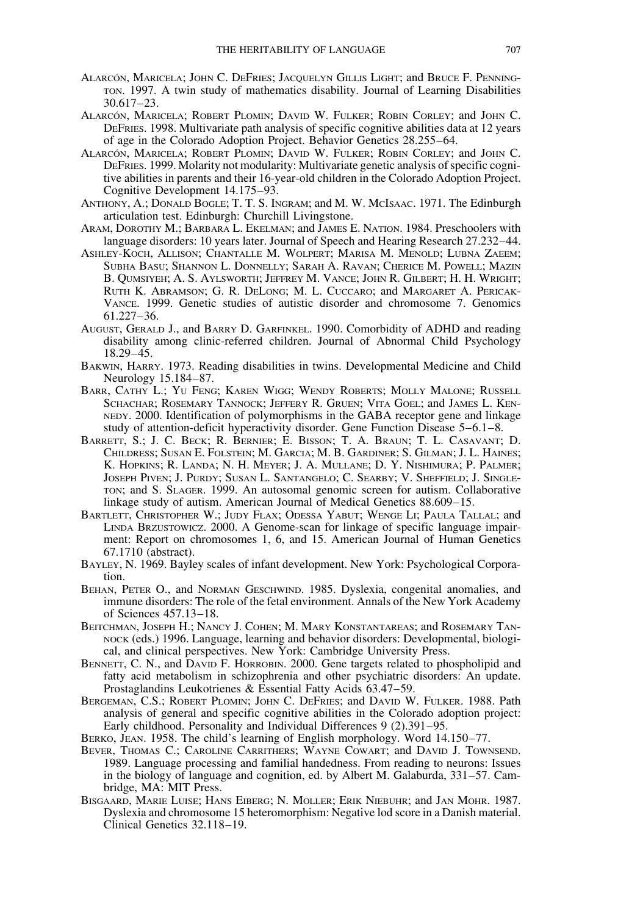- ALARCÓN, MARICELA; JOHN C. DEFRIES; JACQUELYN GILLIS LIGHT; and BRUCE F. PENNING-TON. 1997. A twin study of mathematics disability. Journal of Learning Disabilities 30.617–23.
- ALARCÓN, MARICELA; ROBERT PLOMIN; DAVID W. FULKER; ROBIN CORLEY; and JOHN C. DEFRIES. 1998. Multivariate path analysis of specific cognitive abilities data at 12 years of age in the Colorado Adoption Project. Behavior Genetics 28.255–64.
- ALARCÓN, MARICELA; ROBERT PLOMIN; DAVID W. FULKER; ROBIN CORLEY; and JOHN C. DEFRIES. 1999. Molarity not modularity: Multivariate genetic analysis of specific cognitive abilities in parents and their 16-year-old children in the Colorado Adoption Project. Cognitive Development 14.175–93.
- ANTHONY, A.; DONALD BOGLE; T. T. S. INGRAM; and M. W. MCISAAC. 1971. The Edinburgh articulation test. Edinburgh: Churchill Livingstone.
- ARAM, DOROTHY M.; BARBARA L. EKELMAN; and JAMES E. NATION. 1984. Preschoolers with language disorders: 10 years later. Journal of Speech and Hearing Research 27.232–44.
- ASHLEY-KOCH, ALLISON; CHANTALLE M. WOLPERT; MARISA M. MENOLD; LUBNA ZAEEM; SUBHA BASU; SHANNON L. DONNELLY; SARAH A. RAVAN; CHERICE M. POWELL; MAZIN B. QUMSIYEH; A. S. AYLSWORTH; JEFFREY M. VANCE; JOHN R. GILBERT; H. H. WRIGHT; RUTH K. ABRAMSON; G. R. DELONG; M. L. CUCCARO; and MARGARET A. PERICAK-VANCE. 1999. Genetic studies of autistic disorder and chromosome 7. Genomics 61.227–36.
- AUGUST, GERALD J., and BARRY D. GARFINKEL. 1990. Comorbidity of ADHD and reading disability among clinic-referred children. Journal of Abnormal Child Psychology 18.29–45.
- BAKWIN, HARRY. 1973. Reading disabilities in twins. Developmental Medicine and Child Neurology 15.184–87.
- BARR, CATHY L.; YU FENG; KAREN WIGG; WENDY ROBERTS; MOLLY MALONE; RUSSELL SCHACHAR; ROSEMARY TANNOCK; JEFFERY R. GRUEN; VITA GOEL; and JAMES L. KEN-NEDY. 2000. Identification of polymorphisms in the GABA receptor gene and linkage study of attention-deficit hyperactivity disorder. Gene Function Disease 5–6.1–8.
- BARRETT, S.; J. C. BECK; R. BERNIER; E. BISSON; T. A. BRAUN; T. L. CASAVANT; D. CHILDRESS; SUSAN E. FOLSTEIN; M. GARCIA; M. B. GARDINER; S. GILMAN; J. L. HAINES; K. HOPKINS; R. LANDA; N. H. MEYER; J. A. MULLANE; D. Y. NISHIMURA; P. PALMER; JOSEPH PIVEN; J. PURDY; SUSAN L. SANTANGELO; C. SEARBY; V. SHEFFIELD; J. SINGLE-TON; and S. SLAGER. 1999. An autosomal genomic screen for autism. Collaborative linkage study of autism. American Journal of Medical Genetics 88.609–15.
- BARTLETT, CHRISTOPHER W.; JUDY FLAX; ODESSA YABUT; WENGE LI; PAULA TALLAL; and LINDA BRZUSTOWICZ. 2000. A Genome-scan for linkage of specific language impairment: Report on chromosomes 1, 6, and 15. American Journal of Human Genetics 67.1710 (abstract).
- BAYLEY, N. 1969. Bayley scales of infant development. New York: Psychological Corporation.
- BEHAN, PETER O., and NORMAN GESCHWIND. 1985. Dyslexia, congenital anomalies, and immune disorders: The role of the fetal environment. Annals of the New York Academy of Sciences 457.13–18.
- BEITCHMAN, JOSEPH H.; NANCY J. COHEN; M. MARY KONSTANTAREAS; and ROSEMARY TAN-NOCK (eds.) 1996. Language, learning and behavior disorders: Developmental, biological, and clinical perspectives. New York: Cambridge University Press.
- BENNETT, C. N., and DAVID F. HORROBIN. 2000. Gene targets related to phospholipid and fatty acid metabolism in schizophrenia and other psychiatric disorders: An update. Prostaglandins Leukotrienes & Essential Fatty Acids 63.47–59.
- BERGEMAN, C.S.; ROBERT PLOMIN; JOHN C. DEFRIES; and DAVID W. FULKER. 1988. Path analysis of general and specific cognitive abilities in the Colorado adoption project: Early childhood. Personality and Individual Differences 9 (2).391–95.
- BERKO, JEAN. 1958. The child's learning of English morphology. Word 14.150–77.
- BEVER, THOMAS C.; CAROLINE CARRITHERS; WAYNE COWART; and DAVID J. TOWNSEND. 1989. Language processing and familial handedness. From reading to neurons: Issues in the biology of language and cognition, ed. by Albert M. Galaburda, 331–57. Cambridge, MA: MIT Press.
- BISGAARD, MARIE LUISE; HANS EIBERG; N. MOLLER; ERIK NIEBUHR; and JAN MOHR. 1987. Dyslexia and chromosome 15 heteromorphism: Negative lod score in a Danish material. Clinical Genetics 32.118–19.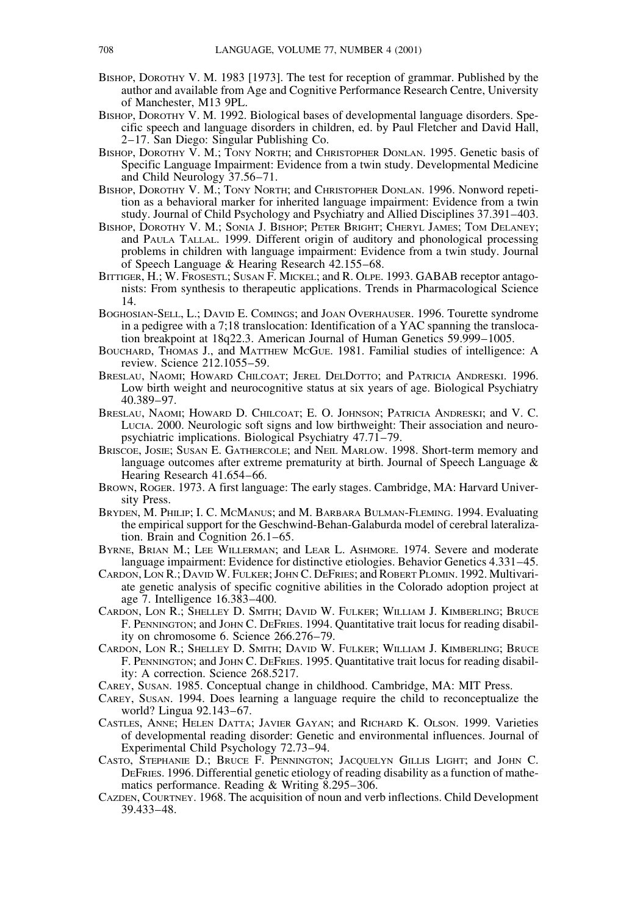- BISHOP, DOROTHY V. M. 1983 [1973]. The test for reception of grammar. Published by the author and available from Age and Cognitive Performance Research Centre, University of Manchester, M13 9PL.
- BISHOP, DOROTHY V. M. 1992. Biological bases of developmental language disorders. Specific speech and language disorders in children, ed. by Paul Fletcher and David Hall, 2–17. San Diego: Singular Publishing Co.
- BISHOP, DOROTHY V. M.; TONY NORTH; and CHRISTOPHER DONLAN. 1995. Genetic basis of Specific Language Impairment: Evidence from a twin study. Developmental Medicine and Child Neurology 37.56–71.
- BISHOP, DOROTHY V. M.; TONY NORTH; and CHRISTOPHER DONLAN. 1996. Nonword repetition as a behavioral marker for inherited language impairment: Evidence from a twin study. Journal of Child Psychology and Psychiatry and Allied Disciplines 37.391–403.
- BISHOP, DOROTHY V. M.; SONIA J. BISHOP; PETER BRIGHT; CHERYL JAMES; TOM DELANEY; and PAULA TALLAL. 1999. Different origin of auditory and phonological processing problems in children with language impairment: Evidence from a twin study. Journal of Speech Language & Hearing Research 42.155–68.
- BITTIGER, H.; W. FROSESTL; SUSAN F. MICKEL; and R. OLPE. 1993. GABAB receptor antagonists: From synthesis to therapeutic applications. Trends in Pharmacological Science 14.
- BOGHOSIAN-SELL, L.; DAVID E. COMINGS; and JOAN OVERHAUSER. 1996. Tourette syndrome in a pedigree with a 7;18 translocation: Identification of a YAC spanning the translocation breakpoint at 18q22.3. American Journal of Human Genetics 59.999–1005.
- BOUCHARD, THOMAS J., and MATTHEW MCGUE. 1981. Familial studies of intelligence: A review. Science 212.1055–59.
- BRESLAU, NAOMI; HOWARD CHILCOAT; JEREL DELDOTTO; and PATRICIA ANDRESKI. 1996. Low birth weight and neurocognitive status at six years of age. Biological Psychiatry 40.389–97.
- BRESLAU, NAOMI; HOWARD D. CHILCOAT; E. O. JOHNSON; PATRICIA ANDRESKI; and V. C. LUCIA. 2000. Neurologic soft signs and low birthweight: Their association and neuropsychiatric implications. Biological Psychiatry 47.71–79.
- BRISCOE, JOSIE; SUSAN E. GATHERCOLE; and NEIL MARLOW. 1998. Short-term memory and language outcomes after extreme prematurity at birth. Journal of Speech Language & Hearing Research 41.654–66.
- BROWN, ROGER. 1973. A first language: The early stages. Cambridge, MA: Harvard University Press.
- BRYDEN, M. PHILIP; I. C. MCMANUS; and M. BARBARA BULMAN-FLEMING. 1994. Evaluating the empirical support for the Geschwind-Behan-Galaburda model of cerebral lateralization. Brain and Cognition 26.1–65.
- BYRNE, BRIAN M.; LEE WILLERMAN; and LEAR L. ASHMORE. 1974. Severe and moderate language impairment: Evidence for distinctive etiologies. Behavior Genetics 4.331–45.
- CARDON, LON R.; DAVID W. FULKER; JOHN C. DEFRIES; and ROBERT PLOMIN. 1992. Multivariate genetic analysis of specific cognitive abilities in the Colorado adoption project at age 7. Intelligence 16.383–400.
- CARDON, LON R.; SHELLEY D. SMITH; DAVID W. FULKER; WILLIAM J. KIMBERLING; BRUCE F. PENNINGTON; and JOHN C. DEFRIES. 1994. Quantitative trait locus for reading disability on chromosome 6. Science 266.276–79.
- CARDON, LON R.; SHELLEY D. SMITH; DAVID W. FULKER; WILLIAM J. KIMBERLING; BRUCE F. PENNINGTON; and JOHN C. DEFRIES. 1995. Quantitative trait locus for reading disability: A correction. Science 268.5217.
- CAREY, SUSAN. 1985. Conceptual change in childhood. Cambridge, MA: MIT Press.
- CAREY, SUSAN. 1994. Does learning a language require the child to reconceptualize the world? Lingua 92.143–67.
- CASTLES, ANNE; HELEN DATTA; JAVIER GAYAN; and RICHARD K. OLSON. 1999. Varieties of developmental reading disorder: Genetic and environmental influences. Journal of Experimental Child Psychology 72.73–94.
- CASTO, STEPHANIE D.; BRUCE F. PENNINGTON; JACQUELYN GILLIS LIGHT; and JOHN C. DEFRIES. 1996. Differential genetic etiology of reading disability as a function of mathematics performance. Reading & Writing 8.295–306.
- CAZDEN, COURTNEY. 1968. The acquisition of noun and verb inflections. Child Development 39.433–48.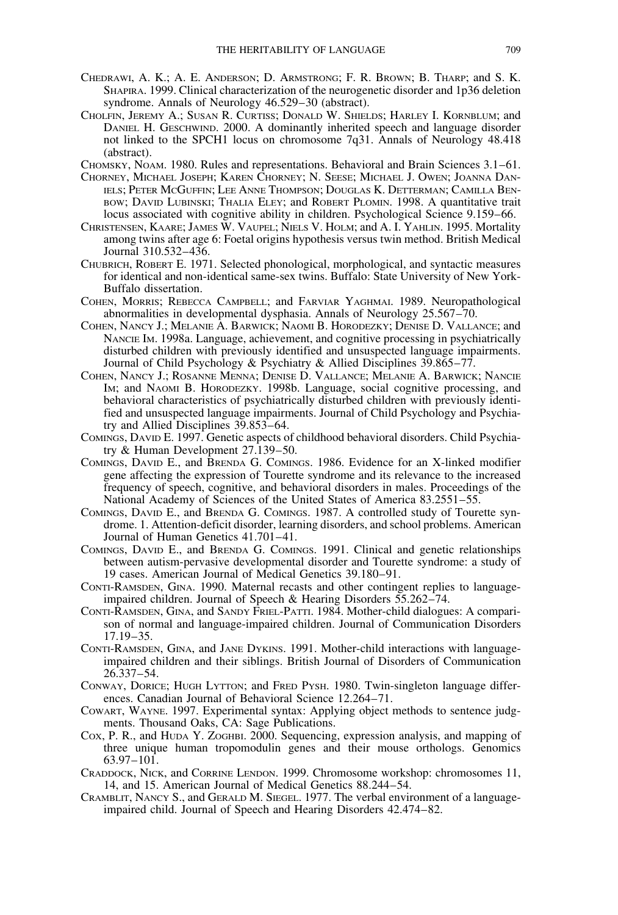- CHEDRAWI, A. K.; A. E. ANDERSON; D. ARMSTRONG; F. R. BROWN; B. THARP; and S. K. SHAPIRA. 1999. Clinical characterization of the neurogenetic disorder and 1p36 deletion syndrome. Annals of Neurology 46.529–30 (abstract).
- CHOLFIN, JEREMY A.; SUSAN R. CURTISS; DONALD W. SHIELDS; HARLEY I. KORNBLUM; and DANIEL H. GESCHWIND. 2000. A dominantly inherited speech and language disorder not linked to the SPCH1 locus on chromosome 7q31. Annals of Neurology 48.418 (abstract).

CHOMSKY, NOAM. 1980. Rules and representations. Behavioral and Brain Sciences 3.1–61.

- CHORNEY, MICHAEL JOSEPH; KAREN CHORNEY; N. SEESE; MICHAEL J. OWEN; JOANNA DAN-IELS; PETER MCGUFFIN; LEE ANNE THOMPSON; DOUGLAS K. DETTERMAN; CAMILLA BEN-BOW; DAVID LUBINSKI; THALIA ELEY; and ROBERT PLOMIN. 1998. A quantitative trait locus associated with cognitive ability in children. Psychological Science 9.159–66.
- CHRISTENSEN, KAARE; JAMES W. VAUPEL; NIELS V. HOLM; and A. I. YAHLIN. 1995. Mortality among twins after age 6: Foetal origins hypothesis versus twin method. British Medical Journal 310.532–436.
- CHUBRICH, ROBERT E. 1971. Selected phonological, morphological, and syntactic measures for identical and non-identical same-sex twins. Buffalo: State University of New York-Buffalo dissertation.
- COHEN, MORRIS; REBECCA CAMPBELL; and FARVIAR YAGHMAI. 1989. Neuropathological abnormalities in developmental dysphasia. Annals of Neurology 25.567–70.
- COHEN, NANCY J.; MELANIE A. BARWICK; NAOMI B. HORODEZKY; DENISE D. VALLANCE; and NANCIE IM. 1998a. Language, achievement, and cognitive processing in psychiatrically disturbed children with previously identified and unsuspected language impairments. Journal of Child Psychology & Psychiatry & Allied Disciplines 39.865–77.
- COHEN, NANCY J.; ROSANNE MENNA; DENISE D. VALLANCE; MELANIE A. BARWICK; NANCIE IM; and NAOMI B. HORODEZKY. 1998b. Language, social cognitive processing, and behavioral characteristics of psychiatrically disturbed children with previously identified and unsuspected language impairments. Journal of Child Psychology and Psychiatry and Allied Disciplines 39.853–64.
- COMINGS, DAVID E. 1997. Genetic aspects of childhood behavioral disorders. Child Psychiatry & Human Development 27.139–50.
- COMINGS, DAVID E., and BRENDA G. COMINGS. 1986. Evidence for an X-linked modifier gene affecting the expression of Tourette syndrome and its relevance to the increased frequency of speech, cognitive, and behavioral disorders in males. Proceedings of the National Academy of Sciences of the United States of America 83.2551–55.
- COMINGS, DAVID E., and BRENDA G. COMINGS. 1987. A controlled study of Tourette syndrome. 1. Attention-deficit disorder, learning disorders, and school problems. American Journal of Human Genetics 41.701–41.
- COMINGS, DAVID E., and BRENDA G. COMINGS. 1991. Clinical and genetic relationships between autism-pervasive developmental disorder and Tourette syndrome: a study of 19 cases. American Journal of Medical Genetics 39.180–91.
- CONTI-RAMSDEN, GINA. 1990. Maternal recasts and other contingent replies to languageimpaired children. Journal of Speech & Hearing Disorders 55.262–74.
- CONTI-RAMSDEN, GINA, and SANDY FRIEL-PATTI. 1984. Mother-child dialogues: A comparison of normal and language-impaired children. Journal of Communication Disorders 17.19–35.
- CONTI-RAMSDEN, GINA, and JANE DYKINS. 1991. Mother-child interactions with languageimpaired children and their siblings. British Journal of Disorders of Communication 26.337–54.
- CONWAY, DORICE; HUGH LYTTON; and FRED PYSH. 1980. Twin-singleton language differences. Canadian Journal of Behavioral Science 12.264–71.
- COWART, WAYNE. 1997. Experimental syntax: Applying object methods to sentence judgments. Thousand Oaks, CA: Sage Publications.
- COX, P. R., and HUDA Y. ZOGHBI. 2000. Sequencing, expression analysis, and mapping of three unique human tropomodulin genes and their mouse orthologs. Genomics 63.97–101.
- CRADDOCK, NICK, and CORRINE LENDON. 1999. Chromosome workshop: chromosomes 11, 14, and 15. American Journal of Medical Genetics 88.244–54.
- CRAMBLIT, NANCY S., and GERALD M. SIEGEL. 1977. The verbal environment of a languageimpaired child. Journal of Speech and Hearing Disorders 42.474–82.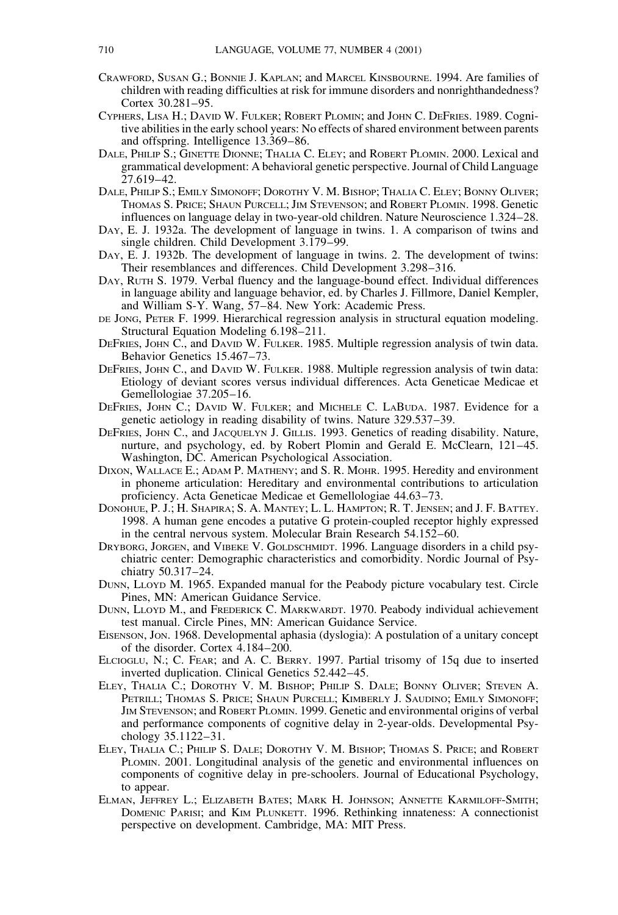- CRAWFORD, SUSAN G.; BONNIE J. KAPLAN; and MARCEL KINSBOURNE. 1994. Are families of children with reading difficulties at risk for immune disorders and nonrighthandedness? Cortex 30.281–95.
- CYPHERS, LISA H.; DAVID W. FULKER; ROBERT PLOMIN; and JOHN C. DEFRIES. 1989. Cognitive abilities in the early school years: No effects of shared environment between parents and offspring. Intelligence 13.369–86.
- DALE, PHILIP S.; GINETTE DIONNE; THALIA C. ELEY; and ROBERT PLOMIN. 2000. Lexical and grammatical development: A behavioral genetic perspective. Journal of Child Language 27.619–42.
- DALE, PHILIP S.; EMILY SIMONOFF; DOROTHY V. M. BISHOP; THALIA C. ELEY; BONNY OLIVER; THOMAS S. PRICE; SHAUN PURCELL; JIM STEVENSON; and ROBERT PLOMIN. 1998. Genetic influences on language delay in two-year-old children. Nature Neuroscience 1.324–28.
- DAY, E. J. 1932a. The development of language in twins. 1. A comparison of twins and single children. Child Development 3.179–99.
- DAY, E. J. 1932b. The development of language in twins. 2. The development of twins: Their resemblances and differences. Child Development 3.298–316.
- DAY, RUTH S. 1979. Verbal fluency and the language-bound effect. Individual differences in language ability and language behavior, ed. by Charles J. Fillmore, Daniel Kempler, and William S-Y. Wang, 57–84. New York: Academic Press.
- DE JONG, PETER F. 1999. Hierarchical regression analysis in structural equation modeling. Structural Equation Modeling 6.198–211.
- DEFRIES, JOHN C., and DAVID W. FULKER. 1985. Multiple regression analysis of twin data. Behavior Genetics 15.467–73.
- DEFRIES, JOHN C., and DAVID W. FULKER. 1988. Multiple regression analysis of twin data: Etiology of deviant scores versus individual differences. Acta Geneticae Medicae et Gemellologiae 37.205–16.
- DEFRIES, JOHN C.; DAVID W. FULKER; and MICHELE C. LABUDA. 1987. Evidence for a genetic aetiology in reading disability of twins. Nature 329.537–39.
- DEFRIES, JOHN C., and JACQUELYN J. GILLIS. 1993. Genetics of reading disability. Nature, nurture, and psychology, ed. by Robert Plomin and Gerald E. McClearn, 121–45. Washington, DC. American Psychological Association.
- DIXON, WALLACE E.; ADAM P. MATHENY; and S. R. MOHR. 1995. Heredity and environment in phoneme articulation: Hereditary and environmental contributions to articulation proficiency. Acta Geneticae Medicae et Gemellologiae 44.63–73.
- DONOHUE, P. J.; H. SHAPIRA; S. A. MANTEY; L. L. HAMPTON; R. T. JENSEN; and J. F. BATTEY. 1998. A human gene encodes a putative G protein-coupled receptor highly expressed in the central nervous system. Molecular Brain Research 54.152–60.
- DRYBORG, JORGEN, and VIBEKE V. GOLDSCHMIDT. 1996. Language disorders in a child psychiatric center: Demographic characteristics and comorbidity. Nordic Journal of Psychiatry 50.317–24.
- DUNN, LLOYD M. 1965. Expanded manual for the Peabody picture vocabulary test. Circle Pines, MN: American Guidance Service.
- DUNN, LLOYD M., and FREDERICK C. MARKWARDT. 1970. Peabody individual achievement test manual. Circle Pines, MN: American Guidance Service.
- EISENSON, JON. 1968. Developmental aphasia (dyslogia): A postulation of a unitary concept of the disorder. Cortex 4.184–200.
- ELCIOGLU, N.; C. FEAR; and A. C. BERRY. 1997. Partial trisomy of 15q due to inserted inverted duplication. Clinical Genetics 52.442–45.
- ELEY, THALIA C.; DOROTHY V. M. BISHOP; PHILIP S. DALE; BONNY OLIVER; STEVEN A. PETRILL; THOMAS S. PRICE; SHAUN PURCELL; KIMBERLY J. SAUDINO; EMILY SIMONOFF; JIM STEVENSON; and ROBERT PLOMIN. 1999. Genetic and environmental origins of verbal and performance components of cognitive delay in 2-year-olds. Developmental Psychology 35.1122–31.
- ELEY, THALIA C.; PHILIP S. DALE; DOROTHY V. M. BISHOP; THOMAS S. PRICE; and ROBERT PLOMIN. 2001. Longitudinal analysis of the genetic and environmental influences on components of cognitive delay in pre-schoolers. Journal of Educational Psychology, to appear.
- ELMAN, JEFFREY L.; ELIZABETH BATES; MARK H. JOHNSON; ANNETTE KARMILOFF-SMITH; DOMENIC PARISI; and KIM PLUNKETT. 1996. Rethinking innateness: A connectionist perspective on development. Cambridge, MA: MIT Press.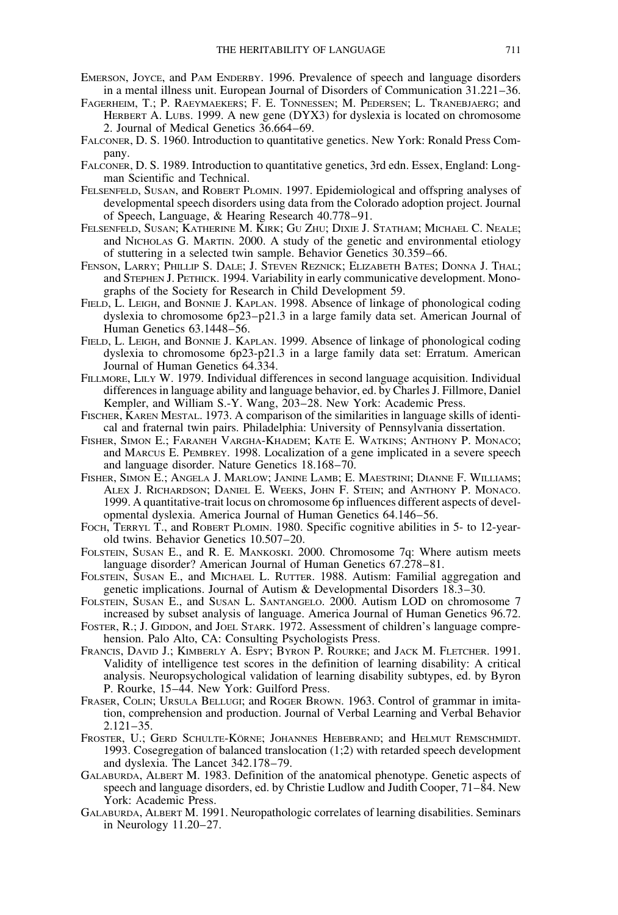- EMERSON, JOYCE, and PAM ENDERBY. 1996. Prevalence of speech and language disorders in a mental illness unit. European Journal of Disorders of Communication 31.221–36.
- FAGERHEIM, T.; P. RAEYMAEKERS; F. E. TONNESSEN; M. PEDERSEN; L. TRANEBJAERG; and HERBERT A. LUBS. 1999. A new gene (DYX3) for dyslexia is located on chromosome 2. Journal of Medical Genetics 36.664–69.
- FALCONER, D. S. 1960. Introduction to quantitative genetics. New York: Ronald Press Company.
- FALCONER, D. S. 1989. Introduction to quantitative genetics, 3rd edn. Essex, England: Longman Scientific and Technical.
- FELSENFELD, SUSAN, and ROBERT PLOMIN. 1997. Epidemiological and offspring analyses of developmental speech disorders usingdata from the Colorado adoption project. Journal of Speech, Language, & Hearing Research 40.778–91.
- FELSENFELD, SUSAN; KATHERINE M. KIRK; GU ZHU; DIXIE J. STATHAM; MICHAEL C. NEALE; and NICHOLAS G. MARTIN. 2000. A study of the genetic and environmental etiology of stuttering in a selected twin sample. Behavior Genetics 30.359-66.
- FENSON, LARRY; PHILLIP S. DALE; J. STEVEN REZNICK; ELIZABETH BATES; DONNA J. THAL; and STEPHEN J. PETHICK. 1994. Variability in early communicative development. Monographs of the Society for Research in Child Development 59.
- FIELD, L. LEIGH, and BONNIE J. KAPLAN. 1998. Absence of linkage of phonological coding dyslexia to chromosome 6p23–p21.3 in a large family data set. American Journal of Human Genetics 63.1448–56.
- FIELD, L. LEIGH, and BONNIE J. KAPLAN. 1999. Absence of linkage of phonological coding dyslexia to chromosome 6p23-p21.3 in a large family data set: Erratum. American Journal of Human Genetics 64.334.
- FILLMORE, LILY W. 1979. Individual differences in second language acquisition. Individual differences in language ability and language behavior, ed. by Charles J. Fillmore, Daniel Kempler, and William S.-Y. Wang, 203–28. New York: Academic Press.
- FISCHER, KAREN MESTAL. 1973. A comparison of the similarities in language skills of identical and fraternal twin pairs. Philadelphia: University of Pennsylvania dissertation.
- FISHER, SIMON E.; FARANEH VARGHA-KHADEM; KATE E. WATKINS; ANTHONY P. MONACO; and MARCUS E. PEMBREY. 1998. Localization of a gene implicated in a severe speech and language disorder. Nature Genetics 18.168–70.
- FISHER, SIMON E.; ANGELA J. MARLOW; JANINE LAMB; E. MAESTRINI; DIANNE F. WILLIAMS; ALEX J. RICHARDSON; DANIEL E. WEEKS, JOHN F. STEIN; and ANTHONY P. MONACO. 1999. A quantitative-trait locus on chromosome 6p influences different aspects of developmental dyslexia. America Journal of Human Genetics 64.146–56.
- FOCH, TERRYL T., and ROBERT PLOMIN. 1980. Specific cognitive abilities in 5- to 12-yearold twins. Behavior Genetics 10.507–20.
- FOLSTEIN, SUSAN E., and R. E. MANKOSKI. 2000. Chromosome 7q: Where autism meets language disorder? American Journal of Human Genetics 67.278–81.
- FOLSTEIN, SUSAN E., and MICHAEL L. RUTTER. 1988. Autism: Familial aggregation and genetic implications. Journal of Autism & Developmental Disorders 18.3–30.
- FOLSTEIN, SUSAN E., and SUSAN L. SANTANGELO. 2000. Autism LOD on chromosome 7 increased by subset analysis of language. America Journal of Human Genetics 96.72.
- FOSTER, R.; J. GIDDON, and JOEL STARK. 1972. Assessment of children's language comprehension. Palo Alto, CA: Consulting Psychologists Press.
- FRANCIS, DAVID J.; KIMBERLY A. ESPY; BYRON P. ROURKE; and JACK M. FLETCHER. 1991. Validity of intelligence test scores in the definition of learning disability: A critical analysis. Neuropsychological validation of learning disability subtypes, ed. by Byron P. Rourke, 15–44. New York: Guilford Press.
- FRASER, COLIN; URSULA BELLUGI; and ROGER BROWN. 1963. Control of grammar in imitation, comprehension and production. Journal of Verbal Learningand Verbal Behavior 2.121–35.
- FROSTER, U.; GERD SCHULTE-KÖRNE; JOHANNES HEBEBRAND; and HELMUT REMSCHMIDT. 1993. Cosegregation of balanced translocation (1;2) with retarded speech development and dyslexia. The Lancet 342.178–79.
- GALABURDA, ALBERT M. 1983. Definition of the anatomical phenotype. Genetic aspects of speech and language disorders, ed. by Christie Ludlow and Judith Cooper, 71–84. New York: Academic Press.
- GALABURDA, ALBERT M. 1991. Neuropathologic correlates of learning disabilities. Seminars in Neurology 11.20–27.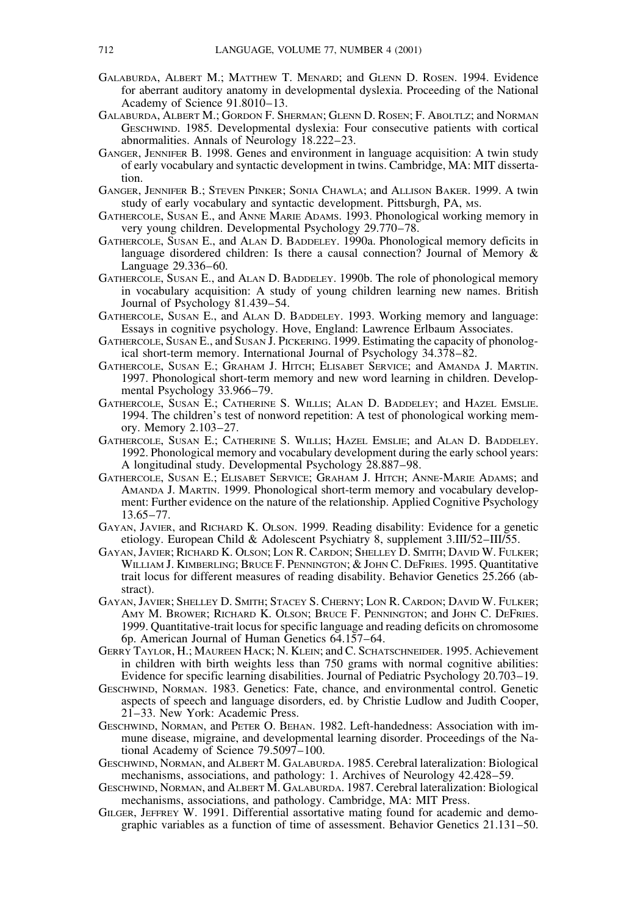- GALABURDA, ALBERT M.; MATTHEW T. MENARD; and GLENN D. ROSEN. 1994. Evidence for aberrant auditory anatomy in developmental dyslexia. Proceeding of the National Academy of Science 91.8010–13.
- GALABURDA, ALBERT M.; GORDON F. SHERMAN; GLENN D. ROSEN; F. ABOLTLZ; and NORMAN GESCHWIND. 1985. Developmental dyslexia: Four consecutive patients with cortical abnormalities. Annals of Neurology 18.222–23.
- GANGER, JENNIFER B. 1998. Genes and environment in language acquisition: A twin study of early vocabulary and syntactic development in twins. Cambridge, MA: MIT dissertation.
- GANGER, JENNIFER B.; STEVEN PINKER; SONIA CHAWLA; and ALLISON BAKER. 1999. A twin study of early vocabulary and syntactic development. Pittsburgh, PA, MS.
- GATHERCOLE, SUSAN E., and ANNE MARIE ADAMS. 1993. Phonological working memory in very young children. Developmental Psychology 29.770–78.
- GATHERCOLE, SUSAN E., and ALAN D. BADDELEY. 1990a. Phonological memory deficits in language disordered children: Is there a causal connection? Journal of Memory & Language 29.336–60.
- GATHERCOLE, SUSAN E., and ALAN D. BADDELEY. 1990b. The role of phonological memory in vocabulary acquisition: A study of young children learning new names. British Journal of Psychology 81.439–54.
- GATHERCOLE, SUSAN E., and ALAN D. BADDELEY. 1993. Working memory and language: Essays in cognitive psychology. Hove, England: Lawrence Erlbaum Associates.
- GATHERCOLE, SUSAN E., and SUSAN J. PICKERING. 1999. Estimating the capacity of phonological short-term memory. International Journal of Psychology 34.378–82.
- GATHERCOLE, SUSAN E.; GRAHAM J. HITCH; ELISABET SERVICE; and AMANDA J. MARTIN. 1997. Phonological short-term memory and new word learning in children. Developmental Psychology 33.966–79.
- GATHERCOLE, SUSAN E.; CATHERINE S. WILLIS; ALAN D. BADDELEY; and HAZEL EMSLIE. 1994. The children's test of nonword repetition: A test of phonological working memory. Memory 2.103–27.
- GATHERCOLE, SUSAN E.; CATHERINE S. WILLIS; HAZEL EMSLIE; and ALAN D. BADDELEY. 1992. Phonological memory and vocabulary development during the early school years: A longitudinal study. Developmental Psychology 28.887–98.
- GATHERCOLE, SUSAN E.; ELISABET SERVICE; GRAHAM J. HITCH; ANNE-MARIE ADAMS; and AMANDA J. MARTIN. 1999. Phonological short-term memory and vocabulary development: Further evidence on the nature of the relationship. Applied Cognitive Psychology 13.65–77.
- GAYAN, JAVIER, and RICHARD K. OLSON. 1999. Reading disability: Evidence for a genetic etiology. European Child & Adolescent Psychiatry 8, supplement 3.III/52–III/55.
- GAYAN, JAVIER; RICHARD K. OLSON; LON R. CARDON; SHELLEY D. SMITH; DAVID W. FULKER; WILLIAM J. KIMBERLING; BRUCE F. PENNINGTON; & JOHN C. DEFRIES. 1995. Quantitative trait locus for different measures of reading disability. Behavior Genetics 25.266 (abstract).
- GAYAN, JAVIER; SHELLEY D. SMITH; STACEY S. CHERNY; LON R. CARDON; DAVID W. FULKER; AMY M. BROWER; RICHARD K. OLSON; BRUCE F. PENNINGTON; and JOHN C. DEFRIES. 1999. Quantitative-trait locus for specific language and reading deficits on chromosome 6p. American Journal of Human Genetics 64.157–64.
- GERRY TAYLOR, H.; MAUREEN HACK; N. KLEIN; and C. SCHATSCHNEIDER. 1995. Achievement in children with birth weights less than 750 grams with normal cognitive abilities: Evidence for specific learning disabilities. Journal of Pediatric Psychology 20.703–19.
- GESCHWIND, NORMAN. 1983. Genetics: Fate, chance, and environmental control. Genetic aspects of speech and language disorders, ed. by Christie Ludlow and Judith Cooper, 21–33. New York: Academic Press.
- GESCHWIND, NORMAN, and PETER O. BEHAN. 1982. Left-handedness: Association with immune disease, migraine, and developmental learning disorder. Proceedings of the National Academy of Science 79.5097–100.
- GESCHWIND, NORMAN, and ALBERT M. GALABURDA. 1985. Cerebral lateralization: Biological mechanisms, associations, and pathology: 1. Archives of Neurology 42.428–59.
- GESCHWIND, NORMAN, and ALBERT M. GALABURDA. 1987. Cerebral lateralization: Biological mechanisms, associations, and pathology. Cambridge, MA: MIT Press.
- GILGER, JEFFREY W. 1991. Differential assortative mating found for academic and demographic variables as a function of time of assessment. Behavior Genetics 21.131–50.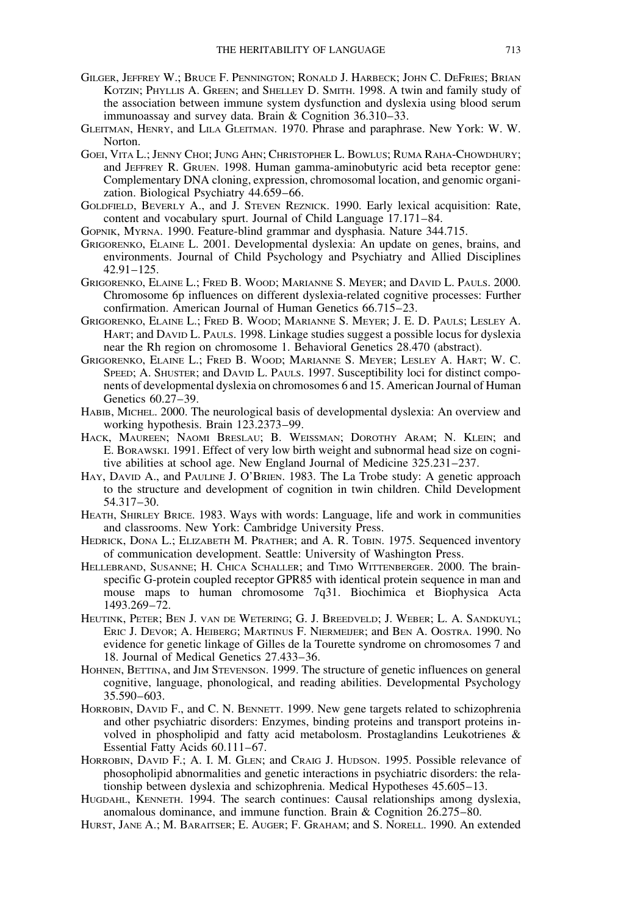- GILGER, JEFFREY W.; BRUCE F. PENNINGTON; RONALD J. HARBECK; JOHN C. DEFRIES; BRIAN KOTZIN; PHYLLIS A. GREEN; and SHELLEY D. SMITH. 1998. A twin and family study of the association between immune system dysfunction and dyslexia usingblood serum immunoassay and survey data. Brain & Cognition 36.310–33.
- GLEITMAN, HENRY, and LILA GLEITMAN. 1970. Phrase and paraphrase. New York: W. W. Norton.
- GOEI, VITA L.; JENNY CHOI; JUNG AHN; CHRISTOPHER L. BOWLUS; RUMA RAHA-CHOWDHURY; and JEFFREY R. GRUEN. 1998. Human gamma-aminobutyric acid beta receptor gene: Complementary DNA cloning, expression, chromosomal location, and genomic organization. Biological Psychiatry 44.659–66.
- GOLDFIELD, BEVERLY A., and J. STEVEN REZNICK. 1990. Early lexical acquisition: Rate, content and vocabulary spurt. Journal of Child Language 17.171–84.
- GOPNIK, MYRNA. 1990. Feature-blind grammar and dysphasia. Nature 344.715.
- GRIGORENKO, ELAINE L. 2001. Developmental dyslexia: An update on genes, brains, and environments. Journal of Child Psychology and Psychiatry and Allied Disciplines 42.91–125.
- GRIGORENKO, ELAINE L.; FRED B. WOOD; MARIANNE S. MEYER; and DAVID L. PAULS. 2000. Chromosome 6p influences on different dyslexia-related cognitive processes: Further confirmation. American Journal of Human Genetics 66.715–23.
- GRIGORENKO, ELAINE L.; FRED B. WOOD; MARIANNE S. MEYER; J. E. D. PAULS; LESLEY A. HART; and DAVID L. PAULS. 1998. Linkage studies suggest a possible locus for dyslexia near the Rh region on chromosome 1. Behavioral Genetics 28.470 (abstract).
- GRIGORENKO, ELAINE L.; FRED B. WOOD; MARIANNE S. MEYER; LESLEY A. HART; W. C. SPEED; A. SHUSTER; and DAVID L. PAULS. 1997. Susceptibility loci for distinct components of developmental dyslexia on chromosomes 6 and 15. American Journal of Human Genetics 60.27–39.
- HABIB, MICHEL. 2000. The neurological basis of developmental dyslexia: An overview and working hypothesis. Brain 123.2373-99.
- HACK, MAUREEN; NAOMI BRESLAU; B. WEISSMAN; DOROTHY ARAM; N. KLEIN; and E. BORAWSKI. 1991. Effect of very low birth weight and subnormal head size on cognitive abilities at school age. New England Journal of Medicine 325.231–237.
- HAY, DAVID A., and PAULINE J. O'BRIEN. 1983. The La Trobe study: A genetic approach to the structure and development of cognition in twin children. Child Development 54.317–30.
- HEATH, SHIRLEY BRICE. 1983. Ways with words: Language, life and work in communities and classrooms. New York: Cambridge University Press.
- HEDRICK, DONA L.; ELIZABETH M. PRATHER; and A. R. TOBIN. 1975. Sequenced inventory of communication development. Seattle: University of Washington Press.
- HELLEBRAND, SUSANNE; H. CHICA SCHALLER; and TIMO WITTENBERGER. 2000. The brainspecific G-protein coupled receptor GPR85 with identical protein sequence in man and mouse maps to human chromosome 7q31. Biochimica et Biophysica Acta 1493.269–72.
- HEUTINK, PETER; BEN J. VAN DE WETERING; G. J. BREEDVELD; J. WEBER; L. A. SANDKUYL; ERIC J. DEVOR; A. HEIBERG; MARTINUS F. NIERMEIJER; and BEN A. OOSTRA. 1990. No evidence for genetic linkage of Gilles de la Tourette syndrome on chromosomes 7 and 18. Journal of Medical Genetics 27.433–36.
- HOHNEN, BETTINA, and JIM STEVENSON. 1999. The structure of genetic influences on general cognitive, language, phonological, and reading abilities. Developmental Psychology 35.590–603.
- HORROBIN, DAVID F., and C. N. BENNETT. 1999. New gene targets related to schizophrenia and other psychiatric disorders: Enzymes, binding proteins and transport proteins involved in phospholipid and fatty acid metabolosm. Prostaglandins Leukotrienes & Essential Fatty Acids 60.111–67.
- HORROBIN, DAVID F.; A. I. M. GLEN; and CRAIG J. HUDSON. 1995. Possible relevance of phosopholipid abnormalities and genetic interactions in psychiatric disorders: the relationship between dyslexia and schizophrenia. Medical Hypotheses 45.605–13.
- HUGDAHL, KENNETH. 1994. The search continues: Causal relationships among dyslexia, anomalous dominance, and immune function. Brain & Cognition 26.275–80.
- HURST, JANE A.; M. BARAITSER; E. AUGER; F. GRAHAM; and S. NORELL. 1990. An extended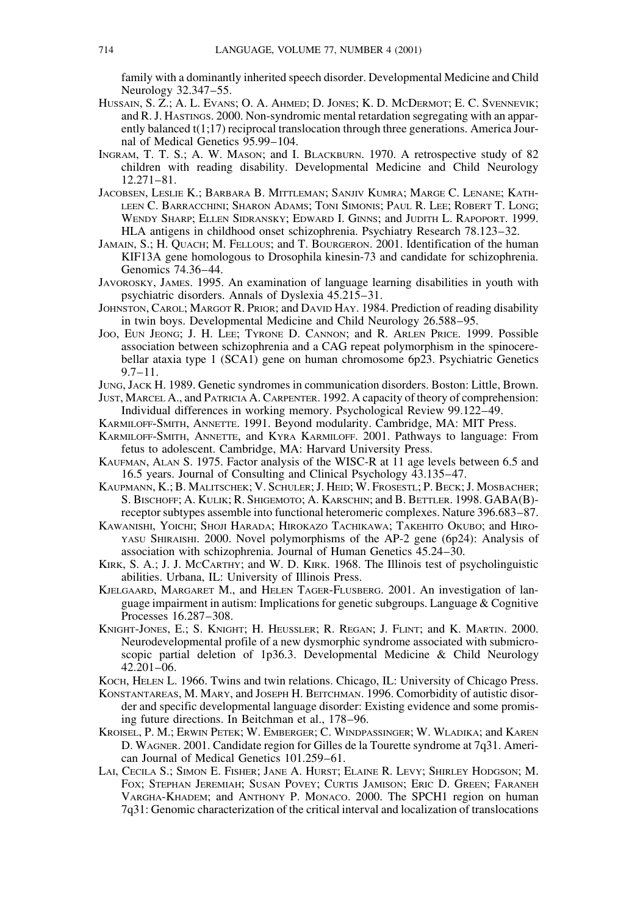family with a dominantly inherited speech disorder. Developmental Medicine and Child Neurology 32.347–55.

- HUSSAIN, S. Z.; A. L. EVANS; O. A. AHMED; D. JONES; K. D. MCDERMOT; E. C. SVENNEVIK; and R. J. HASTINGS. 2000. Non-syndromic mental retardation segregating with an apparently balanced t(1;17) reciprocal translocation through three generations. America Journal of Medical Genetics 95.99–104.
- INGRAM, T. T. S.; A. W. MASON; and I. BLACKBURN. 1970. A retrospective study of 82 children with reading disability. Developmental Medicine and Child Neurology 12.271–81.
- JACOBSEN, LESLIE K.; BARBARA B. MITTLEMAN; SANJIV KUMRA; MARGE C. LENANE; KATH-LEEN C. BARRACCHINI; SHARON ADAMS; TONI SIMONIS; PAUL R. LEE; ROBERT T. LONG; WENDY SHARP; ELLEN SIDRANSKY; EDWARD I. GINNS; and JUDITH L. RAPOPORT. 1999. HLA antigens in childhood onset schizophrenia. Psychiatry Research 78.123–32.
- JAMAIN, S.; H. QUACH; M. FELLOUS; and T. BOURGERON. 2001. Identification of the human KIF13A gene homologous to Drosophila kinesin-73 and candidate for schizophrenia. Genomics 74.36–44.
- JAVOROSKY, JAMES. 1995. An examination of language learning disabilities in youth with psychiatric disorders. Annals of Dyslexia 45.215–31.
- JOHNSTON, CAROL; MARGOT R. PRIOR; and DAVID HAY. 1984. Prediction of reading disability in twin boys. Developmental Medicine and Child Neurology 26.588–95.
- JOO, EUN JEONG; J. H. LEE; TYRONE D. CANNON; and R. ARLEN PRICE. 1999. Possible association between schizophrenia and a CAG repeat polymorphism in the spinocerebellar ataxia type 1 (SCA1) gene on human chromosome 6p23. Psychiatric Genetics 9.7–11.
- JUNG, JACK H. 1989. Genetic syndromes in communication disorders. Boston: Little, Brown.
- JUST, MARCEL A., and PATRICIA A. CARPENTER. 1992. A capacity of theory of comprehension: Individual differences in working memory. Psychological Review 99.122–49.
- KARMILOFF-SMITH, ANNETTE. 1991. Beyond modularity. Cambridge, MA: MIT Press.
- KARMILOFF-SMITH, ANNETTE, and KYRA KARMILOFF. 2001. Pathways to language: From fetus to adolescent. Cambridge, MA: Harvard University Press.
- KAUFMAN, ALAN S. 1975. Factor analysis of the WISC-R at 11 age levels between 6.5 and 16.5 years. Journal of Consultingand Clinical Psychology 43.135–47.
- KAUPMANN, K.; B. MALITSCHEK; V. SCHULER; J. HEID; W. FROSESTL; P. BECK; J. MOSBACHER; S. BISCHOFF; A. KULIK; R. SHIGEMOTO; A. KARSCHIN; and B. BETTLER. 1998. GABA(B) receptor subtypes assemble into functional heteromeric complexes. Nature 396.683–87.
- KAWANISHI, YOICHI; SHOJI HARADA; HIROKAZO TACHIKAWA; TAKEHITO OKUBO; and HIRO-YASU SHIRAISHI. 2000. Novel polymorphisms of the AP-2 gene (6p24): Analysis of association with schizophrenia. Journal of Human Genetics 45.24–30.
- KIRK, S. A.; J. J. MCCARTHY; and W. D. KIRK. 1968. The Illinois test of psycholinguistic abilities. Urbana, IL: University of Illinois Press.
- KJELGAARD, MARGARET M., and HELEN TAGER-FLUSBERG. 2001. An investigation of language impairment in autism: Implications for genetic subgroups. Language & Cognitive Processes 16.287–308.
- KNIGHT-JONES, E.; S. KNIGHT; H. HEUSSLER; R. REGAN; J. FLINT; and K. MARTIN. 2000. Neurodevelopmental profile of a new dysmorphic syndrome associated with submicroscopic partial deletion of 1p36.3. Developmental Medicine & Child Neurology 42.201–06.
- KOCH, HELEN L. 1966. Twins and twin relations. Chicago, IL: University of Chicago Press.
- KONSTANTAREAS, M. MARY, and JOSEPH H. BEITCHMAN. 1996. Comorbidity of autistic disorder and specific developmental language disorder: Existing evidence and some promising future directions. In Beitchman et al., 178–96.
- KROISEL, P. M.; ERWIN PETEK; W. EMBERGER; C. WINDPASSINGER; W. WLADIKA; and KAREN D. WAGNER. 2001. Candidate region for Gilles de la Tourette syndrome at 7q31. American Journal of Medical Genetics 101.259–61.
- LAI, CECILA S.; SIMON E. FISHER; JANE A. HURST; ELAINE R. LEVY; SHIRLEY HODGSON; M. FOX; STEPHAN JEREMIAH; SUSAN POVEY; CURTIS JAMISON; ERIC D. GREEN; FARANEH VARGHA-KHADEM; and ANTHONY P. MONACO. 2000. The SPCH1 region on human 7q31: Genomic characterization of the critical interval and localization of translocations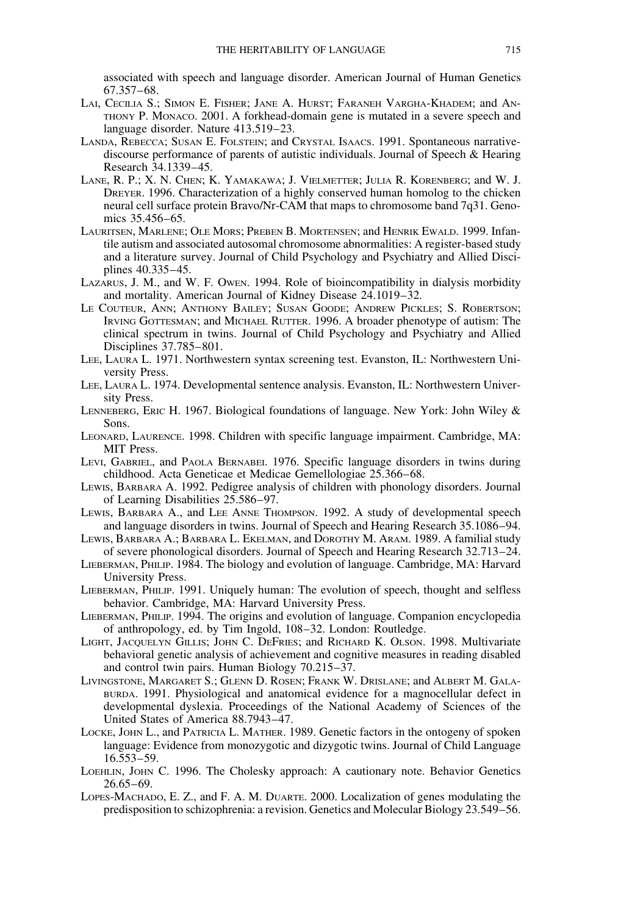associated with speech and language disorder. American Journal of Human Genetics 67.357–68.

- LAI, CECILIA S.; SIMON E. FISHER; JANE A. HURST; FARANEH VARGHA-KHADEM; and AN-THONY P. MONACO. 2001. A forkhead-domain gene is mutated in a severe speech and language disorder. Nature 413.519–23.
- LANDA, REBECCA; SUSAN E. FOLSTEIN; and CRYSTAL ISAACS. 1991. Spontaneous narrativediscourse performance of parents of autistic individuals. Journal of Speech & Hearing Research 34.1339–45.
- LANE, R. P.; X. N. CHEN; K. YAMAKAWA; J. VIELMETTER; JULIA R. KORENBERG; and W. J. DREYER. 1996. Characterization of a highly conserved human homolog to the chicken neural cell surface protein Bravo/Nr-CAM that maps to chromosome band 7q31. Genomics 35.456–65.
- LAURITSEN, MARLENE; OLE MORS; PREBEN B. MORTENSEN; and HENRIK EWALD. 1999. Infantile autism and associated autosomal chromosome abnormalities: A register-based study and a literature survey. Journal of Child Psychology and Psychiatry and Allied Disciplines 40.335–45.
- LAZARUS, J. M., and W. F. OWEN. 1994. Role of bioincompatibility in dialysis morbidity and mortality. American Journal of Kidney Disease 24.1019–32.
- LE COUTEUR, ANN; ANTHONY BAILEY; SUSAN GOODE; ANDREW PICKLES; S. ROBERTSON; IRVING GOTTESMAN; and MICHAEL RUTTER. 1996. A broader phenotype of autism: The clinical spectrum in twins. Journal of Child Psychology and Psychiatry and Allied Disciplines 37.785–801.
- LEE, LAURA L. 1971. Northwestern syntax screening test. Evanston, IL: Northwestern University Press.
- LEE, LAURA L. 1974. Developmental sentence analysis. Evanston, IL: Northwestern University Press.
- LENNEBERG, ERIC H. 1967. Biological foundations of language. New York: John Wiley & Sons.
- LEONARD, LAURENCE. 1998. Children with specific language impairment. Cambridge, MA: MIT Press.
- LEVI, GABRIEL, and PAOLA BERNABEI. 1976. Specific language disorders in twins during childhood. Acta Geneticae et Medicae Gemellologiae 25.366–68.
- LEWIS, BARBARA A. 1992. Pedigree analysis of children with phonology disorders. Journal of Learning Disabilities 25.586–97.
- LEWIS, BARBARA A., and LEE ANNE THOMPSON. 1992. A study of developmental speech and language disorders in twins. Journal of Speech and Hearing Research 35.1086–94.
- LEWIS, BARBARA A.; BARBARA L. EKELMAN, and DOROTHY M. ARAM. 1989. A familial study of severe phonological disorders. Journal of Speech and Hearing Research 32.713–24.
- LIEBERMAN, PHILIP. 1984. The biology and evolution of language. Cambridge, MA: Harvard University Press.
- LIEBERMAN, PHILIP. 1991. Uniquely human: The evolution of speech, thought and selfless behavior. Cambridge, MA: Harvard University Press.
- LIEBERMAN, PHILIP. 1994. The origins and evolution of language. Companion encyclopedia of anthropology, ed. by Tim Ingold, 108–32. London: Routledge.
- LIGHT, JACQUELYN GILLIS; JOHN C. DEFRIES; and RICHARD K. OLSON. 1998. Multivariate behavioral genetic analysis of achievement and cognitive measures in reading disabled and control twin pairs. Human Biology 70.215–37.
- LIVINGSTONE, MARGARET S.; GLENN D. ROSEN; FRANK W. DRISLANE; and ALBERT M. GALA-BURDA. 1991. Physiological and anatomical evidence for a magnocellular defect in developmental dyslexia. Proceedings of the National Academy of Sciences of the United States of America 88.7943–47.
- LOCKE, JOHN L., and PATRICIA L. MATHER. 1989. Genetic factors in the ontogeny of spoken language: Evidence from monozygotic and dizygotic twins. Journal of Child Language  $16.553 - 59.$
- LOEHLIN, JOHN C. 1996. The Cholesky approach: A cautionary note. Behavior Genetics 26.65–69.
- LOPES-MACHADO, E. Z., and F. A. M. DUARTE. 2000. Localization of genes modulating the predisposition to schizophrenia: a revision. Genetics and Molecular Biology 23.549–56.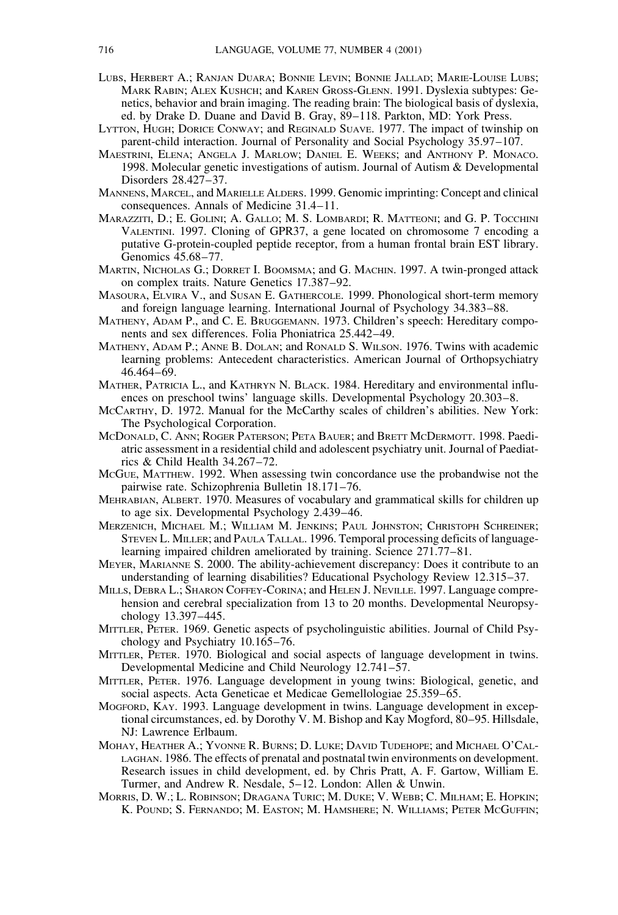- LUBS, HERBERT A.; RANJAN DUARA; BONNIE LEVIN; BONNIE JALLAD; MARIE-LOUISE LUBS; MARK RABIN; ALEX KUSHCH; and KAREN GROSS-GLENN. 1991. Dyslexia subtypes: Genetics, behavior and brain imaging. The reading brain: The biological basis of dyslexia, ed. by Drake D. Duane and David B. Gray, 89–118. Parkton, MD: York Press.
- LYTTON, HUGH; DORICE CONWAY; and REGINALD SUAVE. 1977. The impact of twinship on parent-child interaction. Journal of Personality and Social Psychology 35.97–107.
- MAESTRINI, ELENA; ANGELA J. MARLOW; DANIEL E. WEEKS; and ANTHONY P. MONACO. 1998. Molecular genetic investigations of autism. Journal of Autism & Developmental Disorders 28.427–37.
- MANNENS, MARCEL, and MARIELLE ALDERS. 1999. Genomic imprinting: Concept and clinical consequences. Annals of Medicine 31.4–11.
- MARAZZITI, D.; E. GOLINI; A. GALLO; M. S. LOMBARDI; R. MATTEONI; and G. P. TOCCHINI VALENTINI. 1997. Cloning of GPR37, a gene located on chromosome 7 encoding a putative G-protein-coupled peptide receptor, from a human frontal brain EST library. Genomics 45.68–77.
- MARTIN, NICHOLAS G.; DORRET I. BOOMSMA; and G. MACHIN. 1997. A twin-pronged attack on complex traits. Nature Genetics 17.387–92.
- MASOURA, ELVIRA V., and SUSAN E. GATHERCOLE. 1999. Phonological short-term memory and foreign language learning. International Journal of Psychology 34.383–88.
- MATHENY, ADAM P., and C. E. BRUGGEMANN. 1973. Children's speech: Hereditary components and sex differences. Folia Phoniatrica 25.442–49.
- MATHENY, ADAM P.; ANNE B. DOLAN; and RONALD S. WILSON. 1976. Twins with academic learning problems: Antecedent characteristics. American Journal of Orthopsychiatry 46.464–69.
- MATHER, PATRICIA L., and KATHRYN N. BLACK. 1984. Hereditary and environmental influences on preschool twins' language skills. Developmental Psychology 20.303–8.
- MCCARTHY, D. 1972. Manual for the McCarthy scales of children's abilities. New York: The Psychological Corporation.
- MCDONALD, C. ANN; ROGER PATERSON; PETA BAUER; and BRETT MCDERMOTT. 1998. Paediatric assessment in a residential child and adolescent psychiatry unit. Journal of Paediatrics & Child Health 34.267–72.
- McGUE, MATTHEW. 1992. When assessing twin concordance use the probandwise not the pairwise rate. Schizophrenia Bulletin 18.171–76.
- MEHRABIAN, ALBERT. 1970. Measures of vocabulary and grammatical skills for children up to age six. Developmental Psychology 2.439–46.
- MERZENICH, MICHAEL M.; WILLIAM M. JENKINS; PAUL JOHNSTON; CHRISTOPH SCHREINER; STEVEN L. MILLER; and PAULA TALLAL. 1996. Temporal processing deficits of languagelearning impaired children ameliorated by training. Science 271.77-81.
- MEYER, MARIANNE S. 2000. The ability-achievement discrepancy: Does it contribute to an understanding of learning disabilities? Educational Psychology Review 12.315–37.
- MILLS, DEBRA L.; SHARON COFFEY-CORINA; and HELEN J. NEVILLE. 1997. Language comprehension and cerebral specialization from 13 to 20 months. Developmental Neuropsychology 13.397–445.
- MITTLER, PETER. 1969. Genetic aspects of psycholinguistic abilities. Journal of Child Psychology and Psychiatry 10.165–76.
- MITTLER, PETER. 1970. Biological and social aspects of language development in twins. Developmental Medicine and Child Neurology 12.741–57.
- MITTLER, PETER. 1976. Language development in young twins: Biological, genetic, and social aspects. Acta Geneticae et Medicae Gemellologiae 25.359–65.
- MOGFORD, KAY. 1993. Language development in twins. Language development in exceptional circumstances, ed. by Dorothy V. M. Bishop and Kay Mogford, 80–95. Hillsdale, NJ: Lawrence Erlbaum.
- MOHAY, HEATHER A.; YVONNE R. BURNS; D. LUKE; DAVID TUDEHOPE; and MICHAEL O'CAL-LAGHAN. 1986. The effects of prenatal and postnatal twin environments on development. Research issues in child development, ed. by Chris Pratt, A. F. Gartow, William E. Turmer, and Andrew R. Nesdale, 5–12. London: Allen & Unwin.
- MORRIS, D. W.; L. ROBINSON; DRAGANA TURIC; M. DUKE; V. WEBB; C. MILHAM; E. HOPKIN; K. POUND; S. FERNANDO; M. EASTON; M. HAMSHERE; N. WILLIAMS; PETER MCGUFFIN;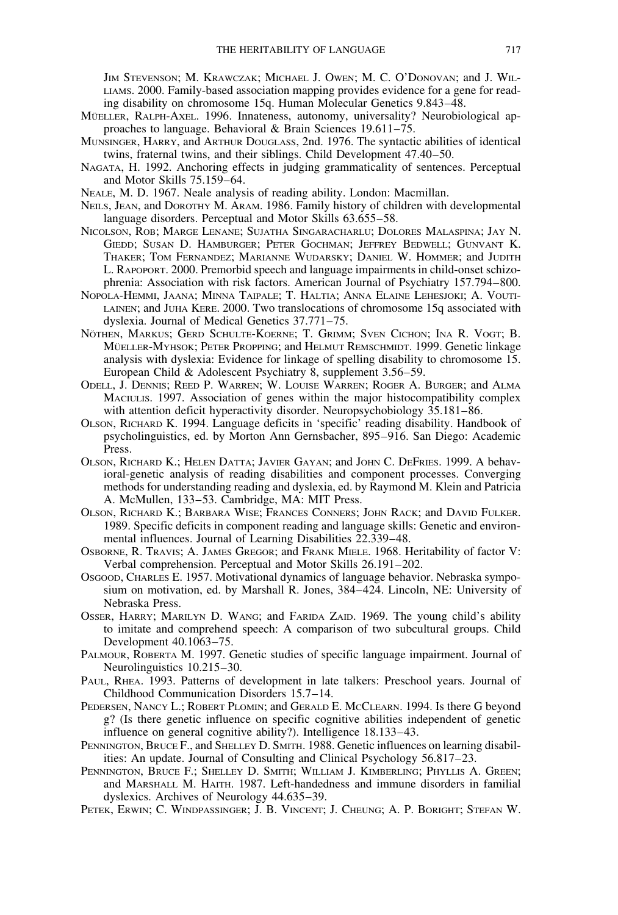JIM STEVENSON; M. KRAWCZAK; MICHAEL J. OWEN; M. C. O'DONOVAN; and J. WIL-LIAMS. 2000. Family-based association mapping provides evidence for a gene for reading disability on chromosome 15q. Human Molecular Genetics 9.843–48.

- MUELLER, RALPH-AXEL. 1996. Innateness, autonomy, universality? Neurobiological approaches to language. Behavioral & Brain Sciences 19.611–75.
- MUNSINGER, HARRY, and ARTHUR DOUGLASS, 2nd. 1976. The syntactic abilities of identical twins, fraternal twins, and their siblings. Child Development 47.40–50.
- NAGATA, H. 1992. Anchoring effects in judging grammaticality of sentences. Perceptual and Motor Skills 75.159–64.

NEALE, M. D. 1967. Neale analysis of reading ability. London: Macmillan.

- NEILS, JEAN, and DOROTHY M. ARAM. 1986. Family history of children with developmental language disorders. Perceptual and Motor Skills 63.655–58.
- NICOLSON, ROB; MARGE LENANE; SUJATHA SINGARACHARLU; DOLORES MALASPINA; JAY N. GIEDD; SUSAN D. HAMBURGER; PETER GOCHMAN; JEFFREY BEDWELL; GUNVANT K. THAKER; TOM FERNANDEZ; MARIANNE WUDARSKY; DANIEL W. HOMMER; and JUDITH L. RAPOPORT. 2000. Premorbid speech and language impairments in child-onset schizophrenia: Association with risk factors. American Journal of Psychiatry 157.794–800.
- NOPOLA-HEMMI, JAANA; MINNA TAIPALE; T. HALTIA; ANNA ELAINE LEHESJOKI; A. VOUTI-LAINEN; and JUHA KERE. 2000. Two translocations of chromosome 15q associated with dyslexia. Journal of Medical Genetics 37.771–75.
- NÖTHEN, MARKUS; GERD SCHULTE-KOERNE; T. GRIMM; SVEN CICHON; INA R. VOGT; B. MUELLER-MYHSOK; PETER PROPPING; and HELMUT REMSCHMIDT. 1999. Genetic linkage analysis with dyslexia: Evidence for linkage of spelling disability to chromosome 15. European Child & Adolescent Psychiatry 8, supplement 3.56–59.
- ODELL, J. DENNIS; REED P. WARREN; W. LOUISE WARREN; ROGER A. BURGER; and ALMA MACIULIS. 1997. Association of genes within the major histocompatibility complex with attention deficit hyperactivity disorder. Neuropsychobiology 35.181–86.
- OLSON, RICHARD K. 1994. Language deficits in 'specific' reading disability. Handbook of psycholinguistics, ed. by Morton Ann Gernsbacher, 895–916. San Diego: Academic Press.
- OLSON, RICHARD K.; HELEN DATTA; JAVIER GAYAN; and JOHN C. DEFRIES. 1999. A behavioral-genetic analysis of reading disabilities and component processes. Converging methods for understanding reading and dyslexia, ed. by Raymond M. Klein and Patricia A. McMullen, 133–53. Cambridge, MA: MIT Press.
- OLSON, RICHARD K.; BARBARA WISE; FRANCES CONNERS; JOHN RACK; and DAVID FULKER. 1989. Specific deficits in component reading and language skills: Genetic and environmental influences. Journal of Learning Disabilities 22.339–48.
- OSBORNE, R. TRAVIS; A. JAMES GREGOR; and FRANK MIELE. 1968. Heritability of factor V: Verbal comprehension. Perceptual and Motor Skills 26.191–202.
- OSGOOD, CHARLES E. 1957. Motivational dynamics of language behavior. Nebraska symposium on motivation, ed. by Marshall R. Jones, 384–424. Lincoln, NE: University of Nebraska Press.
- OSSER, HARRY; MARILYN D. WANG; and FARIDA ZAID. 1969. The young child's ability to imitate and comprehend speech: A comparison of two subcultural groups. Child Development 40.1063–75.
- PALMOUR, ROBERTA M. 1997. Genetic studies of specific language impairment. Journal of Neurolinguistics 10.215–30.
- PAUL, RHEA. 1993. Patterns of development in late talkers: Preschool years. Journal of Childhood Communication Disorders 15.7–14.
- PEDERSEN, NANCY L.; ROBERT PLOMIN; and GERALD E. MCCLEARN. 1994. Is there G beyond g? (Is there genetic influence on specific cognitive abilities independent of genetic influence on general cognitive ability?). Intelligence 18.133–43.
- PENNINGTON, BRUCE F., and SHELLEY D. SMITH. 1988. Genetic influences on learning disabilities: An update. Journal of Consulting and Clinical Psychology 56.817–23.
- PENNINGTON, BRUCE F.; SHELLEY D. SMITH; WILLIAM J. KIMBERLING; PHYLLIS A. GREEN; and MARSHALL M. HAITH. 1987. Left-handedness and immune disorders in familial dyslexics. Archives of Neurology 44.635–39.
- PETEK, ERWIN; C. WINDPASSINGER; J. B. VINCENT; J. CHEUNG; A. P. BORIGHT; STEFAN W.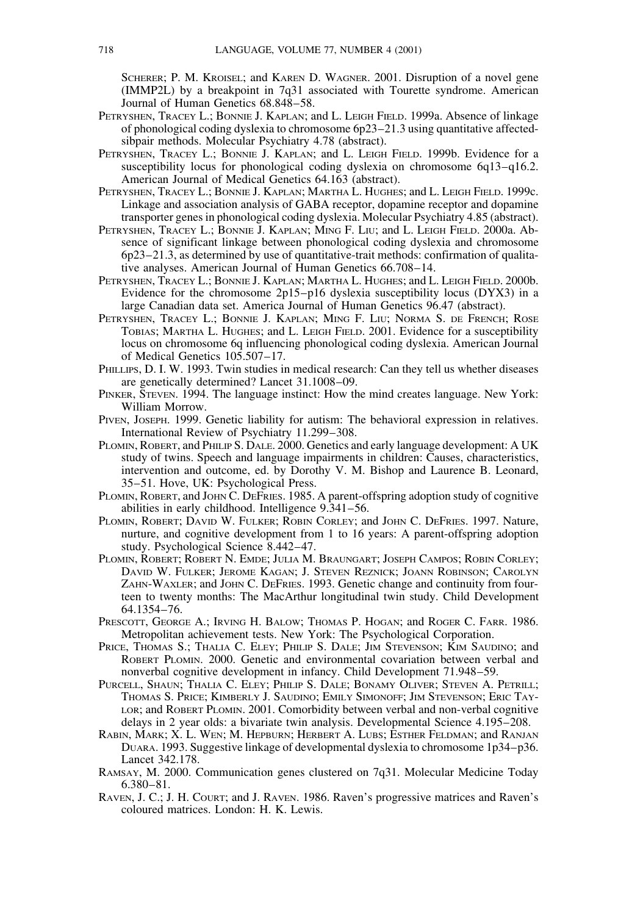SCHERER; P. M. KROISEL; and KAREN D. WAGNER. 2001. Disruption of a novel gene (IMMP2L) by a breakpoint in 7q31 associated with Tourette syndrome. American Journal of Human Genetics 68.848–58.

- PETRYSHEN, TRACEY L.; BONNIE J. KAPLAN; and L. LEIGH FIELD. 1999a. Absence of linkage of phonological coding dyslexia to chromosome 6p23–21.3 using quantitative affectedsibpair methods. Molecular Psychiatry 4.78 (abstract).
- PETRYSHEN, TRACEY L.; BONNIE J. KAPLAN; and L. LEIGH FIELD. 1999b. Evidence for a susceptibility locus for phonological coding dyslexia on chromosome 6q13–q16.2. American Journal of Medical Genetics 64.163 (abstract).
- PETRYSHEN, TRACEY L.; BONNIE J. KAPLAN; MARTHA L. HUGHES; and L. LEIGH FIELD. 1999c. Linkage and association analysis of GABA receptor, dopamine receptor and dopamine transporter genes in phonological coding dyslexia. Molecular Psychiatry 4.85 (abstract).
- PETRYSHEN, TRACEY L.; BONNIE J. KAPLAN; MING F. LIU; and L. LEIGH FIELD. 2000a. Absence of significant linkage between phonological coding dyslexia and chromosome 6p23–21.3, as determined by use of quantitative-trait methods: confirmation of qualitative analyses. American Journal of Human Genetics 66.708–14.
- PETRYSHEN, TRACEY L.; BONNIE J. KAPLAN; MARTHA L. HUGHES; and L. LEIGH FIELD. 2000b. Evidence for the chromosome 2p15–p16 dyslexia susceptibility locus (DYX3) in a large Canadian data set. America Journal of Human Genetics 96.47 (abstract).
- PETRYSHEN, TRACEY L.; BONNIE J. KAPLAN; MING F. LIU; NORMA S. DE FRENCH; ROSE TOBIAS; MARTHA L. HUGHES; and L. LEIGH FIELD. 2001. Evidence for a susceptibility locus on chromosome 6q influencing phonological coding dyslexia. American Journal of Medical Genetics 105.507–17.
- PHILLIPS, D. I. W. 1993. Twin studies in medical research: Can they tell us whether diseases are genetically determined? Lancet 31.1008–09.
- PINKER, STEVEN. 1994. The language instinct: How the mind creates language. New York: William Morrow.
- PIVEN, JOSEPH. 1999. Genetic liability for autism: The behavioral expression in relatives. International Review of Psychiatry 11.299–308.
- PLOMIN, ROBERT, and PHILIP S. DALE. 2000. Genetics and early language development: A UK study of twins. Speech and language impairments in children: Causes, characteristics, intervention and outcome, ed. by Dorothy V. M. Bishop and Laurence B. Leonard, 35–51. Hove, UK: Psychological Press.
- PLOMIN, ROBERT, and JOHN C. DEFRIES. 1985. A parent-offspringadoption study of cognitive abilities in early childhood. Intelligence 9.341–56.
- PLOMIN, ROBERT; DAVID W. FULKER; ROBIN CORLEY; and JOHN C. DEFRIES. 1997. Nature, nurture, and cognitive development from 1 to 16 years: A parent-offspring adoption study. Psychological Science 8.442–47.
- PLOMIN, ROBERT; ROBERT N. EMDE; JULIA M. BRAUNGART; JOSEPH CAMPOS; ROBIN CORLEY; DAVID W. FULKER; JEROME KAGAN; J. STEVEN REZNICK; JOANN ROBINSON; CAROLYN ZAHN-WAXLER; and JOHN C. DEFRIES. 1993. Genetic change and continuity from fourteen to twenty months: The MacArthur longitudinal twin study. Child Development 64.1354–76.
- PRESCOTT, GEORGE A.; IRVING H. BALOW; THOMAS P. HOGAN; and ROGER C. FARR. 1986. Metropolitan achievement tests. New York: The Psychological Corporation.
- PRICE, THOMAS S.; THALIA C. ELEY; PHILIP S. DALE; JIM STEVENSON; KIM SAUDINO; and ROBERT PLOMIN. 2000. Genetic and environmental covariation between verbal and nonverbal cognitive development in infancy. Child Development 71.948–59.
- PURCELL, SHAUN; THALIA C. ELEY; PHILIP S. DALE; BONAMY OLIVER; STEVEN A. PETRILL; THOMAS S. PRICE; KIMBERLY J. SAUDINO; EMILY SIMONOFF; JIM STEVENSON; ERIC TAY-LOR; and ROBERT PLOMIN. 2001. Comorbidity between verbal and non-verbal cognitive delays in 2 year olds: a bivariate twin analysis. Developmental Science 4.195–208.
- RABIN, MARK; X. L. WEN; M. HEPBURN; HERBERT A. LUBS; ESTHER FELDMAN; and RANJAN DUARA. 1993. Suggestive linkage of developmental dyslexia to chromosome 1p34–p36. Lancet 342.178.
- RAMSAY, M. 2000. Communication genes clustered on 7q31. Molecular Medicine Today 6.380–81.
- RAVEN, J. C.; J. H. COURT; and J. RAVEN. 1986. Raven's progressive matrices and Raven's coloured matrices. London: H. K. Lewis.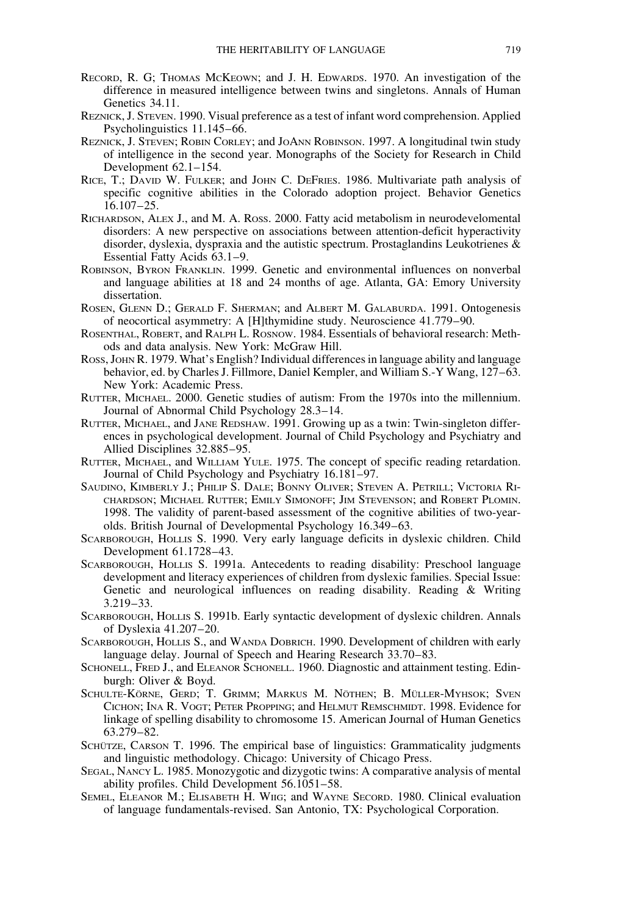- RECORD, R. G; THOMAS MCKEOWN; and J. H. EDWARDS. 1970. An investigation of the difference in measured intelligence between twins and singletons. Annals of Human Genetics 34.11.
- REZNICK, J. STEVEN. 1990. Visual preference as a test of infant word comprehension. Applied Psycholinguistics 11.145–66.
- REZNICK, J. STEVEN; ROBIN CORLEY; and JOANN ROBINSON. 1997. A longitudinal twin study of intelligence in the second year. Monographs of the Society for Research in Child Development 62.1–154.
- RICE, T.; DAVID W. FULKER; and JOHN C. DEFRIES. 1986. Multivariate path analysis of specific cognitive abilities in the Colorado adoption project. Behavior Genetics 16.107–25.
- RICHARDSON, ALEX J., and M. A. ROSS. 2000. Fatty acid metabolism in neurodevelomental disorders: A new perspective on associations between attention-deficit hyperactivity disorder, dyslexia, dyspraxia and the autistic spectrum. Prostaglandins Leukotrienes & Essential Fatty Acids 63.1–9.
- ROBINSON, BYRON FRANKLIN. 1999. Genetic and environmental influences on nonverbal and language abilities at 18 and 24 months of age. Atlanta, GA: Emory University dissertation.
- ROSEN, GLENN D.; GERALD F. SHERMAN; and ALBERT M. GALABURDA. 1991. Ontogenesis of neocortical asymmetry: A [H]thymidine study. Neuroscience 41.779–90.
- ROSENTHAL, ROBERT, and RALPH L. ROSNOW. 1984. Essentials of behavioral research: Methods and data analysis. New York: McGraw Hill.
- ROSS, JOHN R. 1979. What's English? Individual differences in language ability and language behavior, ed. by Charles J. Fillmore, Daniel Kempler, and William S.-Y Wang, 127–63. New York: Academic Press.
- RUTTER, MICHAEL. 2000. Genetic studies of autism: From the 1970s into the millennium. Journal of Abnormal Child Psychology 28.3–14.
- RUTTER, MICHAEL, and JANE REDSHAW. 1991. Growing up as a twin: Twin-singleton differences in psychological development. Journal of Child Psychology and Psychiatry and Allied Disciplines 32.885–95.
- RUTTER, MICHAEL, and WILLIAM YULE. 1975. The concept of specific reading retardation. Journal of Child Psychology and Psychiatry 16.181–97.
- SAUDINO, KIMBERLY J.; PHILIP S. DALE; BONNY OLIVER; STEVEN A. PETRILL; VICTORIA RI-CHARDSON; MICHAEL RUTTER; EMILY SIMONOFF; JIM STEVENSON; and ROBERT PLOMIN. 1998. The validity of parent-based assessment of the cognitive abilities of two-yearolds. British Journal of Developmental Psychology 16.349–63.
- SCARBOROUGH, HOLLIS S. 1990. Very early language deficits in dyslexic children. Child Development 61.1728–43.
- SCARBOROUGH, HOLLIS S. 1991a. Antecedents to reading disability: Preschool language development and literacy experiences of children from dyslexic families. Special Issue: Genetic and neurological influences on reading disability. Reading  $\&$  Writing 3.219–33.
- SCARBOROUGH, HOLLIS S. 1991b. Early syntactic development of dyslexic children. Annals of Dyslexia 41.207–20.
- SCARBOROUGH, HOLLIS S., and WANDA DOBRICH. 1990. Development of children with early language delay. Journal of Speech and Hearing Research 33.70–83.
- SCHONELL, FRED J., and ELEANOR SCHONELL. 1960. Diagnostic and attainment testing. Edinburgh: Oliver & Boyd.
- SCHULTE-KÖRNE, GERD; T. GRIMM; MARKUS M. NÖTHEN; B. MÜLLER-MYHSOK; SVEN CICHON; INA R. VOGT; PETER PROPPING; and HELMUT REMSCHMIDT. 1998. Evidence for linkage of spelling disability to chromosome 15. American Journal of Human Genetics 63.279–82.
- SCHÜTZE, CARSON T. 1996. The empirical base of linguistics: Grammaticality judgments and linguistic methodology. Chicago: University of Chicago Press.
- SEGAL, NANCY L. 1985. Monozygotic and dizygotic twins: A comparative analysis of mental ability profiles. Child Development 56.1051–58.
- SEMEL, ELEANOR M.; ELISABETH H. WIIG; and WAYNE SECORD. 1980. Clinical evaluation of language fundamentals-revised. San Antonio, TX: Psychological Corporation.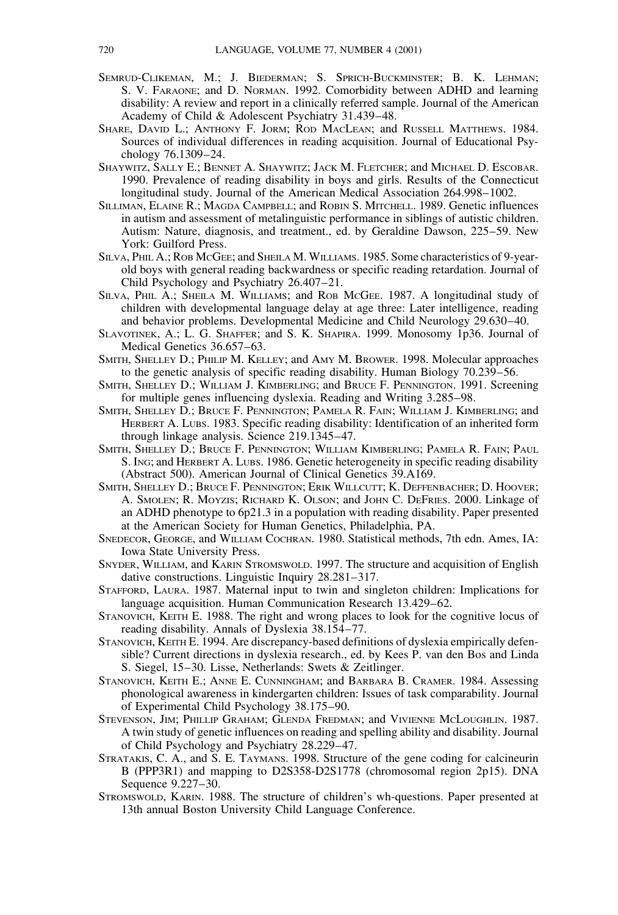- SEMRUD-CLIKEMAN, M.; J. BIEDERMAN; S. SPRICH-BUCKMINSTER; B. K. LEHMAN; S. V. FARAONE; and D. NORMAN. 1992. Comorbidity between ADHD and learning disability: A review and report in a clinically referred sample. Journal of the American Academy of Child & Adolescent Psychiatry 31.439–48.
- SHARE, DAVID L.; ANTHONY F. JORM; ROD MACLEAN; and RUSSELL MATTHEWS. 1984. Sources of individual differences in reading acquisition. Journal of Educational Psychology 76.1309–24.
- SHAYWITZ, SALLY E.; BENNET A. SHAYWITZ; JACK M. FLETCHER; and MICHAEL D. ESCOBAR. 1990. Prevalence of reading disability in boys and girls. Results of the Connecticut longitudinal study. Journal of the American Medical Association 264.998–1002.
- SILLIMAN, ELAINE R.; MAGDA CAMPBELL; and ROBIN S. MITCHELL. 1989. Genetic influences in autism and assessment of metalinguistic performance in siblings of autistic children. Autism: Nature, diagnosis, and treatment., ed. by Geraldine Dawson, 225–59. New York: Guilford Press.
- SILVA, PHIL A.; ROB MCGEE; and SHEILA M. WILLIAMS. 1985. Some characteristics of 9-yearold boys with general reading backwardness or specific reading retardation. Journal of Child Psychology and Psychiatry 26.407–21.
- SILVA, PHIL A.; SHEILA M. WILLIAMS; and ROB MCGEE. 1987. A longitudinal study of children with developmental language delay at age three: Later intelligence, reading and behavior problems. Developmental Medicine and Child Neurology 29.630–40.
- SLAVOTINEK, A.; L. G. SHAFFER; and S. K. SHAPIRA. 1999. Monosomy 1p36. Journal of Medical Genetics 36.657–63.
- SMITH, SHELLEY D.; PHILIP M. KELLEY; and AMY M. BROWER. 1998. Molecular approaches to the genetic analysis of specific reading disability. Human Biology 70.239–56.
- SMITH, SHELLEY D.; WILLIAM J. KIMBERLING; and BRUCE F. PENNINGTON. 1991. Screening for multiple genes influencing dyslexia. Reading and Writing 3.285–98.
- SMITH, SHELLEY D.; BRUCE F. PENNINGTON; PAMELA R. FAIN; WILLIAM J. KIMBERLING; and HERBERT A. LUBS. 1983. Specific reading disability: Identification of an inherited form through linkage analysis. Science 219.1345–47.
- SMITH, SHELLEY D.; BRUCE F. PENNINGTON; WILLIAM KIMBERLING; PAMELA R. FAIN; PAUL S. ING; and HERBERT A. LUBS. 1986. Genetic heterogeneity in specific reading disability (Abstract 500). American Journal of Clinical Genetics 39.A169.
- SMITH, SHELLEY D.; BRUCE F. PENNINGTON; ERIK WILLCUTT; K. DEFFENBACHER; D. HOOVER; A. SMOLEN; R. MOYZIS; RICHARD K. OLSON; and JOHN C. DEFRIES. 2000. Linkage of an ADHD phenotype to 6p21.3 in a population with reading disability. Paper presented at the American Society for Human Genetics, Philadelphia, PA.
- SNEDECOR, GEORGE, and WILLIAM COCHRAN. 1980. Statistical methods, 7th edn. Ames, IA: Iowa State University Press.
- SNYDER, WILLIAM, and KARIN STROMSWOLD. 1997. The structure and acquisition of English dative constructions. Linguistic Inquiry 28.281–317.
- STAFFORD, LAURA. 1987. Maternal input to twin and singleton children: Implications for language acquisition. Human Communication Research 13.429–62.
- STANOVICH, KEITH E. 1988. The right and wrong places to look for the cognitive locus of reading disability. Annals of Dyslexia 38.154–77.
- STANOVICH, KEITH E. 1994. Are discrepancy-based definitions of dyslexia empirically defensible? Current directions in dyslexia research., ed. by Kees P. van den Bos and Linda S. Siegel, 15–30. Lisse, Netherlands: Swets & Zeitlinger.
- STANOVICH, KEITH E.; ANNE E. CUNNINGHAM; and BARBARA B. CRAMER. 1984. Assessing phonological awareness in kindergarten children: Issues of task comparability. Journal of Experimental Child Psychology 38.175–90.
- STEVENSON, JIM; PHILLIP GRAHAM; GLENDA FREDMAN; and VIVIENNE MCLOUGHLIN. 1987. A twin study of genetic influences on reading and spelling ability and disability. Journal of Child Psychology and Psychiatry 28.229–47.
- STRATAKIS, C. A., and S. E. TAYMANS. 1998. Structure of the gene coding for calcineurin B (PPP3R1) and mapping to D2S358-D2S1778 (chromosomal region 2p15). DNA Sequence 9.227–30.
- STROMSWOLD, KARIN. 1988. The structure of children's wh-questions. Paper presented at 13th annual Boston University Child Language Conference.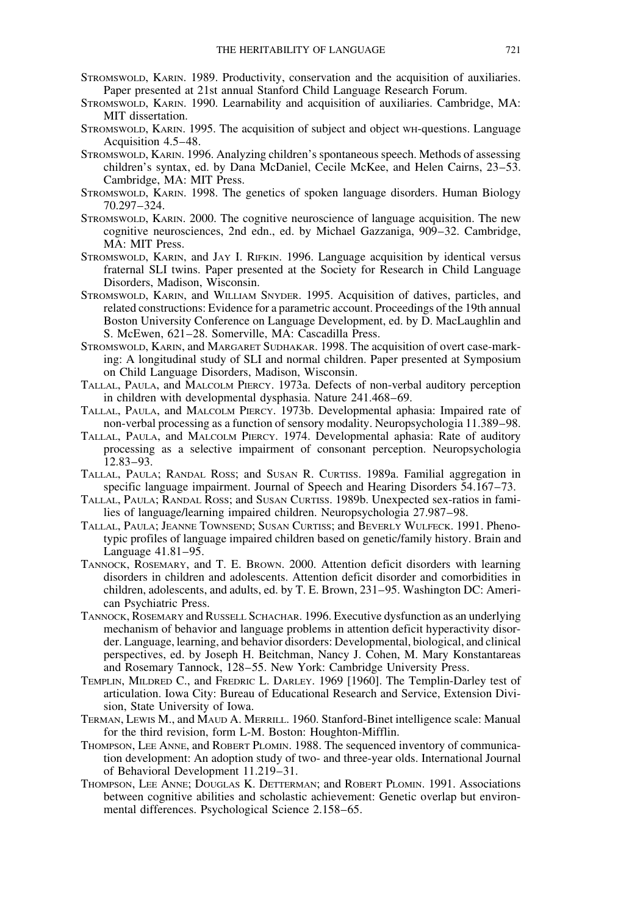- STROMSWOLD, KARIN. 1989. Productivity, conservation and the acquisition of auxiliaries. Paper presented at 21st annual Stanford Child Language Research Forum.
- STROMSWOLD, KARIN. 1990. Learnability and acquisition of auxiliaries. Cambridge, MA: MIT dissertation.
- STROMSWOLD, KARIN. 1995. The acquisition of subject and object WH-questions. Language Acquisition 4.5–48.
- STROMSWOLD, KARIN. 1996. Analyzing children's spontaneous speech. Methods of assessing children's syntax, ed. by Dana McDaniel, Cecile McKee, and Helen Cairns, 23–53. Cambridge, MA: MIT Press.
- STROMSWOLD, KARIN. 1998. The genetics of spoken language disorders. Human Biology 70.297–324.
- STROMSWOLD, KARIN. 2000. The cognitive neuroscience of language acquisition. The new cognitive neurosciences, 2nd edn., ed. by Michael Gazzaniga, 909–32. Cambridge, MA: MIT Press.
- STROMSWOLD, KARIN, and JAY I. RIFKIN. 1996. Language acquisition by identical versus fraternal SLI twins. Paper presented at the Society for Research in Child Language Disorders, Madison, Wisconsin.
- STROMSWOLD, KARIN, and WILLIAM SNYDER. 1995. Acquisition of datives, particles, and related constructions: Evidence for a parametric account. Proceedings of the 19th annual Boston University Conference on Language Development, ed. by D. MacLaughlin and S. McEwen, 621–28. Somerville, MA: Cascadilla Press.
- STROMSWOLD, KARIN, and MARGARET SUDHAKAR. 1998. The acquisition of overt case-marking: A longitudinal study of SLI and normal children. Paper presented at Symposium on Child Language Disorders, Madison, Wisconsin.
- TALLAL, PAULA, and MALCOLM PIERCY. 1973a. Defects of non-verbal auditory perception in children with developmental dysphasia. Nature 241.468–69.
- TALLAL, PAULA, and MALCOLM PIERCY. 1973b. Developmental aphasia: Impaired rate of non-verbal processingas a function of sensory modality. Neuropsychologia 11.389–98.
- TALLAL, PAULA, and MALCOLM PIERCY. 1974. Developmental aphasia: Rate of auditory processing as a selective impairment of consonant perception. Neuropsychologia 12.83–93.
- TALLAL, PAULA; RANDAL ROSS; and SUSAN R. CURTISS. 1989a. Familial aggregation in specific language impairment. Journal of Speech and Hearing Disorders 54.167–73.
- TALLAL, PAULA; RANDAL ROSS; and SUSAN CURTISS. 1989b. Unexpected sex-ratios in families of language/learning impaired children. Neuropsychologia 27.987–98.
- TALLAL, PAULA; JEANNE TOWNSEND; SUSAN CURTISS; and BEVERLY WULFECK. 1991. Phenotypic profiles of language impaired children based on genetic/family history. Brain and Language 41.81–95.
- TANNOCK, ROSEMARY, and T. E. BROWN. 2000. Attention deficit disorders with learning disorders in children and adolescents. Attention deficit disorder and comorbidities in children, adolescents, and adults, ed. by T. E. Brown, 231–95. Washington DC: American Psychiatric Press.
- TANNOCK, ROSEMARY and RUSSELL SCHACHAR. 1996. Executive dysfunction as an underlying mechanism of behavior and language problems in attention deficit hyperactivity disorder. Language, learning, and behavior disorders: Developmental, biological, and clinical perspectives, ed. by Joseph H. Beitchman, Nancy J. Cohen, M. Mary Konstantareas and Rosemary Tannock, 128–55. New York: Cambridge University Press.
- TEMPLIN, MILDRED C., and FREDRIC L. DARLEY. 1969 [1960]. The Templin-Darley test of articulation. Iowa City: Bureau of Educational Research and Service, Extension Division, State University of Iowa.
- TERMAN, LEWIS M., and MAUD A. MERRILL. 1960. Stanford-Binet intelligence scale: Manual for the third revision, form L-M. Boston: Houghton-Mifflin.
- THOMPSON, LEE ANNE, and ROBERT PLOMIN. 1988. The sequenced inventory of communication development: An adoption study of two- and three-year olds. International Journal of Behavioral Development 11.219–31.
- THOMPSON, LEE ANNE; DOUGLAS K. DETTERMAN; and ROBERT PLOMIN. 1991. Associations between cognitive abilities and scholastic achievement: Genetic overlap but environmental differences. Psychological Science 2.158–65.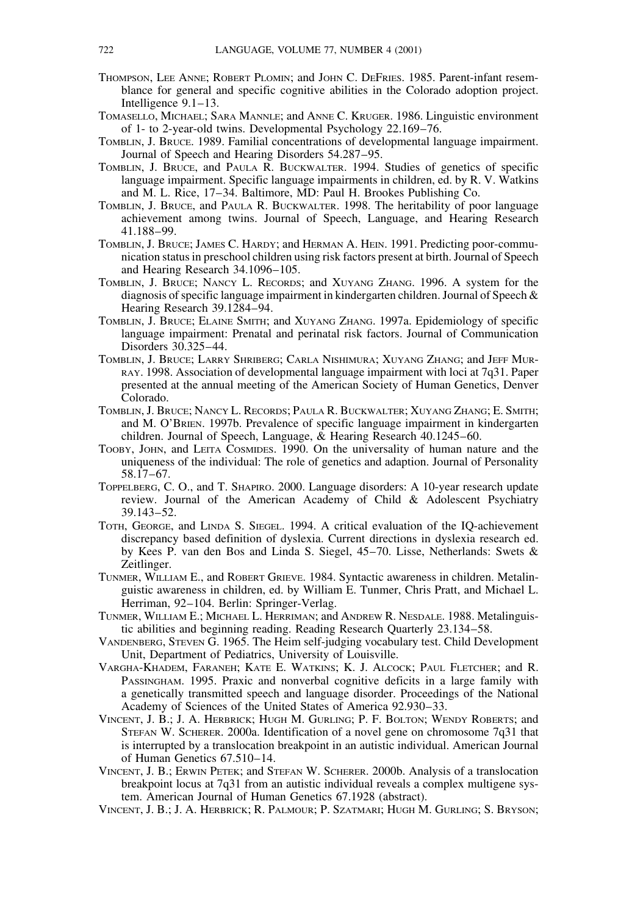- THOMPSON, LEE ANNE; ROBERT PLOMIN; and JOHN C. DEFRIES. 1985. Parent-infant resemblance for general and specific cognitive abilities in the Colorado adoption project. Intelligence 9.1–13.
- TOMASELLO, MICHAEL; SARA MANNLE; and ANNE C. KRUGER. 1986. Linguistic environment of 1- to 2-year-old twins. Developmental Psychology 22.169–76.
- TOMBLIN, J. BRUCE. 1989. Familial concentrations of developmental language impairment. Journal of Speech and Hearing Disorders 54.287–95.
- TOMBLIN, J. BRUCE, and PAULA R. BUCKWALTER. 1994. Studies of genetics of specific language impairment. Specific language impairments in children, ed. by R. V. Watkins and M. L. Rice, 17–34. Baltimore, MD: Paul H. Brookes Publishing Co.
- TOMBLIN, J. BRUCE, and PAULA R. BUCKWALTER. 1998. The heritability of poor language achievement among twins. Journal of Speech, Language, and Hearing Research 41.188–99.
- TOMBLIN, J. BRUCE; JAMES C. HARDY; and HERMAN A. HEIN. 1991. Predicting poor-communication status in preschool children using risk factors present at birth. Journal of Speech and Hearing Research 34.1096–105.
- TOMBLIN, J. BRUCE; NANCY L. RECORDS; and XUYANG ZHANG. 1996. A system for the diagnosis of specific language impairment in kindergarten children. Journal of Speech & Hearing Research 39.1284–94.
- TOMBLIN, J. BRUCE; ELAINE SMITH; and XUYANG ZHANG. 1997a. Epidemiology of specific language impairment: Prenatal and perinatal risk factors. Journal of Communication Disorders 30.325–44.
- TOMBLIN, J. BRUCE; LARRY SHRIBERG; CARLA NISHIMURA; XUYANG ZHANG; and JEFF MUR-RAY. 1998. Association of developmental language impairment with loci at 7q31. Paper presented at the annual meeting of the American Society of Human Genetics, Denver Colorado.
- TOMBLIN, J. BRUCE; NANCY L. RECORDS; PAULA R. BUCKWALTER; XUYANG ZHANG; E. SMITH; and M. O'BRIEN. 1997b. Prevalence of specific language impairment in kindergarten children. Journal of Speech, Language, & Hearing Research 40.1245–60.
- TOOBY, JOHN, and LEITA COSMIDES. 1990. On the universality of human nature and the uniqueness of the individual: The role of genetics and adaption. Journal of Personality 58.17–67.
- TOPPELBERG, C. O., and T. SHAPIRO. 2000. Language disorders: A 10-year research update review. Journal of the American Academy of Child & Adolescent Psychiatry 39.143–52.
- TOTH, GEORGE, and LINDA S. SIEGEL. 1994. A critical evaluation of the IQ-achievement discrepancy based definition of dyslexia. Current directions in dyslexia research ed. by Kees P. van den Bos and Linda S. Siegel, 45–70. Lisse, Netherlands: Swets & Zeitlinger.
- TUNMER, WILLIAM E., and ROBERT GRIEVE. 1984. Syntactic awareness in children. Metalinguistic awareness in children, ed. by William E. Tunmer, Chris Pratt, and Michael L. Herriman, 92–104. Berlin: Springer-Verlag.
- TUNMER, WILLIAM E.; MICHAEL L. HERRIMAN; and ANDREW R. NESDALE. 1988. Metalinguistic abilities and beginning reading. Reading Research Quarterly 23.134–58.
- VANDENBERG, STEVEN G. 1965. The Heim self-judging vocabulary test. Child Development Unit, Department of Pediatrics, University of Louisville.
- VARGHA-KHADEM, FARANEH; KATE E. WATKINS; K. J. ALCOCK; PAUL FLETCHER; and R. PASSINGHAM. 1995. Praxic and nonverbal cognitive deficits in a large family with a genetically transmitted speech and language disorder. Proceedings of the National Academy of Sciences of the United States of America 92.930–33.
- VINCENT, J. B.; J. A. HERBRICK; HUGH M. GURLING; P. F. BOLTON; WENDY ROBERTS; and STEFAN W. SCHERER. 2000a. Identification of a novel gene on chromosome 7q31 that is interrupted by a translocation breakpoint in an autistic individual. American Journal of Human Genetics 67.510–14.
- VINCENT, J. B.; ERWIN PETEK; and STEFAN W. SCHERER. 2000b. Analysis of a translocation breakpoint locus at 7q31 from an autistic individual reveals a complex multigene system. American Journal of Human Genetics 67.1928 (abstract).
- VINCENT, J. B.; J. A. HERBRICK; R. PALMOUR; P. SZATMARI; HUGH M. GURLING; S. BRYSON;